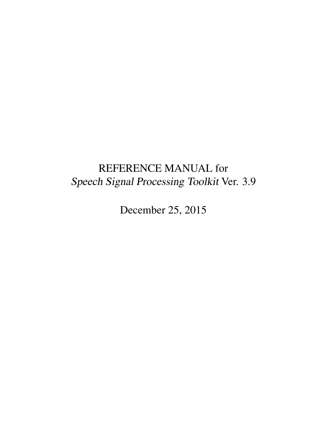# REFERENCE MANUAL for Speech Signal Processing Toolkit Ver. 3.9

December 25, 2015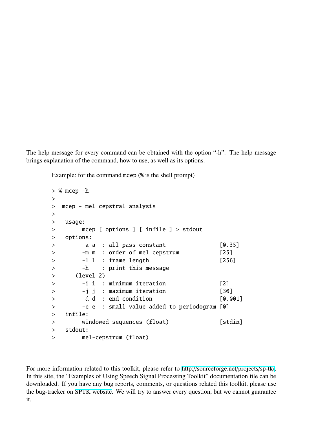The help message for every command can be obtained with the option "-h". The help message brings explanation of the command, how to use, as well as its options.

Example: for the command mcep (% is the shell prompt)

```
> % mcep -h
>> mcep - mel cepstral analysis
\geq> usage:
> mcep [ options ] [ infile ] > stdout
> options:
> -a a : all-pass constant [0.35]
> -m m : order of mel cepstrum [25]
> -l l : frame length [256]
> -h : print this message
> (level 2)
> -i i : minimum iteration [2]
> -i j : maximum iteration [30]
> -d d : end condition [0.001]
> -e e : small value added to periodogram [0]
> infile:
> windowed sequences (float) [stdin]
> stdout:
> mel-cepstrum (float)
```
For more information related to this toolkit, please refer to http://[sourceforge.net](http://sourceforge.net/projects/sp-tk/)/projects/sp-tk/. In this site, the "Examples of Using Speech Signal Processing Toolkit" documentation file can be downloaded. If you have any bug reports, comments, or questions related this toolkit, please use the bug-tracker on [SPTK website](http://sourceforge.net/tracker/?group_id=176586). We will try to answer every question, but we cannot guarantee it.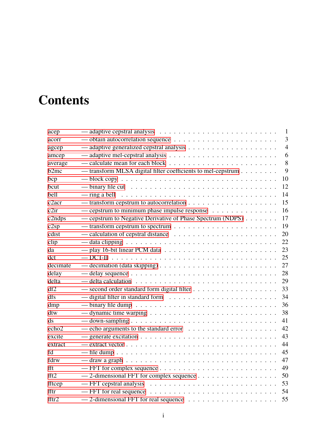# **Contents**

| acep               | $\mathbf{1}$                                                                                                 |
|--------------------|--------------------------------------------------------------------------------------------------------------|
| acorr              | $-$ obtain autocorrelation sequence $\ldots \ldots \ldots \ldots \ldots \ldots \ldots$<br>3                  |
| agcep              | $\overline{4}$                                                                                               |
| amcep              | 6                                                                                                            |
| average            | 8                                                                                                            |
| b2mc               | 9<br>— transform MLSA digital filter coefficients to mel-cepstrum                                            |
| bcp                | 10<br>— block copy $\ldots \ldots \ldots \ldots \ldots \ldots \ldots \ldots \ldots \ldots \ldots \ldots$     |
| bcut               | — binary file cut $\dots \dots \dots \dots \dots \dots \dots \dots \dots \dots \dots \dots$<br>12            |
| bell               | $-\mathsf{ring}$ a bell $\ldots \ldots \ldots \ldots \ldots \ldots \ldots \ldots \ldots \ldots \ldots$<br>14 |
| c <sub>2</sub> acr | 15                                                                                                           |
| c2ir               | - cepstrum to minimum phase impulse response<br>16                                                           |
| c2ndps             | — cepstrum to Negative Derivative of Phase Spectrum (NDPS)<br>17                                             |
| c2sp               | 19<br>— transform cepstrum to spectrum $\ldots \ldots \ldots \ldots \ldots \ldots \ldots$                    |
| cdist              | 20                                                                                                           |
| clip               | $-$ data clipping $\ldots \ldots \ldots \ldots \ldots \ldots \ldots \ldots \ldots \ldots \ldots$<br>22       |
| da                 | 23                                                                                                           |
| $\det$             | 25                                                                                                           |
| decimate           | 27                                                                                                           |
| delay              | 28                                                                                                           |
| delta              | $-\theta$ delta calculation $\cdots \cdots \cdots \cdots \cdots \cdots \cdots \cdots$<br>29                  |
| df2                | 33                                                                                                           |
| dfs                | 34                                                                                                           |
| dmp                | 36<br>— binary file dump $\ldots \ldots \ldots \ldots \ldots \ldots \ldots \ldots \ldots \ldots \ldots$      |
| dtw                | 38                                                                                                           |
| ds                 | 41                                                                                                           |
| echo <sub>2</sub>  | 42                                                                                                           |
| excite             | 43                                                                                                           |
| extract            | 44                                                                                                           |
| fd                 | 45                                                                                                           |
| fdrw               | 47<br>— draw a graph $\ldots \ldots \ldots \ldots \ldots \ldots \ldots \ldots \ldots \ldots \ldots \ldots$   |
| fft                | 49<br>— FFT for complex sequence $\ldots \ldots \ldots \ldots \ldots \ldots \ldots \ldots$                   |
| fft2               | 50                                                                                                           |
| fftcep             | 53                                                                                                           |
| fftr               | $-$ FFT for real sequence $\ldots \ldots \ldots \ldots \ldots \ldots \ldots \ldots$<br>54                    |
| ffrr2              | 55                                                                                                           |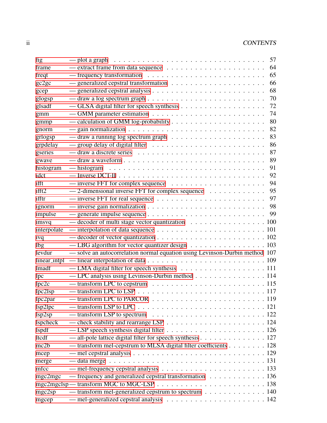| fig             | $\rightarrow$ plot a graph $\cdots \cdots \cdots \cdots \cdots \cdots \cdots \cdots \cdots \cdots$            | 57  |
|-----------------|---------------------------------------------------------------------------------------------------------------|-----|
| frame           |                                                                                                               | 64  |
| freqt           |                                                                                                               | 65  |
| gc2gc           |                                                                                                               | 66  |
| gcep            |                                                                                                               | 68  |
| glogsp          | — draw a log spectrum graph $\ldots \ldots \ldots \ldots \ldots \ldots \ldots \ldots \ldots$                  | 70  |
| glsadf          |                                                                                                               | 72  |
| gmm             |                                                                                                               | 74  |
| gmmp            |                                                                                                               | 80  |
| gnorm           |                                                                                                               | 82  |
| grlogsp         |                                                                                                               | 83  |
| grpdelay        |                                                                                                               | 86  |
| gseries         | $\rightarrow$ draw a discrete series $\ldots \ldots \ldots \ldots \ldots \ldots \ldots \ldots \ldots$         | 87  |
| gwave           |                                                                                                               | 89  |
| histogram       | — histogram $\ldots \ldots \ldots \ldots \ldots \ldots \ldots \ldots \ldots \ldots \ldots$                    | 91  |
| idct            | — Inverse DCT-II $\ldots \ldots \ldots \ldots \ldots \ldots \ldots \ldots \ldots \ldots \ldots$               | 92  |
| ifft            | — inverse FFT for complex sequence $\ldots \ldots \ldots \ldots \ldots \ldots$                                | 94  |
| iff2            | -2-dimensional inverse FFT for complex sequence                                                               | 95  |
| ifftr           | — inverse FFT for real sequence $\ldots \ldots \ldots \ldots \ldots \ldots \ldots$                            | 97  |
| ignorm          |                                                                                                               | 98  |
| impulse         |                                                                                                               | -99 |
| imsvq           | — decoder of multi stage vector quantization 100                                                              |     |
| interpolate     | — interpolation of data sequence $\ldots \ldots \ldots \ldots \ldots \ldots \ldots \ldots \ldots 101$         |     |
| ivq             | — decoder of vector quantization $\ldots \ldots \ldots \ldots \ldots \ldots \ldots \ldots \ldots 102$         |     |
| lbg             | -LBG algorithm for vector quantizer design 103                                                                |     |
| levdur          | - solve an autocorrelation normal equation using Levinson-Durbin method 107                                   |     |
| linear_intpl    |                                                                                                               |     |
| lmadf           |                                                                                                               |     |
| lpc             | -LPC analysis using Levinson-Durbin method 114                                                                |     |
| lpc2c           | — transform LPC to cepstrum $\ldots \ldots \ldots \ldots \ldots \ldots \ldots \ldots \ldots 115$              |     |
| lpc2lsp         | $-$ transform LPC to LSP $\ldots \ldots \ldots \ldots \ldots \ldots \ldots \ldots \ldots 117$                 |     |
| lpc2par         |                                                                                                               |     |
| lsp2lpc         | — transform LSP to LPC $\dots$ , $\dots$ , $\dots$ , $\dots$ , $\dots$ , $\dots$ , $\dots$ , $\dots$ , $121$  |     |
| lsp2sp          | — transform LSP to spectrum $\ldots \ldots \ldots \ldots \ldots \ldots \ldots \ldots \ldots 122$              |     |
| <b>lspcheck</b> |                                                                                                               |     |
| lspdf           |                                                                                                               |     |
| ltcdf           | — all-pole lattice digital filter for speech synthesis 127                                                    |     |
| mc2b            | — transform mel-cepstrum to MLSA digital filter coefficients 128                                              |     |
| mcep            | — mel cepstral analysis $\ldots \ldots \ldots \ldots \ldots \ldots \ldots \ldots \ldots \ldots 129$           |     |
| merge           | — data merge $\ldots \ldots \ldots \ldots \ldots \ldots \ldots \ldots \ldots \ldots \ldots \ldots \ldots$ 131 |     |
| mfcc            |                                                                                                               |     |
| mgc2mgc         | - frequency and generalized cepstral transformation 136                                                       |     |
|                 |                                                                                                               |     |
| mgc2sp          | — transform mel-generalized cepstrum to spectrum 140                                                          |     |
| mgcep           |                                                                                                               |     |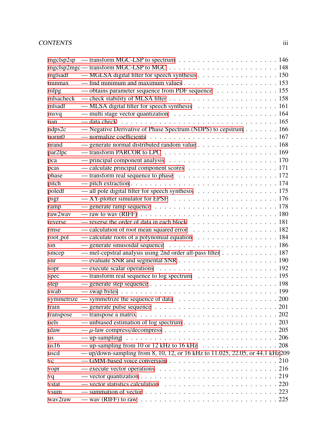| mglsadf   |                                                                                                               |  |
|-----------|---------------------------------------------------------------------------------------------------------------|--|
| minmax    |                                                                                                               |  |
| mlpg      | — obtains parameter sequence from PDF sequence 155                                                            |  |
| mlsacheck |                                                                                                               |  |
| mlsadf    |                                                                                                               |  |
| msvq      |                                                                                                               |  |
| nan       | — data check $\ldots \ldots \ldots \ldots \ldots \ldots \ldots \ldots \ldots \ldots \ldots \ldots \ldots 165$ |  |
| ndps2c    | — Negative Derivative of Phase Spectrum (NDPS) to cepstrum 166                                                |  |
| norm0     | — normalize coefficients $\ldots \ldots \ldots \ldots \ldots \ldots \ldots \ldots \ldots \ldots 167$          |  |
| nrand     | - generate normal distributed random value 168                                                                |  |
| par2lpc   | — transform PARCOR to LPC $\ldots \ldots \ldots \ldots \ldots \ldots \ldots \ldots \ldots 169$                |  |
| pca       |                                                                                                               |  |
| pcas      |                                                                                                               |  |
| phase     |                                                                                                               |  |
| pitch     |                                                                                                               |  |
| poledf    |                                                                                                               |  |
| psgr      |                                                                                                               |  |
| ramp      | $-$ generate ramp sequence $\ldots \ldots \ldots \ldots \ldots \ldots \ldots \ldots \ldots 178$               |  |
| raw2way   | — raw to wav (RIFF) $\ldots \ldots \ldots \ldots \ldots \ldots \ldots \ldots \ldots \ldots \ldots 180$        |  |
| reverse   |                                                                                                               |  |
| rmse      |                                                                                                               |  |
| root_pol  | - calculate roots of a polynomial equation 184                                                                |  |
| sin       |                                                                                                               |  |
| smcep     | - mel-cepstral analysis using 2nd order all-pass filter 187                                                   |  |
| snr       |                                                                                                               |  |
| sopr      |                                                                                                               |  |
| spec      | — transform real sequence to log spectrum 195                                                                 |  |
| step      | — generate step sequence $\ldots \ldots \ldots \ldots \ldots \ldots \ldots \ldots \ldots 198$                 |  |
| swab      | — swap bytes $\ldots \ldots \ldots \ldots \ldots \ldots \ldots \ldots \ldots \ldots \ldots \ldots \ldots 199$ |  |
|           | symmetrize — symmetrize the sequence of data $\ldots \ldots \ldots \ldots \ldots \ldots \ldots \ldots 200$    |  |
| train     |                                                                                                               |  |
| transpose | — transpose a matrix $\ldots \ldots \ldots \ldots \ldots \ldots \ldots \ldots \ldots \ldots \ldots 202$       |  |
| uels      |                                                                                                               |  |
| ulaw      |                                                                                                               |  |
| <b>us</b> | — up-sampling $\ldots \ldots \ldots \ldots \ldots \ldots \ldots \ldots \ldots \ldots \ldots \ldots 206$       |  |
| us16      | — up-sampling from 10 or 12 kHz to $16$ kHz $\ldots \ldots \ldots \ldots \ldots \ldots 208$                   |  |
| uscd      | -up/down-sampling from 8, 10, 12, or 16 kHz to 11.025, 22.05, or 44.1 kHz209                                  |  |
| <b>VC</b> |                                                                                                               |  |
| vopr      | — execute vector operations $\ldots \ldots \ldots \ldots \ldots \ldots \ldots \ldots \ldots 216$              |  |
| vq        | — vector quantization $\ldots \ldots \ldots \ldots \ldots \ldots \ldots \ldots \ldots \ldots \ldots 219$      |  |
| vstat     |                                                                                                               |  |
| vsum      |                                                                                                               |  |
| wav2raw   | — wav (RIFF) to raw $\ldots \ldots \ldots \ldots \ldots \ldots \ldots \ldots \ldots \ldots 225$               |  |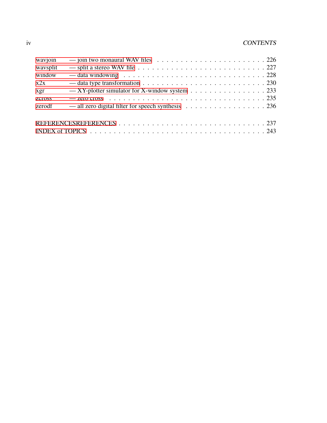## iv CONTENTS

| wavjoin  |                                                                                                 |
|----------|-------------------------------------------------------------------------------------------------|
| wavsplit |                                                                                                 |
| window   |                                                                                                 |
| x2x      | — data type transformation $\ldots \ldots \ldots \ldots \ldots \ldots \ldots \ldots \ldots 230$ |
| xgr      | -XY-plotter simulator for X-window system 233                                                   |
| zcross   |                                                                                                 |
| zerodf   |                                                                                                 |
|          |                                                                                                 |
|          |                                                                                                 |
|          |                                                                                                 |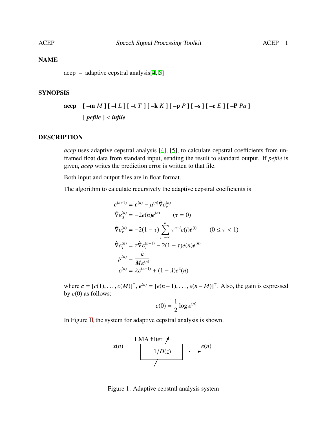<span id="page-6-0"></span> $acep - adaptive \; cepstral \; analysis[4, 5]$  $acep - adaptive \; cepstral \; analysis[4, 5]$  $acep - adaptive \; cepstral \; analysis[4, 5]$  $acep - adaptive \; cepstral \; analysis[4, 5]$  $acep - adaptive \; cepstral \; analysis[4, 5]$ 

#### **SYNOPSIS**

## acep [ –m *M* ] [ –l *L* ] [ –t *T* ] [ –k *K* ] [ –p *P* ] [ –s ] [ –e *E* ] [ –P *Pa* ] [ *pefile* ] < *infile*

#### DESCRIPTION

*acep* uses adaptive cepstral analysis [\[4](#page-242-1)], [\[5](#page-242-2)], to calculate cepstral coefficients from unframed float data from standard input, sending the result to standard output. If *pefile* is given, *acep* writes the prediction error is written to that file.

Both input and output files are in float format.

The algorithm to calculate recursively the adaptive cepstral coefficients is

$$
c^{(n+1)} = c^{(n)} - \mu^{(n)} \hat{\nabla} \varepsilon_{\tau}^{(n)}
$$
  
\n
$$
\hat{\nabla} \varepsilon_{0}^{(n)} = -2e(n)e^{(n)} \qquad (\tau = 0)
$$
  
\n
$$
\hat{\nabla} \varepsilon_{\tau}^{(n)} = -2(1 - \tau) \sum_{i=-\infty}^{n} \tau^{n-i} e(i)e^{(i)} \qquad (0 \le \tau < 1)
$$
  
\n
$$
\hat{\nabla} \varepsilon_{\tau}^{(n)} = \tau \hat{\nabla} \varepsilon_{\tau}^{(n-1)} - 2(1 - \tau)e(n)e^{(n)}
$$
  
\n
$$
\mu^{(n)} = \frac{k}{Me^{(n)}}
$$
  
\n
$$
\varepsilon^{(n)} = \lambda \varepsilon^{(n-1)} + (1 - \lambda)e^{2}(n)
$$

where  $c = [c(1), ..., c(M)]^T$ ,  $e^{(n)} = [e(n-1), ..., e(n-M)]^T$ . Also, the gain is expressed by  $c(0)$  as follows:

$$
c(0) = \frac{1}{2} \log \varepsilon^{(n)}
$$

In Figure [1,](#page-6-1) the system for adaptive cepstral analysis is shown.



<span id="page-6-1"></span>Figure 1: Adaptive cepstral analysis system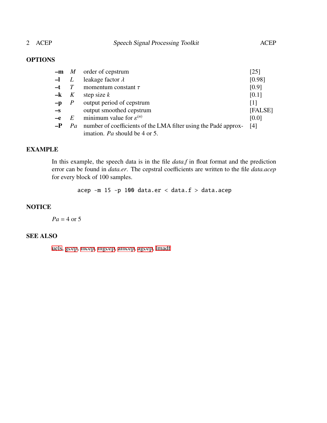### **OPTIONS**

| $-m$ $M$      |    | order of cepstrum                                               | [25]              |
|---------------|----|-----------------------------------------------------------------|-------------------|
| $-1$          | L  | leakage factor $\lambda$                                        | [0.98]            |
| $-t$          | T  | momentum constant $\tau$                                        | [0.9]             |
| $-{\bf k}$    | K  | step size $k$                                                   | [0.1]             |
| $-\mathbf{p}$ | P  | output period of cepstrum                                       | $\lceil 1 \rceil$ |
| $-S$          |    | output smoothed cepstrum                                        | [FALSE]           |
| $-e$          | E  | minimum value for $\varepsilon^{(n)}$                           | [0.0]             |
| $-P$          | Pa | number of coefficients of the LMA filter using the Padé approx- | [4]               |
|               |    | imation. Pa should be 4 or 5.                                   |                   |

#### EXAMPLE

In this example, the speech data is in the file *data.f* in float format and the prediction error can be found in *data.er*. The cepstral coefficients are written to the file *data.acep* for every block of 100 samples.

acep -m 15 -p 100 data.er < data.f > data.acep

### **NOTICE**

 $Pa = 4$  or 5

### SEE ALSO

[uels](#page-208-0), [gcep,](#page-73-0) [mcep,](#page-134-0) [mgcep,](#page-147-0) [amcep,](#page-11-0) [agcep,](#page-9-0) [lmadf](#page-116-0)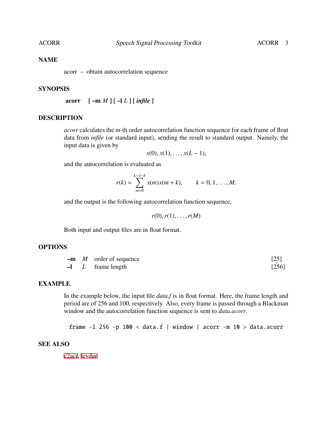<span id="page-8-0"></span>acorr – obtain autocorrelation sequence

#### **SYNOPSIS**

acorr [ –m *M* ] [ –l *L* ] [ *infile* ]

#### DESCRIPTION

*acorr* calculates the *m*-th order autocorrelation function sequence for each frame of float data from *infile* (or standard input), sending the result to standard output. Namely, the input data is given by

$$
x(0), x(1), \ldots, x(L-1),
$$

and the autocorrelation is evaluated as

$$
r(k) = \sum_{m=0}^{L-1-k} x(m)x(m+k), \qquad k = 0, 1, ..., M,
$$

and the output is the following autocorrelation function sequence,

 $r(0), r(1), \ldots, r(M)$ 

Both input and output files are in float format.

#### OPTIONS

|  | $-m$ <i>M</i> order of sequence | $\lceil 25 \rceil$ |
|--|---------------------------------|--------------------|
|  | $-L$ frame length               | [256]              |

#### EXAMPLE

In the example below, the input file *data.f* is in float format. Here, the frame length and period are of 256 and 100, respectively. Also, every frame is passed through a Blackman window and the autocorrelation function sequence is sent to *data.acorr*.

frame  $-1$  256  $-p$  100 < data.f | window | acorr  $-m$  10 > data.acorr

#### SEE ALSO

[c2acr,](#page-20-0) [levdur](#page-112-0)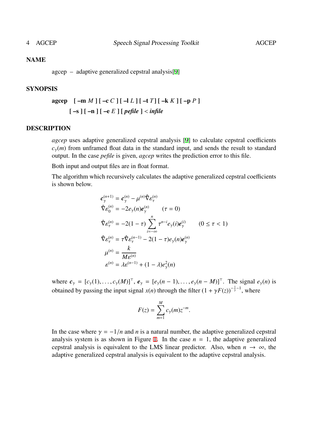<span id="page-9-0"></span>agcep – adaptive generalized cepstral analysis[[9\]](#page-242-3)

#### **SYNOPSIS**

ageep 
$$
[-m M] [ -c C] [-l L] [-t T] [-k K] [-p P]
$$

\n $[-s] [-n] [-e E] [ \text{pefile } ] < \text{infile}$ 

#### DESCRIPTION

*agcep* uses adaptive generalized cepstral analysis [[9\]](#page-242-3) to calculate cepstral coefficients  $c<sub>y</sub>(m)$  from unframed float data in the standard input, and sends the result to standard output. In the case *pefile* is given, *agcep* writes the prediction error to this file.

Both input and output files are in float format.

The algorithm which recursively calculates the adaptive generalized cepstral coefficients is shown below.

$$
c_{\gamma}^{(n+1)} = c_{\gamma}^{(n)} - \mu^{(n)} \hat{\nabla} \varepsilon_{\tau}^{(n)}
$$
  
\n
$$
\hat{\nabla} \varepsilon_{0}^{(n)} = -2e_{\gamma}(n)e_{\gamma}^{(n)} \qquad (\tau = 0)
$$
  
\n
$$
\hat{\nabla} \varepsilon_{\tau}^{(n)} = -2(1-\tau) \sum_{i=-\infty}^{n} \tau^{n-i} e_{\gamma}(i)e_{\gamma}^{(i)} \qquad (0 \le \tau < 1)
$$
  
\n
$$
\hat{\nabla} \varepsilon_{\tau}^{(n)} = \tau \hat{\nabla} \varepsilon_{\tau}^{(n-1)} - 2(1-\tau) e_{\gamma}(n)e_{\gamma}^{(n)}
$$
  
\n
$$
\mu^{(n)} = \frac{k}{M\varepsilon^{(n)}}
$$
  
\n
$$
\varepsilon^{(n)} = \lambda \varepsilon^{(n-1)} + (1-\lambda)e_{\gamma}^{2}(n)
$$

where  $c_{\gamma} = [c_{\gamma}(1), \dots, c_{\gamma}(M)]^{\top}$ ,  $e_{\gamma} = [e_{\gamma}(n-1), \dots, e_{\gamma}(n-M)]^{\top}$ . The signal  $e_{\gamma}(n)$  is obtained by passing the input signal  $x(n)$  through the filter  $(1 + \gamma F(z))^{-\frac{1}{\gamma} - 1}$ , where

$$
F(z) = \sum_{m=1}^{M} c_{\gamma}(m) z^{-m}.
$$

In the case where  $\gamma = -1/n$  and *n* is a natural number, the adaptive generalized cepstral analysis system is as shown in Figure [1](#page-6-1). In the case  $n = 1$ , the adaptive generalized cepstral analysis is equivalent to the LMS linear predictor. Also, when  $n \to \infty$ , the adaptive generalized cepstral analysis is equivalent to the adaptive cepstral analysis.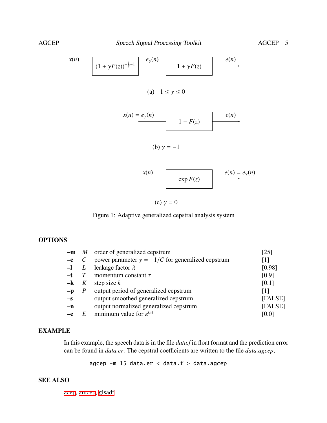

 $(a) -1 \leq \gamma \leq 0$ 

$$
x(n) = e_{\gamma}(n) \qquad \qquad 1 - F(z) \qquad \qquad e(n)
$$

$$
(b) \gamma = -1
$$



(c)  $\gamma = 0$ 

Figure 1: Adaptive generalized cepstral analysis system

#### OPTIONS

| $-m$ M        |   | order of generalized cepstrum                            | [25]              |
|---------------|---|----------------------------------------------------------|-------------------|
| $-c$          | C | power parameter $\gamma = -1/C$ for generalized cepstrum | $\lceil 1 \rceil$ |
| $-1$          |   | leakage factor $\lambda$                                 | [0.98]            |
| $-t$          |   | momentum constant $\tau$                                 | [0.9]             |
| $-{\bf k}$    | K | step size $k$                                            | [0.1]             |
| $-\mathbf{p}$ | P | output period of generalized cepstrum                    | $\lceil 1 \rceil$ |
| $-S$          |   | output smoothed generalized cepstrum                     | [FALSE]           |
| $-n$          |   | output normalized generalized cepstrum                   | [FALSE]           |
| $-e$          |   | minimum value for $\varepsilon^{(n)}$                    | [0.0]             |

#### EXAMPLE

In this example, the speech data is in the file *data.f* in float format and the prediction error can be found in *data.er*. The cepstral coefficients are written to the file *data.agcep*,

agcep -m 15 data.er < data.f > data.agcep

#### SEE ALSO

[acep,](#page-6-0) [amcep,](#page-11-0) [glsadf](#page-77-0)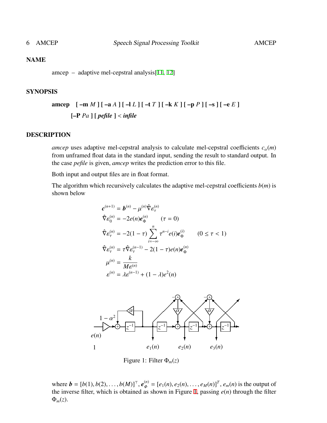<span id="page-11-0"></span>amcep – adaptive mel-cepstral analysis[[11,](#page-242-4) [12\]](#page-242-5)

#### **SYNOPSIS**

## amcep  $[-m M] [-a A] [-L] [-t T] [-k K] [-p P] [-s] [-e E]$ [–P *Pa* ] [ *pefile* ] < *infile*

#### DESCRIPTION

*amcep* uses adaptive mel-cepstral analysis to calculate mel-cepstral coefficients  $c_{\alpha}(m)$ from unframed float data in the standard input, sending the result to standard output. In the case *pefile* is given, *amcep* writes the prediction error to this file.

Both input and output files are in float format.

The algorithm which recursively calculates the adaptive mel-cepstral coefficients  $b(m)$  is shown below

$$
c^{(n+1)} = b^{(n)} - \mu^{(n)} \hat{\nabla} \varepsilon_{\tau}^{(n)}
$$
  
\n
$$
\hat{\nabla} \varepsilon_{0}^{(n)} = -2e(n)e_{\Phi}^{(n)} \qquad (\tau = 0)
$$
  
\n
$$
\hat{\nabla} \varepsilon_{\tau}^{(n)} = -2(1 - \tau) \sum_{i = -\infty}^{n} \tau^{n-i} e(i)e_{\Phi}^{(i)} \qquad (0 \le \tau < 1)
$$
  
\n
$$
\hat{\nabla} \varepsilon_{\tau}^{(n)} = \tau \hat{\nabla} \varepsilon_{\tau}^{(n-1)} - 2(1 - \tau)e(n)e_{\Phi}^{(n)}
$$
  
\n
$$
\mu^{(n)} = \frac{k}{Me^{(n)}}
$$
  
\n
$$
\varepsilon^{(n)} = \lambda \varepsilon^{(n-1)} + (1 - \lambda)e^2(n)
$$



Figure 1: Filter Φ*m*(*z*)

where  $\mathbf{b} = [b(1), b(2), \dots, b(M)]^{\top}, \mathbf{e}_{\Phi}^{(n)} = [e_1(n), e_2(n), \dots, e_M(n)]^T, e_m(n)$  is the output of the inverse filter, which is obtained as shown in Figure [1,](#page-6-1) passing *e*(*n*) through the filter  $\Phi_m(z)$ .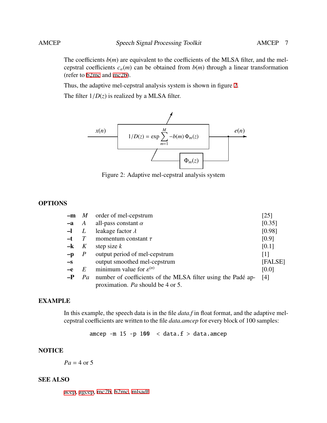The coefficients  $b(m)$  are equivalent to the coefficients of the MLSA filter, and the melcepstral coefficients  $c_{\alpha}(m)$  can be obtained from  $b(m)$  through a linear transformation (refer to [b2mc](#page-14-0) and [mc2b](#page-133-0)).

Thus, the adaptive mel-cepstral analysis system is shown in figure [2](#page-12-0).

The filter  $1/D(z)$  is realized by a MLSA filter.



<span id="page-12-0"></span>Figure 2: Adaptive mel-cepstral analysis system

#### **OPTIONS**

| $-m$          | M  | order of mel-cepstrum                                        | [25]              |
|---------------|----|--------------------------------------------------------------|-------------------|
| $-a$          | A  | all-pass constant $\alpha$                                   | [0.35]            |
| $-\mathbf{l}$ | L  | leakage factor $\lambda$                                     | [0.98]            |
| $-t$          | T  | momentum constant $\tau$                                     | [0.9]             |
| $-\mathbf{k}$ | K  | step size $k$                                                | [0.1]             |
| $-\mathbf{p}$ | P  | output period of mel-cepstrum                                | $\lceil 1 \rceil$ |
| $-S$          |    | output smoothed mel-cepstrum                                 | [FALSE]           |
| $-e$          | E  | minimum value for $\varepsilon^{(n)}$                        | [0.0]             |
| $-P$          | Pa | number of coefficients of the MLSA filter using the Padé ap- | [4]               |
|               |    | proximation. Pa should be 4 or 5.                            |                   |

#### **EXAMPLE**

In this example, the speech data is in the file *data.f* in float format, and the adaptive melcepstral coefficients are written to the file *data.amcep* for every block of 100 samples:

amcep -m  $15$  -p  $100 <$  data.f > data.amcep

#### **NOTICE**

 $Pa = 4$  or 5

#### SEE ALSO

[acep,](#page-6-0) [agcep,](#page-9-0) [mc2b](#page-133-0), [b2mc,](#page-14-0) [mlsadf](#page-166-0)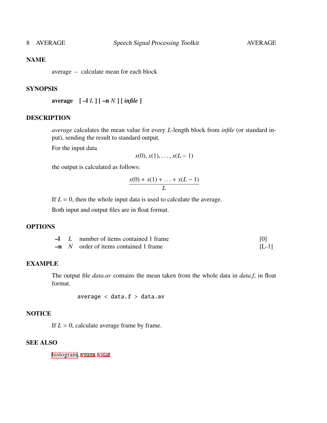<span id="page-13-0"></span>average – calculate mean for each block

#### **SYNOPSIS**

average [ –l *L* ] [ –n *N* ] [ *infile* ]

#### DESCRIPTION

*average* calculates the mean value for every *L*-length block from *infile* (or standard input), sending the result to standard output.

For the input data

$$
x(0), x(1), \ldots, x(L-1)
$$

the output is calculated as follows:

$$
\frac{x(0) + x(1) + \ldots + x(L-1)}{L}
$$

If  $L = 0$ , then the whole input data is used to calculate the average.

Both input and output files are in float format.

### **OPTIONS**

|  | $-I$ L number of items contained 1 frame |         |
|--|------------------------------------------|---------|
|  | $-n$ N order of items contained 1 frame  | $[L-1]$ |

#### EXAMPLE

The output file *data.av* contains the mean taken from the whole data in *data.f*, in float format.

average  $\langle$  data.f  $>$  data.av

#### **NOTICE**

If  $L > 0$ , calculate average frame by frame.

#### SEE ALSO

[histogram,](#page-96-0) [vsum,](#page-228-0) [vstat](#page-225-0)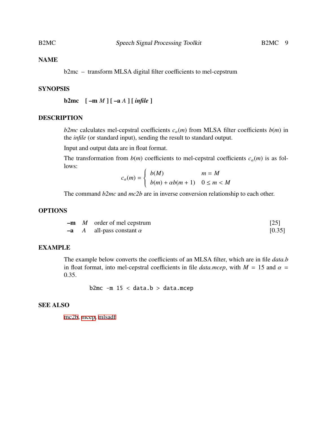<span id="page-14-0"></span>b2mc – transform MLSA digital filter coefficients to mel-cepstrum

#### **SYNOPSIS**

b2mc [ –m *M* ] [ –a *A* ] [ *infile* ]

#### DESCRIPTION

*b2mc* calculates mel-cepstral coefficients  $c_{\alpha}(m)$  from MLSA filter coefficients  $b(m)$  in the *infile* (or standard input), sending the result to standard output.

Input and output data are in float format.

The transformation from  $b(m)$  coefficients to mel-cepstral coefficients  $c_{\alpha}(m)$  is as follows:  $\overline{ }$ 

$$
c_{\alpha}(m) = \begin{cases} b(M) & m = M \\ b(m) + \alpha b(m+1) & 0 \le m < M \end{cases}
$$

The command *b2mc* and *mc2b* are in inverse conversion relationship to each other.

#### OPTIONS

|  | $-m$ <i>M</i> order of mel cepstrum    | [25]   |
|--|----------------------------------------|--------|
|  | <b>-a</b> A all-pass constant $\alpha$ | [0.35] |

#### **EXAMPLE**

The example below converts the coefficients of an MLSA filter, which are in file *data.b* in float format, into mel-cepstral coefficients in file *data.mcep*, with  $M = 15$  and  $\alpha =$ 0.35.

b2mc  $-m$  15 < data.b > data.mcep

#### SEE ALSO

[mc2b](#page-133-0), [mcep](#page-134-0), [mlsadf](#page-166-0)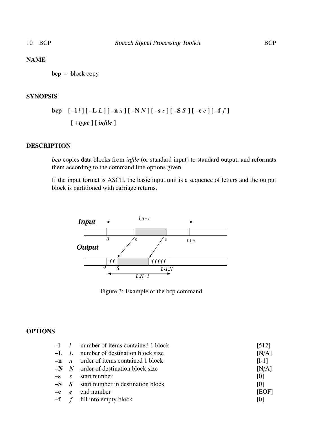<span id="page-15-0"></span>bcp – block copy

### **SYNOPSIS**

bcp [ –l *l* ] [ –L *L* ] [ –n *n* ] [ –N *N* ] [ –s *s* ] [ –S *S* ] [ –e *e* ] [ –f *f* ] [ +*type* ] [ *infile* ]

#### DESCRIPTION

*bcp* copies data blocks from *infile* (or standard input) to standard output, and reformats them according to the command line options given.

If the input format is ASCII, the basic input unit is a sequence of letters and the output block is partitioned with carriage returns.



Figure 3: Example of the bcp command

#### **OPTIONS**

|  | $-1$ l number of items contained 1 block       | [512]        |
|--|------------------------------------------------|--------------|
|  | $-L$ L number of destination block size        | [N/A]        |
|  | $-n$ <i>n</i> order of items contained 1 block | $[1-1]$      |
|  | $-N$ N order of destination block size         | [N/A]        |
|  | $-s$ start number                              | [0]          |
|  | $-S$ S start number in destination block       | [0]          |
|  | $-e$ e end number                              | <b>[EOF]</b> |
|  | $-f$ fill into empty block                     | [0]          |
|  |                                                |              |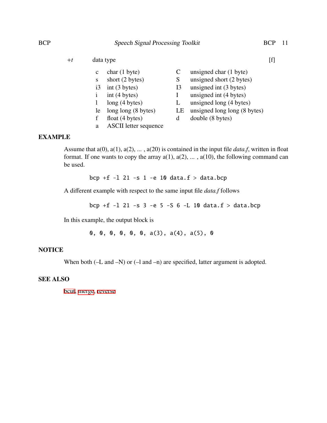| $+t$ | data type   |                              |    |                              |  |  |  |  |
|------|-------------|------------------------------|----|------------------------------|--|--|--|--|
|      | $\mathbf c$ | char(1 byte)                 |    | unsigned char (1 byte)       |  |  |  |  |
|      | S           | short (2 bytes)              | S  | unsigned short (2 bytes)     |  |  |  |  |
|      | i3          | int (3 bytes)                | 13 | unsigned int (3 bytes)       |  |  |  |  |
|      |             | int(4 bytes)                 |    | unsigned int (4 bytes)       |  |  |  |  |
|      |             | long(4 bytes)                | L  | unsigned long (4 bytes)      |  |  |  |  |
|      | le.         | long long (8 bytes)          | LE | unsigned long long (8 bytes) |  |  |  |  |
|      |             | float (4 bytes)              | d  | double (8 bytes)             |  |  |  |  |
|      | a           | <b>ASCII</b> letter sequence |    |                              |  |  |  |  |

#### EXAMPLE

Assume that a(0), a(1), a(2), ... , a(20) is contained in the input file *data.f*, written in float format. If one wants to copy the array  $a(1)$ ,  $a(2)$ , ...,  $a(10)$ , the following command can be used.

bcp +f  $-1$  21  $-$ s 1  $-$ e 10 data.f > data.bcp

A different example with respect to the same input file *data.f* follows

bcp +f -l 21 -s 3 -e 5 -S 6 -L 10 data.f > data.bcp

In this example, the output block is

0, 0, 0, 0, 0, 0, a(3), a(4), a(5), 0

#### **NOTICE**

When both  $(-L$  and  $-N$ ) or  $(-L)$  and  $-n$ ) are specified, latter argument is adopted.

#### SEE ALSO

[bcut](#page-17-0), [merge](#page-136-0), [reverse](#page-186-0)

 $[f]$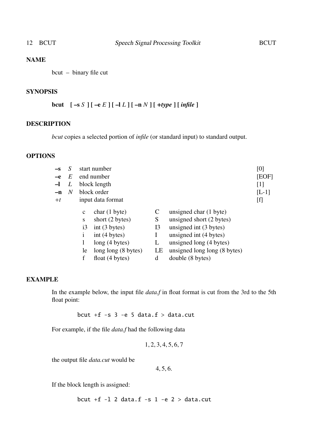<span id="page-17-0"></span>bcut – binary file cut

### **SYNOPSIS**

bcut  $[-s S] [-e E] [-l L] [-n N] [ +type] [ *infile* ]$ 

### DESCRIPTION

*bcut* copies a selected portion of *infile* (or standard input) to standard output.

### OPTIONS

| $-S$          |   |              | start number        |    |                              | [0]     |
|---------------|---|--------------|---------------------|----|------------------------------|---------|
| -e            | E |              | end number          |    |                              | [EOF]   |
| $-\mathbf{l}$ |   |              | block length        |    |                              | [1]     |
| -n            | N |              | block order         |    |                              | $[L-1]$ |
| $+t$          |   |              | input data format   |    |                              | $[f]$   |
|               |   | $\mathbf{C}$ | char(1 byte)        | C  | unsigned char (1 byte)       |         |
|               |   | S            | short (2 bytes)     | S  | unsigned short (2 bytes)     |         |
|               |   | i3           | int(3 bytes)        | 13 | unsigned int (3 bytes)       |         |
|               |   | $\mathbf{1}$ | int(4 bytes)        | I  | unsigned int (4 bytes)       |         |
|               |   |              | long(4 bytes)       | L  | unsigned long (4 bytes)      |         |
|               |   | le           | long long (8 bytes) | LE | unsigned long long (8 bytes) |         |
|               |   |              |                     |    |                              |         |

#### f float (4 bytes) d double (8 bytes)

#### EXAMPLE

In the example below, the input file *data.f* in float format is cut from the 3rd to the 5th float point:

bcut +f -s  $3$  -e  $5$  data.f > data.cut

For example, if the file *data.f* had the following data

$$
1, 2, 3, 4, 5, 6, 7
$$

the output file *data.cut* would be

4, 5, 6.

If the block length is assigned:

bcut +f  $-1$  2 data.f  $-$ s 1  $-e$  2  $>$  data.cut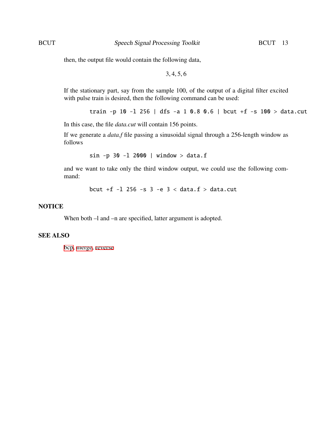then, the output file would contain the following data,

3, 4, 5, 6

If the stationary part, say from the sample 100, of the output of a digital filter excited with pulse train is desired, then the following command can be used:

train -p 10 -l 256 | dfs -a 1 0.8 0.6 | bcut +f -s 100 > data.cut

In this case, the file *data.cut* will contain 156 points.

If we generate a *data.f* file passing a sinusoidal signal through a 256-length window as follows

sin  $-p$  30  $-1$  2000 | window > data.f

and we want to take only the third window output, we could use the following command:

bcut +f -l 256 -s  $3$  -e  $3 <$  data.f > data.cut

### **NOTICE**

When both  $-1$  and  $-n$  are specified, latter argument is adopted.

#### SEE ALSO

[bcp](#page-15-0), [merge,](#page-136-0) [reverse](#page-186-0)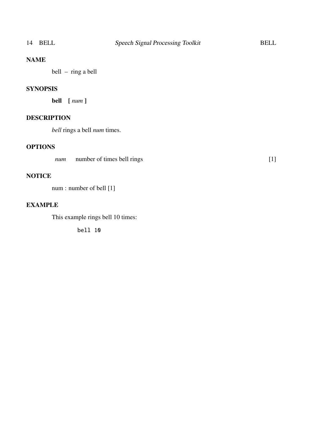<span id="page-19-0"></span>

bell – ring a bell

### **SYNOPSIS**

bell [ *num* ]

### DESCRIPTION

*bell* rings a bell *num* times.

### **OPTIONS**

*num* number of times bell rings [1]

### **NOTICE**

num : number of bell [1]

### EXAMPLE

This example rings bell 10 times:

bell 10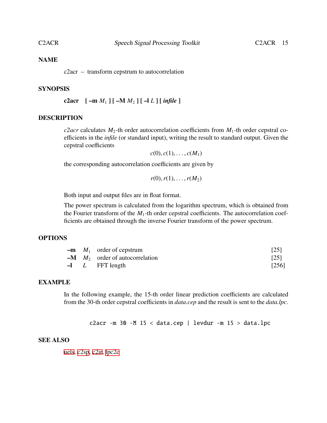<span id="page-20-0"></span>c2acr – transform cepstrum to autocorrelation

#### **SYNOPSIS**

c2acr  $[-m M_1] [-M M_2] [-L] [infile]$ 

#### DESCRIPTION

*c2acr* calculates  $M_2$ -th order autocorrelation coefficients from  $M_1$ -th order cepstral coefficients in the *infile* (or standard input), writing the result to standard output. Given the cepstral coefficients

 $c(0), c(1), \ldots, c(M_1)$ 

the corresponding autocorrelation coefficients are given by

$$
r(0), r(1), \ldots, r(M_2)
$$

Both input and output files are in float format.

The power spectrum is calculated from the logarithm spectrum, which is obtained from the Fourier transform of the  $M_1$ -th order cepstral coefficients. The autocorrelation coefficients are obtained through the inverse Fourier transform of the power spectrum.

#### **OPTIONS**

|  | $-m$ $M_1$ order of cepstrum        | $\lceil 25 \rceil$ |
|--|-------------------------------------|--------------------|
|  | $-M$ $M_2$ order of autocorrelation | $\lceil 25 \rceil$ |
|  | $-L$ FFT length                     | [256]              |

#### **EXAMPLE**

In the following example, the 15-th order linear prediction coefficients are calculated from the 30-th order cepstral coefficients in *data.cep* and the result is sent to the *data.lpc*.

c2acr  $-m$  30  $-M$  15 < data.cep | levdur  $-m$  15 > data.lpc

#### SEE ALSO

[uels](#page-208-0), [c2sp,](#page-24-0) [c2ir,](#page-21-0) [lpc2c](#page-120-0)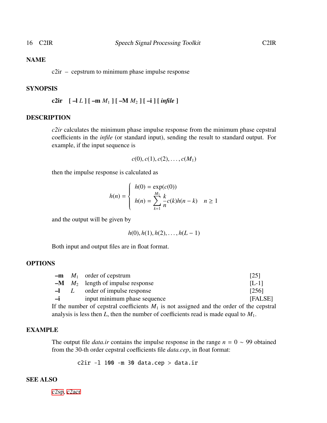<span id="page-21-0"></span>

 $c2$ ir – cepstrum to minimum phase impulse response

#### **SYNOPSIS**

c2ir  $[-L]$   $[-m M_1]$   $[-M M_2]$   $[-i]$   $[infile]$ 

#### DESCRIPTION

*c2ir* calculates the minimum phase impulse response from the minimum phase cepstral coefficients in the *infile* (or standard input), sending the result to standard output. For example, if the input sequence is

$$
c(0), c(1), c(2), \ldots, c(M_1)
$$

then the impulse response is calculated as

$$
h(n) = \begin{cases} h(0) = \exp(c(0)) \\ h(n) = \sum_{k=1}^{M_1} \frac{k}{n} c(k) h(n-k) & n \ge 1 \end{cases}
$$

and the output will be given by

 $h(0), h(1), h(2), \ldots, h(L-1)$ 

Both input and output files are in float format.

#### **OPTIONS**

|  | $-m$ $M_1$ order of cepstrum                                                               | $\lceil 25 \rceil$ |
|--|--------------------------------------------------------------------------------------------|--------------------|
|  | $-M$ $M_2$ length of impulse response                                                      | $[L-1]$            |
|  | $-L$ order of impulse response                                                             | [256]              |
|  | input minimum phase sequence                                                               | [FALSE]            |
|  | If the number of cepstral coefficients $M_1$ is not assigned and the order of the cepstral |                    |

analysis is less then  $L$ , then the number of coefficients read is made equal to  $M_1$ .

### **EXAMPLE**

The output file *data.ir* contains the impulse response in the range  $n = 0 \sim 99$  obtained from the 30-th order cepstral coefficients file *data.cep*, in float format:

c2ir  $-1$  100  $-m$  30 data.cep  $>$  data.ir

#### SEE ALSO

[c2sp](#page-24-0), [c2acr](#page-20-0)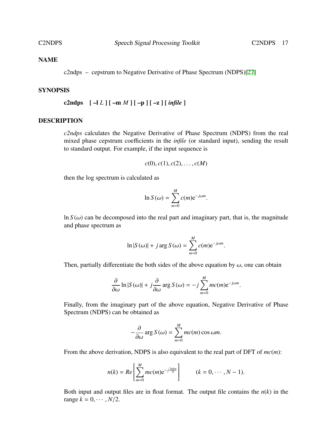<span id="page-22-0"></span>c2ndps – cepstrum to Negative Derivative of Phase Spectrum (NDPS)[[27\]](#page-244-0)

#### **SYNOPSIS**

c2ndps  $[-L]$   $[-m M]$   $[-p]$   $[-z]$   $[infile]$ 

#### DESCRIPTION

*c2ndps* calculates the Negative Derivative of Phase Spectrum (NDPS) from the real mixed phase cepstrum coefficients in the *infile* (or standard input), sending the result to standard output. For example, if the input sequence is

$$
c(0), c(1), c(2), \ldots, c(M)
$$

then the log spectrum is calculated as

$$
\ln S(\omega) = \sum_{m=0}^{M} c(m) e^{-j\omega m}.
$$

ln  $S(\omega)$  can be decomposed into the real part and imaginary part, that is, the magnitude and phase spectrum as

$$
\ln|S(\omega)| + j \arg S(\omega) = \sum_{m=0}^{M} c(m) e^{-j\omega m}.
$$

Then, partially differentiate the both sides of the above equation by  $\omega$ , one can obtain

$$
\frac{\partial}{\partial \omega} \ln |S(\omega)| + j \frac{\partial}{\partial \omega} \arg S(\omega) = -j \sum_{m=0}^{M} mc(m) e^{-j\omega m}.
$$

Finally, from the imaginary part of the above equation, Negative Derivative of Phase Spectrum (NDPS) can be obtained as

$$
-\frac{\partial}{\partial \omega} \arg S(\omega) = \sum_{m=0}^{M} mc(m) \cos \omega m.
$$

From the above derivation, NDPS is also equivalent to the real part of DFT of *mc*(*m*):

$$
n(k) = Re\left[\sum_{m=0}^{M} mc(m)e^{-j\frac{2\pi km}{N}}\right] \qquad (k = 0, \cdots, N-1).
$$

Both input and output files are in float format. The output file contains the  $n(k)$  in the range  $k = 0, \cdots, N/2$ .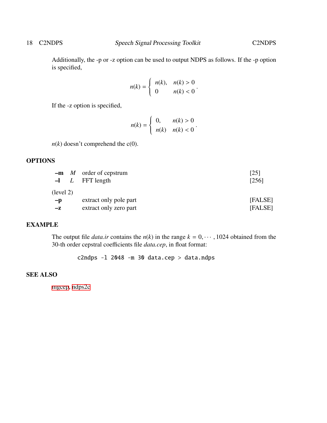Additionally, the -p or -z option can be used to output NDPS as follows. If the -p option is specified,

$$
n(k) = \begin{cases} n(k), & n(k) > 0 \\ 0 & n(k) < 0 \end{cases}.
$$

If the -z option is specified,

$$
n(k) = \begin{cases} 0, & n(k) > 0 \\ n(k) & n(k) < 0 \end{cases}.
$$

 $n(k)$  doesn't comprehend the  $c(0)$ .

#### OPTIONS

|               | $-m$ <i>M</i> order of cepstrum | [25]    |
|---------------|---------------------------------|---------|
|               | $-L$ FFT length                 | [256]   |
| (level 2)     |                                 |         |
| $-\mathbf{p}$ | extract only pole part          | [FALSE] |
| $-\mathbf{z}$ | extract only zero part          | [FALSE] |

#### EXAMPLE

The output file *data.ir* contains the  $n(k)$  in the range  $k = 0, \dots, 1024$  obtained from the 30-th order cepstral coefficients file *data.cep*, in float format:

```
c2ndps -1 2048 -m 30 data.cep > data.ndps
```
### SEE ALSO

[mgcep](#page-147-0), [ndps2c](#page-171-0)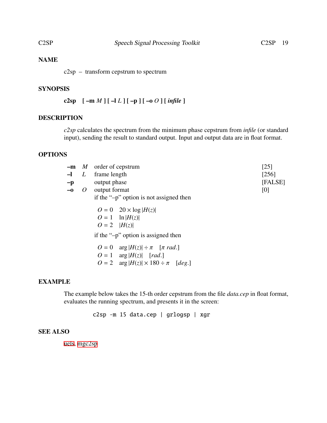<span id="page-24-0"></span>c2sp – transform cepstrum to spectrum

### **SYNOPSIS**

c2sp  $[-m M] [-L] [-p] [-o O] [infile]$ 

#### DESCRIPTION

*c2sp* calculates the spectrum from the minimum phase cepstrum from *infile* (or standard input), sending the result to standard output. Input and output data are in float format.

#### OPTIONS

|      | $-m$ <i>M</i> order of cepstrum                 | [25]    |
|------|-------------------------------------------------|---------|
| $-1$ | $L$ frame length                                | [256]   |
| $-p$ | output phase                                    | [FALSE] |
|      | $\rightarrow$ 0 output format                   | [0]     |
|      | if the " $-p$ " option is not assigned then     |         |
|      | $Q = 0$ $20 \times \log  H(z) $                 |         |
|      | $Q = 1$ $\ln  H(z) $                            |         |
|      | $Q = 2$  H(z)                                   |         |
|      | if the " $-p$ " option is assigned then         |         |
|      | $Q = 0$ arg $ H(z)  \div \pi$ [ $\pi$ rad.]     |         |
|      | $Q = 1$ arg $ H(z) $ [rad.]                     |         |
|      | $Q = 2$ arg $ H(z)  \times 180 \div \pi$ [deg.] |         |

#### EXAMPLE

The example below takes the 15-th order cepstrum from the file *data.cep* in float format, evaluates the running spectrum, and presents it in the screen:

c2sp -m 15 data.cep | grlogsp | xgr

#### SEE ALSO

[uels](#page-208-0), [mgc2sp](#page-145-0)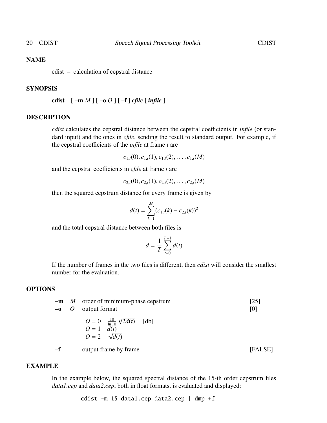<span id="page-25-0"></span>cdist – calculation of cepstral distance

#### **SYNOPSIS**

cdist [ –m *M* ] [ –o *O* ] [ –f ] *cfile* [ *infile* ]

#### DESCRIPTION

*cdist* calculates the cepstral distance between the cepstral coefficients in *infile* (or standard input) and the ones in *cfile*, sending the result to standard output. For example, if the cepstral coefficients of the *infile* at frame *t* are

 $c_{1,t}(0), c_{1,t}(1), c_{1,t}(2), \ldots, c_{1,t}(M)$ 

and the cepstral coefficients in *cfile* at frame *t* are

 $c_{2,t}(0), c_{2,t}(1), c_{2,t}(2), \ldots, c_{2,t}(M)$ 

then the squared cepstrum distance for every frame is given by

$$
d(t) = \sum_{k=1}^{M} (c_{1,t}(k) - c_{2,t}(k))^2
$$

and the total cepstral distance between both files is

$$
d = \frac{1}{T} \sum_{t=0}^{T-1} d(t)
$$

If the number of frames in the two files is different, then *cdist* will consider the smallest number for the evaluation.

#### **OPTIONS**

|          | $-m$ <i>M</i> order of minimum-phase cepstrum<br>[25]                                  |         |  |
|----------|----------------------------------------------------------------------------------------|---------|--|
| $-0$ $0$ | output format                                                                          | [0]     |  |
|          | $Q = 0$ $\frac{10}{\ln 10} \sqrt{2d(t)}$ [db]<br>$Q = 1$ $d(t)$<br>$Q = 2 \sqrt{d(t)}$ |         |  |
| $-f$     | output frame by frame                                                                  | [FALSE] |  |

#### EXAMPLE

In the example below, the squared spectral distance of the 15-th order cepstrum files *data1.cep* and *data2.cep*, both in float formats, is evaluated and displayed:

cdist -m 15 data1.cep data2.cep | dmp +f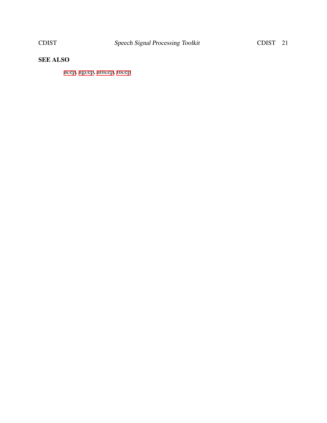## SEE ALSO

[acep,](#page-6-0) [agcep,](#page-9-0) [amcep,](#page-11-0) [mcep](#page-134-0)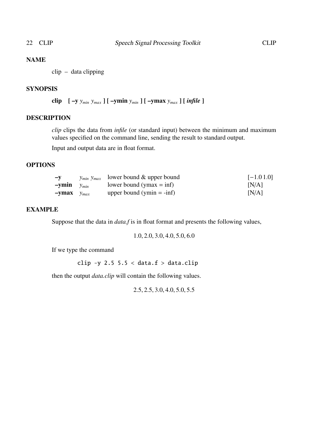<span id="page-27-0"></span>clip – data clipping

### **SYNOPSIS**

clip  $[-y \, y_{min} \, y_{max}]$   $[-y \, min \, y_{min}]$   $[-y \, max \, y_{max}]$   $[infile]$ 

#### DESCRIPTION

*clip* clips the data from *infile* (or standard input) between the minimum and maximum values specified on the command line, sending the result to standard output.

Input and output data are in float format.

### **OPTIONS**

| $-\mathbf{V}$              | $y_{min}$ $y_{max}$ lower bound & upper bound | $[-1.01.0]$ |
|----------------------------|-----------------------------------------------|-------------|
| $-\mathbf{ymin}$ $y_{min}$ | lower bound (ymax $=$ inf)                    | N/A         |
| $-\mathbf{ymax}$ $y_{max}$ | upper bound (ymin $= -\inf$ )                 | [N/A]       |

#### EXAMPLE

Suppose that the data in *data.f* is in float format and presents the following values,

1.0, 2.0, 3.0, 4.0, 5.0, 6.0

If we type the command

clip -y 2.5 5.5 < data.f > data.clip

then the output *data.clip* will contain the following values.

2.5, 2.5, 3.0, 4.0, 5.0, 5.5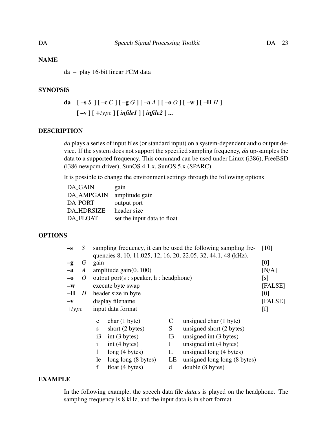<span id="page-28-0"></span>da – play 16-bit linear PCM data

#### **SYNOPSIS**

da  $[-s S] [-c C] [-g G] [-a A] [-o O] [-w] [-H H]$ [ –v ] [ +*type* ] [ *infile1* ] [ *infile2* ] ...

#### DESCRIPTION

*da* plays a series of input files (or standard input) on a system-dependent audio output device. If the system does not support the specified sampling frequency, *da* up-samples the data to a supported frequency. This command can be used under Linux (i386), FreeBSD (i386 newpcm driver), SunOS 4.1.x, SunOS 5.x (SPARC).

It is possible to change the environment settings through the following options

| DA_GAIN           | gain                        |
|-------------------|-----------------------------|
| <b>DA_AMPGAIN</b> | amplitude gain              |
| DA_PORT           | output port                 |
| <b>DA_HDRSIZE</b> | header size                 |
| DA_FLOAT          | set the input data to float |

#### **OPTIONS**

| $-S$          | S                | sampling frequency, it can be used the following sampling fre-<br>[10] |                                         |              |                              |         |  |
|---------------|------------------|------------------------------------------------------------------------|-----------------------------------------|--------------|------------------------------|---------|--|
|               |                  | quencies 8, 10, 11.025, 12, 16, 20, 22.05, 32, 44.1, 48 (kHz).         |                                         |              |                              |         |  |
| $-g$          | G                | gain                                                                   |                                         |              |                              | [0]     |  |
| $-a$          | $\boldsymbol{A}$ |                                                                        | amplitude $gain(0100)$                  |              |                              | [N/A]   |  |
| $-\mathbf{0}$ | 0                |                                                                        | output port(s : speaker, h : headphone) |              |                              | [s]     |  |
| $-W$          |                  |                                                                        | execute byte swap                       |              |                              | [FALSE] |  |
| $-H$          | $H_{\rm}$        | header size in byte                                                    |                                         |              |                              |         |  |
| $-\mathbf{V}$ |                  | display filename                                                       |                                         |              |                              |         |  |
| $+ type$      |                  |                                                                        | input data format                       |              |                              | $[f]$   |  |
|               |                  | $\mathbf{C}$                                                           | char(1 byte)                            | $\mathsf{C}$ | unsigned char (1 byte)       |         |  |
|               |                  | S                                                                      | short (2 bytes)                         | S            | unsigned short (2 bytes)     |         |  |
|               |                  | i3                                                                     | int (3 bytes)                           | I3           | unsigned int (3 bytes)       |         |  |
|               |                  | $\mathbf{i}$                                                           | int(4 bytes)                            | I            | unsigned int (4 bytes)       |         |  |
|               |                  | 1                                                                      | long(4 bytes)                           | L            | unsigned long (4 bytes)      |         |  |
|               |                  | le                                                                     | long long (8 bytes)                     | LE           | unsigned long long (8 bytes) |         |  |
|               |                  | f                                                                      | float (4 bytes)                         | d            | double (8 bytes)             |         |  |

#### EXAMPLE

In the following example, the speech data file *data.s* is played on the headphone. The sampling frequency is 8 kHz, and the input data is in short format.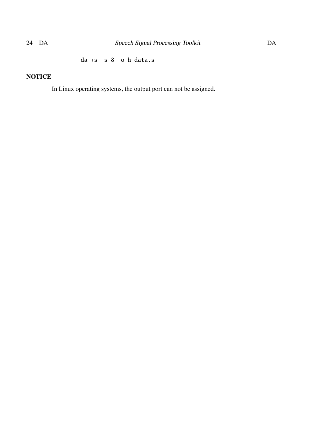### da +s -s 8 -o h data.s

### **NOTICE**

In Linux operating systems, the output port can not be assigned.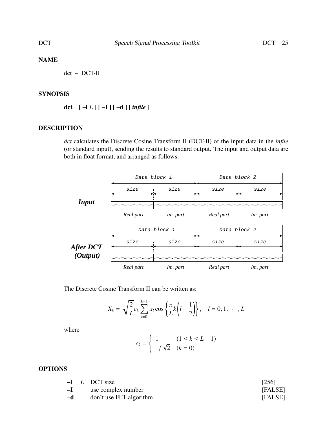<span id="page-30-0"></span>dct – DCT-II

#### **SYNOPSIS**

dct [ –l *L* ] [ –I ] [ –d ] [ *infile* ]

#### DESCRIPTION

*dct* calculates the Discrete Cosine Transform II (DCT-II) of the input data in the *infile* (or standard input), sending the results to standard output. The input and output data are both in float format, and arranged as follows.



The Discrete Cosine Transform II can be written as:

$$
X_k = \sqrt{\frac{2}{L}} c_k \sum_{l=0}^{L-1} x_l \cos \left\{ \frac{\pi}{L} k \left( l + \frac{1}{2} \right) \right\}, \quad l = 0, 1, \cdots, L
$$

where

$$
c_k = \begin{cases} 1 & (1 \le k \le L - 1) \\ 1/\sqrt{2} & (k = 0) \end{cases}
$$

### OPTIONS

|    | $-L$ DCT size           | [256]   |
|----|-------------------------|---------|
|    | $-I$ use complex number | [FALSE] |
| -d | don't use FFT algorithm | [FALSE] |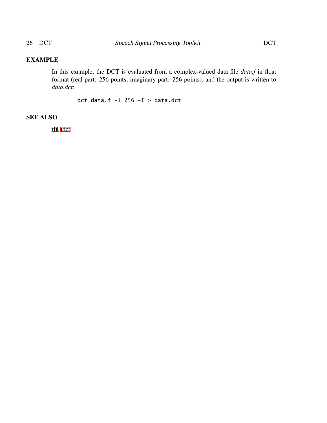### EXAMPLE

In this example, the DCT is evaluated from a complex-valued data file *data.f* in float format (real part: 256 points, imaginary part: 256 points), and the output is written to *data.dct*:

dct data.f  $-1$  256  $-I >$  data.dct

### SEE ALSO

[ff](#page-54-0)t, [idct](#page-97-0)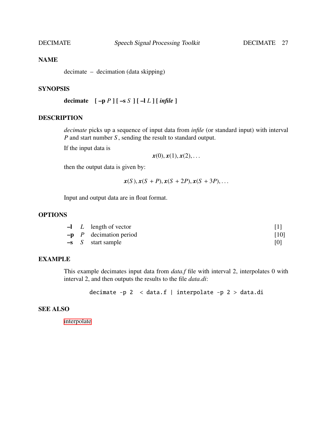<span id="page-32-0"></span>

decimate – decimation (data skipping)

### **SYNOPSIS**

decimate  $[-p P]$   $[-s S]$   $[-l L]$   $[infile]$ 

#### DESCRIPTION

*decimate* picks up a sequence of input data from *infile* (or standard input) with interval *P* and start number *S* , sending the result to standard output.

If the input data is

 $x(0), x(1), x(2), \ldots$ 

then the output data is given by:

$$
\mathbf{x}(S), \mathbf{x}(S+P), \mathbf{x}(S+2P), \mathbf{x}(S+3P), \ldots
$$

Input and output data are in float format.

#### OPTIONS

|  | $-I$ L length of vector    |      |
|--|----------------------------|------|
|  | $-p$ $P$ decimation period | [10] |
|  | $-S$ S start sample        |      |

### **EXAMPLE**

This example decimates input data from *data.f* file with interval 2, interpolates 0 with interval 2, and then outputs the results to the file *data.di*:

decimate -p 2 < data.f | interpolate -p 2 > data.di

### SEE ALSO

[interpolate](#page-106-0)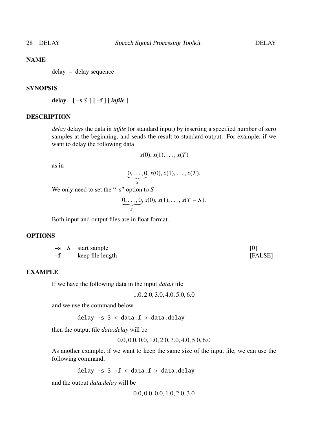<span id="page-33-0"></span>delay – delay sequence

#### **SYNOPSIS**

delay [ –s *S* ] [ –f ] [ *infile* ]

#### DESCRIPTION

*delay* delays the data in *infile* (or standard input) by inserting a specified number of zero samples at the beginning, and sends the result to standard output. For example, if we want to delay the following data

$$
x(0), x(1), \ldots, x(T)
$$

as in

$$
\underbrace{0,\ldots,0}_{S}, x(0), x(1),\ldots, x(T).
$$

We only need to set the "–s" option to *S*

$$
\underbrace{0,\ldots,0}_{S}, x(0), x(1),\ldots, x(T-S).
$$

Both input and output files are in float format.

#### **OPTIONS**

|    | $-S \tS$ start sample |                |  |
|----|-----------------------|----------------|--|
| –f | keep file length      | <b>[FALSE]</b> |  |

#### EXAMPLE

If we have the following data in the input *data.f* file

1.0, 2.0, 3.0, 4.0, 5.0, 6.0

and we use the command below

delay -s 3 < data.f > data.delay

then the output file *data.delay* will be

0.0, 0.0, 0.0, 1.0, 2.0, 3.0, 4.0, 5.0, 6.0

As another example, if we want to keep the same size of the input file, we can use the following command,

delay -s  $3 - f <$  data.f > data.delay

and the output *data.delay* will be

0.0, 0.0, 0.0, 1.0, 2.0, 3.0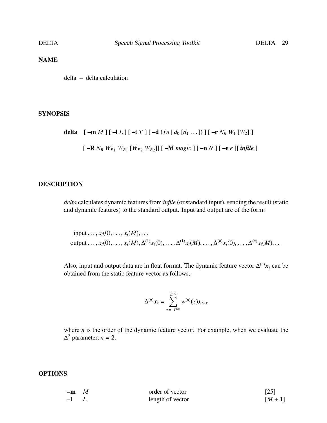<span id="page-34-0"></span>delta – delta calculation

#### SYNOPSIS

delta  $[-m M] [-L] [-t T] [-d (fn | d_0 [d_1...])] [-r N_R W_1 [W_2] ]$  $\left[ -R\ N_R\ W_{F1}\ W_{B1}\ W_{F2}\ W_{B2} \right] \left[ -M\ magic\ \right] \left[ -n\ N\ \right] \left[ -e\ e\ \right] \left[ \ infile\ \right]$ 

#### DESCRIPTION

*delta* calculates dynamic features from *infile* (or standard input), sending the result (static and dynamic features) to the standard output. Input and output are of the form:

 $input \ldots, x_t(0), \ldots, x_t(M), \ldots$ output  $\ldots, x_t(0), \ldots, x_t(M), \Delta^{(1)} x_t(0), \ldots, \Delta^{(1)} x_t(M), \ldots, \Delta^{(n)} x_t(0), \ldots, \Delta^{(n)} x_t(M), \ldots$ 

Also, input and output data are in float format. The dynamic feature vector  $\Delta^{(n)}x_t$  can be obtained from the static feature vector as follows.

$$
\Delta^{(n)}\mathbf{x}_t = \sum_{\tau=-L^{(n)}}^{L^{(n)}} w^{(n)}(\tau)\mathbf{x}_{t+\tau}
$$

where *n* is the order of the dynamic feature vector. For example, when we evaluate the  $\Delta^2$  parameter, *n* = 2.

### **OPTIONS**

| $-m$ $M$ | order of vector  | [25]    |
|----------|------------------|---------|
| $-1$ $L$ | length of vector | $[M+1]$ |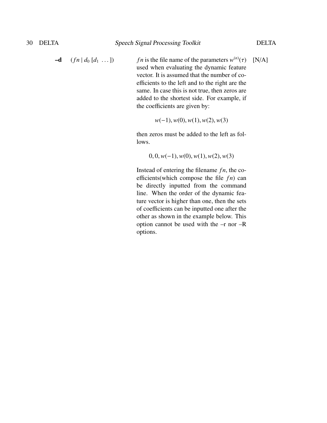$-d$  (*fn* | *d*<sub>0</sub> [*d*<sub>1</sub> ...]) *fn* is the file name of the parameters  $w^{(n)}(\tau)$ used when evaluating the dynamic feature vector. It is assumed that the number of coefficients to the left and to the right are the same. In case this is not true, then zeros are added to the shortest side. For example, if the coefficients are given by:  $[N/A]$ 

$$
w(-1), w(0), w(1), w(2), w(3)
$$

then zeros must be added to the left as follows.

0, 0,*w*(−1),*w*(0), *w*(1),*w*(2), *w*(3)

Instead of entering the filename  $fn$ , the coefficients(which compose the file  $fn$ ) can be directly inputted from the command line. When the order of the dynamic feature vector is higher than one, then the sets of coefficients can be inputted one after the other as shown in the example below. This option cannot be used with the –r nor –R options.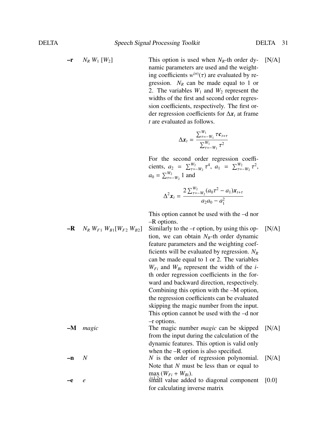$-{\bf r}$  *N<sub>R</sub> W*<sub>1</sub> [*W*<sub>2</sub>] This option is used when *N<sub>R</sub>*-th order dynamic parameters are used and the weighting coefficients  $w^{(n)}(\tau)$  are evaluated by regression. *N<sup>R</sup>* can be made equal to 1 or 2. The variables *W*<sup>1</sup> and *W*<sup>2</sup> represent the widths of the first and second order regression coefficients, respectively. The first order regression coefficients for ∆*x<sup>t</sup>* at frame *t* are evaluated as follows.  $[N/A]$ 

$$
\Delta x_t = \frac{\sum_{\tau=-W_1}^{W_1} \tau c_{t+\tau}}{\sum_{\tau=-W_1}^{W_1} \tau^2}
$$

For the second order regression coefficients,  $a_2 = \sum_{\tau=-W_2}^{W_2} \tau^4$ ,  $a_1 = \sum_{\tau=-W_2}^{W_2} \tau^2$ ,  $a_0 = \sum_{\tau=-W_2}^{W_2} 1$  and

$$
\Delta^{2} \mathbf{x}_{t} = \frac{2 \sum_{\tau=-W_{2}}^{W_{2}} (a_{0} \tau^{2} - a_{1}) \mathbf{x}_{t+\tau}}{a_{2} a_{0} - a_{1}^{2}}
$$

This option cannot be used with the –d nor –R options.

 $-{\bf R}$  *N<sub>R</sub>*  $W_{F1}$   $W_{B1}$   $[W_{F2}$   $W_{B2}]$ Similarly to the  $-$ r option, by using this option, we can obtain  $N_R$ -th order dynamic feature parameters and the weighting coefficients will be evaluated by regression. *N<sup>R</sup>* can be made equal to 1 or 2. The variables  $W_{Fi}$  and  $W_{Bi}$  represent the width of the *i*th order regression coefficients in the forward and backward direction, respectively. Combining this option with the –M option, the regression coefficients can be evaluated skipping the magic number from the input. This option cannot be used with the –d nor –r options. [N/A] –M *magic* The magic number *magic* can be skipped from the input during the calculation of the dynamic features. This option is valid only when the –R option is also specified. [N/A] –n *N N* is the order of regression polynomial. Note that *N* must be less than or equal to  $\max_{i} (W_{Fi} + W_{Bi}).$  $-e$  *e*  $e$  small value added to diagonal component [0.0]  $[N/A]$ for calculating inverse matrix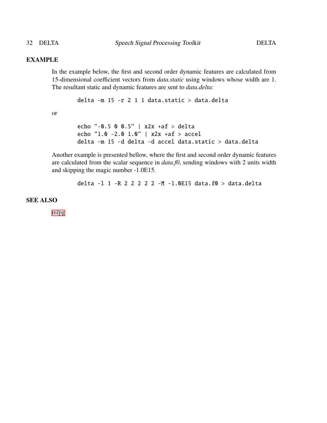## EXAMPLE

In the example below, the first and second order dynamic features are calculated from 15-dimensional coefficient vectors from *data.static* using windows whose width are 1. The resultant static and dynamic features are sent to *data.delta*:

delta -m 15 -r 2 1 1 data.static  $>$  data.delta

or

```
echo "-0.5 0 0.5" | x2x +af > delta
echo "1.0 -2.0 1.0" | x2x +af > accel
delta -m 15 -d delta -d accel data.static > data.delta
```
Another example is presented bellow, where the first and second order dynamic features are calculated from the scalar sequence in *data.f0*, sending windows with 2 units width and skipping the magic number -1.0E15.

delta -1 1 -R 2 2 2 2 2 -M -1.0E15 data.f0 > data.delta

#### SEE ALSO

[mlpg](#page-160-0)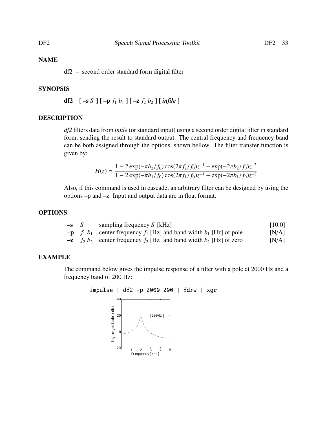df2 – second order standard form digital filter

## **SYNOPSIS**

df2  $[-s S] [-p f_1 b_1] [-z f_2 b_2] [infile]$ 

## DESCRIPTION

*df2* filters data from *infile* (or standard input) using a second order digital filter in standard form, sending the result to standard output. The central frequency and frequency band can be both assigned through the options, shown bellow. The filter transfer function is given by:

$$
H(z) = \frac{1 - 2\exp(-\pi b_2/f_0)\cos(2\pi f_2/f_0)z^{-1} + \exp(-2\pi b_2/f_0)z^{-2}}{1 - 2\exp(-\pi b_1/f_0)\cos(2\pi f_1/f_0)z^{-1} + \exp(-2\pi b_1/f_0)z^{-2}}
$$

Also, if this command is used in cascade, an arbitrary filter can be designed by using the options –p and –z. Input and output data are in float format.

## **OPTIONS**

| $-S$ S | sampling frequency $S$ [kHz]                                                 | [10.0] |
|--------|------------------------------------------------------------------------------|--------|
|        | $-p$ $f_1 b_1$ center frequency $f_1$ [Hz] and band width $b_1$ [Hz] of pole | [N/A]  |
|        | -z $f_2$ $b_2$ center frequency $f_2$ [Hz] and band width $b_2$ [Hz] of zero | [N/A]  |

#### EXAMPLE

The command below gives the impulse response of a filter with a pole at 2000 Hz and a frequency band of 200 Hz:

```
impulse | df2 -p 2000 200 | fdrw | xgr
```
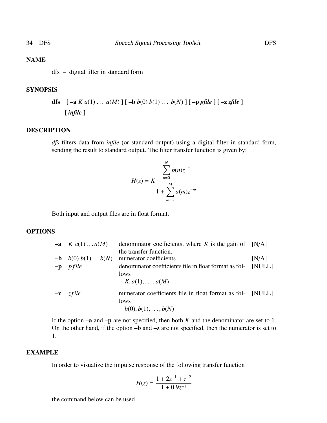dfs – digital filter in standard form

## **SYNOPSIS**

**dfs** 
$$
[-a K a(1) ... a(M)] [-b b(0) b(1) ... b(N)] [-p p file ] [-z z file ]
$$
  
[ *infile* ]

#### DESCRIPTION

*dfs* filters data from *infile* (or standard output) using a digital filter in standard form, sending the result to standard output. The filter transfer function is given by:

$$
H(z) = K \frac{\sum_{n=0}^{N} b(n)z^{-n}}{1 + \sum_{m=1}^{M} a(m)z^{-m}}
$$

Both input and output files are in float format.

## **OPTIONS**

| $-a \in K$ $a(1) \dots a(M)$    | denominator coefficients, where $K$ is the gain of $[N/A]$ |        |
|---------------------------------|------------------------------------------------------------|--------|
|                                 | the transfer function.                                     |        |
| $-b \quad b(0) b(1) \dots b(N)$ | numerator coefficients                                     | [N/A]  |
| $-p$ pfile                      | denominator coefficients file in float format as fol-      | [NULL] |
|                                 | lows                                                       |        |
|                                 | $K, a(1), \ldots, a(M)$                                    |        |
| $-z$ zfile                      | numerator coefficients file in float format as fol- [NULL] |        |
|                                 | lows                                                       |        |
|                                 | $b(0), b(1), \ldots, b(N)$                                 |        |
|                                 |                                                            |        |

If the option  $-a$  and  $-p$  are not specified, then both  $K$  and the denominator are set to 1. On the other hand, if the option  $-\mathbf{b}$  and  $-\mathbf{z}$  are not specified, then the numerator is set to 1.

# EXAMPLE

In order to visualize the impulse response of the following transfer function

$$
H(z) = \frac{1 + 2z^{-1} + z^{-2}}{1 + 0.9z^{-1}}
$$

the command below can be used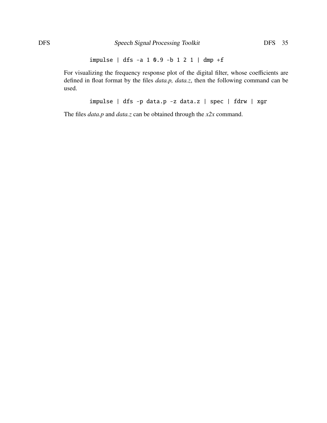impulse | dfs -a 1 0.9 -b 1 2 1 | dmp +f

For visualizing the frequency response plot of the digital filter, whose coefficients are defined in float format by the files *data.p, data.z*, then the following command can be used.

```
impulse | dfs -p data.p -z data.z | spec | fdrw | xgr
```
The files *data.p* and *data.z* can be obtained through the *x2x* command.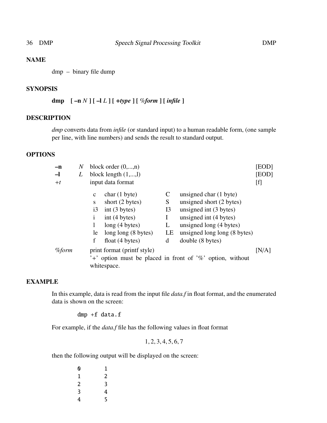<span id="page-41-0"></span>dmp – binary file dump

# **SYNOPSIS**

dmp [ –n *N* ] [ –l *L* ] [ +*type* ] [ %*form* ] [ *infile* ]

#### DESCRIPTION

*dmp* converts data from *infile* (or standard input) to a human readable form, (one sample per line, with line numbers) and sends the result to standard output.

#### **OPTIONS**

| $-\mathbf{n}$ | N |              | block order $(0,,n)$        |    |                                                                     | [EOD] |
|---------------|---|--------------|-----------------------------|----|---------------------------------------------------------------------|-------|
| $-\mathbf{l}$ | L |              | block length $(1,,l)$       |    |                                                                     | [EOD] |
| $+t$          |   |              | input data format           |    |                                                                     | [f]   |
|               |   | $\mathbf{c}$ | char(1 byte)                |    | unsigned char (1 byte)                                              |       |
|               |   | S            | short (2 bytes)             | S  | unsigned short (2 bytes)                                            |       |
|               |   | i3           | int (3 bytes)               | I3 | unsigned int (3 bytes)                                              |       |
|               |   | $\mathbf{1}$ | int(4 bytes)                | Ι  | unsigned int (4 bytes)                                              |       |
|               |   |              | long(4 bytes)               | L  | unsigned long (4 bytes)                                             |       |
|               |   | le           | long long (8 bytes)         | LE | unsigned long long (8 bytes)                                        |       |
|               |   | f            | float (4 bytes)             | d  | double (8 bytes)                                                    |       |
| $\%$ form     |   |              | print format (printf style) |    |                                                                     | [N/A] |
|               |   |              | whitespace.                 |    | '+' option must be placed in front of $\mathcal{C}$ option, without |       |

## EXAMPLE

In this example, data is read from the input file *data.f* in float format, and the enumerated data is shown on the screen:

dmp +f data.f

For example, if the *data.f* file has the following values in float format

1, 2, 3, 4, 5, 6, 7

then the following output will be displayed on the screen:

| 0            | 1 |
|--------------|---|
| $\mathbf{1}$ | 2 |
| 2            | 3 |
| 3            | 4 |
| 4            | 5 |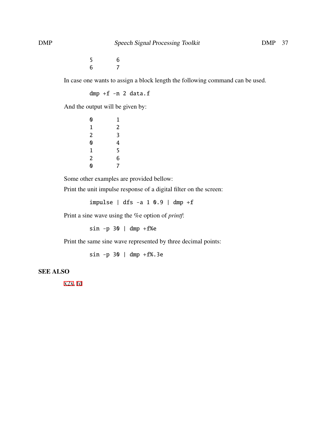5 6 6 7

In case one wants to assign a block length the following command can be used.

dmp +f -n 2 data.f

And the output will be given by:

| 0              | 1 |
|----------------|---|
| $\mathbf{1}$   | 2 |
| 2              | 3 |
| 0              | 4 |
| $\mathbf{1}$   | 5 |
| $\overline{c}$ | 6 |
| 0              |   |

Some other examples are provided bellow:

Print the unit impulse response of a digital filter on the screen:

impulse | dfs -a 1 0.9 | dmp +f

Print a sine wave using the %e option of *printf*:

sin -p 30 | dmp +f%e

Print the same sine wave represented by three decimal points:

sin -p 30 | dmp +f%.3e

# SEE ALSO

[x2x,](#page-235-0) [fd](#page-50-0)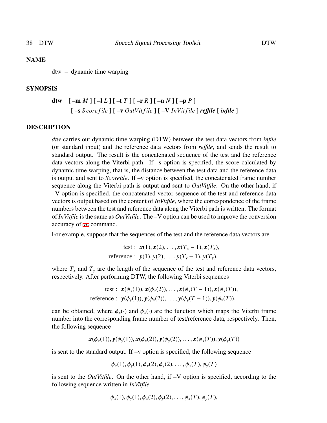dtw – dynamic time warping

#### **SYNOPSIS**

dtw  $[-m M]$   $[-L]$   $[-t T]$   $[-r R]$   $[-n N]$   $[-p P]$ [ –s *S core f ile* ] [ –v *OutVit f ile* ] [ –V *InVit f ile* ] *re*ffi*le* [ *infile* ]

#### DESCRIPTION

*dtw* carries out dynamic time warping (DTW) between the test data vectors from *infile* (or standard input) and the reference data vectors from *re*ffi*le*, and sends the result to standard output. The result is the concatenated sequence of the test and the reference data vectors along the Viterbi path. If –s option is specified, the score calculated by dynamic time warping, that is, the distance between the test data and the reference data is output and sent to *Scorefile*. If –v option is specified, the concatenated frame number sequence along the Viterbi path is output and sent to *OutVitfile*. On the other hand, if –V option is specified, the concatenated vector sequence of the test and reference data vectors is output based on the content of *InVitfile*, where the correspondence of the frame numbers between the test and reference data along the Viterbi path is written. The format of *InVitfile* is the same as *OutVitfile*. The –V option can be used to improve the conversion accuracy of [vc](#page-215-0) command.

For example, suppose that the sequences of the test and the reference data vectors are

test : 
$$
x(1), x(2), ..., x(T_x - 1), x(T_x)
$$
,  
reference :  $y(1), y(2), ..., y(T_y - 1), y(T_y)$ ,

where  $T_x$  and  $T_y$  are the length of the sequence of the test and reference data vectors, respectively. After performing DTW, the following Viterbi sequences

> test :  $\mathbf{x}(\phi_x(1)), \mathbf{x}(\phi_x(2)), \dots, \mathbf{x}(\phi_x(T-1)), \mathbf{x}(\phi_x(T)),$ reference :  $y(\phi_v(1)), y(\phi_v(2)), \ldots, y(\phi_v(T-1)), y(\phi_v(T)),$

can be obtained, where  $\phi_x(\cdot)$  and  $\phi_x(\cdot)$  are the function which maps the Viterbi frame number into the corresponding frame number of test/reference data, respectively. Then, the following sequence

 $x(\phi_x(1)), y(\phi_y(1)), x(\phi_x(2)), y(\phi_y(2)), \ldots, x(\phi_x(T)), y(\phi_y(T))$ 

is sent to the standard output. If –v option is specified, the following sequence

$$
\phi_x(1), \phi_y(1), \phi_x(2), \phi_y(2), \ldots, \phi_x(T), \phi_y(T)
$$

is sent to the *OutVitfile*. On the other hand, if –V option is specified, according to the following sequence written in *InVitfile*

$$
\phi_x(1), \phi_y(1), \phi_x(2), \phi_y(2), \ldots, \phi_x(T), \phi_y(T),
$$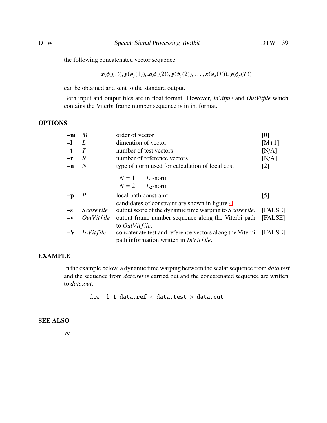the following concatenated vector sequence

 $x(\phi_x(1)), y(\phi_y(1)), x(\phi_x(2)), y(\phi_y(2)), \ldots, x(\phi_x(T)), y(\phi_y(T))$ 

can be obtained and sent to the standard output.

Both input and output files are in float format. However, *InVitfile* and *OutVitfile* which contains the Viterbi frame number sequence is in int format.

#### **OPTIONS**

| $-m$          | M                  | order of vector                                                                                                                       | [0]               |
|---------------|--------------------|---------------------------------------------------------------------------------------------------------------------------------------|-------------------|
| $\mathbf{-}$  | L                  | dimention of vector                                                                                                                   | $[M+1]$           |
| $-t$          | T                  | number of test vectors                                                                                                                | [N/A]             |
| $-r$          | $\boldsymbol{R}$   | number of reference vectors                                                                                                           | [N/A]             |
| $-\mathbf{n}$ | $\overline{N}$     | type of norm used for calculation of local cost                                                                                       | $\lceil 2 \rceil$ |
|               |                    | $N = 1$ $L_1$ -norm<br>$N = 2$ $L_2$ -norm                                                                                            |                   |
| $-\mathbf{p}$ | P                  | local path constraint<br>candidates of constraint are shown in figure 4.                                                              | $\lceil 5 \rceil$ |
| $-S$          | <i>S</i> core file | output score of the dynamic time warping to S corefile.                                                                               | [FALSE]           |
| $-\mathbf{V}$ | <i>OutVitfile</i>  | output frame number sequence along the Viterbi path [FALSE]                                                                           |                   |
| $-\mathbf{V}$ | <i>InVitfile</i>   | to OutVit file.<br>concatenate test and reference vectors along the Viterbi [FALSE]<br>path information written in <i>InVitfile</i> . |                   |

# EXAMPLE

In the example below, a dynamic time warping between the scalar sequence from *data.test* and the sequence from *data.ref* is carried out and the concatenated sequence are written to *data.out*.

dtw -l 1 data.ref < data.test > data.out

#### SEE ALSO

[vc](#page-215-0)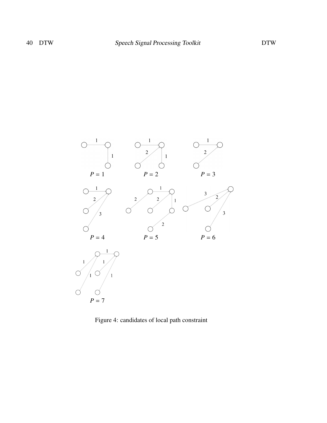

<span id="page-45-0"></span>Figure 4: candidates of local path constraint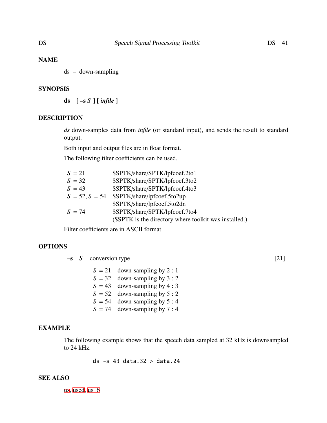ds – down-sampling

#### **SYNOPSIS**

ds [ –s *S* ] [ *infile* ]

# DESCRIPTION

*ds* down-samples data from *infile* (or standard input), and sends the result to standard output.

Both input and output files are in float format.

The following filter coefficients can be used.

| $S = 21$         | \$SPTK/share/SPTK/lpfcoef.2to1                         |
|------------------|--------------------------------------------------------|
| $S = 32$         | \$SPTK/share/SPTK/lpfcoef.3to2                         |
| $S = 43$         | \$SPTK/share/SPTK/lpfcoef.4to3                         |
| $S = 52, S = 54$ | \$SPTK/share/lpfcoef.5to2up                            |
|                  | \$SPTK/share/lpfcoef.5to2dn                            |
| $S = 74$         | \$SPTK/share/SPTK/lpfcoef.7to4                         |
|                  | (\$SPTK is the directory where toolkit was installed.) |

Filter coefficients are in ASCII format.

## **OPTIONS**

–s *S* conversion type [21]

| $S = 21$ | down-sampling by $2:1$ |
|----------|------------------------|
| $S = 32$ | down-sampling by $3:2$ |
| $S = 43$ | down-sampling by $4:3$ |
| $S = 52$ | down-sampling by $5:2$ |
| $S = 54$ | down-sampling by $5:4$ |
| $S = 74$ | down-sampling by $7:4$ |

#### EXAMPLE

The following example shows that the speech data sampled at 32 kHz is downsampled to 24 kHz.

ds -s 43 data.32 > data.24

#### SEE ALSO

[us](#page-211-0), [uscd](#page-214-0), [us16](#page-213-0)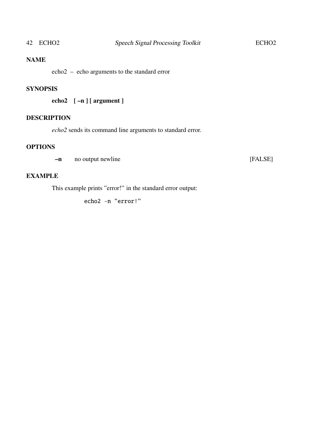echo2 – echo arguments to the standard error

# **SYNOPSIS**

echo2 [ –n ] [ argument ]

#### DESCRIPTION

*echo2* sends its command line arguments to standard error.

# **OPTIONS**

–n no output newline [FALSE]

# EXAMPLE

This example prints "error!" in the standard error output:

echo2 -n "error!"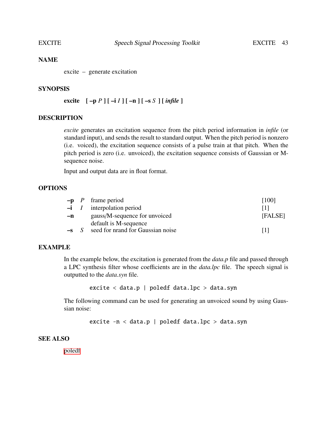excite – generate excitation

## **SYNOPSIS**

excite [ –p *P* ] [ –i *I* ] [ –n ] [ –s *S* ] [ *infile* ]

#### DESCRIPTION

*excite* generates an excitation sequence from the pitch period information in *infile* (or standard input), and sends the result to standard output. When the pitch period is nonzero (i.e. voiced), the excitation sequence consists of a pulse train at that pitch. When the pitch period is zero (i.e. unvoiced), the excitation sequence consists of Gaussian or Msequence noise.

Input and output data are in float format.

## **OPTIONS**

|        | $-p$ <i>P</i> frame period        | 11001   |
|--------|-----------------------------------|---------|
|        | $-i$ I interpolation period       | Ħ       |
| -n     | gauss/M-sequence for unvoiced     | [FALSE] |
|        | default is M-sequence             |         |
| $-S$ S | seed for nrand for Gaussian noise | 111     |
|        |                                   |         |

#### EXAMPLE

In the example below, the excitation is generated from the *data.p* file and passed through a LPC synthesis filter whose coefficients are in the *data.lpc* file. The speech signal is outputted to the *data.syn* file.

excite < data.p | poledf data.lpc > data.syn

The following command can be used for generating an unvoiced sound by using Gaussian noise:

excite  $-n <$  data.p | poledf data.lpc > data.syn

#### SEE ALSO

[poledf](#page-180-0)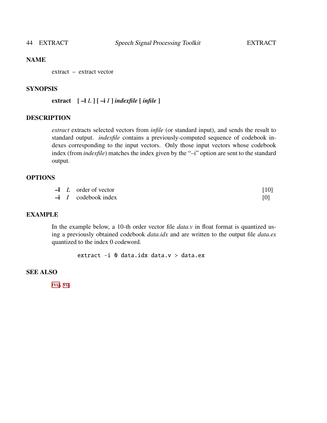extract – extract vector

#### **SYNOPSIS**

extract  $\left[\begin{array}{cc} -L \end{array}\right]$   $\left[\begin{array}{cc} -i & I \end{array}\right]$  *indexfile*  $\left[\begin{array}{cc} \text{infile} \end{array}\right]$ 

#### DESCRIPTION

*extract* extracts selected vectors from *infile* (or standard input), and sends the result to standard output. *indexfile* contains a previously-computed sequence of codebook indexes corresponding to the input vectors. Only those input vectors whose codebook index (from *indexfile*) matches the index given by the "–i" option are sent to the standard output.

# **OPTIONS**

|  | $-L$ order of vector         | [10] |
|--|------------------------------|------|
|  | $-i$ <i>I</i> codebook index |      |

#### EXAMPLE

In the example below, a 10-th order vector file *data.v* in float format is quantized using a previously obtained codebook *data.idx* and are written to the output file *data.ex* quantized to the index 0 codeword.

extract -i 0 data.idx data.v > data.ex

#### SEE ALSO

[ivq](#page-107-0), [vq](#page-224-0)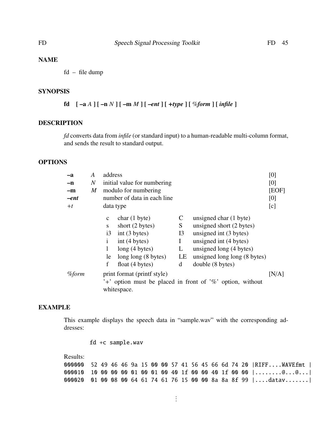<span id="page-50-0"></span>fd – file dump

#### **SYNOPSIS**

fd [ –a *A* ] [ –n *N* ] [ –m *M* ] [ –*ent* ] [ +*type* ] [ %*form* ] [ *infile* ]

#### DESCRIPTION

*fd* converts data from *infile* (or standard input) to a human-readable multi-column format, and sends the result to standard output.

# **OPTIONS**

| $-a$          | A                | address      |                             |             |                                                            | [0]   |
|---------------|------------------|--------------|-----------------------------|-------------|------------------------------------------------------------|-------|
| $-\mathbf{n}$ | $\boldsymbol{N}$ |              | initial value for numbering |             |                                                            | [0]   |
| $-m$          | $\boldsymbol{M}$ |              | modulo for numbering        |             |                                                            | [EOF] |
| -ent          |                  |              | number of data in each line |             |                                                            | [0]   |
| $+t$          |                  | data type    |                             |             |                                                            | [c]   |
|               |                  | $\mathbf{c}$ | char(1 byte)                | C           | unsigned char (1 byte)                                     |       |
|               |                  | S            | short (2 bytes)             | S           | unsigned short (2 bytes)                                   |       |
|               |                  | i3           | int (3 bytes)               | I3          | unsigned int (3 bytes)                                     |       |
|               |                  | Ť.           | int (4 bytes)               | $\mathbf I$ | unsigned int (4 bytes)                                     |       |
|               |                  | 1            | long(4 bytes)               | L           | unsigned long (4 bytes)                                    |       |
|               |                  | le           | long long (8 bytes)         | LE          | unsigned long long (8 bytes)                               |       |
|               |                  | f            | float $(4 \text{ bytes})$   | d           | double (8 bytes)                                           |       |
| $\%$ form     |                  |              | print format (printf style) |             |                                                            | [N/A] |
|               |                  |              | whitespace.                 |             | '+' option must be placed in front of $\%$ option, without |       |

#### EXAMPLE

This example displays the speech data in "sample.wav" with the corresponding addresses:

fd +c sample.wav

Results: 000000 52 49 46 46 9a 15 00 00 57 41 56 45 66 6d 74 20 |RIFF....WAVEfmt | 000010 10 00 00 00 01 00 01 00 40 1f 00 00 40 1f 00 00 |........@...@...| 000020 01 00 08 00 64 61 74 61 76 15 00 00 8a 8a 8f 99 |....datav.......|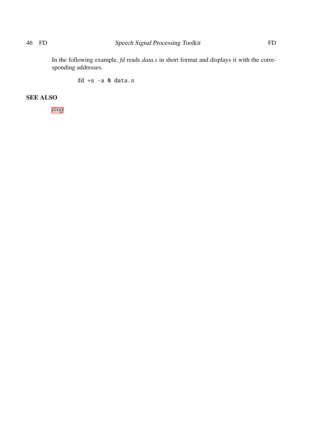In the following example, *fd* reads *data.s* in short format and displays it with the corresponding addresses.

fd +s -a 0 data.s

# SEE ALSO

[dmp](#page-41-0)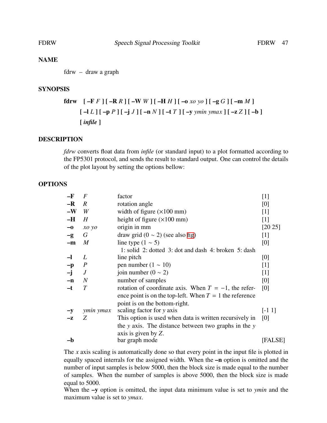fdrw – draw a graph

#### **SYNOPSIS**

fdrw  $[-F F] [-R R] [-W W] [-H H] [-0 x o y o] [-g G] [-m M]$ [ –l *L* ] [ –p *P* ] [ –j *J* ] [ –n *N* ] [ –t *T* ] [ –y *ymin ymax* ] [ –z *Z* ] [ –b ] [ *infile* ]

## DESCRIPTION

*fdrw* converts float data from *infile* (or standard input) to a plot formatted according to the FP5301 protocol, and sends the result to standard output. One can control the details of the plot layout by setting the options bellow:

#### **OPTIONS**

| $-F$          | F                | factor                                                    | $[1]$   |
|---------------|------------------|-----------------------------------------------------------|---------|
| $-R$          | $\boldsymbol{R}$ | rotation angle                                            | [0]     |
| $-W$          | W                | width of figure $(\times 100 \text{ mm})$                 | [1]     |
| -H            | H                | height of figure $(\times 100 \text{ mm})$                | $[1]$   |
| $-0$          | $xo$ yo          | origin in mm                                              | [20 25] |
| $-g$          | G                | draw grid $(0 \sim 2)$ (see also fig)                     | [1]     |
| $-m$          | M                | line type $(1 \sim 5)$                                    | [0]     |
|               |                  | 1: solid 2: dotted 3: dot and dash 4: broken 5: dash      |         |
| $-\mathbf{l}$ | L                | line pitch                                                | [0]     |
| $-\mathbf{p}$ | $\boldsymbol{P}$ | pen number $(1 \sim 10)$                                  | [1]     |
| $-i$          | $\boldsymbol{J}$ | join number $(0 \sim 2)$                                  | $[1]$   |
| $-n$          | $\boldsymbol{N}$ | number of samples                                         | [0]     |
| $-t$          | T                | rotation of coordinate axis. When $T = -1$ , the refer-   | [0]     |
|               |                  | ence point is on the top-left. When $T = 1$ the reference |         |
|               |                  | point is on the bottom-right.                             |         |
| $-\mathbf{y}$ | ymin ymax        | scaling factor for y axis                                 | $[-11]$ |
| $-\mathbf{z}$ | Z                | This option is used when data is written recursively in   | [0]     |
|               |                  | the y axis. The distance between two graphs in the y      |         |
|               |                  | axis is given by $Z$ .                                    |         |
| $-\mathbf{b}$ |                  | bar graph mode                                            | [FALSE] |

The *x* axis scaling is automatically done so that every point in the input file is plotted in equally spaced interrals for the assigned width. When the –n option is omitted and the number of input samples is below 5000, then the block size is made equal to the number of samples. When the number of samples is above 5000, then the block size is made equal to 5000.

When the –y option is omitted, the input data minimum value is set to *ymin* and the maximum value is set to *ymax*.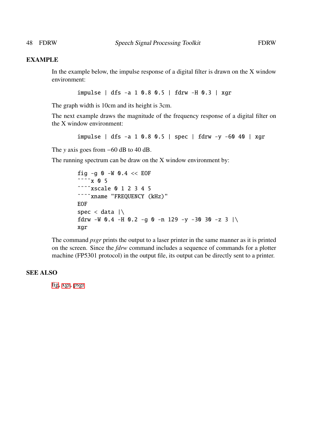## EXAMPLE

In the example below, the impulse response of a digital filter is drawn on the X window environment:

impulse | dfs -a 1 0.8 0.5 | fdrw -H 0.3 | xgr

The graph width is 10cm and its height is 3cm.

The next example draws the magnitude of the frequency response of a digital filter on the X window environment:

```
impulse | dfs -a 1 0.8 0.5 | spec | fdrw -y -60 40 | xgr
```
The *y* axis goes from −60 dB to 40 dB.

The running spectrum can be draw on the X window environment by:

```
fig -g \t0 \t -W \t0.4 \t << EOF\sim \sim \sim \propto \sim 0 5
˜˜˜˜xscale 0 1 2 3 4 5
˜˜˜˜xname "FREQUENCY (kHz)"
EOF
spec < data |\n\|fdrw -W 0.4 -H 0.2 -g 0 -n 129 -y -30 30 -z 3 |\ranglexgr
```
The command *psgr* prints the output to a laser printer in the same manner as it is printed on the screen. Since the *fdrw* command includes a sequence of commands for a plotter machine (FP5301 protocol) in the output file, its output can be directly sent to a printer.

#### SEE ALSO

[fig,](#page-62-0) [xgr,](#page-238-0) [psgr](#page-181-0)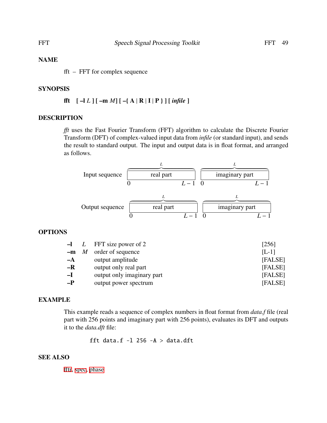<span id="page-54-0"></span>fft – FFT for complex sequence

#### **SYNOPSIS**

fft  $[-L] [-m M] [-\{A \mid R \mid I \mid P\}] [\text{infile}]$ 

## DESCRIPTION

ff*t* uses the Fast Fourier Transform (FFT) algorithm to calculate the Discrete Fourier Transform (DFT) of complex-valued input data from *infile* (or standard input), and sends the result to standard output. The input and output data is in float format, and arranged as follows.



## OPTIONS

|      | $-L$ FFT size power of 2        | [256]   |
|------|---------------------------------|---------|
|      | $-m$ <i>M</i> order of sequence | $[L-1]$ |
| $-A$ | output amplitude                | [FALSE] |
| $-R$ | output only real part           | [FALSE] |
| $-I$ | output only imaginary part      | [FALSE] |
| $-P$ | output power spectrum           | [FALSE] |

## EXAMPLE

This example reads a sequence of complex numbers in float format from *data.f* file (real part with 256 points and imaginary part with 256 points), evaluates its DFT and outputs it to the *data.dft* file:

fft data.f  $-1$  256  $-A >$  data.dft

## SEE ALSO

ff[tr](#page-59-0), [spec,](#page-200-0) [phase](#page-177-0)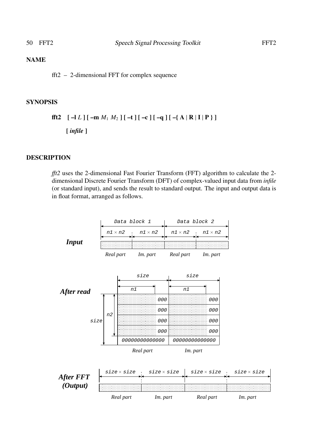<span id="page-55-0"></span>

fft2 – 2-dimensional FFT for complex sequence

#### SYNOPSIS

fft2  $[-L] [-m M_1 M_2] [-t] [-c] [-q] [-\{A | R | I | P \}]$ [ *infile* ]

# DESCRIPTION

ff*t2* uses the 2-dimensional Fast Fourier Transform (FFT) algorithm to calculate the 2 dimensional Discrete Fourier Transform (DFT) of complex-valued input data from *infile* (or standard input), and sends the result to standard output. The input and output data is in float format, arranged as follows.

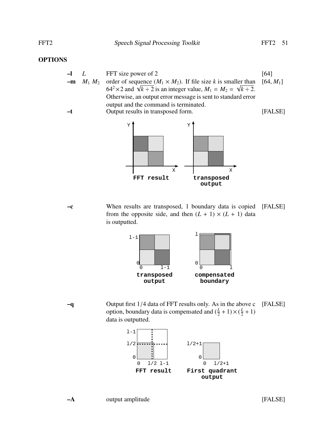# **OPTIONS**

 $-L$  FFT size power of 2 [64]  $-M_1 M_2$  order of sequence  $(M_1 \times M_2)$ . If file size *k* is smaller than order of sequence  $(M_1 \times M_2)$ . If file size *k* is smaller than  $64^2 \times 2$  and  $\sqrt{k \div 2}$  is an integer value,  $M_1 = M_2 = \sqrt{k \div 2}$ . Otherwise, an output error message is sent to standard error output and the command is terminated.  $[64, M_1]$ –t Output results in transposed form. [FALSE]



–c When results are transposed, 1 boundary data is copied [FALSE] from the opposite side, and then  $(L + 1) \times (L + 1)$  data is outputted.



–q Output first 1/4 data of FFT results only. As in the above c option, boundary data is compensated and  $(\frac{L}{2} + 1) \times (\frac{L}{2})$  $\frac{L}{2} + 1$ data is outputted. [FALSE]

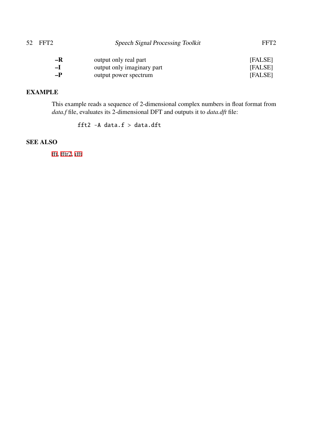| 52<br>FFT2    | <b>Speech Signal Processing Toolkit</b> | FFT <sub>2</sub> |
|---------------|-----------------------------------------|------------------|
| $-R$          | output only real part                   | [FALSE]          |
| $-\mathbf{l}$ | output only imaginary part              | [FALSE]          |
| $-P$          | output power spectrum                   | [FALSE]          |

# EXAMPLE

This example reads a sequence of 2-dimensional complex numbers in float format from *data.f* file, evaluates its 2-dimensional DFT and outputs it to *data.dft* file:

fft2  $-A$  data.f > data.dft

# SEE ALSO

[ff](#page-54-0)t, ff[tr2](#page-60-0), i[ff](#page-99-0)t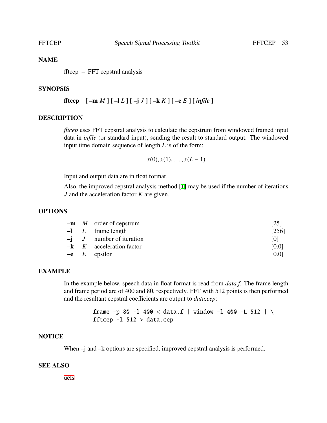fftcep – FFT cepstral analysis

## **SYNOPSIS**

fftcep  $[-m M] [-L] [-j J] [-k K] [-e E] [infile]$ 

#### DESCRIPTION

ff*tcep* uses FFT cepstral analysis to calculate the cepstrum from windowed framed input data in *infile* (or standard input), sending the result to standard output. The windowed input time domain sequence of length *L* is of the form:

 $x(0), x(1), \ldots, x(L-1)$ 

Input and output data are in float format.

Also, the improved cepstral analysis method [\[1](#page-242-0)] may be used if the number of iterations *J* and the acceleration factor *K* are given.

## **OPTIONS**

|  | $-m$ <i>M</i> order of cepstrum | $\lceil 25 \rceil$ |
|--|---------------------------------|--------------------|
|  | $-L$ frame length               | [256]              |
|  | $-i$ J number of iteration      | [0]                |
|  | $-k$ K acceleration factor      | [0.0]              |
|  | $-e$ E epsilon                  | [0.0]              |

#### **EXAMPLE**

In the example below, speech data in float format is read from *data.f*. The frame length and frame period are of 400 and 80, respectively. FFT with 512 points is then performed and the resultant cepstral coefficients are output to *data.cep*:

> frame -p 80 -l 400 < data.f | window -l 400 -L 512 |  $\setminus$ fftcep  $-1$  512 > data.cep

### **NOTICE**

When –j and –k options are specified, improved cepstral analysis is performed.

#### SEE ALSO

[uels](#page-208-0)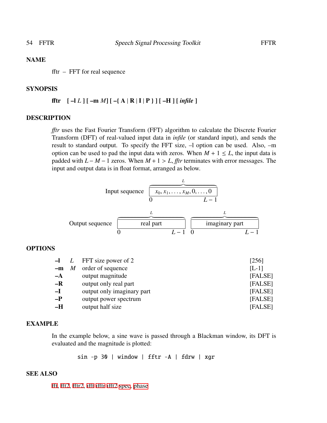<span id="page-59-0"></span>fftr – FFT for real sequence

#### **SYNOPSIS**

## fftr  $[-L] [-m M] [-\{A \mid R \mid I \mid P\}] [-H] [infile]$

## DESCRIPTION

ff*tr* uses the Fast Fourier Transform (FFT) algorithm to calculate the Discrete Fourier Transform (DFT) of real-valued input data in *infile* (or standard input), and sends the result to standard output. To specify the FFT size, –l option can be used. Also, –m option can be used to pad the input data with zeros. When  $M + 1 \leq L$ , the input data is padded with  $L - M - 1$  zeros. When  $M + 1 > L$ , *fftr* terminates with error messages. The input and output data is in float format, arranged as below.



# $-L$  FFT size power of 2 [256]  $-\mathbf{m}$  *M* order of sequence  $[L-1]$ –A output magnitude [FALSE]  $-R$  output only real part [FALSE] –I output only imaginary part [FALSE] –P output power spectrum [FALSE] –H output half size [FALSE]

# EXAMPLE

OPTIONS

In the example below, a sine wave is passed through a Blackman window, its DFT is evaluated and the magnitude is plotted:

sin -p 30 | window | fftr -A | fdrw | xgr

#### SEE ALSO

[ff](#page-54-0)t, ff[t2](#page-55-0), ff[tr2,](#page-60-0) i[ff](#page-99-0)t iff[tr](#page-102-0) iff[t2](#page-100-0) [spec](#page-200-0), [phase](#page-177-0)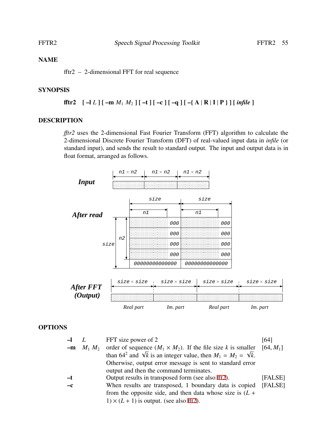<span id="page-60-0"></span>fftr2 – 2-dimensional FFT for real sequence

#### **SYNOPSIS**

# fftr2  $[-L] [-m M_1 M_2] [-t] [-c] [-q] [-\{A | R | I | P \}] [infile]$

## DESCRIPTION

ff*tr2* uses the 2-dimensional Fast Fourier Transform (FFT) algorithm to calculate the 2-dimensional Discrete Fourier Transform (DFT) of real-valued input data in *infile* (or standard input), and sends the result to standard output. The input and output data is in float format, arranged as follows.



## OPTIONS

| $-1$ | FFT size power of 2                                                                              | [64]           |
|------|--------------------------------------------------------------------------------------------------|----------------|
|      | $-m$ $M_1 M_2$ order of sequence $(M_1 \times M_2)$ . If the file size k is smaller [64, $M_1$ ] |                |
|      | than 64 <sup>2</sup> and $\sqrt{k}$ is an integer value, then $M_1 = M_2 = \sqrt{k}$ .           |                |
|      | Otherwise, output error message is sent to standard error                                        |                |
|      | output and then the command terminates.                                                          |                |
| $-t$ | Output results in transposed form (see also fft2).                                               | [FALSE]        |
| $-c$ | When results are transposed, 1 boundary data is copied                                           | <b>[FALSE]</b> |
|      | from the opposite side, and then data whose size is $(L +$                                       |                |
|      | $1) \times (L + 1)$ is output. (see also fft2).                                                  |                |
|      |                                                                                                  |                |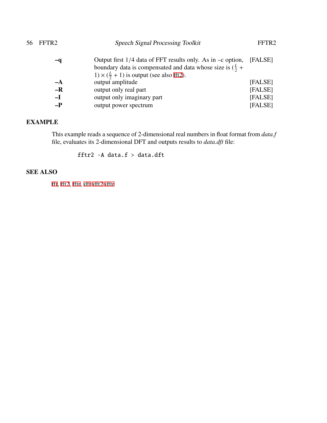| 56 | FFTR <sub>2</sub> | <b>Speech Signal Processing Toolkit</b>                                                                                                                                                                | FFTR <sub>2</sub> |
|----|-------------------|--------------------------------------------------------------------------------------------------------------------------------------------------------------------------------------------------------|-------------------|
|    | -q                | Output first $1/4$ data of FFT results only. As in $-c$ option,<br>boundary data is compensated and data whose size is $(\frac{L}{2} +$<br>1) $\times$ ( $\frac{L}{2}$ + 1) is output (see also fft2). | [FALSE]           |
|    | $-A$              | output amplitude                                                                                                                                                                                       | [FALSE]           |
|    | $-R$              | output only real part                                                                                                                                                                                  | [FALSE]           |
|    | $-I$              | output only imaginary part                                                                                                                                                                             | [FALSE]           |
|    | $-P$              | output power spectrum                                                                                                                                                                                  | [FALSE]           |
|    |                   |                                                                                                                                                                                                        |                   |

# EXAMPLE

This example reads a sequence of 2-dimensional real numbers in float format from *data.f* file, evaluates its 2-dimensional DFT and outputs results to *data.dft* file:

fftr2  $-A$  data.f > data.dft

# SEE ALSO

[ff](#page-54-0)t, ff[t2](#page-55-0), ff[tr,](#page-59-0) i[ff](#page-102-0)t iff[t2](#page-100-0) iff[tr](#page-102-0)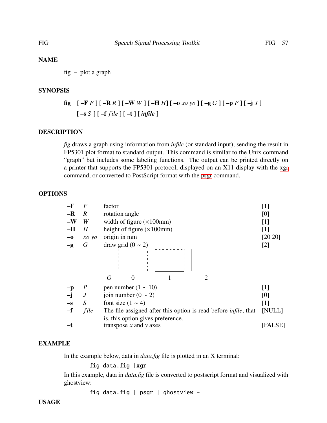<span id="page-62-0"></span>fig – plot a graph

#### **SYNOPSIS**

fig [ –F *F* ] [ –R *R* ] [ –W *W* ] [ –H *H*] [ –o *xo yo* ] [ –g *G* ] [ –p *P* ] [ –j *J* ] [ –s *S* ] [ –f *f ile* ] [ –t ] [ *infile* ]

## DESCRIPTION

*fig* draws a graph using information from *infile* (or standard input), sending the result in FP5301 plot format to standard output. This command is similar to the Unix command "graph" but includes some labeling functions. The output can be printed directly on a printer that supports the FP5301 protocol, displayed on an X11 display with the [xgr](#page-238-0) command, or converted to PostScript format with the [psgr](#page-181-0) command.

## **OPTIONS**

| $-F$          | $\boldsymbol{F}$ | factor                                                                  | $[1]$   |
|---------------|------------------|-------------------------------------------------------------------------|---------|
| $-R$          | $\boldsymbol{R}$ | rotation angle                                                          | [0]     |
| $-W$          | W                | width of figure $(\times 100$ mm)                                       | [1]     |
| $-H$          | $H_{\rm}$        | height of figure $(\times 100$ mm)                                      | $[1]$   |
| $-0$          | $\chi$ o yo      | origin in mm                                                            | [20 20] |
| $-\mathbf{g}$ | G                | draw grid $(0 \sim 2)$                                                  | $[2]$   |
|               |                  | G<br>$\Omega$<br>$\mathcal{D}_{\mathcal{L}}$                            |         |
| $-\mathbf{p}$ | $\boldsymbol{P}$ | pen number $(1 \sim 10)$                                                | [1]     |
| $-i$          | $\boldsymbol{J}$ | join number $(0 \sim 2)$                                                | [0]     |
| $-S$          | S                | font size $(1 \sim 4)$                                                  | [1]     |
| $-f$          | file             | The file assigned after this option is read before <i>infile</i> , that | [NULL]  |
| -t            |                  | is, this option gives preference.<br>transpose $x$ and $y$ axes         | [FALSE] |

## EXAMPLE

In the example below, data in *data.fig* file is plotted in an X terminal:

fig data.fig |xgr

In this example, data in *data.fig* file is converted to postscript format and visualized with ghostview:

fig data.fig | psgr | ghostview -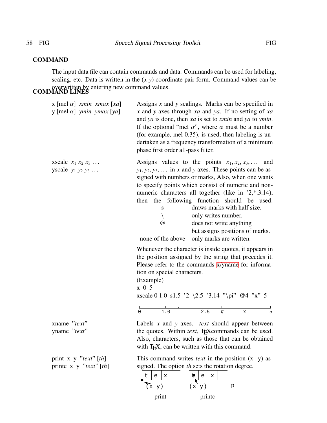# **COMMAND**

The input data file can contain commands and data. Commands can be used for labeling, scaling, etc. Data is written in the (*x y*) coordinate pair form. Command values can be overwritten by entering new command values. COMMAND LINES

| x [mel $\alpha$ ] xmin xmax [xa]<br>y [mel $\alpha$ ] ymin ymax [ya] | Assigns $x$ and $y$ scalings. Marks can be specified in<br>$x$ and $y$ axes through $xa$ and $ya$ . If no setting of $xa$<br>and ya is done, then xa is set to xmin and ya to ymin.<br>If the optional "mel $\alpha$ ", where $\alpha$ must be a number<br>(for example, mel $0.35$ ), is used, then labeling is un-<br>dertaken as a frequency transformation of a minimum<br>phase first order all-pass filter.                                                                                                                                                                                                                                                                                                                                                                                                                                                                               |
|----------------------------------------------------------------------|-------------------------------------------------------------------------------------------------------------------------------------------------------------------------------------------------------------------------------------------------------------------------------------------------------------------------------------------------------------------------------------------------------------------------------------------------------------------------------------------------------------------------------------------------------------------------------------------------------------------------------------------------------------------------------------------------------------------------------------------------------------------------------------------------------------------------------------------------------------------------------------------------|
| xscale $x_1 x_2 x_3 \ldots$<br>yscale $y_1 y_2 y_3 \ldots$           | Assigns values to the points $x_1, x_2, x_3, \ldots$ and<br>$y_1, y_2, y_3, \ldots$ in x and y axes. These points can be as-<br>signed with numbers or marks, Also, when one wants<br>to specify points which consist of numeric and non-<br>numeric characters all together (like in '2,*.3.14),<br>then the following function should be used:<br>draws marks with half size.<br>S<br>only writes number.<br>does not write anything<br>$\omega$<br>but assigns positions of marks.<br>none of the above<br>only marks are written.<br>Whenever the character is inside quotes, it appears in<br>the position assigned by the string that precedes it.<br>Please refer to the commands x/yname for informa-<br>tion on special characters.<br>(Example)<br>$x \space 0 \space 5$<br>xscale 0 1.0 s1.5 '2 \2.5 '3.14 "\pi" @4 "x" 5<br>$\begin{array}{c c c c c} \hline 1.0 & 2.5 \end{array}$ |
|                                                                      | $\overline{\circ}$<br>$\frac{1}{\pi}$<br>5<br>$\mathbf{x}$                                                                                                                                                                                                                                                                                                                                                                                                                                                                                                                                                                                                                                                                                                                                                                                                                                      |
| xname "text"<br>yname "text"                                         | Labels $x$ and $y$ axes. <i>text</i> should appear between<br>the quotes. Within <i>text</i> , T <sub>F</sub> X commands can be used.<br>Also, characters, such as those that can be obtained<br>with TEX, can be written with this command.                                                                                                                                                                                                                                                                                                                                                                                                                                                                                                                                                                                                                                                    |
| .92E.77                                                              | $\mathbf{r}$ , the set of the set of the set of the set of the set of the set of the set of the set of the set of the set of the set of the set of the set of the set of the set of the set of the set of the set of the set of t                                                                                                                                                                                                                                                                                                                                                                                                                                                                                                                                                                                                                                                               |

This command writes *text* in the position (x y) assigned. The option *th* sets the rotation degree.



<span id="page-63-0"></span>print x y "*text*" [*th*] printc x y "*text*" [*th*]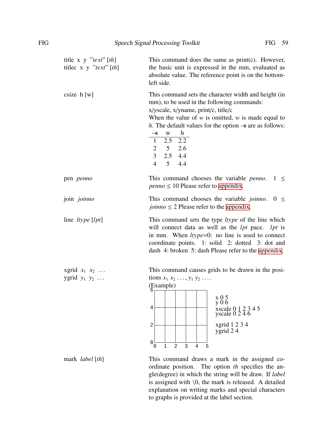| title $x \, y \text{''} \text{text} \text{'}$ [th]<br>titlec x y "text" $[th]$ | This command does the same as $print(c)$ . However,<br>the basic unit is expressed in the mm, evaluated as<br>absolute value. The reference point is on the bottom-<br>left side.                                                                                                                                                                                                                                             |  |  |  |  |
|--------------------------------------------------------------------------------|-------------------------------------------------------------------------------------------------------------------------------------------------------------------------------------------------------------------------------------------------------------------------------------------------------------------------------------------------------------------------------------------------------------------------------|--|--|--|--|
| csize $h[w]$                                                                   | This command sets the character width and height (in<br>mm), to be used in the following commands:<br>$x/y scale$ , $x/y name$ , $print/c$ , $title/c$<br>When the value of $w$ is omitted, $w$ is made equal to<br>h. The default values for the option $-s$ are as follows:<br>$\hbar$<br>W<br>$-S$<br>$2.5$ $2.2$<br>$\mathbf{1}$<br>$\overline{2}$<br>$5\overline{)}$<br>2.6<br>3 <sup>1</sup><br>$2.5$ 4.4<br>4 5<br>4.4 |  |  |  |  |
| pen penno                                                                      | This command chooses the variable <i>penno</i> .<br>$1 \leq$<br><i>penno</i> $\leq 10$ Please refer to appendix.                                                                                                                                                                                                                                                                                                              |  |  |  |  |
| join <i>joinno</i>                                                             | This command chooses the variable <i>joinno</i> .<br>$0 \leq$<br><i>joinno</i> $\leq$ 2 Please refer to the appendix.                                                                                                                                                                                                                                                                                                         |  |  |  |  |
| line $ltype[lpt]$                                                              | This command sets the type <i>ltype</i> of the line which<br>will connect data as well as the <i>lpt</i> pace. <i>lpt</i> is<br>in mm. When <i>ltype</i> =0: no line is used to connect<br>coordinate points. 1: solid 2: dotted 3: dot and<br>dash 4: broken 5: dash Please refer to the appendix.                                                                                                                           |  |  |  |  |
| xgrid $x_1$ $x_2$                                                              | This command causes grids to be drawn in the posi-                                                                                                                                                                                                                                                                                                                                                                            |  |  |  |  |
| ygrid $y_1$ $y_2$                                                              | tions $x_1 x_2 \ldots, y_1 y_2 \ldots$                                                                                                                                                                                                                                                                                                                                                                                        |  |  |  |  |
|                                                                                | (Example)<br>$x \, 0 \, 5$<br>y06<br>4<br>xscale 0 1 2 3 4 5<br>yscale 0 2 4 6<br>xgrid 1 2 3 4<br>2<br>ygrid 24<br>0<br>3<br>2<br>5<br>1<br>4<br>0                                                                                                                                                                                                                                                                           |  |  |  |  |
| mark label [th]                                                                | This command draws a mark in the assigned co-<br>ordinate position The option the specifies the an-                                                                                                                                                                                                                                                                                                                           |  |  |  |  |

ordinate position. The option *th* specifies the angle(degree) in which the string will be draw. If *label* is assigned with  $\setminus 0$ , the mark is released. A detailed explanation on writing marks and special characters to graphs is provided at the label section.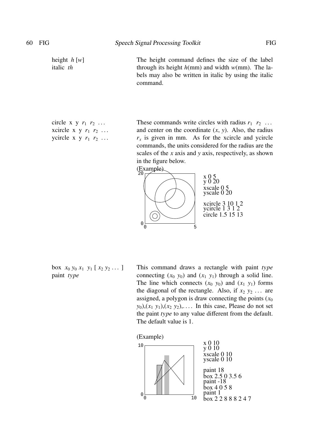height *h* [*w*] italic *th*

The height command defines the size of the label through its height *h*(mm) and width *w*(mm). The labels may also be written in italic by using the italic command.

circle x y  $r_1$   $r_2$  ... xcircle x  $y$   $r_1$   $r_2$  ... ycircle x  $y$   $r_1$   $r_2$  ... These commands write circles with radius  $r_1$   $r_2$  ... and center on the coordinate  $(x, y)$ . Also, the radius  $r_x$  is given in mm. As for the xcircle and ycircle commands, the units considered for the radius are the scales of the *x* axis and *y* axis, respectively, as shown in the figure below.



box  $x_0$   $y_0$   $x_1$   $y_1$  [  $x_2$   $y_2$  ... ] paint *type*

This command draws a rectangle with paint *type* connecting  $(x_0, y_0)$  and  $(x_1, y_1)$  through a solid line. The line which connects  $(x_0, y_0)$  and  $(x_1, y_1)$  forms the diagonal of the rectangle. Also, if  $x_2 y_2 \ldots$  are assigned, a polygon is draw connecting the points  $(x_0)$  $y_0$ , $(x_1, y_1)$ , $(x_2, y_2)$ ,... In this case, Please do not set the paint *type* to any value different from the default. The default value is 1.

(Example)

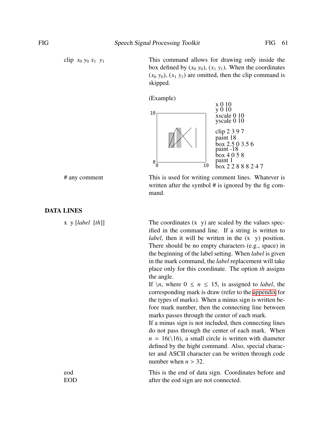clip  $x_0$   $y_0$   $x_1$   $y_1$  This command allows for drawing only inside the box defined by  $(x_0, y_0)$ ,  $(x_1, y_1)$ . When the coordinates  $(x_0, y_0)$ ,  $(x_1, y_1)$  are omitted, then the clip command is skipped.



# any comment This is used for writing comment lines. Whatever is written after the symbol # is ignored by the fig command.

x y [*label* [*th*]] The coordinates (x y) are scaled by the values specified in the command line. If a string is written to *label*, then it will be written in the  $(x \ y)$  position. There should be no empty characters (e.g., space) in the beginning of the label setting. When *label* is given in the mark command, the *label* replacement will take place only for this coordinate. The option *th* assigns the angle.

> If  $\langle n, \text{ where } 0 \leq n \leq 15, \text{ is assigned to label, the } \rangle$ corresponding mark is draw (refer to the [appendix](#page-67-1) for the types of marks). When a minus sign is written before mark number, then the connecting line between marks passes through the center of each mark.

> If a minus sign is not included, then connecting lines do not pass through the center of each mark. When  $n = 16(\{16\})$ , a small circle is written with diameter defined by the hight command. Also, special character and ASCII character can be written through code number when  $n > 32$ .

> This is the end of data sign. Coordinates before and after the eod sign are not connected.

#### DATA LINES

eod EOD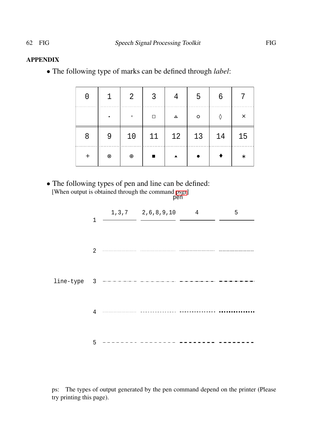# <span id="page-67-1"></span>APPENDIX

• The following type of marks can be defined through *label*:

|     |   | $\overline{2}$        |    |    | ്റ | -6 |          |
|-----|---|-----------------------|----|----|----|----|----------|
|     |   | $\boldsymbol{\times}$ |    |    |    |    | $\times$ |
|     |   | 10                    | 11 | 12 | 13 | 14 | 15       |
| $+$ | ⊗ | $\oplus$              |    |    |    |    | $\ast$   |

pen

<span id="page-67-0"></span>• The following types of pen and line can be defined: [When output is obtained through the command [psgr\]](#page-181-0)

|                    | 1              | $1, 3, 7$ $2, 6, 8, 9, 10$ | $\overline{4}$ | 5 |
|--------------------|----------------|----------------------------|----------------|---|
|                    | $\mathfrak{D}$ |                            |                |   |
| $line-type$ 3 ---- |                | $\cdots$ . $\cdots$ .      |                |   |
|                    | 4              | .                          |                |   |
|                    | 5              |                            |                |   |

ps: The types of output generated by the pen command depend on the printer (Please try printing this page).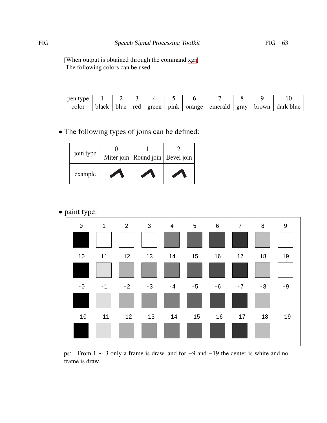<span id="page-68-0"></span>[When output is obtained through the command [xgr\]](#page-238-0) The following colors can be used.

| pen type |  |  |  |  |                                                                                 |
|----------|--|--|--|--|---------------------------------------------------------------------------------|
| color    |  |  |  |  | black   blue   red   green   pink   orange   emerald   gray   brown   dark blue |

# <span id="page-68-1"></span>• The following types of joins can be defined:

| join type |  | Miter join   Round join   Bevel join |
|-----------|--|--------------------------------------|
| example   |  |                                      |

• paint type:



ps: From 1 ∼ 3 only a frame is draw, and for −9 and −19 the center is white and no frame is draw.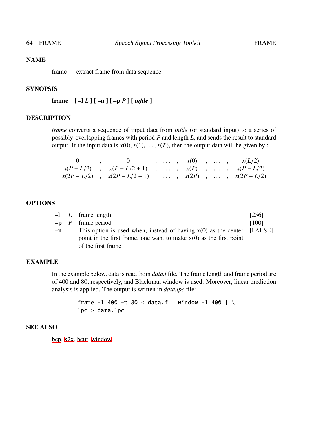frame – extract frame from data sequence

#### **SYNOPSIS**

frame [ –l *L* ] [ –n ] [ –p *P* ] [ *infile* ]

## DESCRIPTION

*frame* converts a sequence of input data from *infile* (or standard input) to a series of possibly-overlapping frames with period *P* and length *L*, and sends the result to standard output. If the input data is  $x(0), x(1), \ldots, x(T)$ , then the output data will be given by :

|  | $0 \qquad , \qquad 0 \qquad , \qquad \ldots \qquad , \quad x(0) \quad , \quad \ldots \qquad , \qquad x(L/2)$ |  |  |  |  |
|--|--------------------------------------------------------------------------------------------------------------|--|--|--|--|
|  | $x(P - L/2)$ , $x(P - L/2 + 1)$ , , $x(P)$ , , $x(P + L/2)$                                                  |  |  |  |  |
|  | $x(2P - L/2)$ , $x(2P - L/2 + 1)$ , , $x(2P)$ , , $x(2P + L/2)$                                              |  |  |  |  |
|  |                                                                                                              |  |  |  |  |

## **OPTIONS**

|                                                                          | $[256]$                                         |
|--------------------------------------------------------------------------|-------------------------------------------------|
|                                                                          | [100]                                           |
| This option is used when, instead of having $x(0)$ as the center [FALSE] |                                                 |
| point in the first frame, one want to make $x(0)$ as the first point     |                                                 |
| of the first frame                                                       |                                                 |
|                                                                          | $-L$ frame length<br>$-p$ <i>P</i> frame period |

# EXAMPLE

In the example below, data is read from *data.f* file. The frame length and frame period are of 400 and 80, respectively, and Blackman window is used. Moreover, linear prediction analysis is applied. The output is written in *data.lpc* file:

> frame -1 400 -p 80 < data.f | window -1 400 |  $\setminus$ lpc > data.lpc

# SEE ALSO

[bcp](#page-15-0), [x2x](#page-235-0), [bcut,](#page-17-0) [window](#page-233-0)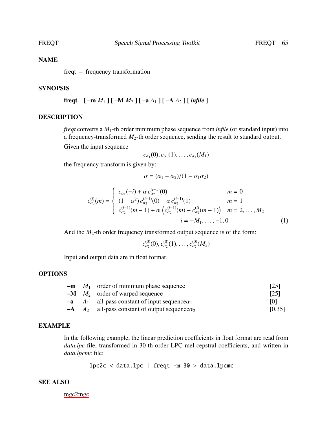freqt – frequency transformation

#### **SYNOPSIS**

freqt  $[-m M_1] [-M M_2] [-a A_1] [-A A_2] [infile]$ 

## DESCRIPTION

*freqt* converts a *M*1-th order minimum phase sequence from *infile* (or standard input) into a frequency-transformed  $M_2$ -th order sequence, sending the result to standard output. Given the input sequence

$$
c_{\alpha_1}(0), c_{\alpha_1}(1), \ldots, c_{\alpha_1}(M_1)
$$

the frequency transform is given by:

$$
\alpha = (\alpha_1 - \alpha_2)/(1 - \alpha_1 \alpha_2)
$$

$$
c_{\alpha_2}^{(i)}(m) = \begin{cases} c_{\alpha_1}(-i) + \alpha c_{\alpha_2}^{(i-1)}(0) & m = 0\\ (1 - \alpha^2) c_{\alpha_2}^{(i-1)}(0) + \alpha c_{\alpha_2}^{(i-1)}(1) & m = 1\\ c_{\alpha_2}^{(i-1)}(m-1) + \alpha \left(c_{\alpha_2}^{(i-1)}(m) - c_{\alpha_2}^{(i)}(m-1)\right) & m = 2, ..., M_2\\ i = -M_1, ..., -1, 0 \end{cases}
$$
(1)

And the  $M_2$ -th order frequency transformed output sequence is of the form:

$$
c_{\alpha_2}^{(0)}(0), c_{\alpha_2}^{(0)}(1), \ldots, c_{\alpha_2}^{(0)}(M_2)
$$

Input and output data are in float format.

#### **OPTIONS**

|  | $-m$ $M_1$ order of minimum phase sequence                     | $\lceil 25 \rceil$ |
|--|----------------------------------------------------------------|--------------------|
|  | $-M$ $M_2$ order of warped sequence                            | $\lceil 25 \rceil$ |
|  | $-a$ $A_1$ all-pass constant of input sequence $\alpha_1$      | TO <sub>1</sub>    |
|  | $-A \quad A_2$ all-pass constant of output sequence $\alpha_2$ | [0.35]             |

#### EXAMPLE

In the following example, the linear prediction coefficients in float format are read from *data.lpc* file, transformed in 30-th order LPC mel-cepstral coefficients, and written in *data.lpcmc* file:

lpc2c < data.lpc | freqt -m 30 > data.lpcmc

#### SEE ALSO

[mgc2mgc](#page-141-0)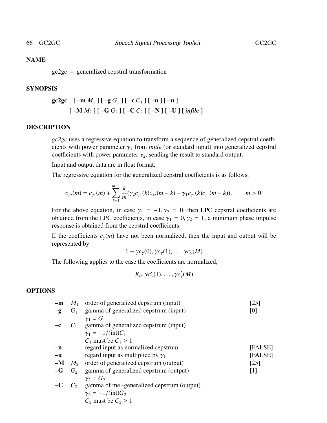gc2gc – generalized cepstral transformation

#### **SYNOPSIS**

gc2gc  $[-m M_1]$   $[-g G_1]$   $[-c C_1]$   $[-n]$   $[-u]$  $[-M M_2]$   $[-G G_2]$   $[-C C_2]$   $[-N]$   $[-U]$   $[infile]$ 

#### DESCRIPTION

*gc2gc* uses a regressive equation to transform a sequence of generalized cepstral coefficients with power parameter  $\gamma_1$  from *infile* (or standard input) into generalized cepstral coefficients with power parameter  $\gamma_2$ , sending the result to standard output.

Input and output data are in float format.

The regressive equation for the generalized cepstral coefficients is as follows.

$$
c_{\gamma_2}(m) = c_{\gamma_1}(m) + \sum_{k=1}^{m-1} \frac{k}{m} (\gamma_2 c_{\gamma_1}(k) c_{\gamma_2}(m-k) - \gamma_1 c_{\gamma_2}(k) c_{\gamma_1}(m-k)), \qquad m > 0.
$$

For the above equation, in case  $\gamma_1 = -1, \gamma_2 = 0$ , then LPC cepstral coefficients are obtained from the LPC coefficients, in case  $\gamma_1 = 0, \gamma_2 = 1$ , a minimum phase impulse response is obtained from the cepstral coefficients.

If the coefficients  $c_\gamma(m)$  have not been normalized, then the input and output will be represented by

 $1 + \gamma c_{\gamma}(0), \gamma c_{\gamma}(1), \ldots, \gamma c_{\gamma}(M)$ 

The following applies to the case the coefficients are normalized,

$$
K_{\alpha}, \gamma c'_{\gamma}(1), \ldots, \gamma c'_{\gamma}(M)
$$

#### **OPTIONS**

| $-m$          |       | $M_1$ order of generalized cepstrum (input)       | [25]              |
|---------------|-------|---------------------------------------------------|-------------------|
| $-\mathbf{g}$ | $G_1$ | gamma of generalized cepstrum (input)             | [0]               |
|               |       | $\gamma_1 = G_1$                                  |                   |
| $-c$          |       | $C_1$ gamma of generalized cepstrum (input)       |                   |
|               |       | $\gamma_1 = -1/(\text{int})C_1$                   |                   |
|               |       | $C_1$ must be $C_1 \geq 1$                        |                   |
| $-n$          |       | regard input as normalized cepstrum               | [FALSE]           |
| $-\mathbf{u}$ |       | regard input as multiplied by $\gamma_1$          | [FALSE]           |
| $-M$          |       | $M_2$ order of generalized cepstrum (output)      | [25]              |
| $-G$          |       | $G_2$ gamma of generalized cepstrum (output)      | $\lceil 1 \rceil$ |
|               |       | $\gamma_2 = G_2$                                  |                   |
|               |       | $-C_2$ gamma of mel-generalized cepstrum (output) |                   |
|               |       | $\gamma_2 = -1/(\text{int})G_2$                   |                   |
|               |       | $C_2$ must be $C_2 \geq 1$                        |                   |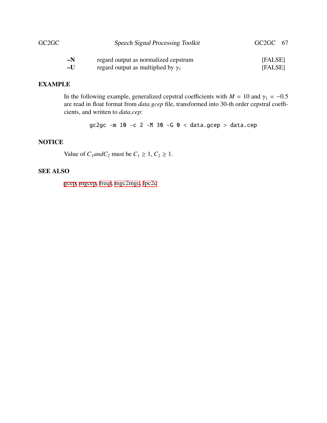| GC <sub>2</sub> GC | <b>Speech Signal Processing Toolkit</b>   | $GC2GC$ 67 |
|--------------------|-------------------------------------------|------------|
| $-N$               | regard output as normalized cepstrum      | [FALSE]    |
| $-I$               | regard output as multiplied by $\gamma_1$ | [FALSE]    |

#### EXAMPLE

In the following example, generalized cepstral coefficients with  $M = 10$  and  $\gamma_1 = -0.5$ are read in float format from *data.gcep* file, transformed into 30-th order cepstral coefficients, and written to *data.cep*:

gc2gc -m 10 -c 2 -M 30 -G  $0 <$  data.gcep > data.cep

## **NOTICE**

Value of  $C_1$  *and* $C_2$  must be  $C_1 \geq 1$ ,  $C_2 \geq 1$ .

### SEE ALSO

[gcep](#page-73-0), [mgcep](#page-147-0), [freqt,](#page-70-0) [mgc2mgc,](#page-141-0) [lpc2c](#page-120-0)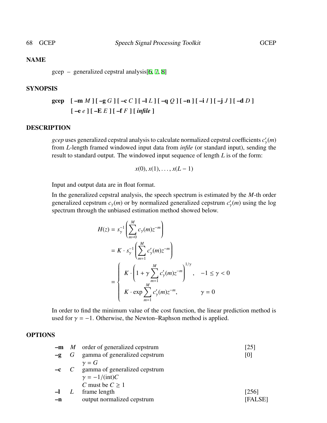<span id="page-73-0"></span> $|q^{\rm c}$  = generalized cepstral analysis[\[6](#page-242-0), [7](#page-242-1), [8](#page-242-2)]

#### **SYNOPSIS**

# gcep  $[-m M] [-g G] [-c C] [-L] [-q Q] [-n] [-i I] [-j J] [-d D]$ [ –e *e* ] [ –E *E* ] [ –f *F* ] [ *infile* ]

#### DESCRIPTION

*gcep* uses generalized cepstral analysis to calculate normalized cepstral coefficients  $c'_{\gamma}(m)$ from *L*-length framed windowed input data from *infile* (or standard input), sending the result to standard output. The windowed input sequence of length *L* is of the form:

$$
x(0), x(1), \ldots, x(L-1)
$$

Input and output data are in float format.

In the generalized cepstral analysis, the speech spectrum is estimated by the *M*-th order generalized cepstrum  $c_{\gamma}(m)$  or by normalized generalized cepstrum  $c'_{\gamma}(m)$  using the log spectrum through the unbiased estimation method showed below.

$$
H(z) = s_{\gamma}^{-1} \left( \sum_{m=0}^{M} c_{\gamma}(m) z^{-m} \right)
$$
  
=  $K \cdot s_{\gamma}^{-1} \left( \sum_{m=1}^{M} c_{\gamma}'(m) z^{-m} \right)$   
=  $\left\{ K \cdot \left( 1 + \gamma \sum_{m=1}^{M} c_{\gamma}'(m) z^{-m} \right)^{1/\gamma}, -1 \le \gamma < 0 \right\}$   
 $K \cdot \exp \sum_{m=1}^{M} c_{\gamma}'(m) z^{-m}, \qquad \gamma = 0$ 

In order to find the minimum value of the cost function, the linear prediction method is used for  $\gamma = -1$ . Otherwise, the Newton–Raphson method is applied.

## **OPTIONS**

|          | $-m$ <i>M</i> order of generalized cepstrum                                     | [25]    |
|----------|---------------------------------------------------------------------------------|---------|
|          | $-g$ $G$ gamma of generalized cepstrum                                          | [0]     |
|          | $\gamma = G$<br>$-c$ $C$ gamma of generalized cepstrum<br>$\gamma = -1/$ (int)C |         |
| $-1$ $L$ | C must be $C \geq 1$<br>frame length                                            | [256]   |
| -n       | output normalized cepstrum                                                      | [FALSE] |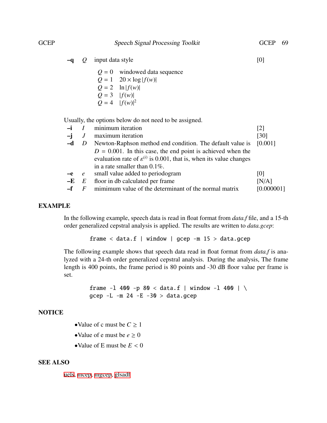–q *Q* input data style  $Q = 0$  windowed data sequence  $Q = 1$  20  $\times$  log  $|f(w)|$  $Q = 2 \ln |f(w)|$  $Q = 3$  |  $f(w)$ |  $Q = 4$   $|f(w)|^2$ [0]

Usually, the options below do not need to be assigned.

| $-i$  |        | minimum iteration                                                                | [2]        |
|-------|--------|----------------------------------------------------------------------------------|------------|
| -i    |        | maximum iteration                                                                | [30]       |
| $-d$  | D      | Newton-Raphson method end condition. The default value is                        | [0.001]    |
|       |        | $D = 0.001$ . In this case, the end point is achieved when the                   |            |
|       |        | evaluation rate of $\varepsilon^{(i)}$ is 0.001, that is, when its value changes |            |
|       |        | in a rate smaller than $0.1\%$ .                                                 |            |
| $-e$  | $\ell$ | small value added to periodogram                                                 | [0]        |
| $-E$  | E      | floor in db calculated per frame                                                 | [N/A]      |
| $-$ f | F      | mimimum value of the determinant of the normal matrix                            | [0.000001] |
|       |        |                                                                                  |            |

#### EXAMPLE

In the following example, speech data is read in float format from *data.f* file, and a 15-th order generalized cepstral analysis is applied. The results are written to *data.gcep*:

frame  $\langle$  data.f | window | gcep -m 15  $>$  data.gcep

The following example shows that speech data read in float format from *data.f* is analyzed with a 24-th order generalized cepstral analysis. During the analysis, The frame length is 400 points, the frame period is 80 points and -30 dB floor value per frame is set.

> frame -1 400 -p 80 < data.f | window -1 400 |  $\setminus$ gcep  $-L$  -m 24 -E -30  $>$  data.gcep

#### **NOTICE**

- •Value of c must be  $C \geq 1$
- •Value of e must be  $e \geq 0$
- •Value of E must be  $E < 0$

#### SEE ALSO

[uels](#page-208-0), [mcep,](#page-134-0) [mgcep,](#page-147-0) [glsadf](#page-77-0)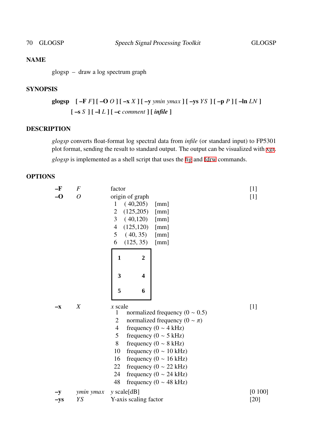<span id="page-75-0"></span>glogsp – draw a log spectrum graph

#### **SYNOPSIS**

```
glogsp [ –F F] [ –O O ] [ –x X ] [ –y ymin ymax ] [ –ys YS ] [ –p P ] [ –ln LN ]
       [ –s S ] [ –l L ] [ –c comment ] [ infile ]
```
#### DESCRIPTION

*glogsp* converts float-format log spectral data from *infile* (or standard input) to FP5301 plot format, sending the result to standard output. The output can be visualized with [xgr](#page-238-0).

*glogsp* is implemented as a shell script that uses the [fig](#page-62-0) and [fdrw](#page-52-0) commands.

#### **OPTIONS**

| $-F$          | $\overline{F}$   | factor                                                  | $[1]$   |
|---------------|------------------|---------------------------------------------------------|---------|
| -0            | $\overline{O}$   | origin of graph                                         | $[1]$   |
|               |                  | (40,205)<br>$\mathbf{1}$<br>[mm]                        |         |
|               |                  | $\overline{2}$<br>(125,205)<br>[mm]                     |         |
|               |                  | $\overline{3}$<br>(40,120)<br>[mm]                      |         |
|               |                  | $\overline{4}$<br>(125, 120)<br>[mm]                    |         |
|               |                  | 5<br>(40, 35)<br>[mm]                                   |         |
|               |                  | (125, 35)<br>6<br>[mm]                                  |         |
|               |                  | $\overline{2}$<br>$\mathbf{1}$                          |         |
|               |                  |                                                         |         |
|               |                  | $\overline{\mathbf{3}}$<br>$\overline{\mathbf{4}}$      |         |
|               |                  | 5<br>6                                                  |         |
| $-\mathbf{X}$ | $\boldsymbol{X}$ | $x$ scale                                               | $[1]$   |
|               |                  | normalized frequency ( $0 \sim 0.5$ )<br>$\mathbf 1$    |         |
|               |                  | normalized frequency ( $0 \sim \pi$ )<br>$\overline{2}$ |         |
|               |                  | frequency ( $0 \sim 4$ kHz)<br>$\overline{4}$           |         |
|               |                  | frequency ( $0 \sim 5$ kHz)<br>5                        |         |
|               |                  | 8<br>frequency ( $0 \sim 8$ kHz)                        |         |
|               |                  | 10<br>frequency ( $0 \sim 10$ kHz)                      |         |
|               |                  | frequency ( $0 \sim 16$ kHz)<br>16                      |         |
|               |                  | frequency ( $0 \sim 22$ kHz)<br>22                      |         |
|               |                  | frequency ( $0 \sim 24$ kHz)<br>24                      |         |
|               |                  | frequency ( $0 \sim 48$ kHz)<br>48                      |         |
|               | ymin ymax        | $y$ scale[dB]                                           | [0 100] |
| $-yS$         | YS               | Y-axis scaling factor                                   | $[20]$  |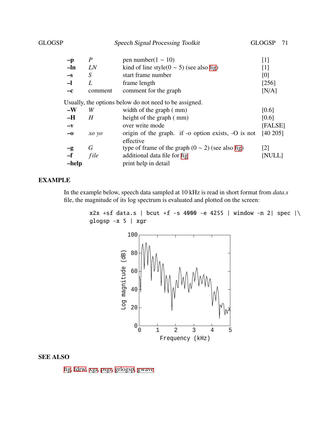| $-\mathbf{p}$ | $\boldsymbol{P}$ | pen number( $1 \sim 10$ )                                        | [1]               |
|---------------|------------------|------------------------------------------------------------------|-------------------|
| $-ln$         | LN               | kind of line style( $0 \sim 5$ ) (see also fig)                  | $[1]$             |
| $-S$          | S                | start frame number                                               | [0]               |
| $-\mathbf{l}$ | L                | frame length                                                     | [256]             |
| $-c$          | comment          | comment for the graph                                            | [N/A]             |
|               |                  | Usually, the options below do not need to be assigned.           |                   |
| $-W$          | W                | width of the graph (mm)                                          | [0.6]             |
| $-H$          | H                | height of the graph (mm)                                         | [0.6]             |
| $-\mathbf{V}$ |                  | over write mode                                                  | [FALSE]           |
| -0            | $xo$ yo          | origin of the graph. if -o option exists, -O is not<br>effective | [40 205]          |
| $-g$          | G                | type of frame of the graph $(0 \sim 2)$ (see also fig)           | $\lceil 2 \rceil$ |
| $-f$          | file             | additional data file for fig.                                    | [NULL]            |
| -help         |                  | print help in detail                                             |                   |

## EXAMPLE

In the example below, speech data sampled at 10 kHz is read in short format from *data.s* file, the magnitude of its log spectrum is evaluated and plotted on the screen:

> $x2x$  +sf data.s | bcut +f -s 4000 -e 4255 | window -n 2| spec |\ glogsp -x 5 | xgr



#### SEE ALSO

[fig](#page-62-0), [fdrw,](#page-52-0) [xgr,](#page-238-0) [psgr](#page-181-0), [grlogsp](#page-88-0), [gwave](#page-94-0)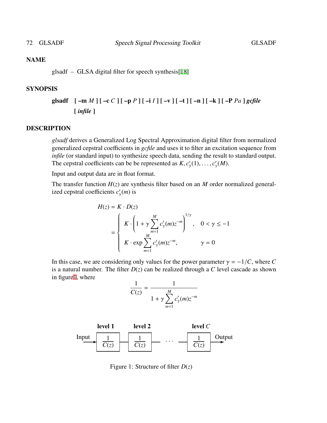<span id="page-77-0"></span>glsadf – GLSA digital filter for speech synthesis[[18\]](#page-243-0)

#### **SYNOPSIS**

# glsadf [ –m *M* ] [ –c *C* ] [ –p *P* ] [ –i *I* ] [ –v ] [ –t ] [ –n ] [ –k ] [ –P *Pa* ] *gcfile* [ *infile* ]

#### DESCRIPTION

*glsadf* derives a Generalized Log Spectral Approximation digital filter from normalized generalized cepstral coefficients in *gcfile* and uses it to filter an excitation sequence from *infile* (or standard input) to synthesize speech data, sending the result to standard output. The cepstral coefficients can be be represented as  $K$ ,  $c'_{\gamma}(1)$ , ...,  $c'_{\gamma}(M)$ .

Input and output data are in float format.

The transfer function  $H(z)$  are synthesis filter based on an *M* order normalized generalized cepstral coefficients  $c'_{\gamma}(m)$  is

$$
H(z) = K \cdot D(z)
$$
  
= 
$$
\begin{cases} K \cdot \left(1 + \gamma \sum_{m=1}^{M} c_{\gamma}'(m) z^{-m}\right)^{1/\gamma}, & 0 < \gamma \le -1 \\ K \cdot \exp \sum_{m=1}^{M} c_{\gamma}'(m) z^{-m}, & \gamma = 0 \end{cases}
$$

In this case, we are considering only values for the power parameter  $\gamma = -1/C$ , where *C* is a natural number. The filter  $D(z)$  can be realized through a C level cascade as shown in figur[e1](#page-6-0), where

$$
\frac{1}{C(z)} = \frac{1}{1 + \gamma \sum_{m=1}^{M} c_{\gamma}'(m) z^{-m}}
$$



Figure 1: Structure of filter *D*(*z*)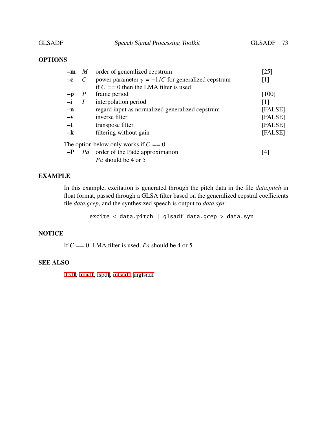## OPTIONS

| $-m$          | M                | order of generalized cepstrum                            | [25]              |
|---------------|------------------|----------------------------------------------------------|-------------------|
| $-c$          | C                | power parameter $\gamma = -1/C$ for generalized cepstrum | $\lceil 1 \rceil$ |
|               |                  | if $C = 0$ then the LMA filter is used                   |                   |
| $-\mathbf{p}$ | $\boldsymbol{P}$ | frame period                                             | $[100]$           |
| $-i$          | $\boldsymbol{I}$ | interpolation period                                     | $\lceil 1 \rceil$ |
| $-n$          |                  | regard input as normalized generalized cepstrum          | [FALSE]           |
| $-\mathbf{V}$ |                  | inverse filter                                           | [FALSE]           |
| $-t$          |                  | transpose filter                                         | [FALSE]           |
| $-k$          |                  | filtering without gain                                   | [FALSE]           |
|               |                  | The option below only works if $C = 0$ .                 |                   |
|               |                  | $-P$ <i>Pa</i> order of the Padé approximation           | [4]               |
|               |                  | Pa should be 4 or 5                                      |                   |

#### **EXAMPLE**

In this example, excitation is generated through the pitch data in the file *data.pitch* in float format, passed through a GLSA filter based on the generalized cepstral coefficients file *data.gcep*, and the synthesized speech is output to *data.syn*:

excite < data.pitch | glsadf data.gcep > data.syn

#### **NOTICE**

If  $C = 0$ , LMA filter is used, *Pa* should be 4 or 5

## SEE ALSO

[ltcdf,](#page-132-0) [lmadf,](#page-116-0) [lspdf](#page-131-0), [mlsadf](#page-166-0), [mglsadf](#page-155-0)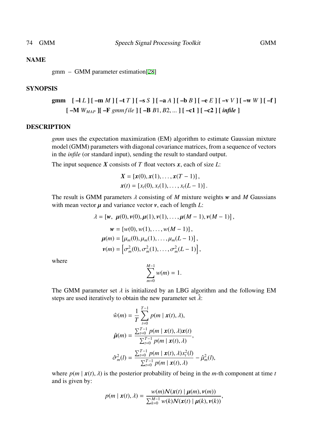<span id="page-79-0"></span>gmm – GMM parameter estimation[\[28](#page-244-0)]

#### **SYNOPSIS**

gmm  $[-L][-m M][-t T][-s S][-a A][-b B][-e E][-v V][-w W][-f]$ [ –M *WMAP* ][ –F *gmm f ile* ] [ –B *B*1, *B*2, ... ] [ –c1 ] [ –c2 ] [ *infile* ]

#### DESCRIPTION

*gmm* uses the expectation maximization (EM) algorithm to estimate Gaussian mixture model (GMM) parameters with diagonal covariance matrices, from a sequence of vectors in the *infile* (or standard input), sending the result to standard output.

The input sequence  $X$  consists of  $T$  float vectors  $x$ , each of size  $L$ :

$$
X = [x(0), x(1), \ldots, x(T-1)],
$$
  
 
$$
x(t) = [x_t(0), x_t(1), \ldots, x_t(L-1)].
$$

The result is GMM parameters  $\lambda$  consisting of *M* mixture weights *w* and *M* Gaussians with mean vector  $\mu$  and variance vector  $\nu$ , each of length  $L$ :

$$
\lambda = [w, \ \mu(0), \nu(0), \mu(1), \nu(1), \dots, \mu(M-1), \nu(M-1)],
$$

$$
w = [w(0), w(1), \dots, w(M-1)],
$$

$$
\mu(m) = [\mu_m(0), \mu_m(1), \dots, \mu_m(L-1)],
$$

$$
v(m) = [\sigma_m^2(0), \sigma_m^2(1), \dots, \sigma_m^2(L-1)],
$$

where

$$
\sum_{m=0}^{M-1} w(m) = 1.
$$

The GMM parameter set  $\lambda$  is initialized by an LBG algorithm and the following EM steps are used iteratively to obtain the new parameter set  $\hat{\lambda}$ :

$$
\hat{w}(m) = \frac{1}{T} \sum_{t=0}^{T-1} p(m \mid \mathbf{x}(t), \lambda),
$$

$$
\hat{\mu}(m) = \frac{\sum_{t=0}^{T-1} p(m \mid \mathbf{x}(t), \lambda) \mathbf{x}(t)}{\sum_{t=0}^{T-1} p(m \mid \mathbf{x}(t), \lambda)},
$$

$$
\hat{\sigma}_m^2(l) = \frac{\sum_{t=0}^{T-1} p(m \mid \mathbf{x}(t), \lambda) x_t^2(l)}{\sum_{t=0}^{T-1} p(m \mid \mathbf{x}(t), \lambda)} - \hat{\mu}_m^2(l),
$$

where  $p(m | x(t), \lambda)$  is the posterior probability of being in the *m*-th component at time *t* and is given by:

$$
p(m \mid \boldsymbol{x}(t), \lambda) = \frac{w(m) \mathcal{N}(\boldsymbol{x}(t) \mid \boldsymbol{\mu}(m), \boldsymbol{v}(m))}{\sum_{k=0}^{M-1} w(k) \mathcal{N}(\boldsymbol{x}(t) \mid \boldsymbol{\mu}(k), \boldsymbol{v}(k))},
$$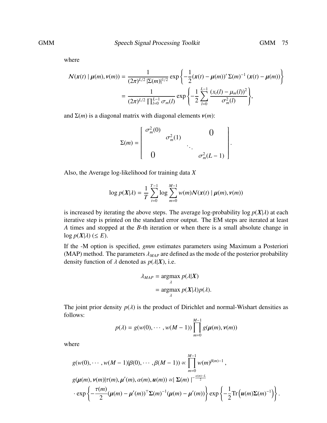where

$$
\mathcal{N}(\mathbf{x}(t) \mid \boldsymbol{\mu}(m), \boldsymbol{v}(m)) = \frac{1}{(2\pi)^{L/2} |\Sigma(m)|^{1/2}} \exp \left\{-\frac{1}{2} (\mathbf{x}(t) - \boldsymbol{\mu}(m))' \Sigma(m)^{-1} (\mathbf{x}(t) - \boldsymbol{\mu}(m))\right\}
$$

$$
= \frac{1}{(2\pi)^{L/2} \prod_{l=0}^{L-1} \sigma_m(l)} \exp \left\{-\frac{1}{2} \sum_{l=0}^{L-1} \frac{(x_l(l) - \mu_m(l))^2}{\sigma_m^2(l)}\right\},
$$

and  $\Sigma(m)$  is a diagonal matrix with diagonal elements  $v(m)$ :

$$
\Sigma(m) = \begin{bmatrix}\n\sigma_m^2(0) & & & 0 \\
\sigma_m^2(1) & & \cdots & \sigma_m^2(L-1)\n\end{bmatrix}.
$$

Also, the Average log-likelihood for training data *X*

$$
\log p(X|\lambda) = \frac{1}{T} \sum_{t=0}^{T-1} \log \sum_{m=0}^{M-1} w(m) \mathcal{N}(x(t) | \mu(m), v(m))
$$

is increased by iterating the above steps. The average log-probability log  $p(X|\lambda)$  at each iterative step is printed on the standard error output. The EM steps are iterated at least *A* times and stopped at the *B*-th iteration or when there is a small absolute change in  $\log p(X|\lambda) \leq E$ ).

If the -M option is specified, *gmm* estimates parameters using Maximum a Posteriori (MAP) method. The parameters  $\lambda_{MAP}$  are defined as the mode of the posterior probability density function of  $\lambda$  denoted as  $p(\lambda|X)$ , i.e.

$$
\lambda_{MAP} = \underset{\lambda}{\operatorname{argmax}} \ p(\lambda | X)
$$

$$
= \underset{\lambda}{\operatorname{argmax}} \ p(X | \lambda) p(\lambda).
$$

The joint prior density  $p(\lambda)$  is the product of Dirichlet and normal-Wishart densities as follows:

$$
p(\lambda) = g(w(0), \cdots, w(M-1)) \prod_{m=0}^{M-1} g(\mu(m), \nu(m))
$$

where

$$
g(w(0),\cdots,w(M-1)|\beta(0),\cdots,\beta(M-1)) \propto \prod_{m=0}^{M-1} w(m)^{\beta(m)-1},
$$
  
\n
$$
g(\boldsymbol{\mu}(m),\boldsymbol{\nu}(m)|\tau(m),\boldsymbol{\mu}'(m),\alpha(m),\boldsymbol{\mu}(m)) \propto |\Sigma(m)|^{-\frac{\alpha(m)-L}{2}}
$$
  
\n
$$
\cdot \exp\left\{-\frac{\tau(m)}{2}(\boldsymbol{\mu}(m)-\boldsymbol{\mu}'(m))^{\top}\Sigma(m)^{-1}(\boldsymbol{\mu}(m)-\boldsymbol{\mu}'(m))\right\} \exp\left\{-\frac{1}{2}\mathrm{Tr}\left(\boldsymbol{\mu}(m)\Sigma(m)^{-1}\right)\right\}.
$$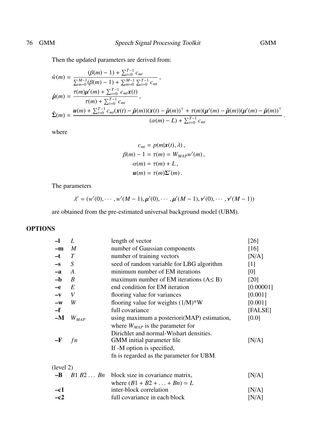Then the updated parameters are derived from:

$$
\hat{w}(m) = \frac{(\beta(m) - 1) + \sum_{t=0}^{T-1} c_{mt}}{\sum_{m=0}^{M-1} (\beta(m) - 1) + \sum_{m=0}^{M-1} \sum_{t=0}^{T-1} c_{mt}}, \n\hat{\mu}(m) = \frac{\tau(m)\mu'(m) + \sum_{t=0}^{T-1} c_{mt} \mathbf{x}(t)}{\tau(m) + \sum_{t=0}^{T-1} c_{mt}}, \n\hat{\Sigma}(m) = \frac{\mathbf{u}(m) + \sum_{t=0}^{T-1} c_{mt} (\mathbf{x}(t) - \hat{\mu}(m)) (\mathbf{x}(t) - \hat{\mu}(m))^{\top} + \tau(m) (\mu'(m) - \hat{\mu}(m)) (\mu'(m) - \hat{\mu}(m))^{\top}}{(\alpha(m) - L) + \sum_{t=0}^{T-1} c_{mt}}.
$$

where

$$
c_{mt} = p(m|\mathbf{x}(t), \lambda),
$$
  
\n
$$
\beta(m) - 1 = \tau(m) = W_{MAPW'}(m),
$$
  
\n
$$
\alpha(m) = \tau(m) + L,
$$
  
\n
$$
\mathbf{u}(m) = \tau(m)\Sigma'(m).
$$

The parameters

$$
\lambda' = (w'(0), \cdots, w'(M-1), \mu'(0), \cdots, \mu'(M-1), \nu'(0), \cdots, \nu'(M-1))
$$

are obtained from the pre-estimated universal background model (UBM).

## **OPTIONS**

| -1            | L                | length of vector                                                                                                                                | [26]      |
|---------------|------------------|-------------------------------------------------------------------------------------------------------------------------------------------------|-----------|
| $-m$          | M                | number of Gaussian components                                                                                                                   | [16]      |
| $-t$          | T                | number of training vectors                                                                                                                      | [N/A]     |
| $-S$          | S                | seed of random variable for LBG algorithm                                                                                                       | $[1]$     |
| $-a$          | $\boldsymbol{A}$ | minimum number of EM iterations                                                                                                                 | [0]       |
| $-\mathbf{b}$ | B                | maximum number of EM iterations $(A \leq B)$                                                                                                    | [20]      |
| $-e$          | E                | end condition for EM iteration                                                                                                                  | [0.00001] |
| $-\mathbf{v}$ | V                | flooring value for variances                                                                                                                    | [0.001]   |
| $-W$          | W                | flooring value for weights $(1/M)^*W$                                                                                                           | [0.001]   |
| $-f$          |                  | full covariance                                                                                                                                 | [FALSE]   |
| $-M$          | $W_{MAP}$        | using maximum a posteriori (MAP) estimation,<br>where $W_{MAP}$ is the parameter for                                                            | [0.0]     |
| $-F$          | fn               | Dirichlet and normal-Wishart densities.<br>GMM initial parameter file<br>If -M option is specified,<br>fn is regarded as the parameter for UBM. | [N/A]     |
| (level 2)     |                  |                                                                                                                                                 |           |
| $-B$          |                  | $B1 B2 \ldots Bn$ block size in covariance matrix,<br>where $(B1 + B2 +  + Bn) = L$                                                             | [N/A]     |
| -c1           |                  | inter-block correlation                                                                                                                         | [N/A]     |

–c2 full covariance in each block [N/A]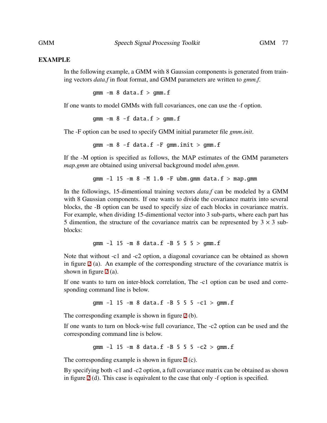#### **EXAMPLE**

In the following example, a GMM with 8 Gaussian components is generated from training vectors *data.f* in float format, and GMM parameters are written to *gmm.f*.

gmm  $-m$  8 data.f > gmm.f

If one wants to model GMMs with full covariances, one can use the -f option.

gmm  $-m$  8  $-f$  data.f > gmm.f

The -F option can be used to specify GMM initial parameter file *gmm.init*.

 $g_{mm}$  -m  $8$  -f data.f -F  $g_{mm}$ .init >  $g_{mm}$ .f

If the -M option is specified as follows, the MAP estimates of the GMM parameters *map.gmm* are obtained using universal background model *ubm.gmm*.

gmm  $-1$  15  $-m$  8  $-M$  1.0  $-F$  ubm.gmm data.f  $>$  map.gmm

In the followings, 15-dimentional training vectors *data.f* can be modeled by a GMM with 8 Gaussian components. If one wants to divide the covariance matrix into several blocks, the -B option can be used to specify size of each blocks in covariance matrix. For example, when dividing 15-dimentional vector into 3 sub-parts, where each part has 5 dimention, the structure of the covariance matrix can be represented by  $3 \times 3$  subblocks:

gmm  $-1$  15  $-m$  8 data.f  $-B$  5 5 5  $>$  gmm.f

Note that without -c1 and -c2 option, a diagonal covariance can be obtained as shown in figure [2](#page-12-0) (a). An example of the corresponding structure of the covariance matrix is shown in figure [2](#page-12-0) (a).

If one wants to turn on inter-block correlation, The -c1 option can be used and corresponding command line is below.

gmm  $-1$  15  $-m$  8 data.f  $-B$  5 5 5  $-c1$  > gmm.f

The corresponding example is shown in figure [2](#page-12-0) (b).

If one wants to turn on block-wise full covariance, The -c2 option can be used and the corresponding command line is below.

gmm  $-1$  15  $-m$  8 data.f  $-B$  5 5 5  $-c2$   $>$  gmm.f

The corresponding example is shown in figure [2](#page-12-0) (c).

By specifying both -c1 and -c2 option, a full covariance matrix can be obtained as shown in figure [2](#page-12-0) (d). This case is equivalent to the case that only -f option is specified.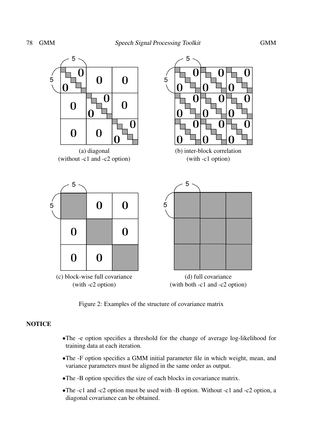



## **NOTICE**

- •The -e option specifies a threshold for the change of average log-likelihood for training data at each iteration.
- •The -F option specifies a GMM initial parameter file in which weight, mean, and variance parameters must be aligned in the same order as output.
- •The -B option specifies the size of each blocks in covariance matrix.
- •The -c1 and -c2 option must be used with -B option. Without -c1 and -c2 option, a diagonal covariance can be obtained.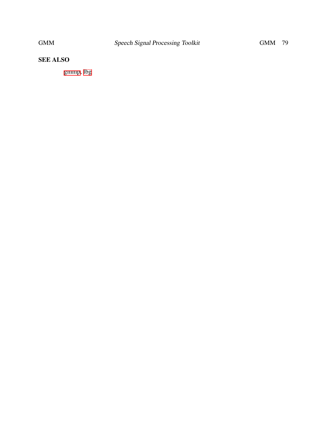## SEE ALSO

[gmmp](#page-85-0), [lbg](#page-108-0)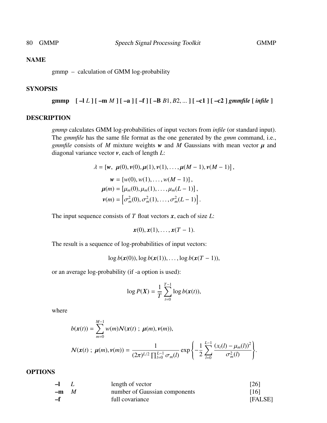<span id="page-85-0"></span>gmmp – calculation of GMM log-probability

#### **SYNOPSIS**

gmmp [ –l *L* ] [ –m *M* ] [ –a ] [ –f ] [ –B *B*1, *B*2, ... ] [ –c1 ] [ –c2 ] *gmmfile* [ *infile* ]

#### DESCRIPTION

*gmmp* calculates GMM log-probabilities of input vectors from *infile* (or standard input). The *gmmfile* has the same file format as the one generated by the *gmm* command, i.e., *gmmfile* consists of *M* mixture weights *w* and *M* Gaussians with mean vector  $\mu$  and diagonal variance vector *v*, each of length *L*:

$$
\lambda = [w, \ \mu(0), \nu(0), \mu(1), \nu(1), \dots, \mu(M-1), \nu(M-1)],
$$

$$
w = [w(0), w(1), \dots, w(M-1)],
$$

$$
\mu(m) = [\mu_m(0), \mu_m(1), \dots, \mu_m(L-1)],
$$

$$
v(m) = [\sigma_m^2(0), \sigma_m^2(1), \dots, \sigma_m^2(L-1)].
$$

The input sequence consists of *T* float vectors *x*, each of size *L*:

 $x(0), x(1), \ldots, x(T-1).$ 

The result is a sequence of log-probabilities of input vectors:

log *b*(*x*(0)), log *b*(*x*(1)), . . . , log *b*(*x*(*T* − 1)),

or an average log-probability (if -a option is used):

$$
\log P(X) = \frac{1}{T} \sum_{t=0}^{T-1} \log b(x(t)),
$$

where

$$
b(\mathbf{x}(t)) = \sum_{m=0}^{M-1} w(m) \mathcal{N}(\mathbf{x}(t) \; ; \; \mu(m), \nu(m)),
$$
  

$$
\mathcal{N}(\mathbf{x}(t) \; ; \; \mu(m), \nu(m)) = \frac{1}{(2\pi)^{L/2} \prod_{l=0}^{L-1} \sigma_m(l)} \exp \left\{-\frac{1}{2} \sum_{l=0}^{L-1} \frac{(x_l(l) - \mu_m(l))^2}{\sigma_m^2(l)}\right\}.
$$

#### **OPTIONS**

| $-1$   | length of vector              | [26]    |
|--------|-------------------------------|---------|
| $-m$ M | number of Gaussian components | [16]    |
| —ť     | full covariance               | [FALSE] |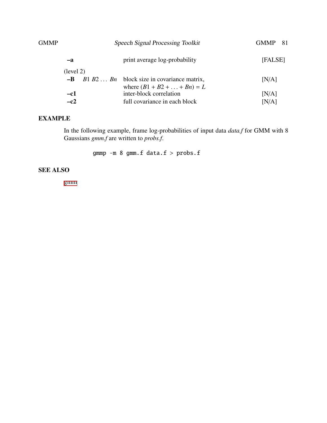| GMMP | <b>Speech Signal Processing Toolkit</b> |  |                                                    | - 81<br><b>GMMP</b> |
|------|-----------------------------------------|--|----------------------------------------------------|---------------------|
|      | $-a$                                    |  | print average log-probability                      | [FALSE]             |
|      | (level 2)                               |  |                                                    |                     |
|      | $-R$                                    |  | $B1 B2 \ldots Bn$ block size in covariance matrix, | [N/A]               |
|      |                                         |  | where $(B1 + B2 +  + Bn) = L$                      |                     |
|      | $-c1$                                   |  | inter-block correlation                            | [N/A]               |
|      | $-c2$                                   |  | full covariance in each block                      | [N/A]               |
|      |                                         |  |                                                    |                     |

## EXAMPLE

In the following example, frame log-probabilities of input data *data.f* for GMM with 8 Gaussians *gmm.f* are written to *probs.f*.

gmmp -m 8 gmm.f data.f > probs.f

#### SEE ALSO

[gmm](#page-79-0)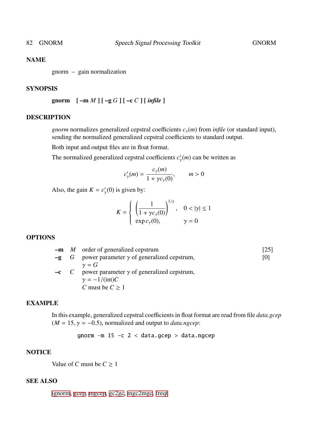gnorm – gain normalization

#### **SYNOPSIS**

gnorm  $\left[ -m M \right] \left[ -g G \right] \left[ -c C \right] \left[ \text{infile } \right]$ 

#### DESCRIPTION

*gnorm* normalizes generalized cepstral coefficients  $c_{\gamma}(m)$  from *infile* (or standard input), sending the normalized generalized cepstral coefficients to standard output.

Both input and output files are in float format.

The normalized generalized cepstral coefficients  $c'_{\gamma}(m)$  can be written as

$$
c'_{\gamma}(m) = \frac{c_{\gamma}(m)}{1 + \gamma c_{\gamma}(0)}, \qquad m > 0
$$

Also, the gain  $K = c'_{\gamma}(0)$  is given by:

$$
K = \begin{cases} \left(\frac{1}{1 + \gamma c_{\gamma}(0)}\right)^{1/\gamma}, & 0 < |\gamma| \le 1\\ \exp c_{\gamma}(0), & \gamma = 0 \end{cases}
$$

#### OPTIONS

|  | $-m$ <i>M</i> order of generalized cepstrum              | [25] |
|--|----------------------------------------------------------|------|
|  | $-g$ G power parameter $\gamma$ of generalized cepstrum, | [0]  |
|  | $\gamma = G$                                             |      |
|  | $-c$ C power parameter $\gamma$ of generalized cepstrum, |      |
|  | $\gamma = -1/$ (int)C                                    |      |
|  | C must be $C \geq 1$                                     |      |

#### EXAMPLE

In this example, generalized cepstral coefficients in float format are read from file *data.gcep*  $(M = 15, \gamma = -0.5)$ , normalized and output to *data.ngcep*:

gnorm -m 15 -c 2 < data.gcep > data.ngcep

#### **NOTICE**

Value of *C* must be  $C \geq 1$ 

#### SEE ALSO

[ignorm,](#page-103-0) [gcep](#page-73-0), [mgcep](#page-147-0), [gc2gc,](#page-71-0) [mgc2mgc,](#page-141-0) [freqt](#page-70-0)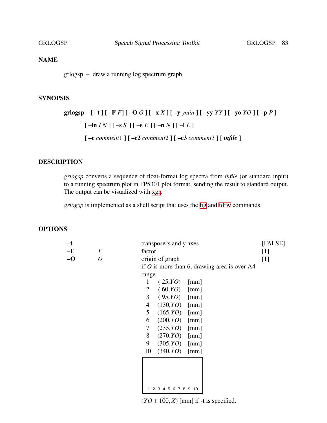<span id="page-88-0"></span>

grlogsp – draw a running log spectrum graph

#### **SYNOPSIS**

grlogsp  $[-t]$   $[-F F]$   $[-O O]$   $[-x X]$   $[-y y min]$   $[-y y Y Y]$   $[-y o Y O]$   $[-p P]$  $\left[ \begin{array}{c} -\ln LN \end{array} \right]$   $\left[ \begin{array}{c} -\mathbf{s} S \end{array} \right]$   $\left[ \begin{array}{c} -\mathbf{e} E \end{array} \right]$   $\left[ \begin{array}{c} -\mathbf{n} N \end{array} \right]$   $\left[ \begin{array}{c} -\mathbf{l} L \end{array} \right]$ [ –c *comment*1 ] [ –c2 *comment*2 ] [ –c3 *comment*3 ] [ *infile* ]

## DESCRIPTION

*grlogsp* converts a sequence of float-format log spectra from *infile* (or standard input) to a running spectrum plot in FP5301 plot format, sending the result to standard output. The output can be visualized with [xgr](#page-238-0).

*grlogsp* is implemented as a shell script that uses the [fig](#page-62-0) and [fdrw](#page-52-0) commands.

#### OPTIONS

| $-t$          |                  | transpose x and y axes                         | [FALSE] |
|---------------|------------------|------------------------------------------------|---------|
| $-F$          | $\boldsymbol{F}$ | factor                                         | $[1]$   |
| $-\mathbf{O}$ | $\overline{O}$   | origin of graph                                | $[1]$   |
|               |                  | if $O$ is more than 6, drawing area is over A4 |         |
|               |                  | range                                          |         |
|               |                  | $\mathbf{1}$<br>$(25, YO)$ [mm]                |         |
|               |                  | $\overline{2}$<br>$(60,YO)$ [mm]               |         |
|               |                  | 3 <sup>7</sup><br>$(95, YO)$ [mm]              |         |
|               |                  | $\overline{4}$<br>$(130, YO)$ [mm]             |         |
|               |                  | 5 <sup>1</sup><br>$(165, YO)$ [mm]             |         |
|               |                  | 6<br>$(200, YO)$ [mm]                          |         |
|               |                  | $\tau$<br>$(235, YO)$ [mm]                     |         |
|               |                  | 8<br>$(270, YO)$ [mm]                          |         |
|               |                  | 9<br>$(305, YO)$ [mm]                          |         |
|               |                  | 10<br>$(340, YO)$ [mm]                         |         |
|               |                  |                                                |         |
|               |                  |                                                |         |
|               |                  |                                                |         |
|               |                  |                                                |         |
|               |                  | 10<br>2<br>8<br>9<br>7<br>5<br>6<br>4          |         |

 $(YO + 100, X)$  [mm] if -t is specified.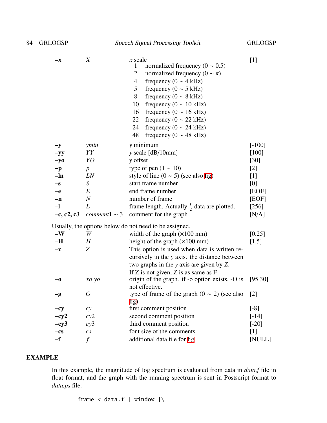| $-\mathbf{X}$                   | X                               | $x$ scale<br>normalized frequency ( $0 \sim 0.5$ )<br>1<br>normalized frequency ( $0 \sim \pi$ )<br>$\overline{2}$<br>frequency ( $0 \sim 4$ kHz)<br>$\overline{4}$<br>frequency ( $0 \sim 5$ kHz)<br>5<br>frequency ( $0 \sim 8$ kHz)<br>8<br>frequency ( $0 \sim 10$ kHz)<br>10<br>frequency ( $0 \sim 16$ kHz)<br>16<br>frequency ( $0 \sim 22$ kHz)<br>22 | $[1]$                       |
|---------------------------------|---------------------------------|---------------------------------------------------------------------------------------------------------------------------------------------------------------------------------------------------------------------------------------------------------------------------------------------------------------------------------------------------------------|-----------------------------|
|                                 |                                 | frequency ( $0 \sim 24$ kHz)<br>24<br>frequency ( $0 \sim 48$ kHz)<br>48                                                                                                                                                                                                                                                                                      |                             |
| $-\mathbf{y}$<br>$-yy$<br>$-y0$ | ymin<br>YY<br>YO                | y minimum<br>y scale $[dB/10mm]$<br>y offset                                                                                                                                                                                                                                                                                                                  | $[-100]$<br>$[100]$<br>[30] |
| $-\mathbf{p}$<br>$-\ln$         | $\boldsymbol{p}$<br>LN          | type of pen $(1 \sim 10)$<br>style of line $(0 \sim 5)$ (see also fig)                                                                                                                                                                                                                                                                                        | $[2]$                       |
| $-S$                            | $S_{\mathcal{S}}$               | start frame number                                                                                                                                                                                                                                                                                                                                            | $[1]$<br>[0]                |
| $-e$                            | E                               | end frame number                                                                                                                                                                                                                                                                                                                                              | [EOF]                       |
| $-n$                            | $\overline{N}$                  | number of frame                                                                                                                                                                                                                                                                                                                                               | [EOF]                       |
| $-\mathbf{l}$                   | L                               | frame length. Actually $\frac{L}{2}$ data are plotted.                                                                                                                                                                                                                                                                                                        | $[256]$                     |
|                                 | $-c, c2, c3$ comment $1 \sim 3$ | comment for the graph                                                                                                                                                                                                                                                                                                                                         | [N/A]                       |
|                                 |                                 | Usually, the options below do not need to be assigned.                                                                                                                                                                                                                                                                                                        |                             |
| $-W$                            | W                               | width of the graph $(\times 100$ mm)                                                                                                                                                                                                                                                                                                                          | [0.25]                      |
| -H                              | H                               | height of the graph $(\times 100$ mm)                                                                                                                                                                                                                                                                                                                         | $[1.5]$                     |
| $-\mathbf{z}$                   | Z                               | This option is used when data is written re-<br>cursively in the y axis. the distance between<br>two graphs in the $y$ axis are given by $Z$ .<br>If $Z$ is not given, $Z$ is as same as $F$                                                                                                                                                                  |                             |
| -0                              | $xo$ yo                         | origin of the graph. if -o option exists, -O is<br>not effective.                                                                                                                                                                                                                                                                                             | $[95\,30]$                  |
| -g                              | G                               | type of frame of the graph $(0 \sim 2)$ (see also [2]<br>fig)                                                                                                                                                                                                                                                                                                 |                             |
| $-cy$                           | cy                              | first comment position                                                                                                                                                                                                                                                                                                                                        | $[-8]$                      |
| $-cy2$                          | cy2                             | second comment position                                                                                                                                                                                                                                                                                                                                       | $[-14]$                     |
| $-cy3$                          | cy3                             | third comment position                                                                                                                                                                                                                                                                                                                                        | $[-20]$                     |
| $-cs$                           | cs                              | font size of the comments                                                                                                                                                                                                                                                                                                                                     | $[1]$                       |
| $-\mathbf{f}$                   | $\int$                          | additional data file for fig                                                                                                                                                                                                                                                                                                                                  | [NULL]                      |

#### EXAMPLE

In this example, the magnitude of log spectrum is evaluated from data in *data.f* file in float format, and the graph with the running spectrum is sent in Postscript format to *data.ps* file:

frame  $\langle$  data.f | window  $|\rangle$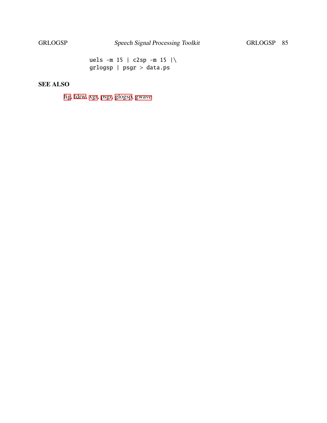uels -m 15 | c2sp -m 15 |\ grlogsp | psgr > data.ps

## SEE ALSO

[fig](#page-62-0), [fdrw,](#page-52-0) [xgr,](#page-238-0) [psgr](#page-181-0), [glogsp](#page-75-0), [gwave](#page-94-0)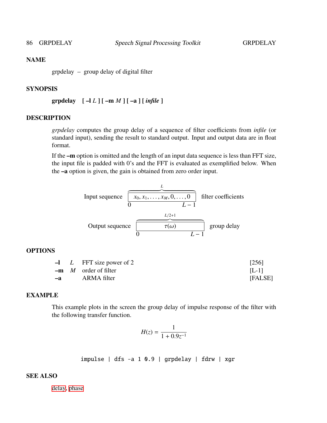grpdelay – group delay of digital filter

## **SYNOPSIS**

grpdelay [ –l *L* ] [ –m *M* ] [ –a ] [ *infile* ]

#### DESCRIPTION

*grpdelay* computes the group delay of a sequence of filter coefficients from *infile* (or standard input), sending the result to standard output. Input and output data are in float format.

If the –m option is omitted and the length of an input data sequence is less than FFT size, the input file is padded with 0's and the FFT is evaluated as exemplified below. When the –a option is given, the gain is obtained from zero order input.

Input sequence 
$$
\frac{L}{0}
$$
  
\n
$$
\frac{L}{0}
$$
  
\n
$$
L-1
$$
  
\n
$$
L/2+1
$$
  
\nOutput sequence 
$$
\frac{L/2+1}{0}
$$
  
\n
$$
\frac{L/2+1}{0}
$$
  
\n
$$
L-1
$$
  
\ngroup delay

## **OPTIONS**

|      | $-L$ FFT size power of 2      | [256]   |
|------|-------------------------------|---------|
|      | $-m$ <i>M</i> order of filter | -IL-11  |
| $-a$ | ARMA filter                   | [FALSE] |

#### EXAMPLE

This example plots in the screen the group delay of impulse response of the filter with the following transfer function.

$$
H(z) = \frac{1}{1 + 0.9z^{-1}}
$$

impulse | dfs -a 1 0.9 | grpdelay | fdrw | xgr

### SEE ALSO

[delay](#page-33-0), [phase](#page-177-0)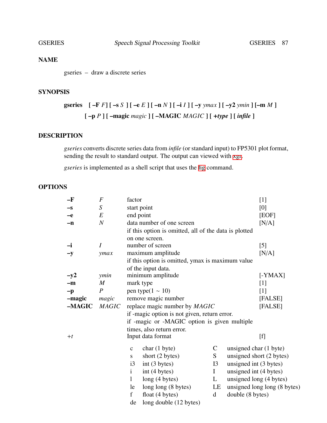gseries – draw a discrete series

## **SYNOPSIS**

# gseries [ –F *F*] [ –s *S* ] [ –e *E* ] [ –n *N* ] [ –i *I* ] [ –y *ymax* ] [ –y2 *ymin* ] [–m *M* ] [ –p *P* ] [ –magic *magic* ] [ –MAGIC *MAGIC* ] [ +*type* ] [ *infile* ]

#### DESCRIPTION

*gseries* converts discrete series data from *infile* (or standard input) to FP5301 plot format, sending the result to standard output. The output can viewed with [xgr](#page-238-0).

*gseries* is implemented as a shell script that uses the [fig](#page-62-0) command.

#### OPTIONS

| -F            | $\boldsymbol{F}$ | factor                 |                                                       |               | $[1]$                        |
|---------------|------------------|------------------------|-------------------------------------------------------|---------------|------------------------------|
| $-S$          | $\boldsymbol{S}$ |                        | start point                                           |               | [0]                          |
| $-e$          | $\boldsymbol{E}$ |                        | end point                                             |               | [EOF]                        |
| $-\mathbf{n}$ | $\boldsymbol{N}$ |                        | data number of one screen                             |               | [N/A]                        |
|               |                  |                        | if this option is omitted, all of the data is plotted |               |                              |
|               |                  |                        | on one screen.                                        |               |                              |
| -i            | $\boldsymbol{I}$ |                        | number of screen                                      |               | [5]                          |
| $-y$          | ymax             |                        | maximum amplitude                                     |               | [N/A]                        |
|               |                  |                        | if this option is omitted, ymax is maximum value      |               |                              |
|               |                  |                        | of the input data.                                    |               |                              |
| -у2           | ymin             |                        | minimum amplitude                                     |               | $[-YMAX]$                    |
| -m            | $\boldsymbol{M}$ |                        | mark type                                             |               | [1]                          |
| -p            | $\boldsymbol{P}$ | pen type $(1 \sim 10)$ |                                                       | $[1]$         |                              |
| -magic        | magic            |                        | remove magic number                                   |               | [FALSE]                      |
| -MAGIC        | <b>MAGIC</b>     |                        | replace magic number by MAGIC                         |               | [FALSE]                      |
|               |                  |                        | if -magic option is not given, return error.          |               |                              |
|               |                  |                        | if -magic or -MAGIC option is given multiple          |               |                              |
|               |                  |                        | times, also return error.                             |               |                              |
| $+t$          |                  |                        | Input data format                                     |               | $[f]$                        |
|               |                  | $\mathbf{C}$           | char $(1 \text{ byte})$                               | $\mathcal{C}$ | unsigned char (1 byte)       |
|               |                  | ${\bf S}$              | short (2 bytes)                                       | S             | unsigned short (2 bytes)     |
|               |                  | i3                     | int(3 bytes)                                          | <b>I3</b>     | unsigned int (3 bytes)       |
|               |                  | $\mathbf{i}$           | int(4 bytes)                                          | $\mathbf I$   | unsigned int (4 bytes)       |
|               |                  | 1                      | long (4 bytes)                                        | L             | unsigned long (4 bytes)      |
|               |                  | le                     | long long (8 bytes)                                   | LE            | unsigned long long (8 bytes) |
|               |                  | f                      | float (4 bytes)                                       | d             | double (8 bytes)             |
|               |                  | de                     | long double (12 bytes)                                |               |                              |
|               |                  |                        |                                                       |               |                              |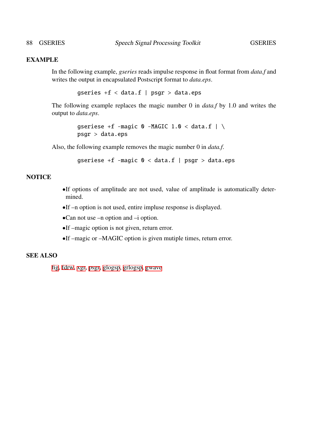#### **EXAMPLE**

In the following example, *gseries* reads impulse response in float format from *data.f* and writes the output in encapsulated Postscript format to *data.eps*.

gseries  $+f <$  data.f | psgr > data.eps

The following example replaces the magic number 0 in *data.f* by 1.0 and writes the output to *data.eps*.

> gseriese +f -magic  $\theta$  -MAGIC 1.0 < data.f | \ psgr > data.eps

Also, the following example removes the magic number 0 in *data.f*.

```
gseriese +f -magic 0 < data.f | psgr > data.eps
```
#### **NOTICE**

- •If options of amplitude are not used, value of amplitude is automatically determined.
- •If –n option is not used, entire impluse response is displayed.
- •Can not use –n option and –i option.
- •If –magic option is not given, return error.
- •If –magic or –MAGIC option is given mutiple times, return error.

#### SEE ALSO

[fig,](#page-62-0) [fdrw](#page-52-0), [xgr](#page-238-0), [psgr,](#page-181-0) [glogsp,](#page-75-0) [grlogsp](#page-88-0), [gwave](#page-94-0)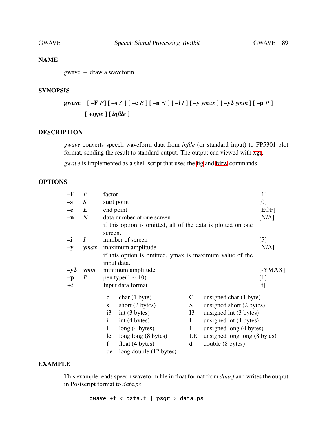<span id="page-94-0"></span>gwave – draw a waveform

#### **SYNOPSIS**

# gwave [ –F *F*] [ –s *S* ] [ –e *E* ] [ –n *N* ] [ –i *I* ] [ –y *ymax* ] [ –y2 *ymin* ] [ –p *P* ] [ +*type* ] [ *infile* ]

#### DESCRIPTION

*gwave* converts speech waveform data from *infile* (or standard input) to FP5301 plot format, sending the result to standard output. The output can viewed with [xgr](#page-238-0).

*gwave* is implemented as a shell script that uses the [fig](#page-62-0) and [fdrw](#page-52-0) commands.

#### **OPTIONS**

| $-F$          | F                | factor                                                       |              |                              | $[1]$     |
|---------------|------------------|--------------------------------------------------------------|--------------|------------------------------|-----------|
| $-S$          | S                | start point                                                  |              |                              | [0]       |
| $-e$          | E                | end point                                                    |              |                              | [EOF]     |
| $-n$          | $\boldsymbol{N}$ | data number of one screen                                    |              |                              | [N/A]     |
|               |                  | if this option is omitted, all of the data is plotted on one |              |                              |           |
|               |                  | screen.                                                      |              |                              |           |
| $-i$          | Ι                | number of screen                                             |              |                              | [5]       |
| $-y$          | ymax             | maximum amplitude                                            |              |                              | [N/A]     |
|               |                  | if this option is omitted, ymax is maximum value of the      |              |                              |           |
|               |                  | input data.                                                  |              |                              |           |
| $-y2$         | ymin             | minimum amplitude                                            |              |                              | $[-YMAX]$ |
| $-\mathbf{p}$ | $\boldsymbol{P}$ | pen type $(1 \sim 10)$                                       |              |                              | $[1]$     |
| $+t$          |                  | Input data format                                            |              |                              | [f]       |
|               |                  | char(1 byte)<br>$\mathbf{C}$                                 | $\mathsf{C}$ | unsigned char (1 byte)       |           |
|               |                  | short (2 bytes)<br>S                                         | S            | unsigned short (2 bytes)     |           |
|               |                  | int (3 bytes)<br>i3                                          | I3           | unsigned int (3 bytes)       |           |
|               |                  | $\mathbf{i}$<br>int (4 bytes)                                | I            | unsigned int (4 bytes)       |           |
|               |                  | 1<br>long (4 bytes)                                          | L            | unsigned long (4 bytes)      |           |
|               |                  | long long (8 bytes)<br>le                                    | LE           | unsigned long long (8 bytes) |           |
|               |                  | f<br>float (4 bytes)                                         | d            | double (8 bytes)             |           |
|               |                  | long double (12 bytes)<br>de                                 |              |                              |           |
|               |                  |                                                              |              |                              |           |

#### EXAMPLE

This example reads speech waveform file in float format from *data.f* and writes the output in Postscript format to *data.ps*.

gwave  $+f <$  data.f | psgr > data.ps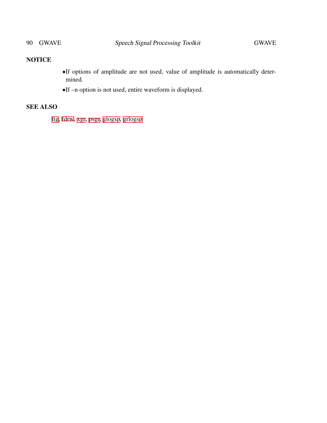## **NOTICE**

- •If options of amplitude are not used, value of amplitude is automatically determined.
- •If –n option is not used, entire waveform is displayed.

## SEE ALSO

[fig,](#page-62-0) [fdrw](#page-52-0), [xgr](#page-238-0), [psgr,](#page-181-0) [glogsp,](#page-75-0) [grlogsp](#page-88-0)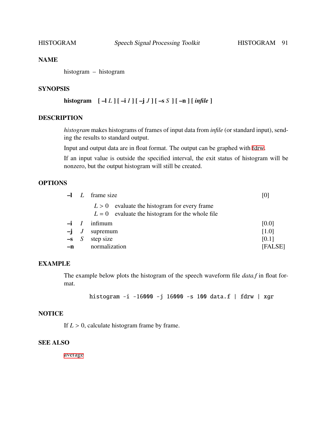histogram – histogram

#### **SYNOPSIS**

histogram [ –l *L* ] [ –i *I* ] [ –j *J* ] [ –s *S* ] [ –n ] [ *infile* ]

#### DESCRIPTION

*histogram* makes histograms of frames of input data from *infile* (or standard input), sending the results to standard output.

Input and output data are in float format. The output can be graphed with [fdrw.](#page-52-0)

If an input value is outside the specified interval, the exit status of histogram will be nonzero, but the output histogram will still be created.

## **OPTIONS**

|          | $-L$ frame size                                                                                     | [0]     |
|----------|-----------------------------------------------------------------------------------------------------|---------|
|          | $L > 0$ evaluate the histogram for every frame<br>$L = 0$ evaluate the histogram for the whole file |         |
|          | $-i$ <i>I</i> infimum                                                                               | [0.0]   |
| $-j$ J   | supremum                                                                                            | [1.0]   |
| $-S$ $S$ | step size                                                                                           | [0.1]   |
|          | $-n$ normalization                                                                                  | [FALSE] |

#### **EXAMPLE**

The example below plots the histogram of the speech waveform file *data.f* in float format.

histogram -i -16000 -j 16000 -s 100 data.f | fdrw | xgr

#### **NOTICE**

If  $L > 0$ , calculate histogram frame by frame.

#### SEE ALSO

[average](#page-13-0)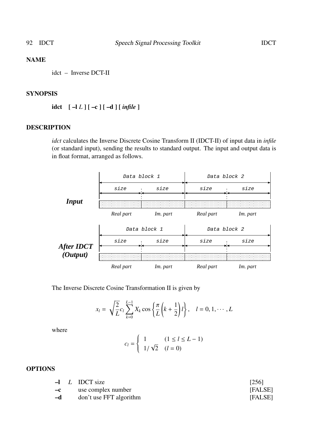idct – Inverse DCT-II

#### **SYNOPSIS**

idct [ –l *L* ] [ –c ] [ –d ] [ *infile* ]

## DESCRIPTION

*idct* calculates the Inverse Discrete Cosine Transform II (IDCT-II) of input data in *infile* (or standard input), sending the results to standard output. The input and output data is in float format, arranged as follows.

|                               |           | Data block 1 |              | Data block 2 |
|-------------------------------|-----------|--------------|--------------|--------------|
|                               | size      | size         | size         | size         |
| Input                         |           |              |              |              |
|                               | Real part | Im. part     | Real part    | Im. part     |
|                               |           | Data block 1 | Data block 2 |              |
| <b>After IDCT</b><br>(Output) | size      | size         | size         | size         |
|                               | Real part | Im. part     | Real part    | Im. part     |

The Inverse Discrete Cosine Transformation II is given by

$$
x_l = \sqrt{\frac{2}{L}} c_l \sum_{k=0}^{L-1} X_k \cos \left\{ \frac{\pi}{L} \left( k + \frac{1}{2} \right) l \right\}, \quad l = 0, 1, \cdots, L
$$

where

$$
c_l = \begin{cases} 1 & (1 \le l \le L - 1) \\ 1/\sqrt{2} & (l = 0) \end{cases}
$$

### OPTIONS

|      | $-L$ IDCT size          | [256]   |
|------|-------------------------|---------|
| $-c$ | use complex number      | [FALSE] |
| $-d$ | don't use FFT algorithm | [FALSE] |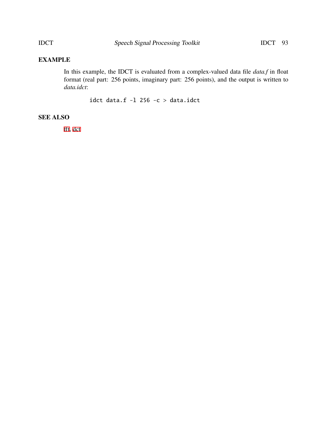## **EXAMPLE**

In this example, the IDCT is evaluated from a complex-valued data file *data.f* in float format (real part: 256 points, imaginary part: 256 points), and the output is written to *data.idct*:

idct data.f  $-1$  256  $-c$  > data.idct

#### SEE ALSO

[ff](#page-54-0)t, [dct](#page-30-0)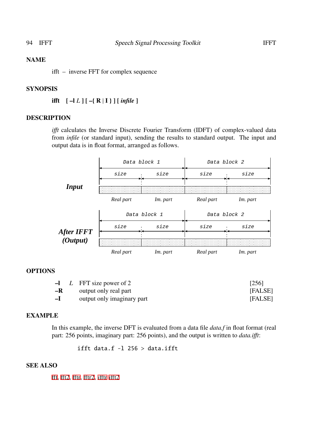<span id="page-99-0"></span>ifft – inverse FFT for complex sequence

#### **SYNOPSIS**

ifft [ –l *L* ] [ –{ R | I } ] [ *infile* ]

#### DESCRIPTION

*ifft* calculates the Inverse Discrete Fourier Transform (IDFT) of complex-valued data from *infile* (or standard input), sending the results to standard output. The input and output data is in float format, arranged as follows.



#### **OPTIONS**

|    | $-L$ FFT size power of 2   | [256]   |
|----|----------------------------|---------|
| -R | output only real part      | [FALSE] |
| —I | output only imaginary part | [FALSE] |

#### EXAMPLE

In this example, the inverse DFT is evaluated from a data file *data.f* in float format (real part: 256 points, imaginary part: 256 points), and the output is written to *data.i*ff*t*:

ifft data.f  $-1$  256  $>$  data.ifft

## SEE ALSO

[ff](#page-54-0)t, ff[t2](#page-55-0), ff[tr,](#page-59-0) ff[tr2,](#page-60-0) iff[tr](#page-102-0) iff[t2](#page-100-0)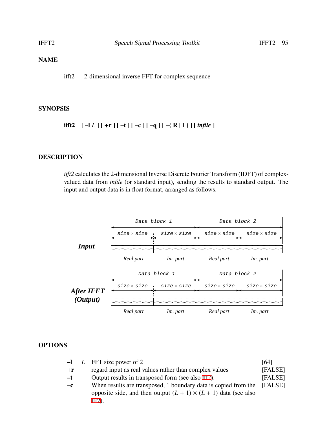<span id="page-100-0"></span>

ifft2 – 2-dimensional inverse FFT for complex sequence

#### SYNOPSIS

## ifft2 [ –l *L* ] [ +r ] [ –t ] [ –c ] [ –q ] [ –{ R | I } ] [ *infile* ]

#### DESCRIPTION

*ifft2* calculates the 2-dimensional Inverse Discrete Fourier Transform (IDFT) of complexvalued data from *infile* (or standard input), sending the results to standard output. The input and output data is in float format, arranged as follows.



#### OPTIONS

|      | $-L$ FFT size power of 2                                               | [64]    |
|------|------------------------------------------------------------------------|---------|
| $+r$ | regard input as real values rather than complex values                 | [FALSE] |
| —t   | Output results in transposed form (see also fft2).                     | [FALSE] |
| -c   | When results are transposed, 1 boundary data is copied from the        | [FALSE] |
|      | opposite side, and then output $(L + 1) \times (L + 1)$ data (see also |         |
|      | $fft2$ ).                                                              |         |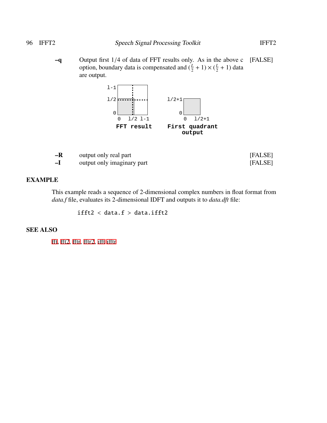–q Output first 1/4 of data of FFT results only. As in the above c [FALSE] option, boundary data is compensated and  $(\frac{L}{2} + 1) \times (\frac{L}{2})$  $\frac{L}{2}$  + 1) data are output.



| -R  | output only real part      | [FALSE] |
|-----|----------------------------|---------|
| - 1 | output only imaginary part | [FALSE] |

#### EXAMPLE

This example reads a sequence of 2-dimensional complex numbers in float format from *data.f* file, evaluates its 2-dimensional IDFT and outputs it to *data.dft* file:

 $iff12 < data.f > data.ifft2$ 

## SEE ALSO

[ff](#page-54-0)t, ff[t2](#page-55-0), ff[tr,](#page-59-0) ff[tr2,](#page-60-0) i[ff](#page-99-0)t iff[tr](#page-102-0)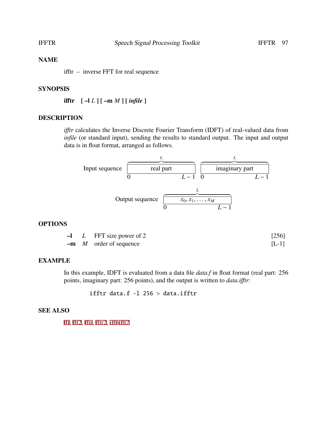<span id="page-102-0"></span>ifftr – inverse FFT for real sequence

#### **SYNOPSIS**

ifftr [ –l *L* ] [ –m *M* ] [ *infile* ]

#### DESCRIPTION

*ifftr* calculates the Inverse Discrete Fourier Transform (IDFT) of real-valued data from *infile* (or standard input), sending the results to standard output. The input and output data is in float format, arranged as follows.



#### OPTIONS

|  | $-L$ FFT size power of 2        | [256]   |
|--|---------------------------------|---------|
|  | $-m$ <i>M</i> order of sequence | $[L-1]$ |

#### EXAMPLE

In this example, IDFT is evaluated from a data file *data.f* in float format (real part: 256 points, imaginary part: 256 points), and the output is written to *data.i*ff*tr*:

ifftr data.f -l 256 > data.ifftr

#### SEE ALSO

[ff](#page-54-0)t, ff[t2,](#page-55-0) ff[tr](#page-59-0), ff[tr2,](#page-60-0) i[ff](#page-99-0)t iff[t2](#page-100-0)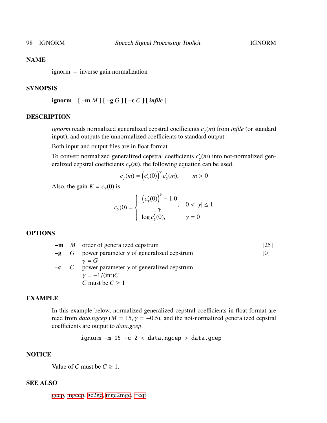<span id="page-103-0"></span>ignorm – inverse gain normalization

#### **SYNOPSIS**

ignorm [ –m *M* ] [ –g *G* ] [ –c *C* ] [ *infile* ]

#### DESCRIPTION

*ignorm* reads normalized generalized cepstral coefficients *c*γ(*m*) from *infile* (or standard input), and outputs the unnormalized coefficients to standard output.

Both input and output files are in float format.

To convert normalized generalized cepstral coefficients  $c'_{\gamma}(m)$  into not-normalized generalized cepstral coefficients  $c<sub>y</sub>(m)$ , the following equation can be used.

$$
c_{\gamma}(m) = \left(c_{\gamma}'(0)\right)^{\gamma} c_{\gamma}'(m), \qquad m > 0
$$

Also, the gain  $K = c<sub>\gamma</sub>(0)$  is

$$
c_{\gamma}(0) = \begin{cases} \frac{\left(c_{\gamma}'(0)\right)^{\gamma} - 1.0}{\gamma}, & 0 < |\gamma| \le 1\\ \log c_{\gamma}'(0), & \gamma = 0 \end{cases}
$$

#### **OPTIONS**

|  | $-m$ <i>M</i> order of generalized cepstrum             | $\lceil 25 \rceil$ |
|--|---------------------------------------------------------|--------------------|
|  | $-g$ G power parameter $\gamma$ of generalized cepstrum | [0]                |
|  | $\gamma = G$                                            |                    |
|  | $-c$ C power parameter $\gamma$ of generalized cepstrum |                    |
|  | $\gamma = -1/$ (int)C                                   |                    |
|  | C must be $C \ge 1$                                     |                    |

#### EXAMPLE

In this example below, normalized generalized cepstral coefficients in float format are read from *data.ngcep* ( $M = 15$ ,  $\gamma = -0.5$ ), and the not-normalized generalized cepstral coefficients are output to *data.gcep*.

ignorm -m 15 -c  $2 <$  data.ngcep > data.gcep

#### **NOTICE**

Value of *C* must be  $C \geq 1$ .

## SEE ALSO

[gcep,](#page-73-0) [mgcep,](#page-147-0) [gc2gc](#page-71-0), [mgc2mgc](#page-141-0), [freqt](#page-70-0)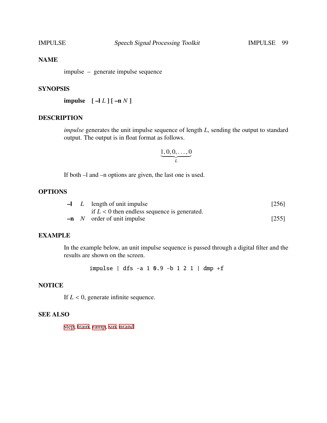impulse – generate impulse sequence

## **SYNOPSIS**

impulse [ –l *L* ] [ –n *N* ]

#### DESCRIPTION

*impulse* generates the unit impulse sequence of length *L*, sending the output to standard output. The output is in float format as follows.

$$
\underbrace{1,0,0,\ldots,0}_{L}
$$

If both –l and –n options are given, the last one is used.

## OPTIONS

|  | $-I$ L length of unit impulse                  | $\lceil 256 \rceil$ |
|--|------------------------------------------------|---------------------|
|  | if $L < 0$ then endless sequence is generated. |                     |
|  | $-n$ N order of unit impulse                   | $[255]$             |

#### EXAMPLE

In the example below, an unit impulse sequence is passed through a digital filter and the results are shown on the screen.

impulse | dfs -a 1 0.9 -b 1 2 1 | dmp +f

## **NOTICE**

If  $L < 0$ , generate infinite sequence.

#### SEE ALSO

[step](#page-203-0), [train,](#page-206-0) [ramp,](#page-183-0) [sin](#page-191-0), [nrand](#page-173-0)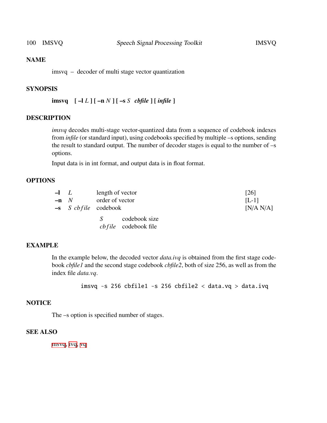<span id="page-105-0"></span>

imsvq – decoder of multi stage vector quantization

#### **SYNOPSIS**

imsvq [ –l *L* ] [ –n *N* ] [ –s *S cbfile* ] [ *infile* ]

#### DESCRIPTION

*imsvq* decodes multi-stage vector-quantized data from a sequence of codebook indexes from *infile* (or standard input), using codebooks specified by multiple –s options, sending the result to standard output. The number of decoder stages is equal to the number of –s options.

Input data is in int format, and output data is in float format.

### **OPTIONS**

| $-1$ $L$ |        | length of vector                                       | [26]      |
|----------|--------|--------------------------------------------------------|-----------|
|          | $-n$ N | order of vector                                        | $[L-1]$   |
|          |        | $-S \ S \ cbf$ change codebook                         | [N/A N/A] |
|          |        | codebook size<br>$S =$<br><i>cb file</i> codebook file |           |

#### EXAMPLE

In the example below, the decoded vector *data.ivq* is obtained from the first stage codebook *cbfile1* and the second stage codebook *cbfile2*, both of size 256, as well as from the index file *data.vq*.

imsvq -s 256 cbfile1 -s 256 cbfile2 < data.vq > data.ivq

#### **NOTICE**

The –s option is specified number of stages.

#### SEE ALSO

[msvq](#page-169-0), [ivq](#page-107-0), [vq](#page-224-0)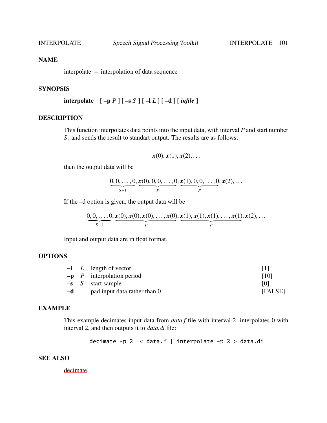interpolate – interpolation of data sequence

## **SYNOPSIS**

interpolate [ –p *P* ] [ –s *S* ] [ –l *L* ] [ –d ] [ *infile* ]

#### DESCRIPTION

This function interpolates data points into the input data, with interval *P* and start number *S* , and sends the result to standart output. The results are as follows:

$$
\mathbf{x}(0), \mathbf{x}(1), \mathbf{x}(2), \ldots
$$

then the output data will be

$$
0, 0, \ldots, 0, x(0), 0, 0, \ldots, 0, x(1), 0, 0, \ldots, 0, x(2), \ldots
$$

If the –d option is given, the output data will be

$$
0, 0, \ldots, 0, x(0), x(0), x(0), \ldots, x(0), x(1), x(1), x(1), \ldots, x(1), x(2), \ldots
$$

Input and output data are in float format.

## **OPTIONS**

|    | $-L$ length of vector              | 111     |
|----|------------------------------------|---------|
|    | $-p$ <i>P</i> interpolation period | [10]    |
|    | $-S$ S start sample                | ()      |
| -d | pad input data rather than 0       | [FALSE] |

#### **EXAMPLE**

This example decimates input data from *data.f* file with interval 2, interpolates 0 with interval 2, and then outputs it to *data.di* file:

decimate -p 2 < data.f | interpolate -p 2 > data.di

#### SEE ALSO

[decimate](#page-32-0)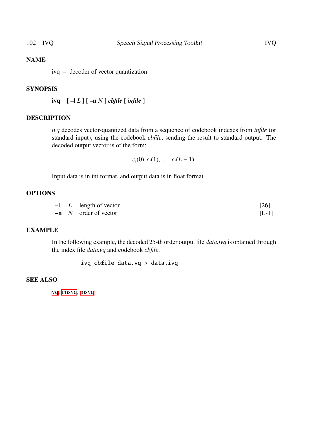<span id="page-107-0"></span>

ivq – decoder of vector quantization

#### **SYNOPSIS**

ivq [ –l *L* ] [ –n *N* ] *cbfile* [ *infile* ]

#### DESCRIPTION

*ivq* decodes vector-quantized data from a sequence of codebook indexes from *infile* (or standard input), using the codebook *cbfile*, sending the result to standard output. The decoded output vector is of the form:

 $c_i(0), c_i(1), \ldots, c_i(L-1).$ 

Input data is in int format, and output data is in float format.

#### **OPTIONS**

|  | $-L$ length of vector  | [26]    |
|--|------------------------|---------|
|  | $-n$ N order of vector | $[L-1]$ |

#### EXAMPLE

In the following example, the decoded 25-th order output file *data.ivq* is obtained through the index file *data.vq* and codebook *cbfile*.

ivq cbfile data.vq > data.ivq

#### SEE ALSO

[vq](#page-224-0), [imsvq](#page-105-0), [msvq](#page-169-0)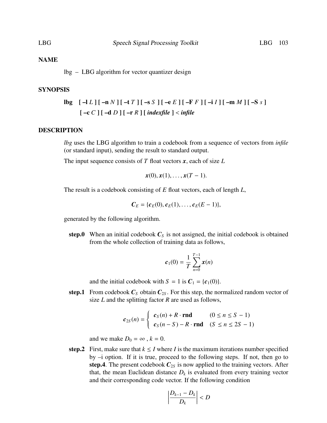lbg – LBG algorithm for vector quantizer design

#### **SYNOPSIS**

lbg [ –l *L* ] [ –n *N* ] [ –t *T* ] [ –s *S* ] [ –e *E* ] [ –F *F* ] [ –i *I* ] [ –m *M* ] [ –S *s* ] [ –c *C* ] [ –d *D* ] [ –r *R* ] [ *indexfile* ] < *infile*

#### DESCRIPTION

*lbg* uses the LBG algorithm to train a codebook from a sequence of vectors from *infile* (or standard input), sending the result to standard output.

The input sequence consists of *T* float vectors *x*, each of size *L*

$$
\mathbf{x}(0), \mathbf{x}(1), \ldots, \mathbf{x}(T-1).
$$

The result is a codebook consisting of *E* float vectors, each of length *L*,

$$
\mathbf{C}_E = {\mathbf{c}_E(0), \mathbf{c}_E(1), \ldots, \mathbf{c}_E(E-1)},
$$

generated by the following algorithm.

step.0 When an initial codebook  $C<sub>S</sub>$  is not assigned, the initial codebook is obtained from the whole collection of training data as follows,

$$
c_1(0) = \frac{1}{T} \sum_{n=0}^{T-1} x(n)
$$

and the initial codebook with  $S = 1$  is  $C_1 = \{c_1(0)\}.$ 

step.1 From codebook  $C_S$  obtain  $C_{2S}$ . For this step, the normalized random vector of size *L* and the splitting factor *R* are used as follows,

$$
c_{2S}(n) = \begin{cases} c_S(n) + R \cdot \mathbf{rnd} & (0 \le n \le S - 1) \\ c_S(n - S) - R \cdot \mathbf{rnd} & (S \le n \le 2S - 1) \end{cases}
$$

and we make  $D_0 = \infty$ ,  $k = 0$ .

step.2 First, make sure that  $k \leq I$  where *I* is the maximum iterations number specified by –i option. If it is true, proceed to the following steps. If not, then go to step.4. The present codebook  $C_{2S}$  is now applied to the training vectors. After that, the mean Euclidean distance  $D_k$  is evaluated from every training vector and their corresponding code vector. If the following condition

$$
\left|\frac{D_{k-1}-D_k}{D_k}\right|< D
$$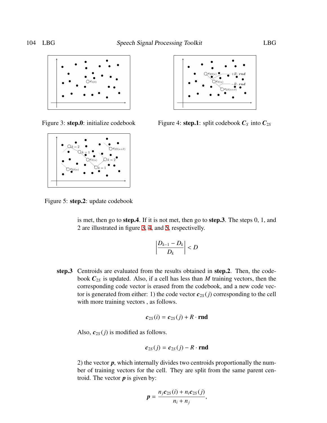



Figure 5: step.2: update codebook

<span id="page-109-0"></span>is met, then go to step.4. If it is not met, then go to step.3. The steps 0, 1, and 2 are illustrated in figure [3](#page-15-0), [4](#page-45-0), and [5,](#page-109-0) respectivelly.

$$
\left|\frac{D_{k-1}-D_k}{D_k}\right|< D
$$

step.3 Centroids are evaluated from the results obtained in step.2. Then, the codebook *C*2*<sup>S</sup>* is updated. Also, if a cell has less than *M* training vectors, then the corresponding code vector is erased from the codebook, and a new code vector is generated from either: 1) the code vector  $c_{2S}(j)$  corresponding to the cell with more training vectors , as follows.

$$
c_{2S}(i) = c_{2S}(j) + R \cdot \mathbf{rnd}
$$

Also,  $c_{2S}(j)$  is modified as follows.

$$
c_{2S}(j) = c_{2S}(j) - R \cdot \mathbf{rnd}
$$

2) the vector *p*, which internally divides two centroids proportionally the number of training vectors for the cell. They are split from the same parent centroid. The vector  $p$  is given by:

$$
p=\frac{n_jc_{2S}(i)+n_i c_{2S}(j)}{n_i+n_j},
$$



Figure 3: **step.0**: initialize codebook Figure 4: **step.1**: split codebook  $C_S$  into  $C_{2S}$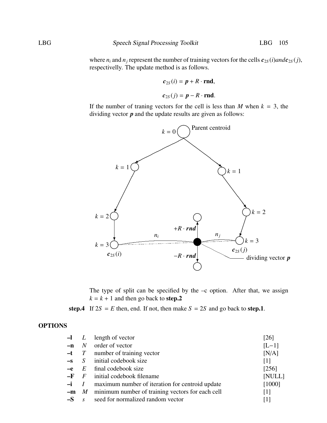where  $n_i$  and  $n_j$  represent the number of training vectors for the cells  $c_{2S}(i)$  and  $c_{2S}(j)$ , respectivelly. The update method is as follows.

$$
c_{2S}(i) = p + R \cdot \mathbf{rnd},
$$

$$
c_{2S}(j) = p - R \cdot \text{rnd.}
$$

If the number of traning vectors for the cell is less than  $M$  when  $k = 3$ , the dividing vector  $p$  and the update results are given as follows:



The type of split can be specified by the  $-c$  option. After that, we assign  $k = k + 1$  and then go back to **step.2** 

step.4 If  $2S = E$  then, end. If not, then make  $S = 2S$  and go back to step.1.

#### OPTIONS

|        | $-L$ length of vector                                  | [26]              |
|--------|--------------------------------------------------------|-------------------|
|        | $-n$ N order of vector                                 | $[L-1]$           |
|        | $-t$ T number of training vector                       | [N/A]             |
|        | $-S$ S initial codebook size                           | $\lceil 1 \rceil$ |
|        | $-e$ E final codebook size                             | [256]             |
|        | $-F$ initial codebook filename                         | [NULL]            |
|        | $-i$ I maximum number of iteration for centroid update | [1000]            |
| $-m$ M | minimum number of training vectors for each cell       | [1]               |
|        | $-S$ seed for normalized random vector                 | $\lceil 1 \rceil$ |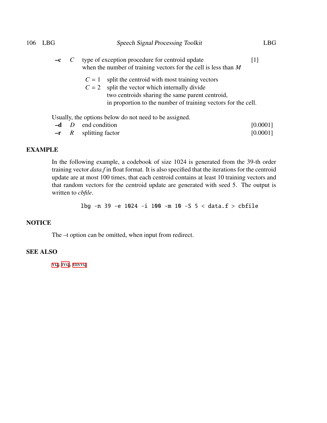| 106 | <b>LBG</b> |       | <b>Speech Signal Processing Toolkit</b>                                                                                                                                                                               |         | LBG |
|-----|------------|-------|-----------------------------------------------------------------------------------------------------------------------------------------------------------------------------------------------------------------------|---------|-----|
|     | $-c$ $C$   |       | type of exception procedure for centroid update<br>when the number of training vectors for the cell is less than $M$                                                                                                  | $\perp$ |     |
|     |            | $C=1$ | split the centroid with most training vectors<br>$C = 2$ split the vector which internally divide<br>two centroids sharing the same parent centroid,<br>in proportion to the number of training vectors for the cell. |         |     |
|     |            |       | Usually, the options below do not need to be assigned.                                                                                                                                                                |         |     |

|  | $-d$ D end condition    | [0.0001] |
|--|-------------------------|----------|
|  | $-r$ R splitting factor | [0.0001] |

In the following example, a codebook of size 1024 is generated from the 39-th order training vector *data.f* in float format. It is also specified that the iterations for the centroid update are at most 100 times, that each centroid contains at least 10 training vectors and that random vectors for the centroid update are generated with seed 5. The output is written to *cbfile*.

lbg -n 39 -e 1024 -i 100 -m 10 -S 5 < data.f > cbfile

## **NOTICE**

The –t option can be omitted, when input from redirect.

# SEE ALSO

[vq](#page-224-0), [ivq](#page-107-0), [msvq](#page-169-0)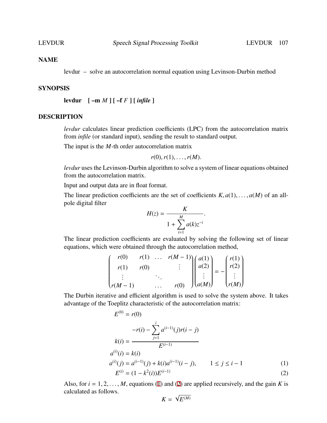<span id="page-112-1"></span>levdur – solve an autocorrelation normal equation using Levinson-Durbin method

### **SYNOPSIS**

levdur [ –m *M* ] [ –f *F* ] [ *infile* ]

#### DESCRIPTION

*levdur* calculates linear prediction coefficients (LPC) from the autocorrelation matrix from *infile* (or standard input), sending the result to standard output.

The input is the *M*-th order autocorrelation matrix

$$
r(0), r(1), \ldots, r(M).
$$

*levdur* uses the Levinson-Durbin algorithm to solve a system of linear equations obtained from the autocorrelation matrix.

Input and output data are in float format.

The linear prediction coefficients are the set of coefficients  $K$ ,  $a(1)$ , ...,  $a(M)$  of an allpole digital filter  $\overline{V}$ 

$$
H(z) = \frac{K}{1 + \sum_{i=1}^{M} a(k)z^{-i}}.
$$

The linear prediction coefficients are evaluated by solving the following set of linear equations, which were obtained through the autocorrelation method,

$$
\begin{pmatrix} r(0) & r(1) & \dots & r(M-1) \\ r(1) & r(0) & & \vdots \\ \vdots & & \ddots & \vdots \\ r(M-1) & & & \dots & r(0) \end{pmatrix} \begin{pmatrix} a(1) \\ a(2) \\ \vdots \\ a(M) \end{pmatrix} = - \begin{pmatrix} r(1) \\ r(2) \\ \vdots \\ r(M) \end{pmatrix}
$$

The Durbin iterative and efficient algorithm is used to solve the system above. It takes advantage of the Toeplitz characteristic of the autocorrelation matrix:

$$
E^{(0)} = r(0)
$$
  
\n
$$
-r(i) - \sum_{j=1}^{i} a^{(i-1)}(j)r(i-j)
$$
  
\n
$$
k(i) = \frac{E^{(i-1)}}{E^{(i-1)}}
$$
  
\n
$$
a^{(i)}(i) = k(i)
$$
  
\n
$$
a^{(i)}(j) = a^{(i-1)}(j) + k(i)a^{(i-1)}(i - j), \qquad 1 \le j \le i - 1
$$
  
\n
$$
E^{(i)} = (1 - k^{2}(i))E^{(i-1)}
$$
\n(2)

Also, for  $i = 1, 2, \ldots, M$ , equations ([1\)](#page-70-0) and ([2\)](#page-112-0) are applied recursively, and the gain *K* is calculated as follows. √

<span id="page-112-0"></span>
$$
K = \sqrt{E^{(M)}}
$$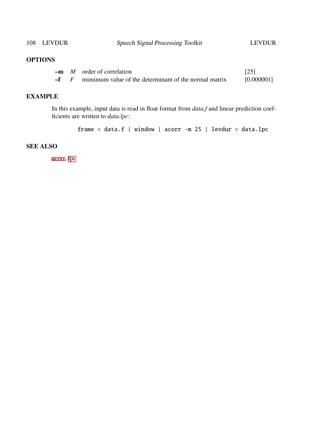| 108 | LEVDUR                           | <b>Speech Signal Processing Toolkit</b>                                       | <b>LEVDUR</b>                    |
|-----|----------------------------------|-------------------------------------------------------------------------------|----------------------------------|
|     | <b>OPTIONS</b>                   |                                                                               |                                  |
|     | $-m$ M<br>$\bm{F}$<br>$-{\bf f}$ | order of correlation<br>mimimum value of the determinant of the normal matrix | $\lceil 25 \rceil$<br>[0.000001] |

In this example, input data is read in float format from *data.f* and linear prediction coefficients are written to *data.lpc*:

frame < data.f | window | acorr -m 25 | levdur > data.lpc

# SEE ALSO

[acorr,](#page-8-0) [lpc](#page-119-0)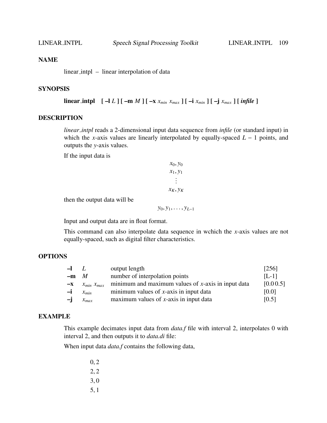linear intpl – linear interpolation of data

### **SYNOPSIS**

 $\text{linear} \text{intpl} \quad [-L] [-m M] [-x x_{\text{min}} x_{\text{max}}] [-i x_{\text{min}}] [-j x_{\text{max}}] [\text{infile}]$ 

### DESCRIPTION

*linear intpl* reads a 2-dimensional input data sequence from *infile* (or standard input) in which the *x*-axis values are linearly interpolated by equally-spaced  $L - 1$  points, and outputs the *y*-axis values.

If the input data is

$$
x_0, y_0
$$
  

$$
x_1, y_1
$$
  

$$
\vdots
$$
  

$$
x_K, y_K
$$

then the output data will be

*y*0, *y*1, . . . , *yL*−<sup>1</sup>

Input and output data are in float format.

This command can also interpolate data sequence in wchich the *x*-axis values are not equally-spaced, such as digital filter characteristics.

# **OPTIONS**

| $-1$ $L$      |                     | output length                                         | [256]    |
|---------------|---------------------|-------------------------------------------------------|----------|
| $-m$          | $\overline{M}$      | number of interpolation points                        | $[L-1]$  |
| $-\mathbf{X}$ | $x_{min}$ $x_{max}$ | minimum and maximum values of $x$ -axis in input data | [0.00.5] |
| $-i$          | $x_{min}$           | minimum values of $x$ -axis in input data             | [0.0]    |
| -i            | $x_{max}$           | maximum values of $x$ -axis in input data             | [0.5]    |

#### EXAMPLE

This example decimates input data from *data.f* file with interval 2, interpolates 0 with interval 2, and then outputs it to *data.di* file:

When input data *data.f* contains the following data,

 $0, 2$ 2, 2 3, 0 5, 1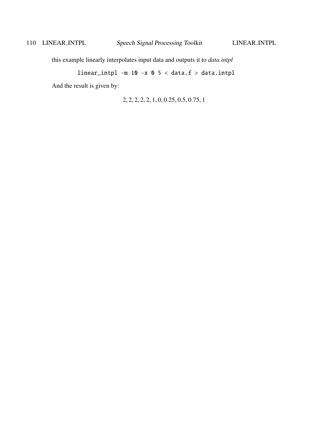this example linearly interpolates input data and outputs it to *data.intpl*

# linear\_intpl -m  $10 - x 0 5 <$  data.f > data.intpl

And the result is given by:

2, 2, 2, 2, 2, 1, 0, 0.25, 0.5, 0.75, 1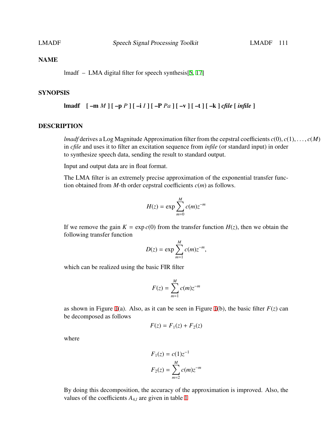lmadf – LMA digital filter for speech synthesis[[5,](#page-242-0) [17](#page-243-0)]

# **SYNOPSIS**

lmadf [ –m *M* ] [ –p *P* ] [ –i *I* ] [ –P *Pa* ] [ –v ] [ –t ] [ –k ] *cfile* [ *infile* ]

#### DESCRIPTION

*lmadf* derives a Log Magnitude Approximation filter from the cepstral coefficients  $c(0), c(1), \ldots, c(M)$ in *cfile* and uses it to filter an excitation sequence from *infile* (or standard input) in order to synthesize speech data, sending the result to standard output.

Input and output data are in float format.

The LMA filter is an extremely precise approximation of the exponential transfer function obtained from *M*-th order cepstral coefficients *c*(*m*) as follows.

$$
H(z) = \exp \sum_{m=0}^{M} c(m) z^{-m}
$$

If we remove the gain  $K = \exp c(0)$  from the transfer function  $H(z)$ , then we obtain the following transfer function

$$
D(z) = \exp \sum_{m=1}^{M} c(m) z^{-m},
$$

which can be realized using the basic FIR filter

$$
F(z) = \sum_{m=1}^{M} c(m) z^{-m}
$$

as shown in Figure [1\(](#page-6-0)a). Also, as it can be seen in Figure 1(b), the basic filter  $F(z)$  can be decomposed as follows

$$
F(z) = F_1(z) + F_2(z)
$$

where

$$
F_1(z) = c(1)z^{-1}
$$

$$
F_2(z) = \sum_{m=2}^{M} c(m)z^{-m}
$$

By doing this decomposition, the accuracy of the approximation is improved. Also, the values of the coefficients  $A_{4,l}$  are given in table [1](#page-117-0)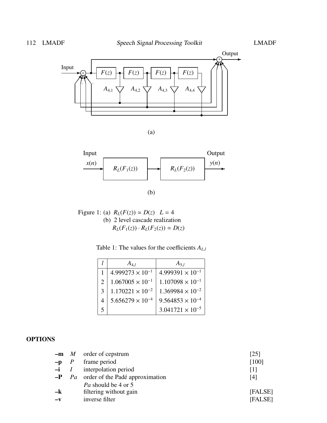

(a)



Figure 1: (a)  $R_L(F(z)) \approx D(z) L = 4$ (b) 2 level cascade realization  $R_L(F_1(z)) \cdot R_L(F_2(z)) \simeq D(z)$ 

<span id="page-117-0"></span>Table 1: The values for the coefficients  $A_{L,l}$ 

|               | $A_{41}$                  | $A_{5l}$                  |
|---------------|---------------------------|---------------------------|
|               | $4.999273 \times 10^{-1}$ | $4.999391 \times 10^{-1}$ |
| 2             | $1.067005 \times 10^{-1}$ | $1.107098 \times 10^{-1}$ |
| $\mathcal{F}$ | $1.170221 \times 10^{-2}$ | $1.369984 \times 10^{-2}$ |
| 4             | $5.656279 \times 10^{-4}$ | $9.564853 \times 10^{-4}$ |
| 5             |                           | $3.041721 \times 10^{-5}$ |

# **OPTIONS**

|               | $-m$ <i>M</i> order of cepstrum                | [25]              |
|---------------|------------------------------------------------|-------------------|
| $-p$ $P$      | frame period                                   | [100]             |
|               | $-i$ <i>I</i> interpolation period             | $\lceil 1 \rceil$ |
|               | $-P$ <i>Pa</i> order of the Padé approximation | [4]               |
|               | <i>Pa</i> should be 4 or 5                     |                   |
| $-\mathbf{k}$ | filtering without gain                         | <b>[FALSE]</b>    |
| $-\mathbf{v}$ | inverse filter                                 | [FALSE]           |
|               |                                                |                   |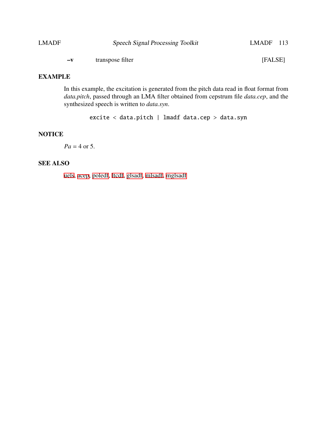| <b>LMADF</b>  | <b>Speech Signal Processing Toolkit</b> | $LMADF$ 113 |
|---------------|-----------------------------------------|-------------|
| $-\mathbf{v}$ | transpose filter                        | [FALSE]     |

In this example, the excitation is generated from the pitch data read in float format from *data.pitch*, passed through an LMA filter obtained from cepstrum file *data.cep*, and the synthesized speech is written to *data.syn*.

excite < data.pitch | lmadf data.cep > data.syn

# **NOTICE**

 $Pa = 4$  or 5.

# SEE ALSO

[uels](#page-208-0), [acep,](#page-6-1) [poledf](#page-180-0), [ltcdf](#page-132-0), [glsadf,](#page-77-0) [mlsadf](#page-166-0), [mglsadf](#page-155-0)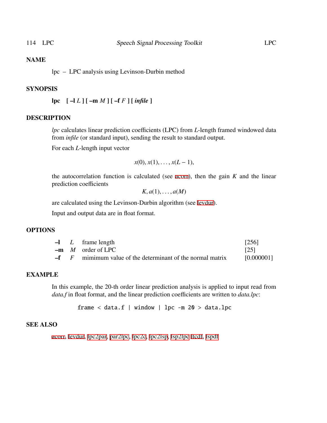<span id="page-119-0"></span>lpc – LPC analysis using Levinson-Durbin method

### **SYNOPSIS**

lpc [ –l *L* ] [ –m *M* ] [ –f *F* ] [ *infile* ]

# DESCRIPTION

*lpc* calculates linear prediction coefficients (LPC) from *L*-length framed windowed data from *infile* (or standard input), sending the result to standard output.

For each *L*-length input vector

$$
x(0), x(1), \ldots, x(L-1),
$$

the autocorrelation function is calculated (see [acorr\)](#page-8-0), then the gain  $K$  and the linear prediction coefficients

$$
K, a(1), \ldots, a(M)
$$

are calculated using the Levinson-Durbin algorithm (see [levdur\)](#page-112-1).

Input and output data are in float format.

# **OPTIONS**

|  | $-L$ frame length                                            | [256]      |
|--|--------------------------------------------------------------|------------|
|  | $-m$ <i>M</i> order of LPC                                   | [25]       |
|  | $-f$ F mimimum value of the determinant of the normal matrix | [0.000001] |

# EXAMPLE

In this example, the 20-th order linear prediction analysis is applied to input read from *data.f* in float format, and the linear prediction coefficients are written to *data.lpc*:

frame  $\langle$  data.f | window | lpc -m 20  $>$  data.lpc

# SEE ALSO

[acorr,](#page-8-0) [levdur,](#page-112-1) [lpc2par,](#page-124-0) [par2lpc,](#page-174-0) [lpc2c](#page-120-0), [lpc2lsp,](#page-122-0) [lsp2lpc](#page-126-0) [ltcdf](#page-132-0), [lspdf](#page-131-0)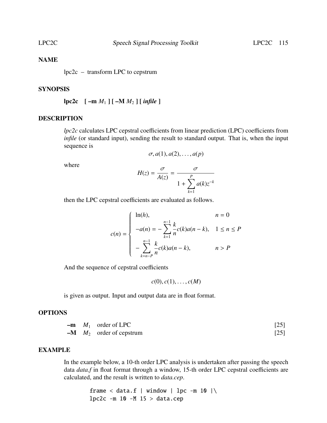<span id="page-120-0"></span>

lpc2c – transform LPC to cepstrum

#### **SYNOPSIS**

lpc2c [ –m *M*<sup>1</sup> ] [ –M *M*<sup>2</sup> ] [ *infile* ]

# DESCRIPTION

*lpc2c* calculates LPC cepstral coefficients from linear prediction (LPC) coefficients from *infile* (or standard input), sending the result to standard output. That is, when the input sequence is

$$
\sigma, a(1), a(2), \ldots, a(p)
$$

where

$$
H(z) = \frac{\sigma}{A(z)} = \frac{\sigma}{1 + \sum_{k=1}^{P} a(k)z^{-k}}
$$

then the LPC cepstral coefficients are evaluated as follows.

$$
c(n) = \begin{cases} \ln(h), & n = 0\\ -a(n) = -\sum_{k=1}^{n-1} \frac{k}{n} c(k) a(n-k), & 1 \le n \le P\\ -\sum_{k=n-P}^{n-1} \frac{k}{n} c(k) a(n-k), & n > P \end{cases}
$$

And the sequence of cepstral coefficients

$$
c(0), c(1), \ldots, c(M)
$$

is given as output. Input and output data are in float format.

### **OPTIONS**

|  | $-m$ $M_1$ order of LPC      | [25] |  |
|--|------------------------------|------|--|
|  | $-M$ $M_2$ order of cepstrum | [25] |  |

### EXAMPLE

In the example below, a 10-th order LPC analysis is undertaken after passing the speech data *data.f* in float format through a window, 15-th order LPC cepstral coefficients are calculated, and the result is written to *data.cep*.

> frame < data.f | window | lpc -m 10 |\  $lpc2c -m 10 -M 15 > data.cep$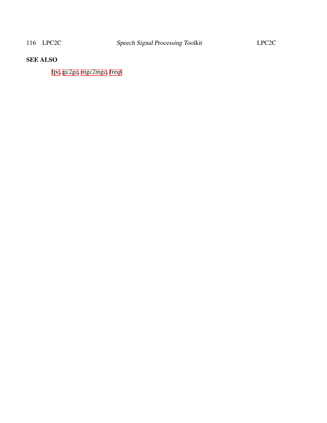# SEE ALSO

[lpc,](#page-119-0) [gc2gc](#page-71-0), [mgc2mgc](#page-141-0), [freqt](#page-70-1)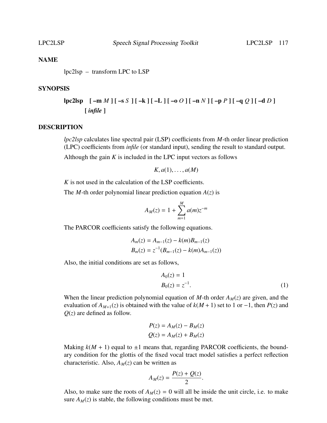<span id="page-122-0"></span>lpc2lsp – transform LPC to LSP

# **SYNOPSIS**

lpc2lsp [ –m *M* ] [ –s *S* ] [ –k ] [ –L ] [ –o *O* ] [ –n *N* ] [ –p *P* ] [ –q *Q* ] [ –d *D* ] [ *infile* ]

#### **DESCRIPTION**

*lpc2lsp* calculates line spectral pair (LSP) coefficients from *M*-th order linear prediction (LPC) coefficients from *infile* (or standard input), sending the result to standard output.

Although the gain *K* is included in the LPC input vectors as follows

$$
K, a(1), \ldots, a(M)
$$

*K* is not used in the calculation of the LSP coefficients.

The *M*-th order polynomial linear prediction equation *A*(*z*) is

$$
A_M(z) = 1 + \sum_{m=1}^{M} a(m) z^{-m}
$$

The PARCOR coefficients satisfy the following equations.

$$
A_m(z) = A_{m-1}(z) - k(m)B_{m-1}(z)
$$
  

$$
B_m(z) = z^{-1}(B_{m-1}(z) - k(m)A_{m-1}(z))
$$

Also, the initial conditions are set as follows,

$$
A_0(z) = 1 B_0(z) = z^{-1}.
$$
 (1)

When the linear prediction polynomial equation of *M*-th order  $A_M(z)$  are given, and the evaluation of  $A_{M+1}(z)$  is obtained with the value of  $k(M + 1)$  set to 1 or −1, then  $P(z)$  and *Q*(*z*) are defined as follow.

$$
P(z) = A_M(z) - B_M(z)
$$
  
 
$$
Q(z) = A_M(z) + B_M(z)
$$

Making  $k(M + 1)$  equal to  $\pm 1$  means that, regarding PARCOR coefficients, the boundary condition for the glottis of the fixed vocal tract model satisfies a perfect reflection characteristic. Also,  $A_M(z)$  can be written as

$$
A_M(z) = \frac{P(z) + Q(z)}{2}.
$$

Also, to make sure the roots of  $A_M(z) = 0$  will all be inside the unit circle, i.e. to make sure  $A_M(z)$  is stable, the following conditions must be met.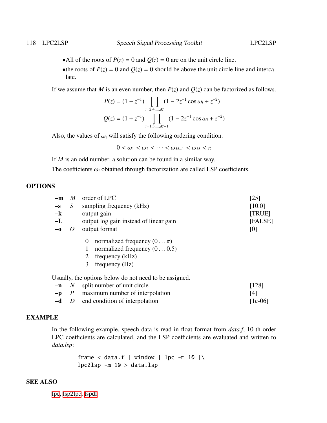- •All of the roots of  $P(z) = 0$  and  $Q(z) = 0$  are on the unit circle line.
- •the roots of  $P(z) = 0$  and  $Q(z) = 0$  should be above the unit circle line and intercalate.

If we assume that *M* is an even number, then  $P(z)$  and  $Q(z)$  can be factorized as follows.

$$
P(z) = (1 - z^{-1}) \prod_{i=2,4,\dots,M} (1 - 2z^{-1} \cos \omega_i + z^{-2})
$$
  

$$
Q(z) = (1 + z^{-1}) \prod_{i=1,3,\dots,M-1} (1 - 2z^{-1} \cos \omega_i + z^{-2})
$$

Also, the values of  $\omega_i$  will satisfy the following ordering condition.

 $0 < \omega_1 < \omega_2 < \cdots < \omega_{M-1} < \omega_M < \pi$ 

If *M* is an odd number, a solution can be found in a similar way.

The coefficients  $\omega_i$  obtained through factorization are called LSP coefficients.

# **OPTIONS**

| $-m$          | M                | order of LPC<br>[25]                                   |           |  |  |
|---------------|------------------|--------------------------------------------------------|-----------|--|--|
| $-S$          | S                | sampling frequency (kHz)                               | [10.0]    |  |  |
| $-\mathbf{k}$ |                  | output gain                                            | [TRUE]    |  |  |
| $-L$          |                  | output log gain instead of linear gain                 | [FALSE]   |  |  |
| $-0$          | $\overline{O}$   | output format                                          | [0]       |  |  |
|               |                  | normalized frequency $(0 \dots \pi)$<br>$\theta$       |           |  |  |
|               |                  | normalized frequency $(00.5)$                          |           |  |  |
|               |                  | frequency (kHz)<br>2                                   |           |  |  |
|               |                  | 3<br>frequency $(Hz)$                                  |           |  |  |
|               |                  | Usually, the options below do not need to be assigned. |           |  |  |
| $-n$          | N                | split number of unit circle                            | [128]     |  |  |
| $-p$          | $\boldsymbol{P}$ | maximum number of interpolation                        | [4]       |  |  |
| $-d$          | D                | end condition of interpolation                         | $[1e-06]$ |  |  |
|               |                  |                                                        |           |  |  |

### EXAMPLE

In the following example, speech data is read in float format from *data.f*, 10-th order LPC coefficients are calculated, and the LSP coefficients are evaluated and written to *data.lsp*:

```
frame < data.f | window | lpc -m 10 |\
lpc2lsp -m 10 > data.lsp
```
### SEE ALSO

[lpc,](#page-119-0) [lsp2lpc](#page-126-0), [lspdf](#page-131-0)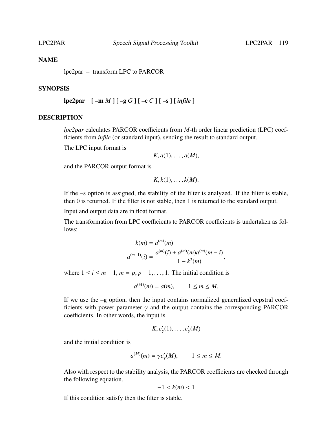<span id="page-124-0"></span>lpc2par – transform LPC to PARCOR

## **SYNOPSIS**

 $\lceil \ln 2 \cdot \ln | -m M | \rceil - g G \rceil - c C \rceil - s \rceil \text{ in file }$ 

# DESCRIPTION

*lpc2par* calculates PARCOR coefficients from *M*-th order linear prediction (LPC) coefficients from *infile* (or standard input), sending the result to standard output.

The LPC input format is

$$
K, a(1), \ldots, a(M),
$$

and the PARCOR output format is

 $K, k(1), \ldots, k(M)$ .

If the –s option is assigned, the stability of the filter is analyzed. If the filter is stable, then 0 is returned. If the filter is not stable, then 1 is returned to the standard output.

Input and output data are in float format.

The transformation from LPC coefficients to PARCOR coefficients is undertaken as follows:

$$
k(m) = a^{(m)}(m)
$$
  

$$
a^{(m-1)}(i) = \frac{a^{(m)}(i) + a^{(m)}(m)a^{(m)}(m-i)}{1 - k^2(m)},
$$

where  $1 \le i \le m-1$ ,  $m = p, p-1, \ldots, 1$ . The initial condition is

 $a^{(M)}(m) = a(m), \quad 1 \le m \le M.$ 

If we use the –g option, then the input contains normalized generalized cepstral coefficients with power parameter  $\gamma$  and the output contains the corresponding PARCOR coefficients. In other words, the input is

$$
K, c'_{\gamma}(1), \ldots, c'_{\gamma}(M)
$$

and the initial condition is

$$
a^{(M)}(m) = \gamma c'_{\gamma}(M), \qquad 1 \le m \le M.
$$

Also with respect to the stability analysis, the PARCOR coefficients are checked through the following equation.

$$
-1 < k(m) < 1
$$

If this condition satisfy then the filter is stable.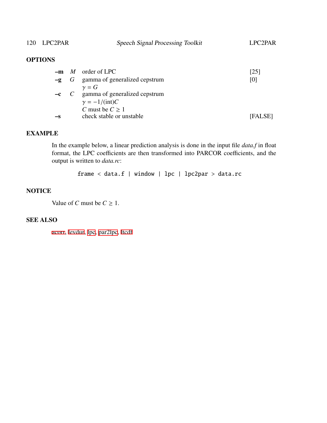| 120 | LPC2PAR        |  | <b>Speech Signal Processing Toolkit</b>                                                 | LPC2PAR |
|-----|----------------|--|-----------------------------------------------------------------------------------------|---------|
|     | <b>OPTIONS</b> |  |                                                                                         |         |
|     |                |  | $-m$ <i>M</i> order of LPC                                                              | [25]    |
|     | $-g$ $G$       |  | gamma of generalized cepstrum<br>$\gamma = G$                                           | [0]     |
|     |                |  | $-c$ $C$ gamma of generalized cepstrum<br>$\gamma = -1/$ (int)C<br>C must be $C \geq 1$ |         |
|     | -S             |  | check stable or unstable                                                                | [FALSE] |

In the example below, a linear prediction analysis is done in the input file *data.f* in float format, the LPC coefficients are then transformed into PARCOR coefficients, and the output is written to *data.rc*:

frame  $\langle$  data.f | window | lpc | lpc2par  $>$  data.rc

### **NOTICE**

Value of *C* must be  $C \geq 1$ .

# SEE ALSO

[acorr,](#page-8-0) [levdur,](#page-112-1) [lpc,](#page-119-0) [par2lpc](#page-174-0), [ltcdf](#page-132-0)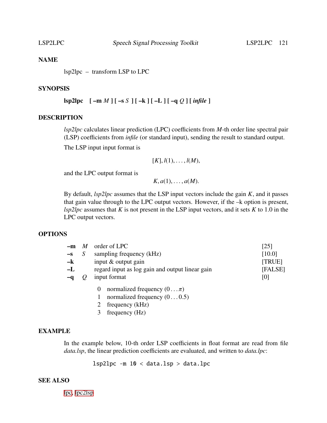<span id="page-126-0"></span>lsp2lpc – transform LSP to LPC

# **SYNOPSIS**

lsp2lpc [ –m *M* ] [ –s *S* ] [ –k ] [ –L ] [ –q *Q* ] [ *infile* ]

# DESCRIPTION

*lsp2lpc* calculates linear prediction (LPC) coefficients from *M*-th order line spectral pair (LSP) coefficients from *infile* (or standard input), sending the result to standard output. The LSP input input format is

$$
[K], l(1), \ldots, l(M),
$$

and the LPC output format is

 $K, a(1), \ldots, a(M)$ .

By default, *lsp2lpc* assumes that the LSP input vectors include the gain *K*, and it passes that gain value through to the LPC output vectors. However, if the –k option is present, *lsp2lpc* assumes that *K* is not present in the LSP input vectors, and it sets *K* to 1.0 in the LPC output vectors.

#### **OPTIONS**

| $-m$          | M | order of LPC                                               | [25]   |  |  |  |  |
|---------------|---|------------------------------------------------------------|--------|--|--|--|--|
| $-S$          |   | sampling frequency (kHz)                                   | [10.0] |  |  |  |  |
| $-\mathbf{k}$ |   | input & output gain                                        | [TRUE] |  |  |  |  |
| -L            |   | regard input as log gain and output linear gain<br>[FALSE] |        |  |  |  |  |
| -a            |   | input format                                               | [0]    |  |  |  |  |
|               |   | normalized frequency $(0 \dots \pi)$<br>$\theta$           |        |  |  |  |  |
|               |   | normalized frequency $(00.5)$                              |        |  |  |  |  |
|               |   |                                                            |        |  |  |  |  |

- 2 frequency (kHz)
- 3 frequency (Hz)

#### EXAMPLE

In the example below, 10-th order LSP coefficients in float format are read from file *data.lsp*, the linear prediction coefficients are evaluated, and written to *data.lpc*:

 $lsp2lpc -m 10 < data.lsp > data.lpc$ 

#### SEE ALSO

[lpc](#page-119-0), [lpc2lsp](#page-122-0)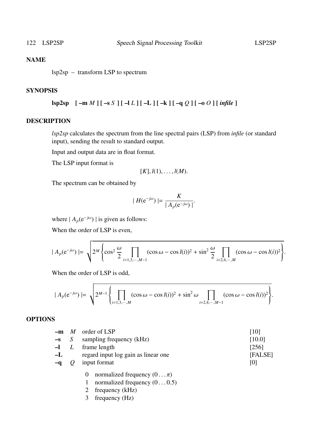lsp2sp – transform LSP to spectrum

#### **SYNOPSIS**

lsp2sp [ –m *M* ] [ –s *S* ] [ –l *L* ] [ –L ] [ –k ] [ –q *Q* ] [ –o *O* ] [ *infile* ]

# DESCRIPTION

*lsp2sp* calculates the spectrum from the line spectral pairs (LSP) from *infile* (or standard input), sending the result to standard output.

Input and output data are in float format.

The LSP input format is

$$
[K], l(1), \ldots, l(M).
$$

The spectrum can be obtained by

$$
|H(e^{-j\omega})| = \frac{K}{|A_p(e^{-j\omega})|}.
$$

where  $| A_p(e^{-j\omega}) |$  is given as follows:

When the order of LSP is even,

$$
|A_p(e^{-j\omega})| = \sqrt{2^M \left\{ \cos^2 \frac{\omega}{2} \prod_{i=1,3,\cdots,M-1} (\cos \omega - \cos l(i))^2 + \sin^2 \frac{\omega}{2} \prod_{i=2,4,\cdots,M} (\cos \omega - \cos l(i))^2 \right\}}.
$$

When the order of LSP is odd,

$$
|A_p(e^{-j\omega})| = \sqrt{2^{M-1}\left\{\prod_{i=1,3,\cdots,M}(\cos\omega - \cos l(i))^2 + \sin^2\omega \prod_{i=2,4,\cdots,M-1}(\cos\omega - \cos l(i))^2\right\}}.
$$

#### OPTIONS

| $-m$  | M        | order of LSP                        | [10]           |
|-------|----------|-------------------------------------|----------------|
|       |          | $-S$ S sampling frequency (kHz)     | [10.0]         |
|       |          | $-L$ frame length                   | [256]          |
| $-Iz$ |          | regard input log gain as linear one | <b>[FALSE]</b> |
| $-q$  | $\omega$ | input format                        | [0]            |
|       |          | 0 normalized frequency $(0 \pi)$    |                |

- 0 normalized frequency  $(0 \dots \pi)$
- 1 normalized frequency  $(0...0.5)$
- 2 frequency (kHz)
- 3 frequency (Hz)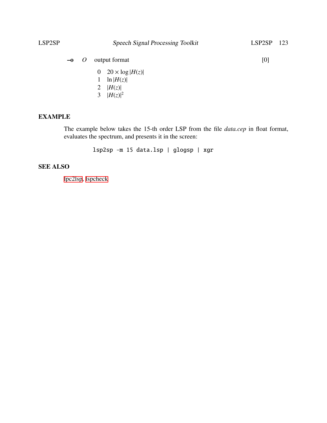–o *O* output format

[0]

- $0 \quad 20 \times \log |H(z)|$ 1  $\ln |H(z)|$
- 2  $|H(z)|$
- 3  $|H(z)|^2$

# EXAMPLE

The example below takes the 15-th order LSP from the file *data.cep* in float format, evaluates the spectrum, and presents it in the screen:

lsp2sp -m 15 data.lsp | glogsp | xgr

# SEE ALSO

[lpc2lsp](#page-122-0), [lspcheck](#page-129-0)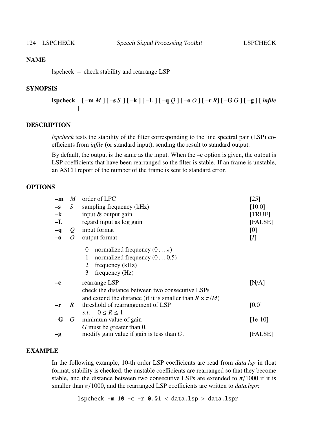<span id="page-129-0"></span>lspcheck – check stability and rearrange LSP

# **SYNOPSIS**

```
lspcheck [ –m M ] [ –s S ] [ –k ] [ –L ] [ –q Q ] [ –o O ] [ –r R] [ –G G ] [ –g ] [ infile
          ]
```
# DESCRIPTION

*lspcheck* tests the stability of the filter corresponding to the line spectral pair (LSP) coefficients from *infile* (or standard input), sending the result to standard output.

By default, the output is the same as the input. When the –c option is given, the output is LSP coefficients that have been rearranged so the filter is stable. If an frame is unstable, an ASCII report of the number of the frame is sent to standard error.

# **OPTIONS**

| $-m$          | M             | order of LPC                                                      | $[25]$    |
|---------------|---------------|-------------------------------------------------------------------|-----------|
| $-S$          | S             | sampling frequency (kHz)                                          | [10.0]    |
| $-\mathbf{k}$ |               | input & output gain                                               | [TRUE]    |
| $-L$          |               | regard input as log gain                                          | [FALSE]   |
| $-q$          | $\mathcal{Q}$ | input format                                                      | [0]       |
| $-0$          | $\bm{O}$      | output format                                                     | [I]       |
|               |               | normalized frequency $(0 \dots \pi)$<br>$\overline{0}$            |           |
|               |               | normalized frequency $(00.5)$<br>1                                |           |
|               |               | 2<br>frequency (kHz)                                              |           |
|               |               | 3<br>frequency $(Hz)$                                             |           |
| $-c$          |               | rearrange LSP                                                     | [N/A]     |
|               |               | check the distance between two consecutive LSPs                   |           |
|               |               | and extend the distance (if it is smaller than $R \times \pi/M$ ) |           |
| -r            | $\mathbb{R}$  | threshold of rearrangement of LSP                                 | [0.0]     |
|               |               | s.t. $0 \leq R \leq 1$                                            |           |
| $-G$          | G             | minimum value of gain                                             | $[1e-10]$ |
|               |               | G must be greater than 0.                                         |           |
| $-g$          |               | modify gain value if gain is less than $G$ .                      | [FALSE]   |

# EXAMPLE

In the following example, 10-th order LSP coefficients are read from *data.lsp* in float format, stability is checked, the unstable coefficients are rearranged so that they become stable, and the distance between two consecutive LSPs are extended to  $\pi/1000$  if it is smaller than π/1000, and the rearranged LSP coefficients are written to *data.lspr*:

lspcheck -m  $10$  -c -r  $0.01 <$  data.lsp > data.lspr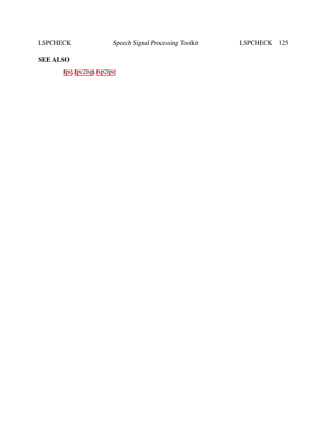# SEE ALSO

[lpc](#page-119-0), [lpc2lsp,](#page-122-0) [lsp2lpc](#page-126-0)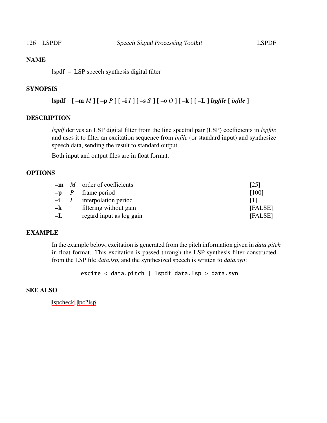<span id="page-131-0"></span>lspdf – LSP speech synthesis digital filter

### **SYNOPSIS**

lspdf [ –m *M* ] [ –p *P* ] [ –i *I* ] [ –s *S* ] [ –o *O* ] [ –k ] [ –L ] *lspfile* [ *infile* ]

# DESCRIPTION

*lspdf* derives an LSP digital filter from the line spectral pair (LSP) coefficients in *lspfile* and uses it to filter an excitation sequence from *infile* (or standard input) and synthesize speech data, sending the result to standard output.

Both input and output files are in float format.

#### **OPTIONS**

| -m       | M | order of coefficients    | [25]    |
|----------|---|--------------------------|---------|
|          |   | $-p$ $P$ frame period    | [100]   |
| $-i$ $I$ |   | interpolation period     | Ħ       |
| -k       |   | filtering without gain   | [FALSE] |
| –L       |   | regard input as log gain | [FALSE] |

### EXAMPLE

In the example below, excitation is generated from the pitch information given in *data.pitch* in float format. This excitation is passed through the LSP synthesis filter constructed from the LSP file *data.lsp*, and the synthesized speech is written to *data.syn*:

excite < data.pitch | lspdf data.lsp > data.syn

### SEE ALSO

[lspcheck,](#page-129-0) [lpc2lsp](#page-122-0)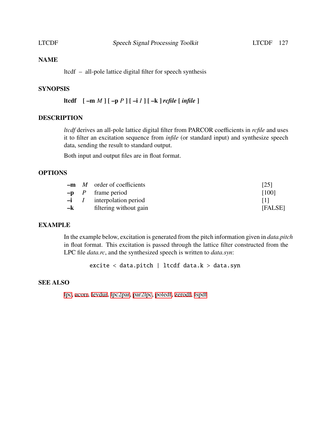<span id="page-132-0"></span>

ltcdf – all-pole lattice digital filter for speech synthesis

## **SYNOPSIS**

```
ltcdf [ –m M ] [ –p P ] [ –i I ] [ –k ] rcfile [ infile ]
```
# DESCRIPTION

*ltcdf* derives an all-pole lattice digital filter from PARCOR coefficients in *rcfile* and uses it to filter an excitation sequence from *infile* (or standard input) and synthesize speech data, sending the result to standard output.

Both input and output files are in float format.

#### **OPTIONS**

|            | $-m$ <i>M</i> order of coefficients | [25]    |
|------------|-------------------------------------|---------|
|            | $-p$ $P$ frame period               | [100]   |
|            | $-i$ I interpolation period         | 111     |
| $-{\bf k}$ | filtering without gain              | [FALSE] |

#### EXAMPLE

In the example below, excitation is generated from the pitch information given in *data.pitch* in float format. This excitation is passed through the lattice filter constructed from the LPC file *data.rc*, and the synthesized speech is written to *data.syn*:

excite < data.pitch | ltcdf data.k > data.syn

# SEE ALSO

[lpc](#page-119-0), [acorr,](#page-8-0) [levdur](#page-112-1), [lpc2par](#page-124-0), [par2lpc,](#page-174-0) [poledf](#page-180-0), [zerodf,](#page-241-0) [lspdf](#page-131-0)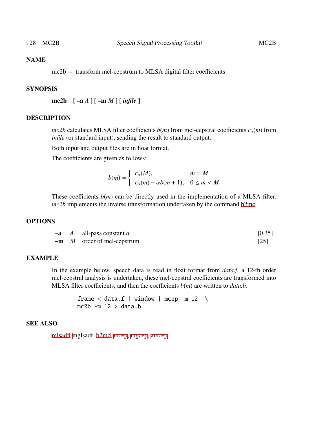mc2b – transform mel-cepstrum to MLSA digital filter coefficients

### **SYNOPSIS**

mc2b [ –a *A* ] [ –m *M* ] [ *infile* ]

# DESCRIPTION

*mc2b* calculates MLSA filter coefficients  $b(m)$  from mel-cepstral coefficients  $c<sub>\alpha</sub>(m)$  from *infile* (or standard input), sending the result to standard output.

Both input and output files are in float format.

The coefficients are given as follows:

$$
b(m) = \begin{cases} c_{\alpha}(M), & m = M \\ c_{\alpha}(m) - \alpha b(m+1), & 0 \le m < M \end{cases}
$$

These coefficients  $b(m)$  can be directly used in the implementation of a MLSA filter. *mc2b* implements the inverse transformation undertaken by the command [b2mc.](#page-14-0)

### **OPTIONS**

|  | $-a \quad A \quad \text{all-pass constant } \alpha$ | [0.35] |
|--|-----------------------------------------------------|--------|
|  | $-m$ <i>M</i> order of mel-cepstrum                 | [25]   |

# EXAMPLE

In the example below, speech data is read in float format from *data.f*, a 12-th order mel-cepstral analysis is undertaken, these mel-cepstral coefficients are transformed into MLSA filter coefficients, and then the coefficients *b*(*m*) are written to *data.b*:

> frame < data.f | window | mcep -m 12 |\  $mc2b$  -m  $12 > data.b$

# SEE ALSO

[mlsadf,](#page-166-0) [mglsadf](#page-155-0), [b2mc,](#page-14-0) [mcep,](#page-134-0) [mgcep](#page-147-0), [amcep](#page-11-0)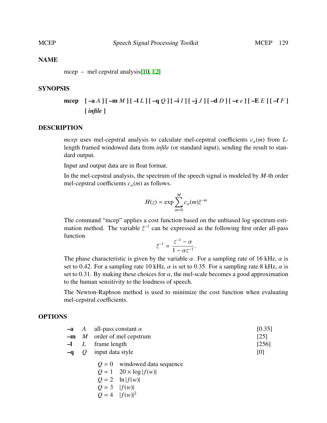<span id="page-134-0"></span>mcep – mel cepstral analysis[\[10](#page-242-1), [12](#page-242-2)]

#### SYNOPSIS

mcep [ –a *A* ] [ –m *M* ] [ –l *L* ] [ –q *Q* ] [ –i *I* ] [ –j *J* ] [ –d *D* ] [ –e *e* ] [ –E *E* ] [ –f *F* ] [ *infile* ]

#### DESCRIPTION

*mcep* uses mel-cepstral analysis to calculate mel-cepstral coefficients  $c_{\alpha}(m)$  from *L*length framed windowed data from *infile* (or standard input), sending the result to standard output.

Input and output data are in float format.

In the mel-cepstral analysis, the spectrum of the speech signal is modeled by *M*-th order mel-cepstral coefficients  $c_{\alpha}(m)$  as follows.

$$
H(z) = \exp \sum_{m=0}^{M} c_{\alpha}(m)\tilde{z}^{-m}
$$

The command "mcep" applies a cost function based on the unbiased log spectrum estimation method. The variable  $\tilde{z}^{-1}$  can be expressed as the following first order all-pass function

$$
\tilde{z}^{-1} = \frac{z^{-1} - \alpha}{1 - \alpha z^{-1}}.
$$

The phase characteristic is given by the variable  $\alpha$ . For a sampling rate of 16 kHz,  $\alpha$  is set to 0.42. For a sampling rate 10 kHz,  $\alpha$  is set to 0.35. For a sampling rate 8 kHz,  $\alpha$  is set to 0.31. By making these choices for  $\alpha$ , the mel-scale becomes a good approximation to the human sensitivity to the loudness of speech.

The Newton-Raphson method is used to minimize the cost function when evaluating mel-cepstral coefficients.

#### **OPTIONS**

|  | <b>-a</b> A all-pass constant $\alpha$ | [0.35] |
|--|----------------------------------------|--------|
|  | $-m$ <i>M</i> order of mel cepstrum    | [25]   |
|  | $-L$ frame length                      | [256]  |
|  | $-q$ Q input data style                | 101    |
|  |                                        |        |

 $Q = 0$  windowed data sequence  $Q = 1$  20 × log |  $f(w)$ |  $Q = 2 \ln |f(w)|$  $Q = 3$  | $f(w)$ |  $Q = 4$   $|f(w)|^2$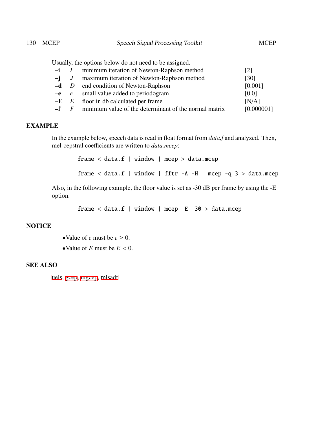|          | Usually, the options below do not need to be assigned.       |                    |
|----------|--------------------------------------------------------------|--------------------|
| $-i$ $I$ | minimum iteration of Newton-Raphson method                   | $\lceil 2 \rceil$  |
| $-i$ J   | maximum iteration of Newton-Raphson method                   | $\lceil 30 \rceil$ |
| $-d$ D   | end condition of Newton-Raphson                              | [0.001]            |
| $-e$ e   | small value added to periodogram                             | [0.0]              |
| $-E E E$ | floor in db calculated per frame                             | [N/A]              |
|          | $-f$ F minimum value of the determinant of the normal matrix | [0.000001]         |

In the example below, speech data is read in float format from *data.f* and analyzed. Then, mel-cepstral coefficients are written to *data.mcep*:

> frame  $\langle$  data.f | window | mcep  $>$  data.mcep frame  $\langle$  data.f | window | fftr -A -H | mcep -q 3  $>$  data.mcep

Also, in the following example, the floor value is set as -30 dB per frame by using the -E option.

```
frame \langle data.f | window | mcep -E -30 > data.mcep
```
#### **NOTICE**

- •Value of *e* must be  $e \geq 0$ .
- •Value of *E* must be  $E < 0$ .

# SEE ALSO

[uels](#page-208-0), [gcep,](#page-73-0) [mgcep,](#page-147-0) [mlsadf](#page-166-0)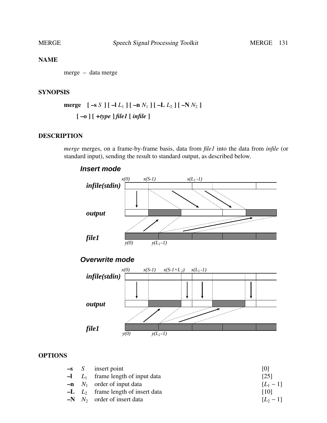merge – data merge

# **SYNOPSIS**

# merge  $[-s S]$   $[-L_L]$   $[-n N_1]$   $[-L L_2]$   $[-N N_2]$ [ –o ] [ +*type* ] *file1* [ *infile* ]

# DESCRIPTION

*merge* merges, on a frame-by-frame basis, data from *file1* into the data from *infile* (or standard input), sending the result to standard output, as described below.

# **Insert mode**



# **Overwrite mode**



# OPTIONS

|  | $-S$ S insert point                    | [0]         |
|--|----------------------------------------|-------------|
|  | $-L_1$ frame length of input data      | [25]        |
|  | $-n$ $N_1$ order of input data         | $[L_1 - 1]$ |
|  | $-L$ $L_2$ frame length of insert data | [10]        |
|  | $-N$ $N_2$ order of insert data        | $ L_2 - 1 $ |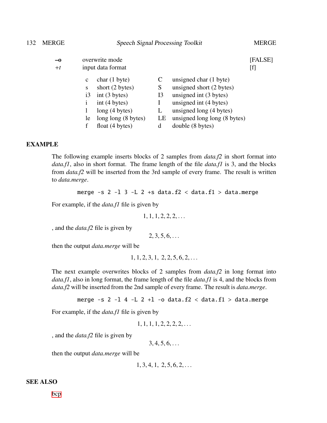| 132 MERGE | <b>Speech Signal Processing Toolkit</b> | <b>MERGE</b>    |
|-----------|-----------------------------------------|-----------------|
|           | overwrite mode                          | <b>IFAI SE1</b> |

| -0   | overwrite mode |                     |    |                              | [FALSE]                                                                                                                                                                                                                                                                                                                                                                                                                                                                                                                                                                                                                                          |  |
|------|----------------|---------------------|----|------------------------------|--------------------------------------------------------------------------------------------------------------------------------------------------------------------------------------------------------------------------------------------------------------------------------------------------------------------------------------------------------------------------------------------------------------------------------------------------------------------------------------------------------------------------------------------------------------------------------------------------------------------------------------------------|--|
| $+t$ |                | input data format   |    |                              | $[f] % \begin{center} % \includegraphics[width=\linewidth]{imagesSupplemental_3.png} % \end{center} % \caption { % Our method can be used for the use of the image. % Note that the \emph{DefNet} and the \emph{DefNet} can be used for the \emph{DefNet} and the \emph{DefNet} can be used for the \emph{DefNet} and the \emph{DefNet} can be used for the \emph{DefNet} and the \emph{DefNet} can be used for the \emph{DefNet} and the \emph{DefNet} can be used for the \emph{DefNet} and the \emph{DefNet} can be used for the \emph{DefNet} and the \emph{DefNet} can be used for the \emph{DefNet} and the \emph{DefNet} can be used for$ |  |
|      | $\mathbf c$    | char(1 byte)        |    | unsigned char (1 byte)       |                                                                                                                                                                                                                                                                                                                                                                                                                                                                                                                                                                                                                                                  |  |
|      | S              | short (2 bytes)     | S  | unsigned short (2 bytes)     |                                                                                                                                                                                                                                                                                                                                                                                                                                                                                                                                                                                                                                                  |  |
|      | i3             | int (3 bytes)       | 13 | unsigned int (3 bytes)       |                                                                                                                                                                                                                                                                                                                                                                                                                                                                                                                                                                                                                                                  |  |
|      | $\mathbf{1}$   | int(4 bytes)        |    | unsigned int (4 bytes)       |                                                                                                                                                                                                                                                                                                                                                                                                                                                                                                                                                                                                                                                  |  |
|      |                | long(4 bytes)       | L  | unsigned long (4 bytes)      |                                                                                                                                                                                                                                                                                                                                                                                                                                                                                                                                                                                                                                                  |  |
|      | le.            | long long (8 bytes) | LE | unsigned long long (8 bytes) |                                                                                                                                                                                                                                                                                                                                                                                                                                                                                                                                                                                                                                                  |  |
|      |                | float (4 bytes)     | d  | double (8 bytes)             |                                                                                                                                                                                                                                                                                                                                                                                                                                                                                                                                                                                                                                                  |  |

The following example inserts blocks of 2 samples from *data.f2* in short format into *data.f1*, also in short format. The frame length of the file *data.f1* is 3, and the blocks from *data.f2* will be inserted from the 3rd sample of every frame. The result is written to *data.merge*.

merge -s 2 -l 3 -L 2 +s data.f2 < data.f1 > data.merge

For example, if the *data.f1* file is given by

 $1, 1, 1, 2, 2, 2, \ldots$ 

, and the *data.f2* file is given by

 $2, 3, 5, 6, \ldots$ 

then the output *data.merge* will be

 $1, 1, 2, 3, 1, 2, 2, 5, 6, 2, \ldots$ 

The next example overwrites blocks of 2 samples from *data.f2* in long format into *data.f1*, also in long format, the frame length of the file *data.f1* is 4, and the blocks from *data.f2* will be inserted from the 2nd sample of every frame. The result is *data.merge*.

merge -s 2 -l 4 -L 2 +l -o data.f2 < data.f1 > data.merge

For example, if the *data.f1* file is given by

$$
1, 1, 1, 1, 2, 2, 2, 2, \ldots
$$

, and the *data.f2* file is given by

 $3, 4, 5, 6, \ldots$ 

then the output *data.merge* will be

 $1, 3, 4, 1, 2, 5, 6, 2, \ldots$ 

### SEE ALSO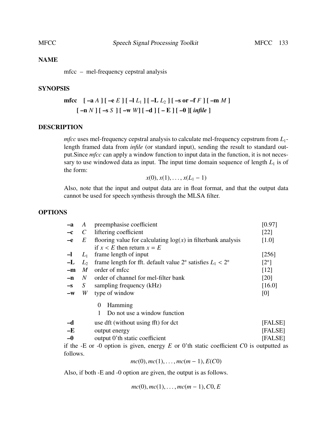mfcc – mel-frequency cepstral analysis

# **SYNOPSIS**

\n
$$
\text{mfcc} \quad \left[ -a \, A \right] \left[ -e \, E \right] \left[ -l \, L_1 \right] \left[ -L \, L_2 \right] \left[ -s \text{ or } -f \, F \right] \left[ -m \, M \right]
$$
\n

\n\n $\left[ -n \, N \right] \left[ -s \, S \right] \left[ -w \, W \right] \left[ -d \right] \left[ -E \right] \left[ -0 \right] \left[ \text{infile} \right]$ \n

# **DESCRIPTION**

*mfcc* uses mel-frequency cepstral analysis to calculate mel-frequency cepstrum from  $L_1$ length framed data from *infile* (or standard input), sending the result to standard output.Since *mfcc* can apply a window function to input data in the function, it is not necessary to use windowed data as input. The input time domain sequence of length  $L_1$  is of the form:

$$
x(0), x(1), \ldots, x(L_1-1)
$$

Also, note that the input and output data are in float format, and that the output data cannot be used for speech synthesis through the MLSA filter.

# OPTIONS

| $-a$          | A                 | preemphasise coefficient                                        | [0.97]  |
|---------------|-------------------|-----------------------------------------------------------------|---------|
| $-c$          | C                 | liftering coefficient                                           | [22]    |
| $-e$          | E                 | flooring value for calculating $log(x)$ in filterbank analysis  | [1.0]   |
|               |                   | if $x \leq E$ then return $x = E$                               |         |
| $-\mathbf{l}$ | $L_1$             | frame length of input                                           | [256]   |
| $-L$          | $\mathcal{L}_{2}$ | frame length for fft. default value $2^n$ satisfies $L_1 < 2^n$ | $[2^n]$ |
| $-m$          | M                 | order of mfcc                                                   | [12]    |
| $-\mathbf{n}$ | N                 | order of channel for mel-filter bank                            | [20]    |
| $-S$          | $S_{\rm}$         | sampling frequency (kHz)                                        | [16.0]  |
| $-W$          | W                 | type of window                                                  | [0]     |
|               |                   | Hamming<br>$\theta$                                             |         |
|               |                   | Do not use a window function                                    |         |
| $-d$          |                   | use dft (without using fft) for dct                             | [FALSE] |
| $-E$          |                   | output energy                                                   | [FALSE] |
| $-0$          |                   | output 0'th static coefficient                                  | [FALSE] |
| $C_{\ell+1}$  |                   | $\mathbf{A}$<br>$\alpha$ , $\alpha$ ,                           |         |

if the -E or -0 option is given, energy *E* or 0'th static coefficient *C*0 is outputted as follows.

*mc*(0), *mc*(1), . . . , *mc*(*m* − 1), *E*(*C*0)

Also, if both -E and -0 option are given, the output is as follows.

*mc*(0), *mc*(1), . . . , *mc*(*m* − 1),*C*0, *E*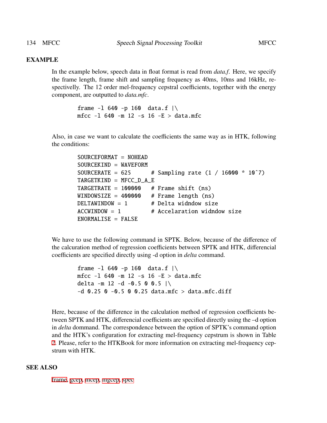In the example below, speech data in float format is read from *data.f*. Here, we specify the frame length, frame shift and sampling frequency as 40ms, 10ms and 16kHz, respectivelly. The 12 order mel-frequency cepstral coefficients, together with the energy component, are outputted to *data.mfc*.

> frame  $-1$  640  $-p$  160 data.f  $|\rangle$ mfcc  $-1$  640  $-m$  12  $-s$  16  $-E >$  data.mfc

Also, in case we want to calculate the coefficients the same way as in HTK, following the conditions:

```
SOURCEFORMAT = NOHEAD
SOURCEKIND = WAVEFORMSOURCERATE = 625 # Sampling rate (1 / 16000 * 10ˆ7)
TARGETKIND = MFCC D A E
TARGETRATE = 100000 # Frame shift (ns)
WINDOWSIZE = 400000 # Frame length (ns)
DELTAWINDOW = 1 # Delta widndow size
ACCWINDOW = 1 # Accelaration widthdown sizeENORMALISE = FALSE
```
We have to use the following command in SPTK. Below, because of the difference of the calcuration method of regression coefficients between SPTK and HTK, differencial coefficients are specified directly using -d option in *delta* command.

```
frame -1 640 -p 160 data.f |\n\|mfcc -l 640 -m 12 -s 16 -E > data.mfc
delta -m 12 -d -0.5 0 0.5 \cup-d 0.25 0 -0.5 0 0.25 data.mfc > data.mfc.diff
```
Here, because of the difference in the calculation method of regression coefficients between SPTK and HTK, differencial coefficients are specified directly using the –d option in *delta* dommand. The correspondence between the option of SPTK's command option and the HTK's configuration for extracting mel-frequency cepstrum is shown in Table [2](#page-140-0). Please, refer to the HTKBook for more information on extracting mel-frequency cepstrum with HTK.

#### SEE ALSO

[frame](#page-69-0), [gcep,](#page-73-0) [mcep](#page-134-0), [mgcep](#page-147-0), [spec](#page-200-0)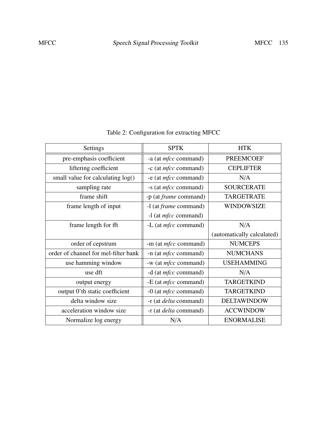<span id="page-140-0"></span>Table 2: Configuration for extracting MFCC

| Settings                             | <b>SPTK</b>                   | <b>HTK</b>                 |  |
|--------------------------------------|-------------------------------|----------------------------|--|
| pre-emphasis coefficient             | -a (at <i>mfcc</i> command)   | <b>PREEMCOEF</b>           |  |
| liftering coefficient                | -c (at <i>mfcc</i> command)   | <b>CEPLIFTER</b>           |  |
| small value for calculating log()    | -e (at <i>mfcc</i> command)   | N/A                        |  |
| sampling rate                        | -s (at <i>mfcc</i> command)   | <b>SOURCERATE</b>          |  |
| frame shift                          | -p (at <i>frame</i> command)  | <b>TARGETRATE</b>          |  |
| frame length of input                | -1 (at <i>frame</i> command)  | WINDOWSIZE                 |  |
|                                      | $-1$ (at <i>mfcc</i> command) |                            |  |
| frame length for fft                 | -L (at $m\bar{f}cc$ command)  | N/A                        |  |
|                                      |                               | (automatically calculated) |  |
| order of cepstrum                    | -m (at <i>mfcc</i> command)   | <b>NUMCEPS</b>             |  |
| order of channel for mel-filter bank | -n (at <i>mfcc</i> command)   | <b>NUMCHANS</b>            |  |
| use hamming window                   | -w (at <i>mfcc</i> command)   | <b>USEHAMMING</b>          |  |
| use dft                              | -d (at <i>mfcc</i> command)   | N/A                        |  |
| output energy                        | -E (at $m\bar{f}cc$ command)  | <b>TARGETKIND</b>          |  |
| output 0'th static coefficient       | $-0$ (at <i>mfcc</i> command) | <b>TARGETKIND</b>          |  |
| delta window size                    | -r (at <i>delta</i> command)  | <b>DELTAWINDOW</b>         |  |
| acceleration window size             | -r (at <i>delta</i> command)  | <b>ACCWINDOW</b>           |  |
| Normalize log energy                 | N/A                           | <b>ENORMALISE</b>          |  |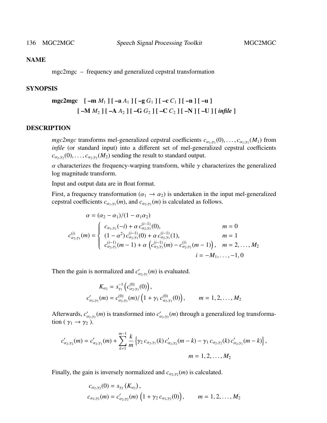<span id="page-141-0"></span>mgc2mgc – frequency and generalized cepstral transformation

#### SYNOPSIS

mgc2mgc [ –m *M*<sup>1</sup> ] [ –a *A*<sup>1</sup> ] [ –g *G*<sup>1</sup> ] [ –c *C*<sup>1</sup> ] [ –n ] [ –u ]  $[-M M_2]$   $[-A A_2]$   $[-G G_2]$   $[-C C_2]$   $[-N]$   $[-U]$   $[infile]$ 

#### DESCRIPTION

*mgc2mgc* transforms mel-generalized cepstral coefficients  $c_{\alpha_1,\gamma_1}(0), \ldots, c_{\alpha_1,\gamma_1}(M_1)$  from *infile* (or standard input) into a different set of mel-generalized cepstral coefficients  $c_{\alpha_2,\gamma_2}(0), \ldots, c_{\alpha_2,\gamma_2}(M_2)$  sending the result to standard output.

α characterizes the frequency-warping transform, while γ characterizes the generalized log magnitude transform.

Input and output data are in float format.

First, a frequency transformation ( $\alpha_1 \rightarrow \alpha_2$ ) is undertaken in the input mel-generalized cepstral coefficients  $c_{\alpha_1, \gamma_1}(m)$ , and  $c_{\alpha_2, \gamma_1}(m)$  is calculated as follows.

$$
\alpha = (\alpha_2 - \alpha_1)/(1 - \alpha_1 \alpha_2)
$$
\n
$$
c_{\alpha_2, \gamma_1}^{(i)}(m) = \begin{cases}\nc_{\alpha_1, \gamma_1}(-i) + \alpha c_{\alpha_2, \gamma_1}^{(i-1)}(0), & m = 0 \\
(1 - \alpha^2) c_{\alpha_2, \gamma_1}^{(i-1)}(0) + \alpha c_{\alpha_2, \gamma_1}^{(i-1)}(1), & m = 1 \\
c_{\alpha_2, \gamma_1}^{(i-1)}(m-1) + \alpha \left(c_{\alpha_2, \gamma_1}^{(i-1)}(m) - c_{\alpha_2, \gamma_1}^{(i)}(m-1)\right), & m = 2, \dots, M_2 \\
i = -M_1, \dots, -1, 0\n\end{cases}
$$

Then the gain is normalized and  $c'_{\alpha_2, \gamma_1}(m)$  is evaluated.

$$
K_{\alpha_2} = s_{\gamma_1}^{-1} \left( c_{\alpha_2, \gamma_1}^{(0)}(0) \right),
$$
  
\n
$$
c_{\alpha_2, \gamma_1}^{\prime}(m) = c_{\alpha_2, \gamma_1}^{(0)}(m) / \left( 1 + \gamma_1 c_{\alpha_2, \gamma_1}^{(0)}(0) \right), \qquad m = 1, 2, ..., M_2
$$

Afterwards,  $c'_{\alpha_2,\gamma_1}(m)$  is transformed into  $c'_{\alpha_2,\gamma_2}(m)$  through a generalized log transformation ( $\gamma_1 \rightarrow \gamma_2$ ).

$$
c'_{\alpha_2,\gamma_2}(m) = c'_{\alpha_2,\gamma_1}(m) + \sum_{k=1}^{m-1} \frac{k}{m} \left\{ \gamma_2 \, c_{\alpha_2,\gamma_1}(k) \, c'_{\alpha_2,\gamma_2}(m-k) - \gamma_1 \, c_{\alpha_2,\gamma_2}(k) \, c'_{\alpha_2,\gamma_1}(m-k) \right\},
$$
  
\n
$$
m = 1, 2, \ldots, M_2
$$

Finally, the gain is inversely normalized and  $c_{\alpha_2, \gamma_2}(m)$  is calculated.

$$
c_{\alpha_2,\gamma_2}(0) = s_{\gamma_2}(K_{\alpha_2}),
$$
  
\n
$$
c_{\alpha_2,\gamma_2}(m) = c'_{\alpha_2,\gamma_2}(m) \left(1 + \gamma_2 c_{\alpha_2,\gamma_2}(0)\right), \qquad m = 1, 2, ..., M_2
$$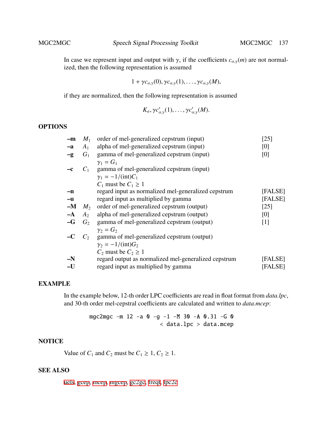In case we represent input and output with  $\gamma$ , if the coefficients  $c_{\alpha,\gamma}(m)$  are not normalized, then the following representation is assumed

$$
1+\gamma c_{\alpha,\gamma}(0),\gamma c_{\alpha,\gamma}(1),\ldots,\gamma c_{\alpha,\gamma}(M),
$$

if they are normalized, then the following representation is assumed

$$
K_{\alpha}, \gamma c'_{\alpha,\gamma}(1), \ldots, \gamma c'_{\alpha,\gamma}(M).
$$

# **OPTIONS**

| $-m$          | $M_1$ | order of mel-generalized cepstrum (input)            | $[25]$            |
|---------------|-------|------------------------------------------------------|-------------------|
| $-a$          | $A_1$ | alpha of mel-generalized cepstrum (input)            | [0]               |
| $-\mathbf{g}$ | $G_1$ | gamma of mel-generalized cepstrum (input)            | [0]               |
|               |       | $\gamma_1 = G_1$                                     |                   |
| $-c$          |       | $C_1$ gamma of mel-generalized cepstrum (input)      |                   |
|               |       | $\gamma_1 = -1/(\text{int})C_1$                      |                   |
|               |       | $C_1$ must be $C_1 \geq 1$                           |                   |
| $-n$          |       | regard input as normalized mel-generalized cepstrum  | [FALSE]           |
| $-\mathbf{u}$ |       | regard input as multiplied by gamma                  | [FALSE]           |
| $-M$          |       | $M_2$ order of mel-generalized cepstrum (output)     | [25]              |
| $-A$          | $A_2$ | alpha of mel-generalized cepstrum (output)           | [0]               |
| $-G$          | $G_2$ | gamma of mel-generalized cepstrum (output)           | $\lceil 1 \rceil$ |
|               |       | $\gamma_2 = G_2$                                     |                   |
|               |       | $-C_2$ gamma of mel-generalized cepstrum (output)    |                   |
|               |       | $\gamma_2 = -1/(\text{int})G_2$                      |                   |
|               |       | $C_2$ must be $C_2 \geq 1$                           |                   |
| $-N$          |       | regard output as normalized mel-generalized cepstrum | [FALSE]           |
| $-U$          |       | regard input as multiplied by gamma                  | [FALSE]           |
|               |       |                                                      |                   |

# **EXAMPLE**

In the example below, 12-th order LPC coefficients are read in float format from *data.lpc*, and 30-th order mel-cepstral coefficients are calculated and written to *data.mcep*:

> mgc2mgc -m 12 -a 0 -g -1 -M 30 -A 0.31 -G 0 < data.lpc > data.mcep

# **NOTICE**

Value of  $C_1$  and  $C_2$  must be  $C_1 \geq 1$ ,  $C_2 \geq 1$ .

### SEE ALSO

[uels](#page-208-0), [gcep,](#page-73-0) [mcep,](#page-134-0) [mgcep](#page-147-0), [gc2gc,](#page-71-0) [freqt](#page-70-1), [lpc2c](#page-120-0)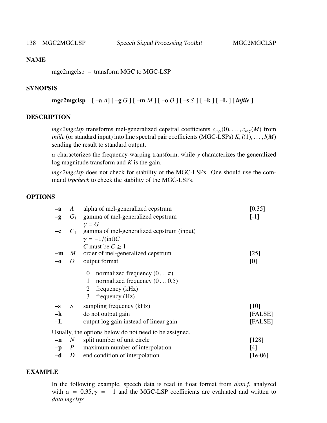mgc2mgclsp – transform MGC to MGC-LSP

# **SYNOPSIS**

# mgc2mgclsp [ –a *A*] [ –g *G* ] [ –m *M* ] [ –o *O* ] [ –s *S* ] [ –k ] [ –L ] [ *infile* ]

### DESCRIPTION

*mgc2mgclsp* transforms mel-generalized cepstral coefficients  $c_{\alpha,\gamma}(0), \ldots, c_{\alpha,\gamma}(M)$  from *infile* (or standard input) into line spectral pair coefficients (MGC-LSPs) *K*, *l*(1), . . . , *l*(*M*) sending the result to standard output.

α characterizes the frequency-warping transform, while γ characterizes the generalized log magnitude transform and *K* is the gain.

*mgc2mgclsp* does not check for stability of the MGC-LSPs. One should use the command *lspcheck* to check the stability of the MGC-LSPs.

### **OPTIONS**

| $-a$          | A                | alpha of mel-generalized cepstrum                                                                                                           | [0.35]    |
|---------------|------------------|---------------------------------------------------------------------------------------------------------------------------------------------|-----------|
| $-g$          | $G_1$            | gamma of mel-generalized cepstrum                                                                                                           | $[-1]$    |
| -c            |                  | $\gamma = G$<br>$C_1$ gamma of mel-generalized cepstrum (input)<br>$\gamma = -1/$ (int)C<br>C must be $C \geq 1$                            |           |
| $-m$          |                  | $M$ order of mel-generalized cepstrum                                                                                                       | [25]      |
| $-0$          | $\overline{O}$   | output format                                                                                                                               | [0]       |
|               |                  | normalized frequency $(0 \dots \pi)$<br>$\overline{0}$<br>normalized frequency $(00.5)$<br>1<br>2<br>frequency (kHz)<br>3<br>frequency (Hz) |           |
| $-S$          | S                | sampling frequency (kHz)                                                                                                                    | $[10]$    |
| $-\mathbf{k}$ |                  | do not output gain                                                                                                                          | [FALSE]   |
| $-L$          |                  | output log gain instead of linear gain                                                                                                      | [FALSE]   |
|               |                  | Usually, the options below do not need to be assigned.                                                                                      |           |
| $-\mathbf{n}$ | $\boldsymbol{N}$ | split number of unit circle                                                                                                                 | [128]     |
| $-\mathbf{p}$ | P                | maximum number of interpolation                                                                                                             | [4]       |
| $-d$          | D                | end condition of interpolation                                                                                                              | $[1e-06]$ |

#### EXAMPLE

In the following example, speech data is read in float format from *data.f*, analyzed with  $\alpha = 0.35$ ,  $\gamma = -1$  and the MGC-LSP coefficients are evaluated and written to *data.mgclsp*: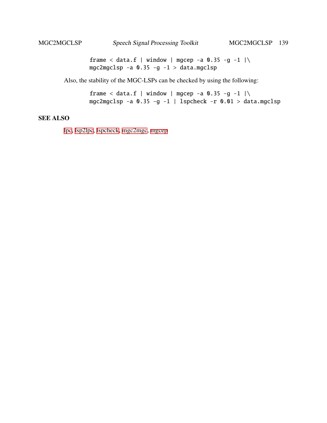frame  $\langle$  data.f | window | mgcep -a 0.35 -g -1 |\ mgc2mgclsp -a 0.35 -g -1 > data.mgclsp

Also, the stability of the MGC-LSPs can be checked by using the following:

frame < data.f | window | mgcep -a 0.35 -g -1 |\ mgc2mgclsp -a 0.35 -g -1 | lspcheck -r 0.01 > data.mgclsp

# SEE ALSO

[lpc](#page-119-0), [lsp2lpc,](#page-126-0) [lspcheck,](#page-129-0) [mgc2mgc,](#page-141-0) [mgcep](#page-147-0)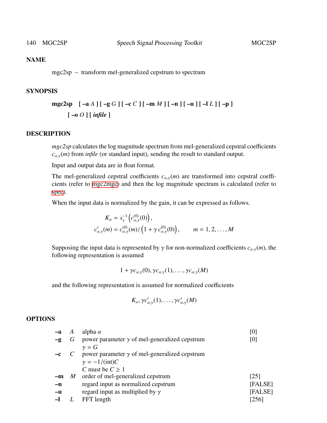<span id="page-145-0"></span>mgc2sp – transform mel-generalized cepstrum to spectrum

#### **SYNOPSIS**

$$
mgc2sp \quad [-a A] [ -g G] [ -c C] [ -m M] [ -n] [ -u] [ -l L] [ -p ]
$$
  

$$
[-o O] [infile]
$$

## DESCRIPTION

*mgc2sp* calculates the log magnitude spectrum from mel-generalized cepstral coefficients *c*α,γ(*m*) from *infile* (or standard input), sending the result to standard output.

Input and output data are in float format.

The mel-generalized cepstral coefficients  $c_{\alpha,y}(m)$  are transformed into cepstral coefficients (refer to [mgc2mgc\)](#page-141-0) and then the log magnitude spectrum is calculated (refer to [spec](#page-200-0)).

When the input data is normalized by the gain, it can be expressed as follows.

$$
K_{\alpha} = s_{\gamma}^{-1} (c_{\alpha,\gamma}^{(0)}(0)),
$$
  
\n
$$
c'_{\alpha,\gamma}(m) = c_{\alpha,\gamma}^{(0)}(m) / (1 + \gamma c_{\alpha,\gamma}^{(0)}(0)), \qquad m = 1, 2, ..., M
$$

Supposing the input data is represented by  $\gamma$  for non-normalized coefficients  $c_{\alpha,\gamma}(m)$ , the following representation is assumed

 $1 + \gamma c_{\alpha,\gamma}(0), \gamma c_{\alpha,\gamma}(1), \ldots, \gamma c_{\alpha,\gamma}(M)$ 

and the following representation is assumed for normalized coefficients

$$
K_{\alpha}, \gamma c'_{\alpha,\gamma}(1), \ldots, \gamma c'_{\alpha,\gamma}(M)
$$

#### OPTIONS

| $-a$          |   | alpha $\alpha$                                       | [0]     |
|---------------|---|------------------------------------------------------|---------|
| $-\mathbf{g}$ | Ġ | power parameter $\gamma$ of mel-generalized cepstrum | [0]     |
|               |   | $\gamma = G$                                         |         |
|               |   | power parameter $\gamma$ of mel-generalized cepstrum |         |
|               |   | $\gamma = -1/$ (int)C                                |         |
|               |   | C must be $C \geq 1$                                 |         |
| $-m$          | M | order of mel-generalized cepstrum                    | [25]    |
| $-\mathbf{n}$ |   | regard input as normalized cepstrum                  | [FALSE] |
| $-\mathbf{u}$ |   | regard input as multiplied by $\gamma$               | [FALSE] |
|               |   | FFT length                                           | [256]   |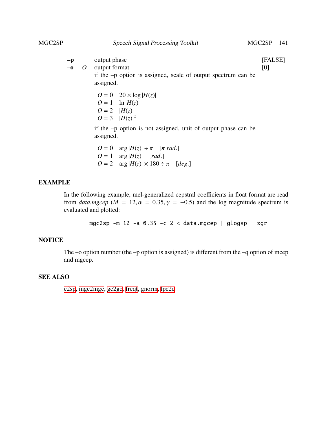MGC2SP Speech Signal Processing Toolkit MGC2SP 141

–p output phase [FALSE] –o *O* output format if the –p option is assigned, scale of output spectrum can be assigned. [0]

> $Q = 0$  20  $\times$  log  $|H(z)|$  $O = 1$   $\ln |H(z)|$  $O = 2$  |*H*(*z*)|  $Q = 3$  |*H*(*z*)|<sup>2</sup>

if the –p option is not assigned, unit of output phase can be assigned.

 $Q = 0$  arg  $|H(z)| \div \pi$  [ $\pi$  *rad*.]  $Q = 1$  arg  $|H(z)|$  [*rad*.]  $O = 2$  arg  $|H(z)| \times 180 \div \pi$  [*deg.*]

# **EXAMPLE**

In the following example, mel-generalized cepstral coefficients in float format are read from *data.mgcep* ( $M = 12$ ,  $\alpha = 0.35$ ,  $\gamma = -0.5$ ) and the log magnitude spectrum is evaluated and plotted:

mgc2sp -m 12 -a  $0.35$  -c 2 < data.mgcep | glogsp | xgr

# NOTICE

The  $-\infty$  option number (the  $-\infty$  option is assigned) is different from the  $-\infty$  option of mcep and mgcep.

# SEE ALSO

[c2sp,](#page-24-0) [mgc2mgc,](#page-141-0) [gc2gc](#page-71-0), [freqt,](#page-70-0) [gnorm](#page-87-0), [lpc2c](#page-120-0)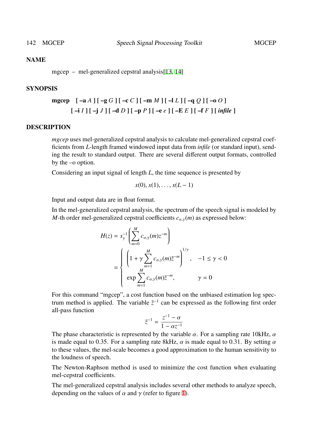<span id="page-147-0"></span>mgcep – mel-generalized cepstral analysis[[13,](#page-243-0) [14\]](#page-243-1)

#### **SYNOPSIS**

mgcep  $[-a A] [-g G] [-c C] [-m M] [-L] [-q O] [-o O]$  $[-i]$   $[ -j$   $J$   $[ -d$   $D$   $]$   $[-p$   $P$   $]$   $[-e$   $e$   $]$   $[-E$   $E$   $]$   $[-f$   $F$   $]$   $[$  *infile*  $]$ 

#### **DESCRIPTION**

*mgcep* uses mel-generalized cepstral analysis to calculate mel-generalized cepstral coefficients from *L*-length framed windowed input data from *infile* (or standard input), sending the result to standard output. There are several different output formats, controlled by the –o option.

Considering an input signal of length *L*, the time sequence is presented by

$$
x(0), x(1), \ldots, x(L-1)
$$

Input and output data are in float format.

In the mel-generalized cepstral analysis, the spectrum of the speech signal is modeled by *M*-th order mel-generalized cepstral coefficients  $c_{\alpha,\gamma}(m)$  as expressed below:

$$
H(z) = s_{\gamma}^{-1} \left( \sum_{m=0}^{M} c_{\alpha,\gamma}(m) z^{-m} \right)
$$
  
= 
$$
\begin{cases} \left( 1 + \gamma \sum_{m=1}^{M} c_{\alpha,\gamma}(m) \tilde{z}^{-m} \right)^{1/\gamma}, & -1 \le \gamma < 0 \\ \exp \sum_{m=1}^{M} c_{\alpha,\gamma}(m) \tilde{z}^{-m}, & \gamma = 0 \end{cases}
$$

For this command "mgcep", a cost function based on the unbiased estimation log spectrum method is applied. The variable  $\tilde{z}^{-1}$  can be expressed as the following first order all-pass function

$$
\tilde{z}^{-1} = \frac{z^{-1} - \alpha}{1 - \alpha z^{-1}}
$$

The phase characteristic is represented by the variable  $\alpha$ . For a sampling rate 10kHz,  $\alpha$ is made equal to 0.35. For a sampling rate 8kHz,  $\alpha$  is made equal to 0.31. By setting  $\alpha$ to these values, the mel-scale becomes a good approximation to the human sensitivity to the loudness of speech.

The Newton-Raphson method is used to minimize the cost function when evaluating mel-cepstral coefficients.

The mel-generalized cepstral analysis includes several other methods to analyze speech, depending on the values of  $\alpha$  and  $\gamma$  (refer to figure [1](#page-6-0)).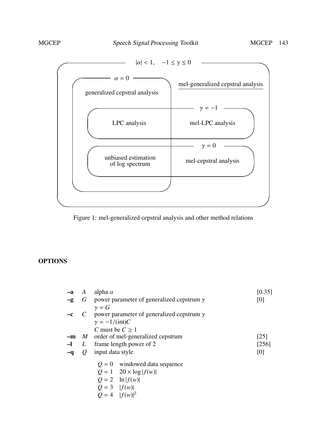

Figure 1: mel-generalized cepstral analysis and other method relations

# **OPTIONS**

| -a   | A | alpha $\alpha$                                     | [0.35] |
|------|---|----------------------------------------------------|--------|
| $-g$ |   | G power parameter of generalized cepstrum $\gamma$ | [0]    |
|      |   | $\gamma = G$                                       |        |
| $-c$ |   | C power parameter of generalized cepstrum $\gamma$ |        |
|      |   | $\gamma = -1/$ (int)C                              |        |
|      |   | C must be $C \geq 1$                               |        |
| -m   | M | order of mel-generalized cepstrum                  | [25]   |
| $-1$ | L | frame length power of 2                            | [256]  |
| -q   | Q | input data style                                   | [0]    |
|      |   | $Q = 0$ windowed data sequence                     |        |
|      |   | $Q = 1$ $20 \times \log  f(w) $                    |        |
|      |   | $Q = 2$ $\ln  f(w) $                               |        |
|      |   | $Q = 3$ $ f(w) $                                   |        |
|      |   | $Q = 4$ $ f(w) ^2$                                 |        |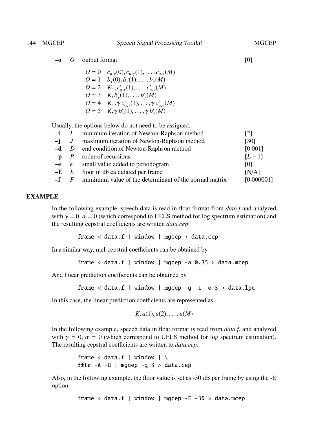[0]

–o *O* output format

 $O = 0$  *c*<sub>α,γ</sub>(0), *c*<sub>α,γ</sub>(1), . . . , *c*<sub>α,γ</sub>(*M*)  $O = 1$  *b*<sub>γ</sub>(0), *b*<sub>γ</sub>(1), . . . , *b*<sub>γ</sub>(*M*)  $O = 2$   $K_{\alpha}, c'_{\alpha,\gamma}(1), \ldots, c'_{\alpha,\gamma}(M)$  $O = 3$  *K*, *b*<sub> $\gamma$ </sub>(1), . . . , *b*<sub> $\gamma$ </sub>(*M*)  $O = 4$  *K*<sub>α</sub>,  $\gamma c'_{\alpha,\gamma}(1), \ldots, \gamma c'_{\alpha,\gamma}(M)$  $O = 5$  *K*,  $\gamma b'_{\gamma}(1), \ldots, \gamma b'_{\gamma}(M)$ 

Usually, the options below do not need to be assigned.

|          | $-i$ I minimum iteration of Newton-Raphson method            | $\lceil 2 \rceil$  |
|----------|--------------------------------------------------------------|--------------------|
| $-i$     | maximum iteration of Newton-Raphson method                   | $\lceil 30 \rceil$ |
| $-d$ D   | end condition of Newton-Raphson method                       | [0.001]            |
| $-p$ $P$ | order of recursions                                          | $[L-1]$            |
|          | $-e$ e small value added to periodogram                      | [0]                |
| $-E E E$ | floor in db calculated per frame                             | [N/A]              |
|          | $-f$ F mimimum value of the determinant of the normal matrix | [0.000001]         |

#### EXAMPLE

In the following example, speech data is read in float format from *data.f* and analyzed with  $\gamma = 0$ ,  $\alpha = 0$  (which correspond to UELS method for log spectrum estimation) and the resulting cepstral coefficients are written *data.cep*:

frame  $\langle$  data.f | window | mgcep  $>$  data.cep

In a similar way, mel-cepstral coefficients can be obtained by

frame  $\langle$  data.f | window | mgcep -a 0.35  $>$  data.mcep

And linear prediction coefficients can be obtained by

frame < data.f | window | mgcep -g -1 -o 5 > data.lpc

In this case, the linear prediction coefficients are represented as

$$
K, a(1), a(2), \ldots, a(M)
$$

In the following example, speech data in float format is read from *data.f*, and analyzed with  $\gamma = 0$ ,  $\alpha = 0$  (which correspond to UELS method for log spectrum estimation). The resulting cepstral coefficients are written to *data.cep*:

> frame  $\langle$  data.f | window |  $\langle$ fftr  $-A$  -H | mgcep -q  $3 > data.cep$

Also, in the following example, the floor value is set as -30 dB per frame by using the -E option.

frame  $\langle$  data.f | window | mgcep -E -30  $>$  data.mcep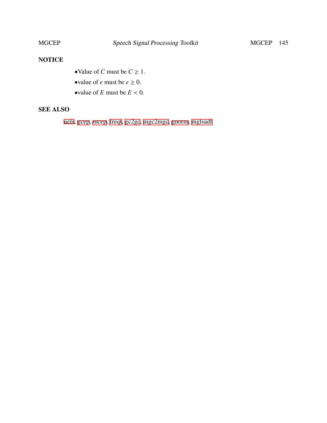# **NOTICE**

- •Value of *C* must be  $C \ge 1$ .
- •value of *e* must be  $e \geq 0$ .
- •value of *E* must be  $E < 0$ .

# SEE ALSO

[uels](#page-208-0), [gcep,](#page-73-0) [mcep,](#page-134-0) [freqt](#page-70-0), [gc2gc,](#page-71-0) [mgc2mgc,](#page-141-0) [gnorm,](#page-87-0) [mglsadf](#page-155-0)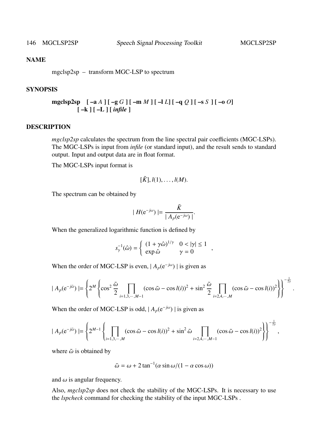,

# **NAME**

mgclsp2sp – transform MGC-LSP to spectrum

#### **SYNOPSIS**

mgclsp2sp [ –a *A* ] [ –g *G* ] [ –m *M* ] [ –l *L*] [ –q *Q* ] [ –s *S* ] [ –o *O*] [ –k ] [ –L ] [ *infile* ]

#### DESCRIPTION

*mgclsp2sp* calculates the spectrum from the line spectral pair coefficients (MGC-LSPs). The MGC-LSPs is input from *infile* (or standard input), and the result sends to standard output. Input and output data are in float format.

The MGC-LSPs input format is

$$
[\tilde{K}], l(1), \ldots, l(M).
$$

The spectrum can be obtained by

$$
|H(e^{-j\omega})| = \frac{\tilde{K}}{|A_p(e^{-j\omega})|}.
$$

When the generalized logarithmic function is defined by

$$
s_{\gamma}^{-1}(\hat{\omega}) = \begin{cases} (1 + \gamma \hat{\omega})^{1/\gamma} & 0 < |\gamma| \le 1 \\ \exp \hat{\omega} & \gamma = 0 \end{cases}
$$

When the order of MGC-LSP is even,  $| A_p(e^{-j\omega}) |$  is given as

$$
|A_p(e^{-j\tilde{\omega}})| = \left\{ 2^M \left\{ \cos^2 \frac{\tilde{\omega}}{2} \prod_{i=1,3,\cdots,M-1} (\cos \tilde{\omega} - \cos l(i))^2 + \sin^2 \frac{\tilde{\omega}}{2} \prod_{i=2,4,\cdots,M} (\cos \tilde{\omega} - \cos l(i))^2 \right\} \right\}^{-\frac{1}{2\gamma}}.
$$

,

When the order of MGC-LSP is odd,  $| A_p(e^{-j\omega}) |$  is given as

$$
|A_p(e^{-j\tilde{\omega}})| = \left\{ 2^{M-1} \left\{ \prod_{i=1,3,\cdots,M} (\cos \tilde{\omega} - \cos l(i))^2 + \sin^2 \tilde{\omega} \prod_{i=2,4,\cdots,M-1} (\cos \tilde{\omega} - \cos l(i))^2 \right\} \right\}^{-\frac{1}{2\gamma}}
$$

where  $\tilde{\omega}$  is obtained by

$$
\tilde{\omega} = \omega + 2 \tan^{-1}(\alpha \sin \omega / (1 - \alpha \cos \omega))
$$

and  $\omega$  is angular frequency.

Also, *mgclsp2sp* does not check the stability of the MGC-LSPs. It is necessary to use the *lspcheck* command for checking the stability of the input MGC-LSPs .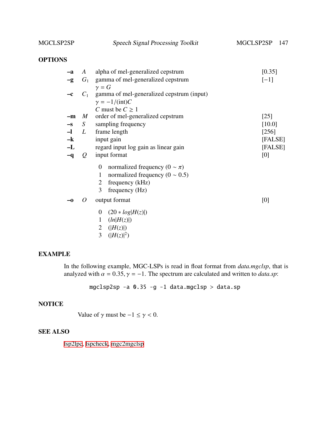| MGCLSP2SP      |          | <b>Speech Signal Processing Toolkit</b>                                                                                                                             | MGCLSP2SP<br>147 |  |
|----------------|----------|---------------------------------------------------------------------------------------------------------------------------------------------------------------------|------------------|--|
| <b>OPTIONS</b> |          |                                                                                                                                                                     |                  |  |
| $-a$           | A        | alpha of mel-generalized cepstrum                                                                                                                                   | [0.35]           |  |
| $-g$           |          | $G_1$ gamma of mel-generalized cepstrum<br>$\gamma = G$                                                                                                             | $[-1]$           |  |
| $-c$           |          | $C_1$ gamma of mel-generalized cepstrum (input)<br>$\gamma = -1/$ (int)C<br>C must be $C \geq 1$                                                                    |                  |  |
| $-m$           | M        | order of mel-generalized cepstrum                                                                                                                                   | $[25]$           |  |
| $-S$           | $S_{-}$  | sampling frequency                                                                                                                                                  | [10.0]           |  |
| $-1$           | L        | frame length                                                                                                                                                        | [256]            |  |
| $-\mathbf{k}$  |          | input gain                                                                                                                                                          | [FALSE]          |  |
| $-L$           |          | regard input log gain as linear gain                                                                                                                                | [FALSE]          |  |
| $-q$           | Q        | input format                                                                                                                                                        | [0]              |  |
|                |          | normalized frequency $(0 \sim \pi)$<br>$\boldsymbol{0}$<br>normalized frequency ( $0 \sim 0.5$ )<br>1<br>$\overline{2}$<br>frequency (kHz)<br>3<br>frequency $(Hz)$ |                  |  |
| $-0$           | $\theta$ | output format                                                                                                                                                       | [0]              |  |
|                |          | $\overline{0}$<br>$(20 * log H(z) )$<br>$\mathbf{1}$<br>(ln H(z) )                                                                                                  |                  |  |

- 2  $(|H(z)|)$
- 3 ( $|H(z)|^2$ )

# EXAMPLE

In the following example, MGC-LSPs is read in float format from *data.mgclsp*, that is analyzed with  $\alpha = 0.35$ ,  $\gamma = -1$ . The spectrum are calculated and written to *data.sp*:

mgclsp2sp -a 0.35 -g -1 data.mgclsp > data.sp

### **NOTICE**

Value of  $\gamma$  must be  $-1 \leq \gamma < 0$ .

#### SEE ALSO

[lsp2lpc](#page-126-0), [lspcheck](#page-129-0), [mgc2mgclsp](#page-143-0)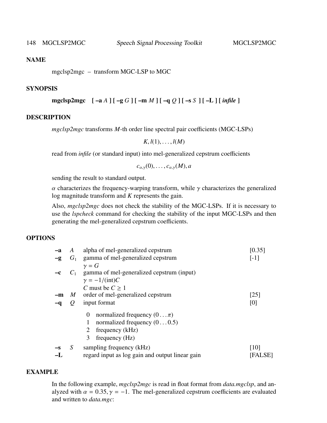mgclsp2mgc – transform MGC-LSP to MGC

#### **SYNOPSIS**

mgclsp2mgc [ –a *A* ] [ –g *G* ] [ –m *M* ] [ –q *Q* ] [ –s *S* ] [ –L ] [ *infile* ]

#### DESCRIPTION

*mgclsp2mgc* transforms *M*-th order line spectral pair coefficients (MGC-LSPs)

 $K, l(1), \ldots, l(M)$ 

read from *infile* (or standard input) into mel-generalized cepstrum coefficients

 $c_{\alpha,\gamma}(0), \ldots, c_{\alpha,\gamma}(M), a$ 

sending the result to standard output.

α characterizes the frequency-warping transform, while  $γ$  characterizes the generalized log magnitude transform and *K* represents the gain.

Also, *mgclsp2mgc* does not check the stability of the MGC-LSPs. If it is necessary to use the *lspcheck* command for checking the stability of the input MGC-LSPs and then generating the mel-generalized cepstrum coefficients.

# **OPTIONS**

| $-a$          | A         | [0.35]<br>alpha of mel-generalized cepstrum                |        |  |  |  |
|---------------|-----------|------------------------------------------------------------|--------|--|--|--|
| $-\mathbf{g}$ | $G_1$     | gamma of mel-generalized cepstrum                          | $[-1]$ |  |  |  |
|               |           | $\gamma = G$                                               |        |  |  |  |
| $-c$          |           | $C_1$ gamma of mel-generalized cepstrum (input)            |        |  |  |  |
|               |           | $\gamma = -1/$ (int)C                                      |        |  |  |  |
|               |           | C must be $C \geq 1$                                       |        |  |  |  |
| $-m$          | M         | order of mel-generalized cepstrum                          | [25]   |  |  |  |
| $-\mathbf{q}$ | $\varrho$ | input format                                               | [0]    |  |  |  |
|               |           | normalized frequency $(0 \dots \pi)$<br>$\theta$           |        |  |  |  |
|               |           | normalized frequency $(00.5)$                              |        |  |  |  |
|               |           | frequency (kHz)<br>2                                       |        |  |  |  |
|               |           | 3<br>frequency $(Hz)$                                      |        |  |  |  |
| $-S$          | S         | sampling frequency (kHz)                                   | [10]   |  |  |  |
| $-L$          |           | [FALSE]<br>regard input as log gain and output linear gain |        |  |  |  |

#### EXAMPLE

In the following example, *mgclsp2mgc* is read in float format from *data.mgclsp*, and analyzed with  $\alpha = 0.35$ ,  $\gamma = -1$ . The mel-generalized cepstrum coefficients are evaluated and written to *data.mgc*: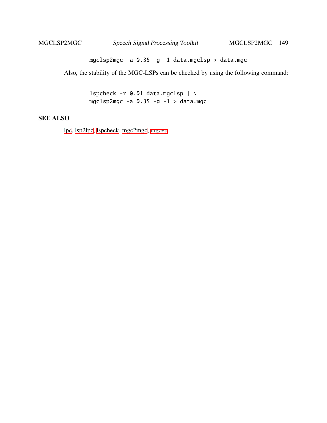mgclsp2mgc -a  $0.35$  -g -1 data.mgclsp > data.mgc

Also, the stability of the MGC-LSPs can be checked by using the following command:

lspcheck -r 0.01 data.mgclsp | \ mgclsp2mgc -a  $0.35$  -g -1 > data.mgc

# SEE ALSO

[lpc](#page-119-0), [lsp2lpc,](#page-126-0) [lspcheck,](#page-129-0) [mgc2mgc,](#page-141-0) [mgcep](#page-147-0)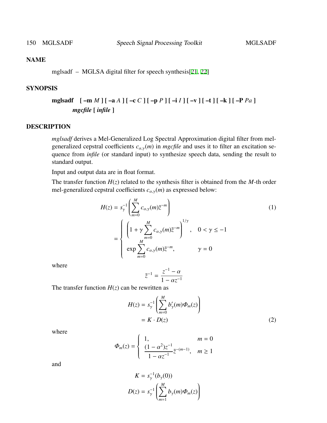<span id="page-155-0"></span>mglsadf – MGLSA digital filter for speech synthesis[[21,](#page-243-2) [22\]](#page-243-3)

#### **SYNOPSIS**

# mglsadf [ –m *M* ] [ –a *A* ] [ –c *C* ] [ –p *P* ] [ –i *I* ] [ –v ] [ –t ] [ –k ] [ –P *Pa* ] *mgcfile* [ *infile* ]

#### DESCRIPTION

*mglsadf* derives a Mel-Generalized Log Spectral Approximation digital filter from melgeneralized cepstral coefficients  $c_{\alpha,\gamma}(m)$  in *mgcfile* and uses it to filter an excitation sequence from *infile* (or standard input) to synthesize speech data, sending the result to standard output.

Input and output data are in float format.

The transfer function  $H(z)$  related to the synthesis filter is obtained from the *M*-th order mel-generalized cepstral coefficients *c*α,γ(*m*) as expressed below:

$$
H(z) = s_{\gamma}^{-1} \left( \sum_{m=0}^{M} c_{\alpha,\gamma}(m)\overline{z}^{-m} \right)
$$
  
= 
$$
\begin{cases} \left( 1 + \gamma \sum_{m=0}^{M} c_{\alpha,\gamma}(m)\overline{z}^{-m} \right)^{1/\gamma}, & 0 < \gamma \le -1 \\ \exp \sum_{m=0}^{M} c_{\alpha,\gamma}(m)\overline{z}^{-m}, & \gamma = 0 \end{cases}
$$
 (1)

where

$$
\tilde{z}^{-1} = \frac{z^{-1} - \alpha}{1 - \alpha z^{-1}}
$$

The transfer function  $H(z)$  can be rewritten as

$$
H(z) = s_{\gamma}^{-1} \left( \sum_{m=0}^{M} b_{\gamma}'(m) \Phi_m(z) \right)
$$
  
=  $K \cdot D(z)$  (2)

where

$$
\Phi_m(z) = \begin{cases} 1, & m = 0 \\ \frac{(1 - \alpha^2)z^{-1}}{1 - \alpha z^{-1}} z^{-(m-1)}, & m \ge 1 \end{cases}
$$

and

$$
K = s_{\gamma}^{-1}(b_{\gamma}(0))
$$
  

$$
D(z) = s_{\gamma}^{-1}\left(\sum_{m=1}^{M} b_{\gamma}(m)\Phi_m(z)\right)
$$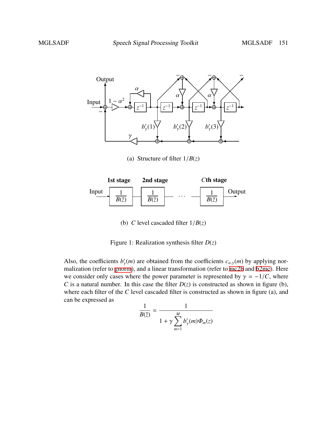

(a) Structure of filter 1/*B*(*z*)



(b) *C* level cascaded filter 1/*B*(*z*)

Figure 1: Realization synthesis filter *D*(*z*)

Also, the coefficients  $b'_{\gamma}(m)$  are obtained from the coefficients  $c_{\alpha,\gamma}(m)$  by applying normalization (refer to [gnorm](#page-87-0)), and a linear transformation (refer to [mc2b](#page-133-0) and [b2mc](#page-14-0)). Here we consider only cases where the power parameter is represented by  $\gamma = -1/C$ , where *C* is a natural number. In this case the filter  $D(z)$  is constructed as shown in figure (b), where each filter of the *C* level cascaded filter is constructed as shown in figure (a), and can be expressed as

$$
\frac{1}{B(\tilde{z})} = \frac{1}{1 + \gamma \sum_{m=1}^{M} b'_{\gamma}(m) \Phi_m(z)}
$$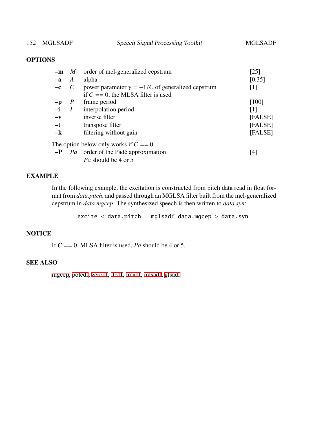# **OPTIONS**

| $-m$          | M                | order of mel-generalized cepstrum                       | [25]              |
|---------------|------------------|---------------------------------------------------------|-------------------|
| $-a$          | A                | alpha                                                   | [0.35]            |
| $-c$          | $\mathcal{C}$    | power parameter $\gamma = -1/C$ of generalized cepstrum | [1]               |
|               |                  | if $C = 0$ , the MLSA filter is used                    |                   |
| $-\mathbf{p}$ | P                | frame period                                            | $[100]$           |
| $-i$          | $\boldsymbol{I}$ | interpolation period                                    | $\lceil 1 \rceil$ |
| $-\mathbf{V}$ |                  | inverse filter                                          | [FALSE]           |
| $-t$          |                  | transpose filter                                        | [FALSE]           |
| $-\mathbf{k}$ |                  | filtering without gain                                  | [FALSE]           |
|               |                  | The option below only works if $C = 0$ .                |                   |
|               |                  | $-P$ <i>Pa</i> order of the Padé approximation          | [4]               |
|               |                  | <i>Pa</i> should be 4 or 5                              |                   |

#### EXAMPLE

In the following example, the excitation is constructed from pitch data read in float format from *data.pitch*, and passed through an MGLSA filter built from the mel-generalized cepstrum in *data.mgcep*. The synthesized speech is then written to *data.syn*:

excite < data.pitch | mglsadf data.mgcep > data.syn

# **NOTICE**

If  $C = 0$ , MLSA filter is used, *Pa* should be 4 or 5.

# SEE ALSO

[mgcep](#page-147-0), [poledf,](#page-180-0) [zerodf](#page-241-0), [ltcdf,](#page-132-0) [lmadf,](#page-116-0) [mlsadf](#page-166-0), [glsadf](#page-77-0)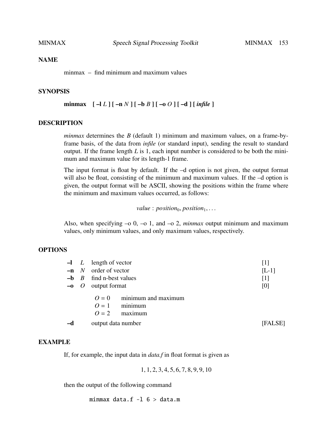minmax – find minimum and maximum values

### **SYNOPSIS**

minmax [ –l *L* ] [ –n *N* ] [ –b *B* ] [ –o *O* ] [ –d ] [ *infile* ]

## DESCRIPTION

*minmax* determines the *B* (default 1) minimum and maximum values, on a frame-byframe basis, of the data from *infile* (or standard input), sending the result to standard output. If the frame length *L* is 1, each input number is considered to be both the minimum and maximum value for its length-1 frame.

The input format is float by default. If the –d option is not given, the output format will also be float, consisting of the minimum and maximum values. If the -d option is given, the output format will be ASCII, showing the positions within the frame where the minimum and maximum values occurred, as follows:

 $value: position_0, position_1, \ldots$ 

Also, when specifying  $-0$ ,  $-0$ ,  $-0$ , and  $-0$ ,  $2$ ,  $minmax$  output minimum and maximum values, only minimum values, and only maximum values, respectively.

#### **OPTIONS**

|        | $-L$ length of vector | $\lceil 1 \rceil$                                                 |         |  |  |
|--------|-----------------------|-------------------------------------------------------------------|---------|--|--|
|        |                       | $-n$ N order of vector                                            |         |  |  |
|        |                       | $-\mathbf{b}$ B find n-best values                                |         |  |  |
| $-0$ 0 | output format         |                                                                   | [0]     |  |  |
|        |                       | $Q = 0$ minimum and maximum<br>$Q = 1$ minimum<br>$Q = 2$ maximum |         |  |  |
| -d     |                       | output data number                                                | [FALSE] |  |  |

# EXAMPLE

If, for example, the input data in *data.f* in float format is given as

1, 1, 2, 3, 4, 5, 6, 7, 8, 9, 9, 10

then the output of the following command

minmax data.f  $-1$  6  $>$  data.m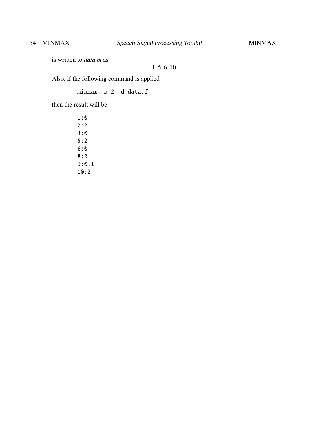is written to *data.m* as

# 1, 5, 6, 10

Also, if the following command is applied

minmax -n 2 -d data.f

then the result will be

1:0 2:2 3:0 5:2 6:0 8:2 9:0,1 10:2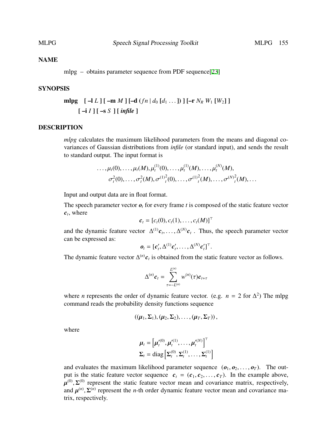mlpg – obtains parameter sequence from PDF sequence[\[23](#page-243-4)]

#### **SYNOPSIS**

$$
\begin{array}{ll}\n\textbf{mlpg} & \left[ -I \ L \ \right] \left[ -\textbf{m} \ M \ \right] \left[ -\textbf{d} \ (fn \ | \ d_0 \ [d_1 \dots]) \ \right] \left[ -\textbf{r} \ N_R \ W_1 \ [W_2] \ \right] \\
& \left[ -\textbf{i} \ I \ \right] \left[ -\textbf{s} \ S \ \right] \left[ \ \textit{infile} \ \right]\n\end{array}
$$

#### DESCRIPTION

*mlpg* calculates the maximum likelihood parameters from the means and diagonal covariances of Gaussian distributions from *infile* (or standard input), and sends the result to standard output. The input format is

$$
\ldots, \mu_t(0), \ldots, \mu_t(M), \mu_t^{(1)}(0), \ldots, \mu_t^{(1)}(M), \ldots, \mu_t^{(N)}(M), \sigma_t^2(0), \ldots, \sigma_t^2(M), \sigma^{(1)^2}(0), \ldots, \sigma^{(1)^2}_{t}(M), \ldots, \sigma^{(N)^2}_{t}(M), \ldots
$$

Input and output data are in float format.

The speech parameter vector  $o_t$  for every frame *t* is composed of the static feature vector *ct* , where

$$
\boldsymbol{c}_t = [c_t(0), c_t(1), \ldots, c_t(M)]^\top
$$

and the dynamic feature vector  $\Delta^{(1)}c_t, \ldots, \Delta^{(N)}c_t$ . Thus, the speech parameter vector can be expressed as:

$$
\boldsymbol{o}_t = [\boldsymbol{c}'_t, \Delta^{(1)} \boldsymbol{c}'_t, \ldots, \Delta^{(N)} \boldsymbol{c}'_t]^\top.
$$

The dynamic feature vector  $\Delta^{(n)} c_t$  is obtained from the static feature vector as follows.

$$
\Delta^{(n)}\boldsymbol{c}_t = \sum_{\tau=-L^{(n)}}^{L^{(n)}} w^{(n)}(\tau)\boldsymbol{c}_{t+\tau}
$$

where *n* represents the order of dynamic feature vector. (e.g.  $n = 2$  for  $\Delta^2$ ) The mlpg command reads the probability density functions sequence

$$
((\mu_1,\Sigma_1),(\mu_2,\Sigma_2),\ldots,(\mu_T,\Sigma_T)),
$$

where

$$
\boldsymbol{\mu}_t = \left[\boldsymbol{\mu}_t^{\prime(0)}, \boldsymbol{\mu}_t^{\prime(1)}, \dots, \boldsymbol{\mu}_t^{\prime(N)}\right]^\top
$$
  

$$
\boldsymbol{\Sigma}_t = \text{diag}\left[\boldsymbol{\Sigma}_t^{(0)}, \boldsymbol{\Sigma}_t^{(1)}, \dots, \boldsymbol{\Sigma}_t^{(1)}\right]
$$

and evaluates the maximum likelihood parameter sequence  $(o_1, o_2, \ldots, o_T)$ . The output is the static feature vector sequence  $c_t = (c_1, c_2, \ldots, c_T)$ . In the example above,  $\mu^{(0)}, \Sigma^{(0)}$  represent the static feature vector mean and covariance matrix, respectively, and  $\mu^{(n)}$ ,  $\Sigma^{(n)}$  represent the *n*-th order dynamic feature vector mean and covariance matrix, respectively.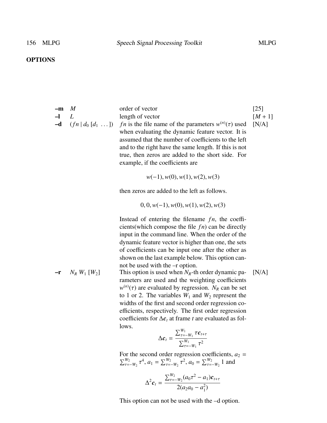# OPTIONS

| $-m$<br>$-I$<br>$-d$ | $\boldsymbol{M}$<br>L<br>$(fn   d_0 [d_1 ])$ | order of vector<br>length of vector<br><i>fn</i> is the file name of the parameters $w^{(n)}(\tau)$ used<br>when evaluating the dynamic feature vector. It is<br>assumed that the number of coefficients to the left<br>and to the right have the same length. If this is not<br>true, then zeros are added to the short side. For<br>example, if the coefficients are                                                                                                                                                                                                                                                                                                                                                                                                                                                                                                                                                                                                                                                                                                                       | $[25]$<br>$[M + 1]$<br>[N/A] |
|----------------------|----------------------------------------------|----------------------------------------------------------------------------------------------------------------------------------------------------------------------------------------------------------------------------------------------------------------------------------------------------------------------------------------------------------------------------------------------------------------------------------------------------------------------------------------------------------------------------------------------------------------------------------------------------------------------------------------------------------------------------------------------------------------------------------------------------------------------------------------------------------------------------------------------------------------------------------------------------------------------------------------------------------------------------------------------------------------------------------------------------------------------------------------------|------------------------------|
|                      |                                              | $w(-1)$ , $w(0)$ , $w(1)$ , $w(2)$ , $w(3)$                                                                                                                                                                                                                                                                                                                                                                                                                                                                                                                                                                                                                                                                                                                                                                                                                                                                                                                                                                                                                                                  |                              |
|                      |                                              | then zeros are added to the left as follows.                                                                                                                                                                                                                                                                                                                                                                                                                                                                                                                                                                                                                                                                                                                                                                                                                                                                                                                                                                                                                                                 |                              |
|                      |                                              | $(0, 0, w(-1), w(0), w(1), w(2), w(3))$                                                                                                                                                                                                                                                                                                                                                                                                                                                                                                                                                                                                                                                                                                                                                                                                                                                                                                                                                                                                                                                      |                              |
| $-r$                 | $N_R W_1 [W_2]$                              | Instead of entering the filename $fn$ , the coeffi-<br>cients (which compose the file $fn$ ) can be directly<br>input in the command line. When the order of the<br>dynamic feature vector is higher than one, the sets<br>of coefficients can be input one after the other as<br>shown on the last example below. This option can-<br>not be used with the $-r$ option.<br>This option is used when $N_R$ -th order dynamic pa-<br>rameters are used and the weighting coefficients<br>$w^{(n)}(\tau)$ are evaluated by regression. N <sub>R</sub> can be set<br>to 1 or 2. The variables $W_1$ and $W_2$ represent the<br>widths of the first and second order regression co-<br>efficients, respectively. The first order regression<br>coefficients for $\Delta c_t$ at frame t are evaluated as fol-<br>lows.<br>$\Delta c_t = \frac{\sum_{\tau=-W_1}^{w_1} \tau c_{t+\tau}}{\sum_{\tau=-W_1}^{W_1} \tau^2}$<br>For the second order regression coefficients, $a_2$ =<br>$\sum_{\tau=-W_2}^{W_2} \tau^4$ , $a_1 = \sum_{\tau=-W_2}^{W_2} \tau^2$ , $a_0 = \sum_{\tau=-W_2}^{W_2} 1$ and | [N/A]                        |

$$
\Delta^{2} \boldsymbol{c}_{t} = \frac{\sum_{\tau=-W_{2}}^{W_{2}} (a_{0} \tau^{2} - a_{1}) \boldsymbol{c}_{t+\tau}}{2(a_{2} a_{0} - a_{1}^{2})}
$$

This option can not be used with the –d option.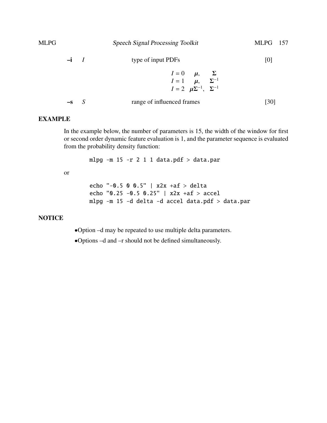| MLPG |          | <b>Speech Signal Processing Toolkit</b>                                                                                          | MLPG 157 |  |
|------|----------|----------------------------------------------------------------------------------------------------------------------------------|----------|--|
|      | $-i$ $I$ | type of input PDFs                                                                                                               | [0]      |  |
|      |          | <i>I</i> = 0 <i>µ</i> , $\Sigma$<br><i>I</i> = 1 <i>µ</i> , $\Sigma^{-1}$<br><i>I</i> = 2 <i>µ</i> $\Sigma^{-1}$ , $\Sigma^{-1}$ |          |  |
|      | $-S$     | range of influenced frames                                                                                                       | [30]     |  |

# EXAMPLE

In the example below, the number of parameters is 15, the width of the window for first or second order dynamic feature evaluation is 1, and the parameter sequence is evaluated from the probability density function:

mlpg  $-m$  15  $-r$  2 1 1 data.pdf  $>$  data.par

or

echo "-0.5 0 0.5" | x2x +af > delta echo "0.25 -0.5 0.25" | x2x +af > accel mlpg -m 15 -d delta -d accel data.pdf > data.par

# **NOTICE**

•Option –d may be repeated to use multiple delta parameters.

•Options –d and –r should not be defined simultaneously.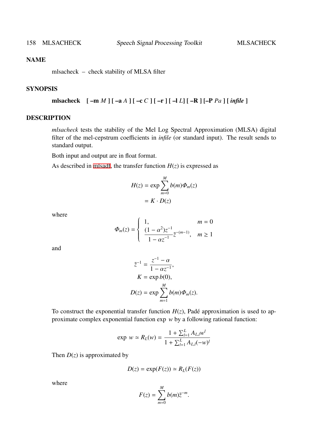mlsacheck – check stability of MLSA filter

#### **SYNOPSIS**

# mlsacheck [ –m *M* ] [ –a *A* ] [ –c *C* ] [ –r ] [ –l *L*] [ –R ] [–P *Pa* ] [ *infile* ]

#### DESCRIPTION

*mlsacheck* tests the stability of the Mel Log Spectral Approximation (MLSA) digital filter of the mel-cepstrum coefficients in *infile* (or standard input). The result sends to standard output.

Both input and output are in float format.

As described in [mlsadf](#page-166-0), the transfer function  $H(z)$  is expressed as

$$
H(z) = \exp \sum_{m=0}^{M} b(m) \Phi_m(z)
$$

$$
= K \cdot D(z)
$$

where

$$
\varPhi_m(z) = \begin{cases} 1, & m = 0 \\ \frac{(1 - \alpha^2)z^{-1}}{1 - \alpha z^{-1}} z^{-(m-1)}, & m \ge 1 \end{cases}
$$

and

$$
\tilde{z}^{-1} = \frac{z^{-1} - \alpha}{1 - \alpha z^{-1}},
$$
  
\n
$$
K = \exp b(0),
$$
  
\n
$$
D(z) = \exp \sum_{m=1}^{M} b(m) \Phi_m(z).
$$

To construct the exponential transfer function  $H(z)$ , Padé approximation is used to approximate complex exponential function exp *w* by a following rational function:

$$
\exp w \simeq R_L(w) = \frac{1 + \sum_{l=1}^{L} A_{L,l} w^l}{1 + \sum_{l=1}^{L} A_{L,l}(-w)^l}
$$

Then  $D(z)$  is approximated by

$$
D(z) = \exp(F(z)) \simeq R_L(F(z))
$$

where

$$
F(z) = \sum_{m=0}^{M} b(m)\tilde{z}^{-m}.
$$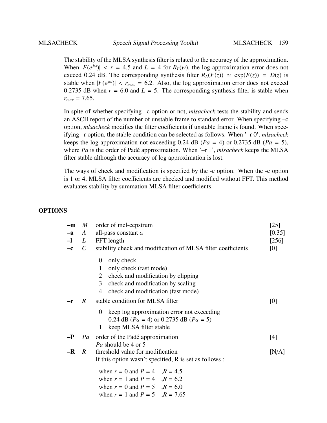The stability of the MLSA synthesis filter is related to the accuracy of the approximation. When  $|F(e^{j\omega})| < r = 4.5$  and  $L = 4$  for  $R_L(w)$ , the log approximation error does not exceed 0.24 dB. The corresponding synthesis filter  $R_L(F(z)) \approx \exp(F(z)) = D(z)$  is stable when  $|F(e^{j\omega})| < r_{max} = 6.2$ . Also, the log approximation error does not exceed 0.2735 dB when  $r = 6.0$  and  $L = 5$ . The corresponding synthesis filter is stable when  $r_{max} = 7.65$ .

In spite of whether specifying –c option or not, *mlsacheck* tests the stability and sends an ASCII report of the number of unstable frame to standard error. When specifying  $-c$ option, *mlsacheck* modifies the filter coefficients if unstable frame is found. When specifying –r option, the stable condition can be selected as follows: When '–r 0', *mlsacheck* keeps the log approximation not exceeding 0.24 dB ( $Pa = 4$ ) or 0.2735 dB ( $Pa = 5$ ), where  $Pa$  is the order of Padé approximation. When  $\text{--}r$  1', *mlsacheck* keeps the MLSA filter stable although the accuracy of log approximation is lost.

The ways of check and modification is specified by the -c option. When the -c option is 1 or 4, MLSA filter coefficients are checked and modified without FFT. This method evaluates stability by summation MLSA filter coefficients.

#### **OPTIONS**

| $-m$ | M                       | order of mel-cepstrum                                                                                    | [25]   |
|------|-------------------------|----------------------------------------------------------------------------------------------------------|--------|
| $-a$ | $\bm{A}$                | all-pass constant $\alpha$                                                                               | [0.35] |
| $-1$ | L                       | FFT length                                                                                               | [256]  |
| $-c$ | $\mathcal{C}_{0}^{(n)}$ | stability check and modification of MLSA filter coefficients                                             | [0]    |
|      |                         | only check<br>$\theta$                                                                                   |        |
|      |                         | only check (fast mode)<br>1                                                                              |        |
|      |                         | check and modification by clipping<br>2                                                                  |        |
|      |                         | 3<br>check and modification by scaling                                                                   |        |
|      |                         | check and modification (fast mode)<br>4                                                                  |        |
| -r   | R                       | stable condition for MLSA filter                                                                         | [0]    |
|      |                         | keep log approximation error not exceeding<br>$\theta$<br>0.24 dB ( $Pa = 4$ ) or 0.2735 dB ( $Pa = 5$ ) |        |
|      |                         | keep MLSA filter stable<br>1                                                                             |        |
| $-P$ |                         | Pa order of the Padé approximation                                                                       | $[4]$  |
|      |                         | Pa should be 4 or 5                                                                                      |        |
| $-R$ | R                       | threshold value for modification                                                                         | [N/A]  |
|      |                         | If this option wasn't specified, R is set as follows :                                                   |        |
|      |                         | when $r = 0$ and $P = 4$ , $R = 4.5$                                                                     |        |
|      |                         | when $r = 1$ and $P = 4$ , $R = 6.2$                                                                     |        |
|      |                         | when $r = 0$ and $P = 5$ , $R = 6.0$                                                                     |        |
|      |                         | when $r = 1$ and $P = 5$ $R = 7.65$                                                                      |        |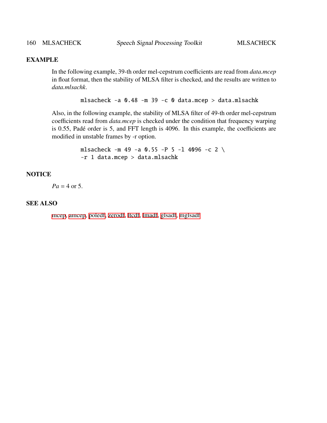#### **EXAMPLE**

In the following example, 39-th order mel-cepstrum coefficients are read from *data.mcep* in float format, then the stability of MLSA filter is checked, and the results are written to *data.mlsachk*.

mlsacheck -a 0.48 -m 39 -c 0 data.mcep > data.mlsachk

Also, in the following example, the stability of MLSA filter of 49-th order mel-cepstrum coefficients read from *data.mcep* is checked under the condition that frequency warping is 0.55, Padé order is 5, and FFT length is 4096. In this example, the coefficients are modified in unstable frames by -r option.

> mlsacheck -m 49 -a 0.55 -P 5 -l 4096 -c 2 \ -r 1 data.mcep > data.mlsachk

#### **NOTICE**

 $Pa = 4$  or 5.

#### SEE ALSO

[mcep](#page-134-0), [amcep](#page-11-0), [poledf,](#page-180-0) [zerodf](#page-241-0), [ltcdf](#page-132-0), [lmadf](#page-116-0), [glsadf](#page-77-0), [mglsadf](#page-155-0)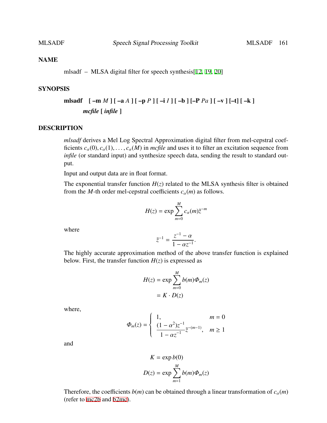<span id="page-166-0"></span>mlsadf – MLSA digital filter for speech synthesis[[12,](#page-242-0) [19,](#page-243-5) [20\]](#page-243-6)

#### **SYNOPSIS**

# mlsadf [ –m *M* ] [ –a *A* ] [ –p *P* ] [ –i *I* ] [ –b ] [–P *Pa* ] [ –v ] [–t] [ –k ] *mcfile* [ *infile* ]

#### DESCRIPTION

*mlsadf* derives a Mel Log Spectral Approximation digital filter from mel-cepstral coefficients  $c_{\alpha}(0), c_{\alpha}(1), \ldots, c_{\alpha}(M)$  in *mcfile* and uses it to filter an excitation sequence from *infile* (or standard input) and synthesize speech data, sending the result to standard output.

Input and output data are in float format.

The exponential transfer function  $H(z)$  related to the MLSA synthesis filter is obtained from the *M*-th order mel-cepstral coefficients  $c_{\alpha}(m)$  as follows.

$$
H(z) = \exp \sum_{m=0}^{M} c_{\alpha}(m)\tilde{z}^{-m}
$$

where

$$
\tilde{z}^{-1} = \frac{z^{-1} - \alpha}{1 - \alpha z^{-1}}.
$$

The highly accurate approximation method of the above transfer function is explained below. First, the transfer function  $H(z)$  is expressed as

$$
H(z) = \exp \sum_{m=0}^{M} b(m) \Phi_m(z)
$$

$$
= K \cdot D(z)
$$

where,

$$
\Phi_m(z) = \begin{cases} 1, & m = 0 \\ \frac{(1 - \alpha^2)z^{-1}}{1 - \alpha z^{-1}} \tilde{z}^{-(m-1)}, & m \ge 1 \end{cases}
$$

and

$$
K = \exp b(0)
$$
  

$$
D(z) = \exp \sum_{m=1}^{M} b(m) \Phi_m(z)
$$

Therefore, the coefficients  $b(m)$  can be obtained through a linear transformation of  $c_{\alpha}(m)$ (refer to [mc2b](#page-133-0) and [b2mc](#page-14-0)).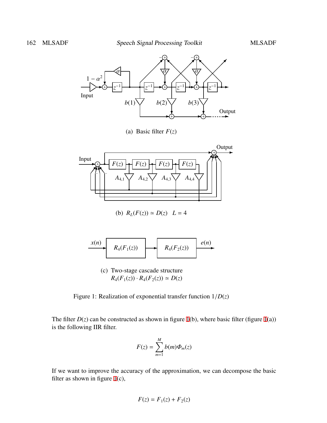

(a) Basic filter *F*(*z*)



(b)  $R_L(F(z)) \simeq D(z) \quad L = 4$ 



(c) Two-stage cascade structure  $R_4(F_1(z)) \cdot R_4(F_2(z)) \simeq D(z)$ 

Figure 1: Realization of exponential transfer function 1/*D*(*z*)

The filter  $D(z)$  can be constructed as shown in figure [1\(](#page-6-0)b), where basic filter (figure [1](#page-6-0)(a)) is the following IIR filter.

$$
F(z) = \sum_{m=1}^{M} b(m) \Phi_m(z)
$$

If we want to improve the accuracy of the approximation, we can decompose the basic filter as shown in figure  $1(c)$  $1(c)$ ,

$$
F(z) = F_1(z) + F_2(z)
$$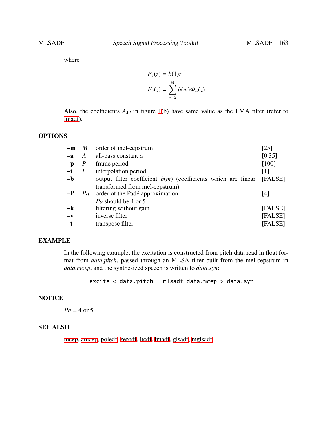where

$$
F_1(z) = b(1)z^{-1}
$$
  

$$
F_2(z) = \sum_{m=2}^{M} b(m)\Phi_m(z)
$$

Also, the coefficients  $A_{4,l}$  in figure [1](#page-6-0)(b) have same value as the LMA filter (refer to [lmadf\)](#page-116-0).

## **OPTIONS**

| $-m$          | M                | order of mel-cepstrum                                           | [25]              |
|---------------|------------------|-----------------------------------------------------------------|-------------------|
| $-a$          | A                | all-pass constant $\alpha$                                      | [0.35]            |
| $-p$          | $\boldsymbol{P}$ | frame period                                                    | $[100]$           |
| $-i$          |                  | interpolation period                                            | $\lceil 1 \rceil$ |
| $-\mathbf{b}$ |                  | output filter coefficient $b(m)$ (coefficients which are linear | [FALSE]           |
|               |                  | transformed from mel-cepstrum)                                  |                   |
| $-P$          |                  | Pa order of the Padé approximation                              | [4]               |
|               |                  | Pa should be 4 or 5                                             |                   |
| $-\mathbf{k}$ |                  | filtering without gain                                          | [FALSE]           |
| $-\mathbf{v}$ |                  | inverse filter                                                  | [FALSE]           |
| $-t$          |                  | transpose filter                                                | [FALSE]           |
|               |                  |                                                                 |                   |

#### EXAMPLE

In the following example, the excitation is constructed from pitch data read in float format from *data.pitch*, passed through an MLSA filter built from the mel-cepstrum in *data.mcep*, and the synthesized speech is written to *data.syn*:

excite < data.pitch | mlsadf data.mcep > data.syn

## **NOTICE**

 $Pa = 4$  or 5.

# SEE ALSO

[mcep,](#page-134-0) [amcep,](#page-11-0) [poledf](#page-180-0), [zerodf,](#page-241-0) [ltcdf,](#page-132-0) [lmadf,](#page-116-0) [glsadf,](#page-77-0) [mglsadf](#page-155-0)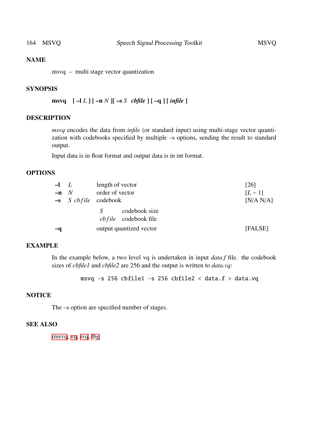msvq – multi stage vector quantization

#### **SYNOPSIS**

msvq [ –l *L* ] [ –n *N* ][ –s *S cbfile* ] [ –q ] [ *infile* ]

#### DESCRIPTION

*msvq* encodes the data from *infile* (or standard input) using multi-stage vector quantization with codebooks specified by multiple –s options, sending the result to standard output.

Input data is in float format and output data is in int format.

## **OPTIONS**

| $-1$ $L$ | length of vector                              | [26]      |
|----------|-----------------------------------------------|-----------|
| $-n$ N   | order of vector                               | $[L-1]$   |
|          | $-S \ S \ c \ b \ f \ i \ le \ codebook$      | [N/A N/A] |
|          | codebook size<br><i>cb file</i> codebook file |           |
|          | output quantized vector                       | [FALSE]   |

## EXAMPLE

In the example below, a two level vq is undertaken in input *data.f* file. the codebook sizes of *cbfile1* and *cbfile2* are 256 and the output is written to *data.vq*:

msvq -s 256 cbfile1 -s 256 cbfile2 < data.f > data.vq

# **NOTICE**

The –s option are specified number of stages.

## SEE ALSO

[imsvq](#page-105-0), [vq](#page-224-0), [ivq](#page-107-0), [lbg](#page-108-0)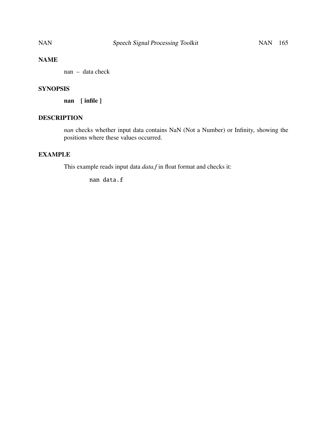nan – data check

# **SYNOPSIS**

nan [ infile ]

# DESCRIPTION

*nan* checks whether input data contains NaN (Not a Number) or Infinity, showing the positions where these values occurred.

# EXAMPLE

This example reads input data *data.f* in float format and checks it:

nan data.f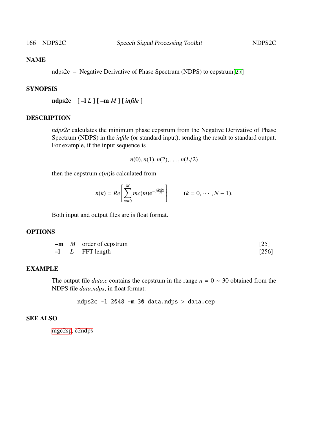ndps2c – Negative Derivative of Phase Spectrum (NDPS) to cepstrum[[27\]](#page-244-0)

#### **SYNOPSIS**

ndps2c [ –l *L* ] [ –m *M* ] [ *infile* ]

#### DESCRIPTION

*ndps2c* calculates the minimum phase cepstrum from the Negative Derivative of Phase Spectrum (NDPS) in the *infile* (or standard input), sending the result to standard output. For example, if the input sequence is

$$
n(0), n(1), n(2), \ldots, n(L/2)
$$

then the cepstrum  $c(m)$  is calculated from

$$
n(k) = Re\left[\sum_{m=0}^{M} mc(m)e^{-j\frac{2\pi km}{N}}\right] \qquad (k = 0, \cdots, N-1).
$$

Both input and output files are is float format.

#### **OPTIONS**

|  | $-m$ <i>M</i> order of cepstrum | $\lceil 25 \rceil$ |
|--|---------------------------------|--------------------|
|  | $-L$ FFT length                 | [256]              |

# EXAMPLE

The output file *data.c* contains the cepstrum in the range  $n = 0 \sim 30$  obtained from the NDPS file *data.ndps*, in float format:

ndps2c -l 2048 -m 30 data.ndps > data.cep

# SEE ALSO

[mgc2sp](#page-145-0), [c2ndps](#page-22-0)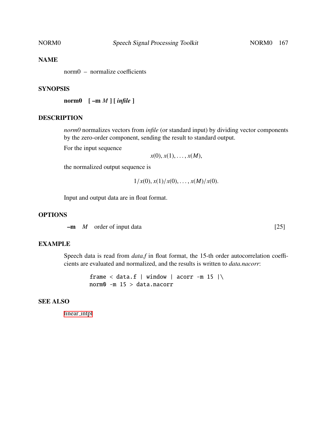norm0 – normalize coefficients

# **SYNOPSIS**

norm0 [ –m *M* ] [ *infile* ]

# DESCRIPTION

*norm0* normalizes vectors from *infile* (or standard input) by dividing vector components by the zero-order component, sending the result to standard output.

For the input sequence

 $x(0), x(1), \ldots, x(M)$ ,

the normalized output sequence is

 $1/x(0), x(1)/x(0), \ldots, x(M)/x(0).$ 

Input and output data are in float format.

# **OPTIONS**

 $-\mathbf{m}$  *M* order of input data [25]

#### EXAMPLE

Speech data is read from *data.f* in float format, the 15-th order autocorrelation coefficients are evaluated and normalized, and the results is written to *data.nacorr*:

> frame  $\langle$  data.f | window | acorr -m 15 |\ norm0 -m 15 > data.nacorr

# SEE ALSO

[linear](#page-114-0) intpl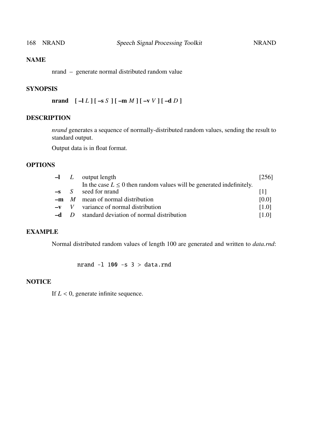nrand – generate normal distributed random value

# **SYNOPSIS**

nrand  $\left[\begin{array}{cc} -L & -s & S \end{array}\right]$   $\left[\begin{array}{cc} -m & M & -v & V \end{array}\right]$   $\left[\begin{array}{cc} -d & D & 0 \end{array}\right]$ 

#### DESCRIPTION

*nrand* generates a sequence of normally-distributed random values, sending the result to standard output.

Output data is in float format.

# **OPTIONS**

|        | $-I$ L output length                                                      | [256] |
|--------|---------------------------------------------------------------------------|-------|
|        | In the case $L \leq 0$ then random values will be generated indefinitely. |       |
|        | $-S$ S seed for nrand                                                     | -11   |
|        | $-m$ <i>M</i> mean of normal distribution                                 | [0.0] |
|        | $-\mathbf{v}$ V variance of normal distribution                           | [1.0] |
| $-d$ D | standard deviation of normal distribution                                 | [1.0] |

## EXAMPLE

Normal distributed random values of length 100 are generated and written to *data.rnd*:

nrand  $-1$  100  $-$ s 3  $>$  data.rnd

# **NOTICE**

If  $L < 0$ , generate infinite sequence.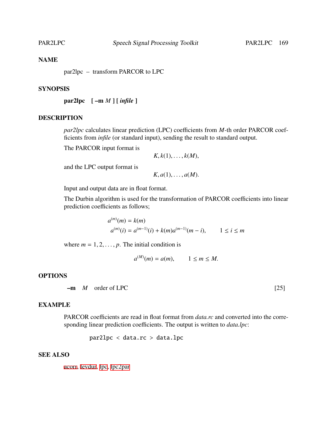par2lpc – transform PARCOR to LPC

#### **SYNOPSIS**

par2lpc [ –m *M* ] [ *infile* ]

# DESCRIPTION

*par2lpc* calculates linear prediction (LPC) coefficients from *M*-th order PARCOR coefficients from *infile* (or standard input), sending the result to standard output.

The PARCOR input format is

 $K, k(1), \ldots, k(M)$ ,

and the LPC output format is

 $K, a(1), \ldots, a(M).$ 

Input and output data are in float format.

The Durbin algorithm is used for the transformation of PARCOR coefficients into linear prediction coefficients as follows;

$$
a^{(m)}(m) = k(m)
$$
  
\n
$$
a^{(m)}(i) = a^{(m-1)}(i) + k(m)a^{(m-1)}(m - i), \qquad 1 \le i \le m
$$

where  $m = 1, 2, \ldots, p$ . The initial condition is

$$
a^{(M)}(m) = a(m), \qquad 1 \le m \le M.
$$

#### **OPTIONS**

 $-\mathbf{m}$  *M* order of LPC [25]

#### EXAMPLE

PARCOR coefficients are read in float format from *data.rc* and converted into the corresponding linear prediction coefficients. The output is written to *data.lpc*:

par2lpc < data.rc > data.lpc

#### SEE ALSO

[acorr](#page-8-0), [levdur,](#page-112-0) [lpc](#page-119-0), [lpc2par](#page-124-0)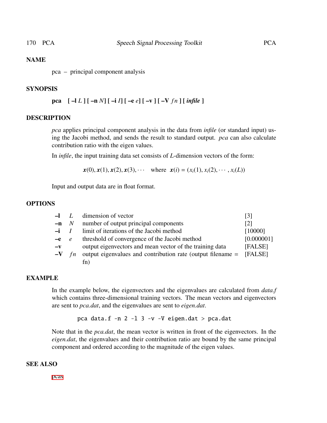<span id="page-175-0"></span>pca – principal component analysis

#### **SYNOPSIS**

pca  $[-L] [-n N] [-i I] [-e e] [-v] [-V f n] [ *infile* ]$ 

# DESCRIPTION

*pca* applies principal component analysis in the data from *infile* (or standard input) using the Jacobi method, and sends the result to standard output. *pca* can also calculate contribution ratio with the eigen values.

In *infile*, the input training data set consists of *L*-dimension vectors of the form:

 $x(0), x(1), x(2), x(3), \cdots$  where  $x(i) = (x_i(1), x_i(2), \cdots, x_i(L))$ 

Input and output data are in float format.

#### **OPTIONS**

| $-1$ $L$   |                | dimension of vector                                                 | [3]               |
|------------|----------------|---------------------------------------------------------------------|-------------------|
| -n         | $\overline{N}$ | number of output principal components                               | $\lceil 2 \rceil$ |
| —i         |                | limit of iterations of the Jacobi method                            | [10000]           |
| —e         | $\epsilon$     | threshold of convergence of the Jacobi method                       | [0.000001]        |
| —v         |                | output eigenvectors and mean vector of the training data            | [FALSE]           |
| $-{\bf V}$ | fn             | output eigenvalues and contribution rate (output filename = [FALSE] |                   |
|            |                | fn)                                                                 |                   |

#### **EXAMPLE**

In the example below, the eigenvectors and the eigenvalues are calculated from *data.f* which contains three-dimensional training vectors. The mean vectors and eigenvectors are sent to *pca.dat*, and the eigenvalues are sent to *eigen.dat*.

pca data.f -n 2 -l 3 -v -V eigen.dat > pca.dat

Note that in the *pca.dat*, the mean vector is written in front of the eigenvectors. In the *eigen.dat*, the eigenvalues and their contribution ratio are bound by the same principal component and ordered according to the magnitude of the eigen values.

#### SEE ALSO

[pcas](#page-176-0)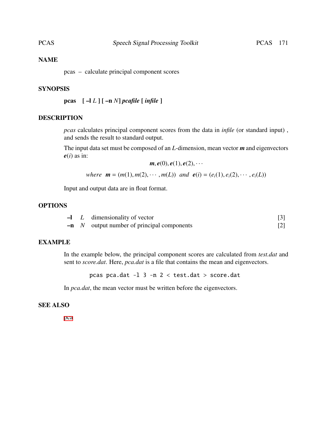<span id="page-176-0"></span>

pcas – calculate principal component scores

#### **SYNOPSIS**

pcas [ –l *L* ] [ –n *N*] *pcafile* [ *infile* ]

#### DESCRIPTION

*pcas* calculates principal component scores from the data in *infile* (or standard input) , and sends the result to standard output.

The input data set must be composed of an *L*-dimension, mean vector *m*and eigenvectors  $e(i)$  as in:

```
m, e(0), e(1), e(2), \cdotswhere m = (m(1), m(2), \cdots, m(L)) and e(i) = (e_i(1), e_i(2), \cdots, e_i(L))
```
Input and output data are in float format.

# **OPTIONS**

|  | $-L$ dimensionality of vector                |       |
|--|----------------------------------------------|-------|
|  | $-n$ N output number of principal components | $[2]$ |

#### EXAMPLE

In the example below, the principal component scores are calculated from *test.dat* and sent to *score.dat*. Here, *pca.dat* is a file that contains the mean and eigenvectors.

pcas pca.dat -l 3 -n 2 < test.dat > score.dat

In *pca.dat*, the mean vector must be written before the eigenvectors.

#### SEE ALSO

[pca](#page-175-0)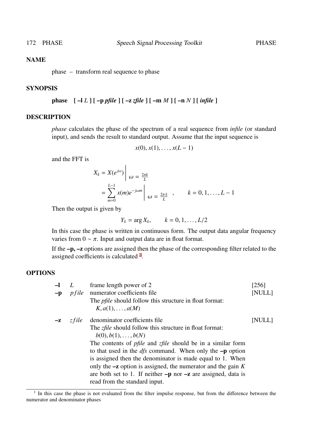phase – transform real sequence to phase

# **SYNOPSIS**

phase [ –l *L* ] [ –p *pfile* ] [ –z *zfile* ] [ –m *M* ] [ –n *N* ] [ *infile* ]

#### DESCRIPTION

*phase* calculates the phase of the spectrum of a real sequence from *infile* (or standard input), and sends the result to standard output. Assume that the input sequence is

$$
x(0), x(1), \ldots, x(L-1)
$$

and the FFT is

$$
X_k = X(e^{j\omega}) \bigg|_{\omega} = \frac{2\pi k}{L}
$$
  
= 
$$
\sum_{m=0}^{L-1} x(m)e^{-j\omega m} \bigg|_{\omega} = \frac{2\pi k}{L}, \qquad k = 0, 1, ..., L-1
$$

Then the output is given by

$$
Y_k = \arg X_k, \qquad k = 0, 1, \ldots, L/2
$$

In this case the phase is written in continuous form. The output data angular frequency varies from  $0 \sim \pi$ . Input and output data are in float format.

If the –p, –z options are assigned then the phase of the corresponding filter related to the assigned coefficients is calculated  $<sup>1</sup>$  $<sup>1</sup>$  $<sup>1</sup>$ .</sup>

#### **OPTIONS**

| $\mathbf{-}$  |       | frame length power of 2                                                                      | [256]  |
|---------------|-------|----------------------------------------------------------------------------------------------|--------|
| $-\mathbf{p}$ |       | <i>pfile</i> numerator coefficients file                                                     | [NULL] |
|               |       | The <i>pfile</i> should follow this structure in float format:<br>$K, a(1), \ldots, a(M)$    |        |
| $-\mathbf{z}$ | zfile | denominator coefficients file                                                                | [NULL] |
|               |       | The <i>zfile</i> should follow this structure in float format:<br>$b(0), b(1), \ldots, b(N)$ |        |
|               |       | The contents of <i>pfile</i> and <i>zfile</i> should be in a similar form                    |        |
|               |       | to that used in the $dfs$ command. When only the $-p$ option                                 |        |
|               |       | is assigned then the denominator is made equal to 1. When                                    |        |
|               |       | only the $-z$ option is assigned, the numerator and the gain $K$                             |        |
|               |       | are both set to 1. If neither $-p$ nor $-z$ are assigned, data is                            |        |
|               |       | read from the standard input.                                                                |        |

<span id="page-177-0"></span><sup>&</sup>lt;sup>1</sup> In this case the phase is not evaluated from the filter impulse response, but from the difference between the numerator and denominator phases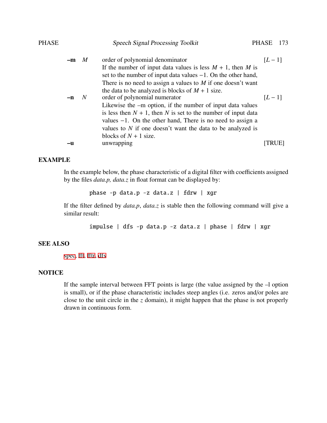| -m | M | order of polynomial denominator                                  | $[L-1]$ |
|----|---|------------------------------------------------------------------|---------|
|    |   | If the number of input data values is less $M + 1$ , then M is   |         |
|    |   | set to the number of input data values $-1$ . On the other hand, |         |
|    |   | There is no need to assign a values to $M$ if one doesn't want   |         |
|    |   | the data to be analyzed is blocks of $M + 1$ size.               |         |
| -n | N | order of polynomial numerator                                    | $ L-1 $ |
|    |   | Likewise the $-m$ option, if the number of input data values     |         |
|    |   | is less then $N + 1$ , then N is set to the number of input data |         |
|    |   | values $-1$ . On the other hand, There is no need to assign a    |         |
|    |   | values to $N$ if one doesn't want the data to be analyzed is     |         |
|    |   | blocks of $N + 1$ size.                                          |         |
| -u |   | unwrapping                                                       | ITRUEI  |

#### EXAMPLE

In the example below, the phase characteristic of a digital filter with coefficients assigned by the files *data.p, data.z* in float format can be displayed by:

phase -p data.p -z data.z | fdrw | xgr

If the filter defined by *data.p*, *data.z* is stable then the following command will give a similar result:

impulse | dfs -p data.p -z data.z | phase | fdrw | xgr

#### SEE ALSO

[spec](#page-200-0), [ff](#page-54-0)t, ff[tr,](#page-59-0) [dfs](#page-39-0)

#### **NOTICE**

If the sample interval between FFT points is large (the value assigned by the –l option is small), or if the phase characteristic includes steep angles (i.e. zeros and/or poles are close to the unit circle in the *z* domain), it might happen that the phase is not properly drawn in continuous form.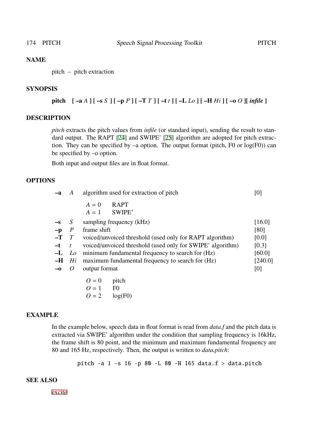pitch – pitch extraction

#### **SYNOPSIS**

pitch [ –a *A* ] [ –s *S* ] [ –p *P* ] [ –T *T* ] [ –t *t* ] [ –L *Lo* ] [ –H *Hi* ] [ –o *O* ][ *infile* ]

# DESCRIPTION

*pitch* extracts the pitch values from *infile* (or standard input), sending the result to standard output. The RAPT [[24\]](#page-243-7) and SWIPE' [[25\]](#page-243-8) algorithm are adopted for pitch extraction. They can be specified by  $-a$  option. The output format (pitch, F0 or  $log(F0)$ ) can be specified by –o option.

Both input and output files are in float format.

# OPTIONS

| -a            | A                | algorithm used for extraction of pitch                     | [0]     |
|---------------|------------------|------------------------------------------------------------|---------|
|               |                  | <b>RAPT</b><br>$A=0$<br>SWIPE'<br>$A=1$                    |         |
| $-S$          | S                | sampling frequency (kHz)                                   | [16.0]  |
| $-\mathbf{p}$ | $\boldsymbol{P}$ | frame shift                                                | [80]    |
| $-T$          | T                | voiced/unvoiced threshold (used only for RAPT algorithm)   | [0.0]   |
| $-t$          | $\mathbf{t}$     | voiced/unvoiced threshold (used only for SWIPE' algorithm) | [0.3]   |
| $-L$          | Lo               | minimum fundamental frequency to search for (Hz)           | [60.0]  |
| $-H$          | Hi               | maximum fundamental frequency to search for (Hz)           | [240.0] |
| -0            | $\Omega$         | output format                                              | [0]     |
|               |                  | $Q=0$<br>pitch                                             |         |
|               |                  | $Q=1$<br>F <sub>0</sub>                                    |         |

$$
O = 2 \qquad \log(\text{F0})
$$

#### EXAMPLE

In the example below, speech data in float format is read from *data.f* and the pitch data is extracted via SWIPE' algorithm under the condition that sampling frequency is 16kHz, the frame shift is 80 point, and the minimum and maximum fundamental frequency are 80 and 165 Hz, respectively. Then, the output is written to *data.pitch*:

pitch -a  $1$  -s  $16$  -p  $80$  -L  $80$  -H  $165$  data.f > data.pitch

# SEE ALSO

[excite](#page-48-0)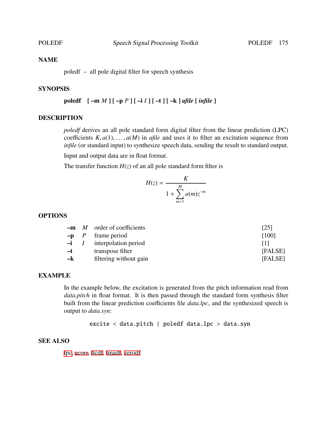poledf – all pole digital filter for speech synthesis

### **SYNOPSIS**

poledf [ –m *M* ] [ –p *P* ] [ –i *I* ] [ –t ] [ –k ] *afile* [ *infile* ]

### DESCRIPTION

*poledf* derives an all pole standard form digital filter from the linear prediction (LPC) coefficients  $K$ ,  $a(1)$ , ...,  $a(M)$  in *afile* and uses it to filter an excitation sequence from *infile* (or standard input) to synthesize speech data, sending the result to standard output.

Input and output data are in float format.

The transfer function  $H(z)$  of an all pole standard form filter is

$$
H(z) = \frac{K}{1 + \sum_{m=1}^{M} a(m)z^{-m}}
$$

### **OPTIONS**

|               | $-m$ <i>M</i> order of coefficients | [25]    |
|---------------|-------------------------------------|---------|
|               | $-p$ $P$ frame period               | [100]   |
|               | $-i$ I interpolation period         | 111     |
| $-$ t         | transpose filter                    | [FALSE] |
| $-\mathbf{k}$ | filtering without gain              | [FALSE] |

#### EXAMPLE

In the example below, the excitation is generated from the pitch information read from *data.pitch* in float format. It is then passed through the standard form synthesis filter built from the linear prediction coefficients file *data.lpc*, and the synthesized speech is output to *data.syn*:

```
excite < data.pitch | poledf data.lpc > data.syn
```
### SEE ALSO

[lpc](#page-119-0), [acorr,](#page-8-0) [ltcdf,](#page-132-0) [lmadf,](#page-116-0) [zerodf](#page-241-0)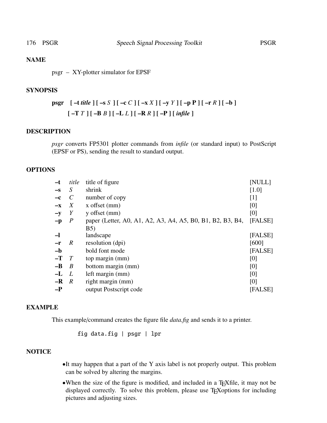psgr – XY-plotter simulator for EPSF

### **SYNOPSIS**

psgr [ –t *title* ] [ –s *S* ] [ –c *C* ] [ –x *X* ] [ –y *Y* ] [ –p P ] [ –r *R* ] [ –b ]  $[-T T ] [-B B ] [-L L ] [-R R ] [-P ] [in file ]$ 

#### DESCRIPTION

*psgr* converts FP5301 plotter commands from *infile* (or standard input) to PostScript (EPSF or PS), sending the result to standard output.

#### **OPTIONS**

| -t            | title                 | title of figure                                            | [NULL]         |
|---------------|-----------------------|------------------------------------------------------------|----------------|
| $-S$          | S                     | shrink                                                     | [1.0]          |
| $-c$          | $\mathcal{C}_{0}^{0}$ | number of copy                                             | [1]            |
| $-\mathbf{X}$ | X                     | $x$ offset $(mm)$                                          | [0]            |
| $-y$          | Y                     | y offset (mm)                                              | [0]            |
| $-\mathbf{p}$ | $\boldsymbol{P}$      | paper (Letter, A0, A1, A2, A3, A4, A5, B0, B1, B2, B3, B4, | <b>[FALSE]</b> |
|               |                       | <b>B5</b> )                                                |                |
| $-\mathbf{l}$ |                       | landscape                                                  | [FALSE]        |
| -r            | $\boldsymbol{R}$      | resolution (dpi)                                           | [600]          |
| $-\mathbf{b}$ |                       | bold font mode                                             | [FALSE]        |
| $-T$          | T                     | top margin (mm)                                            | [0]            |
| $-B$          | B                     | bottom margin (mm)                                         | [0]            |
| $-L$          | L                     | left margin (mm)                                           | [0]            |
| $-R$          | $\boldsymbol{R}$      | right margin (mm)                                          | [0]            |
| $-P$          |                       | output Postscript code                                     | [FALSE]        |

#### EXAMPLE

This example/command creates the figure file *data.fig* and sends it to a printer.

fig data.fig | psgr | lpr

### **NOTICE**

- •It may happen that a part of the Y axis label is not properly output. This problem can be solved by altering the margins.
- •When the size of the figure is modified, and included in a T<sub>E</sub>Xfile, it may not be displayed correctly. To solve this problem, please use T<sub>E</sub>Xoptions for including pictures and adjusting sizes.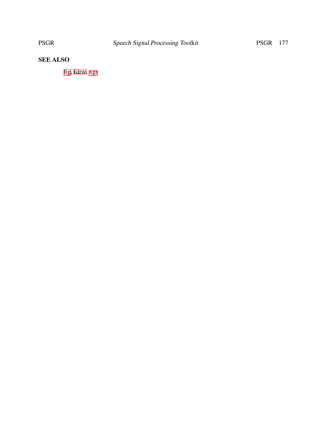# SEE ALSO

[fig](#page-62-0), [fdrw,](#page-52-0) [xgr](#page-238-0)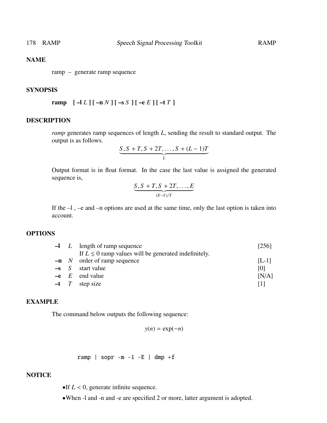<span id="page-183-0"></span>ramp – generate ramp sequence

### **SYNOPSIS**

ramp [ –l *L* ] [ –n *N* ] [ –s *S* ] [ –e *E* ] [ –t *T* ]

### DESCRIPTION

*ramp* generates ramp sequences of length *L*, sending the result to standard output. The output is as follows.

$$
\underbrace{S, S + T, S + 2T, \dots, S + (L-1)T}_{L}
$$

Output format is in float format. In the case the last value is assigned the generated sequence is,

$$
\underbrace{S, S + T, S + 2T, \dots, E}_{(E-S)/T}
$$

If the  $-1$ ,  $-e$  and  $-n$  options are used at the same time, only the last option is taken into account.

# **OPTIONS**

|  | $-L$ length of ramp sequence                              | [256]   |
|--|-----------------------------------------------------------|---------|
|  | If $L \leq 0$ ramp values will be generated indefinitely. |         |
|  | $-n$ N order of ramp sequence                             | $[L-1]$ |
|  | $-S \tS$ start value                                      | [0]     |
|  | $-e$ E end value                                          | [N/A]   |
|  | $-t$ T step size                                          | 111     |
|  |                                                           |         |

### EXAMPLE

The command below outputs the following sequence:

$$
y(n) = \exp(-n)
$$

ramp  $|$  sopr  $-m -1 -E |$  dmp  $+f$ 

### **NOTICE**

•If  $L < 0$ , generate infinite sequence.

•When -l and -n and -e are specified 2 or more, latter argument is adopted.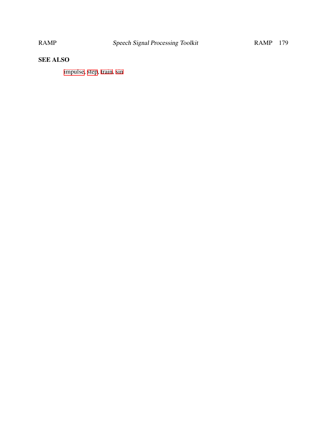# SEE ALSO

[impulse,](#page-104-0) [step,](#page-203-0) [train,](#page-206-0) [sin](#page-191-0)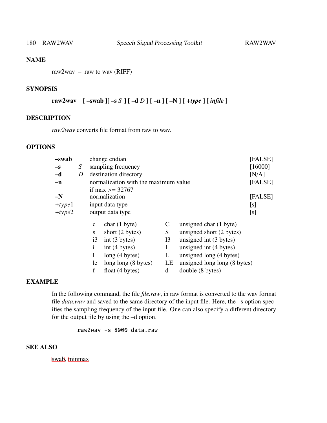raw2wav – raw to wav (RIFF)

# **SYNOPSIS**

raw2wav [ –swab ][ –s *S* ] [ –d *D* ] [ –n ] [ –N ] [ +*type* ] [ *infile* ]

# DESCRIPTION

*raw2wav* converts file format from raw to wav.

### **OPTIONS**

| -swab     |                  | change endian |                                      |    |                              |         |  |  |
|-----------|------------------|---------------|--------------------------------------|----|------------------------------|---------|--|--|
| $-S$      | $\boldsymbol{S}$ |               | sampling frequency                   |    |                              |         |  |  |
| -d        | D                |               | destination directory                |    |                              | [N/A]   |  |  |
| $-n$      |                  |               | normalization with the maximum value |    |                              | [FALSE] |  |  |
|           |                  |               | if max $>= 32767$                    |    |                              |         |  |  |
| $-N$      |                  |               | normalization                        |    |                              | [FALSE] |  |  |
| $+ type1$ |                  |               | input data type                      |    |                              |         |  |  |
| $+ type2$ |                  |               | output data type                     |    |                              | [s]     |  |  |
|           |                  | $\mathbf{C}$  | char(1 byte)                         | C  | unsigned char (1 byte)       |         |  |  |
|           |                  | S             | short (2 bytes)                      | S  | unsigned short (2 bytes)     |         |  |  |
|           |                  | i3            | int(3 bytes)                         | I3 | unsigned int (3 bytes)       |         |  |  |
|           |                  | Ť.            | int (4 bytes)                        | I  | unsigned int (4 bytes)       |         |  |  |
|           |                  |               | long(4 bytes)                        | L  | unsigned long (4 bytes)      |         |  |  |
|           |                  | le            | long long (8 bytes)                  | LE | unsigned long long (8 bytes) |         |  |  |
|           |                  |               | float (4 bytes)                      | d  | double (8 bytes)             |         |  |  |

# EXAMPLE

In the following command, the file *file.raw*, in raw format is converted to the wav format file *data.wav* and saved to the same directory of the input file. Here, the –s option specifies the sampling frequency of the input file. One can also specify a different directory for the output file by using the –d option.

raw2wav -s 8000 data.raw

### SEE ALSO

[swab,](#page-204-0) [minmax](#page-158-0)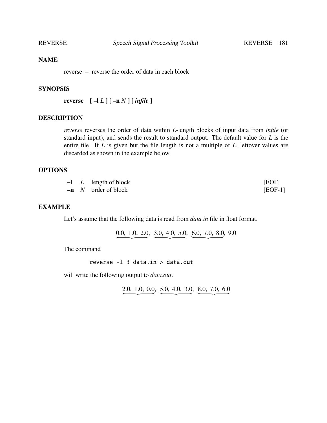reverse – reverse the order of data in each block

### **SYNOPSIS**

reverse [ –l *L* ] [ –n *N* ] [ *infile* ]

# DESCRIPTION

*reverse* reverses the order of data within *L*-length blocks of input data from *infile* (or standard input), and sends the result to standard output. The default value for *L* is the entire file. If *L* is given but the file length is not a multiple of *L*, leftover values are discarded as shown in the example below.

### OPTIONS

|  | $-L$ length of block  | [EOF]     |
|--|-----------------------|-----------|
|  | $-n$ N order of block | $[EOF-1]$ |

# EXAMPLE

Let's assume that the following data is read from *data.in* file in float format.

0.0, 1.0, 2.0 , 3.0, 4.0, 5.0 , 6.0, 7.0, 8.0 , 9.0

 $\overline{\phantom{a}}$ 

 $\overline{\phantom{a}}$ 

 $\sim$ 

The command

reverse  $-1$  3 data.in  $>$  data.out

 $\sim$ 

 $\overline{\phantom{a}}$ 

will write the following output to *data.out*.

2.0, 1.0, 0.0 , 5.0, 4.0, 3.0 , 8.0, 7.0, 6.0  $\overline{\phantom{a}}$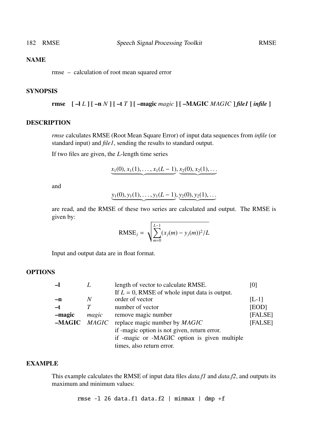<span id="page-187-0"></span>rmse – calculation of root mean squared error

### **SYNOPSIS**

rmse [ –l *L* ] [ –n *N* ] [ –t *T* ] [ –magic *magic* ] [ –MAGIC *MAGIC* ] *file1* [ *infile* ]

### DESCRIPTION

*rmse* calculates RMSE (Root Mean Square Error) of input data sequences from *infile* (or standard input) and *file1*, sending the results to standard output.

If two files are given, the *L*-length time series

$$
x_1(0), x_1(1), \ldots, x_1(L-1), x_2(0), x_2(1), \ldots
$$

 $\sim$ 

| {z }

and

$$
y_1(0), y_1(1), \ldots, y_1(L-1), y_2(0), y_2(1), \ldots
$$

 $\overline{\phantom{a}}$   $\overline{\phantom{a}}$   $\overline{\phantom{a}}$   $\overline{\phantom{a}}$   $\overline{\phantom{a}}$   $\overline{\phantom{a}}$   $\overline{\phantom{a}}$   $\overline{\phantom{a}}$   $\overline{\phantom{a}}$   $\overline{\phantom{a}}$   $\overline{\phantom{a}}$   $\overline{\phantom{a}}$   $\overline{\phantom{a}}$   $\overline{\phantom{a}}$   $\overline{\phantom{a}}$   $\overline{\phantom{a}}$   $\overline{\phantom{a}}$   $\overline{\phantom{a}}$   $\overline{\$ are read, and the RMSE of these two series are calculated and output. The RMSE is given by:

RMSE<sub>j</sub> = 
$$
\sqrt{\sum_{m=0}^{L-1} (x_j(m) - y_j(m))^2/L}
$$

Input and output data are in float format.

# **OPTIONS**

| -1           |       | length of vector to calculate RMSE.              | [0]     |
|--------------|-------|--------------------------------------------------|---------|
|              |       | If $L = 0$ , RMSE of whole input data is output. |         |
| -n           | N     | order of vector                                  | $[L-1]$ |
| —t           |       | number of vector                                 | [EOD]   |
| -magic       | magic | remove magic number                              | [FALSE] |
| -MAGIC MAGIC |       | replace magic number by <i>MAGIC</i>             | [FALSE] |
|              |       | if -magic option is not given, return error.     |         |
|              |       | if -magic or -MAGIC option is given multiple     |         |
|              |       | times, also return error.                        |         |
|              |       |                                                  |         |

# EXAMPLE

This example calculates the RMSE of input data files *data.f1* and *data.f2*, and outputs its maximum and minimum values:

rmse -l 26 data.f1 data.f2 | minmax | dmp +f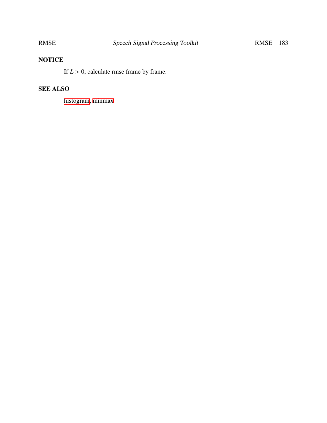# **NOTICE**

If *L* > 0, calculate rmse frame by frame.

# SEE ALSO

[histogram,](#page-96-0) [minmax](#page-158-0)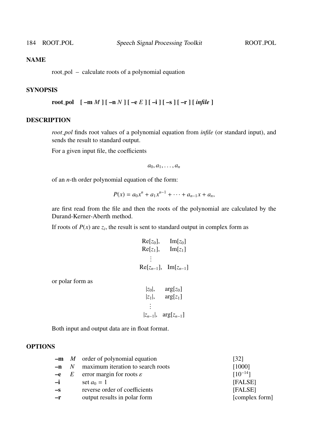root pol – calculate roots of a polynomial equation

### **SYNOPSIS**

root pol [ –m *M* ] [ –n *N* ] [ –e *E* ] [ –i ] [ –s ] [ –r ] [ *infile* ]

### DESCRIPTION

*root pol* finds root values of a polynomial equation from *infile* (or standard input), and sends the result to standard output.

For a given input file, the coefficients

 $a_0, a_1, \ldots, a_n$ 

of an *n*-th order polynomial equation of the form:

$$
P(x) = a_0 x^n + a_1 x^{n-1} + \cdots + a_{n-1} x + a_n,
$$

are first read from the file and then the roots of the polynomial are calculated by the Durand-Kerner-Aberth method.

If roots of  $P(x)$  are  $z_i$ , the result is sent to standard output in complex form as

Re[*z*0], Im[*z*0] Re[*z*1], Im[*z*1] . . . Re[*zn*−1], Im[*zn*−1] |*z*0|, arg[*z*0] |*z*1|, arg[*z*1] . . .

or polar form as

```
|zn−1|, arg[zn−1]
```
Both input and output data are in float format.

# **OPTIONS**

| $-m$ |   | $M$ order of polynomial equation     | $\left[32\right]$ |
|------|---|--------------------------------------|-------------------|
| $-n$ | N | maximum iteration to search roots    | [1000]            |
| $-e$ | E | error margin for roots $\varepsilon$ | $[10^{-14}]$      |
| $-i$ |   | set $a_0 = 1$                        | [FALSE]           |
| $-S$ |   | reverse order of coefficients        | [FALSE]           |
| $-r$ |   | output results in polar form         | [complex form]    |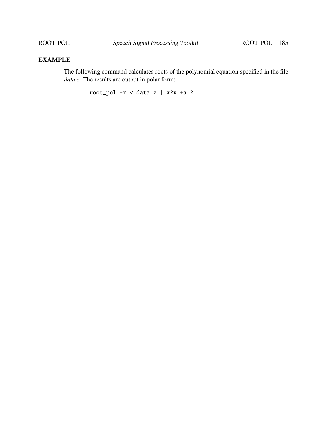# EXAMPLE

The following command calculates roots of the polynomial equation specified in the file *data.z*. The results are output in polar form:

root\_pol -r < data.z | x2x +a 2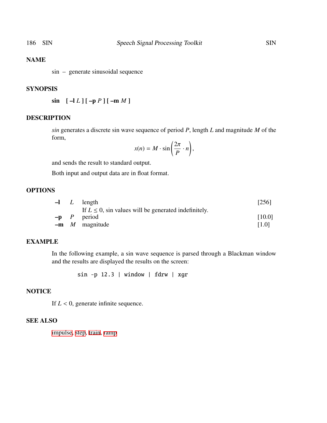<span id="page-191-0"></span>sin – generate sinusoidal sequence

# **SYNOPSIS**

 $\sin \left[ -l L \right] [-p P] [-m M]$ 

### DESCRIPTION

*sin* generates a discrete sin wave sequence of period *P*, length *L* and magnitude *M* of the form,

$$
x(n) = M \cdot \sin\left(\frac{2\pi}{P} \cdot n\right),\,
$$

and sends the result to standard output.

Both input and output data are in float format.

### **OPTIONS**

|  | $-1$ L length                                              | [256]  |
|--|------------------------------------------------------------|--------|
|  | If $L \leq 0$ , sin values will be generated indefinitely. |        |
|  | $-p$ <i>P</i> period                                       | [10.0] |
|  | $-m$ <i>M</i> magnitude                                    | 11.01  |
|  |                                                            |        |

# EXAMPLE

In the following example, a sin wave sequence is parsed through a Blackman window and the results are displayed the results on the screen:

sin -p 12.3 | window | fdrw | xgr

# **NOTICE**

If  $L < 0$ , generate infinite sequence.

### SEE ALSO

[impulse](#page-104-0), [step](#page-203-0), [train](#page-206-0), [ramp](#page-183-0)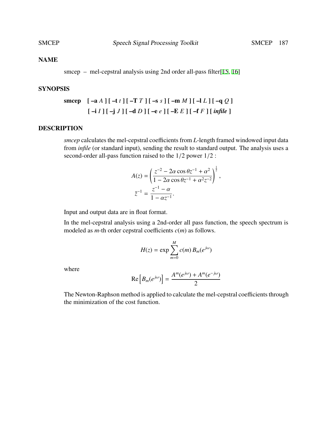smcep – mel-cepstral analysis using 2nd order all-pass filter [[15,](#page-243-0) [16\]](#page-243-1)

### **SYNOPSIS**

\n
$$
\text{smcep} \quad\n \begin{bmatrix}\n -\mathbf{a} A \\
 -\mathbf{t} I\n \end{bmatrix}\n \begin{bmatrix}\n -\mathbf{t} T \\
 -\mathbf{r} T\n \end{bmatrix}\n \begin{bmatrix}\n -\mathbf{s} S \\
 -\mathbf{m} M\n \end{bmatrix}\n \begin{bmatrix}\n -\mathbf{l} L \\
 -\mathbf{l} T\n \end{bmatrix}\n \begin{bmatrix}\n -\mathbf{q} Q \\
 -\mathbf{r} H\n \end{bmatrix}\n \begin{bmatrix}\n -\mathbf{i} I \\
 -\mathbf{j} J\n \end{bmatrix}\n \begin{bmatrix}\n -\mathbf{d} D \\
 -\mathbf{e} e\n \end{bmatrix}\n \begin{bmatrix}\n -\mathbf{E} E \\
 -\mathbf{E} E\n \end{bmatrix}\n \begin{bmatrix}\n -\mathbf{f} F \\
 \mathbf{i} \text{mfile}\n \end{bmatrix}\n \end{bmatrix}
$$
\n

### DESCRIPTION

*smcep* calculates the mel-cepstral coefficients from *L*-length framed windowed input data from *infile* (or standard input), sending the result to standard output. The analysis uses a second-order all-pass function raised to the 1/2 power 1/2 :

$$
A(z) = \left(\frac{z^{-2} - 2\alpha \cos \theta z^{-1} + \alpha^2}{1 - 2\alpha \cos \theta z^{-1} + \alpha^2 z^{-2}}\right)^{\frac{1}{2}},
$$
  

$$
\tilde{z}^{-1} = \frac{z^{-1} - \alpha}{1 - \alpha z^{-1}}.
$$

Input and output data are in float format.

In the mel-cepstral analysis using a 2nd-order all pass function, the speech spectrum is modeled as *m*-th order cepstral coefficients *c*(*m*) as follows.

$$
H(z) = \exp \sum_{m=0}^{M} c(m) B_m(e^{j\omega})
$$

where

$$
\operatorname{Re}\left[B_{m}(e^{j\omega})\right] = \frac{A^{m}(e^{j\omega}) + A^{m}(e^{-j\omega})}{2}
$$

The Newton-Raphson method is applied to calculate the mel-cepstral coefficients through the minimization of the cost function.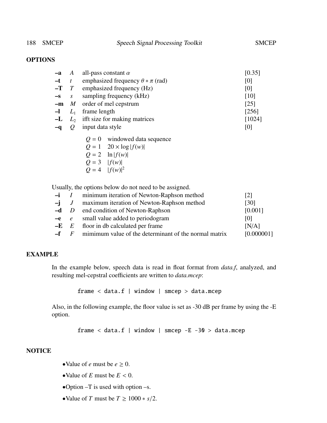# **OPTIONS**

| $-a$          | A     | [0.35]<br>all-pass constant $\alpha$      |        |  |  |  |
|---------------|-------|-------------------------------------------|--------|--|--|--|
| $-t$          | t     | emphasized frequency $\theta * \pi$ (rad) | [0]    |  |  |  |
| $-T$          | T     | emphasized frequency (Hz)                 | [0]    |  |  |  |
| $-S$          | S     | sampling frequency (kHz)                  | [10]   |  |  |  |
|               |       | $-m$ <i>M</i> order of mel cepstrum       | [25]   |  |  |  |
| $-\mathbf{l}$ | $L_1$ | frame length<br>[256]                     |        |  |  |  |
| $-L$          |       | $L_2$ ifft size for making matrices       | [1024] |  |  |  |
| $-\alpha$     |       | input data style                          | [0]    |  |  |  |
|               |       | $Q = 0$ windowed data sequence            |        |  |  |  |

- *Q* = 0 windowed data sequence
- $Q = 1$  20  $\times$  log  $|f(w)|$  $Q = 2 \ln |f(w)|$
- $Q = 3$  | $f(w)$ |
- $Q = 4$   $|f(w)|^2$

Usually, the options below do not need to be assigned.

|          |   | $-i$ I minimum iteration of Newton-Raphson method     | [2]        |
|----------|---|-------------------------------------------------------|------------|
| $-i$     |   | maximum iteration of Newton-Raphson method            | [30]       |
| $-d$     | D | end condition of Newton-Raphson                       | [0.001]    |
| $-e$ e   |   | small value added to periodogram                      | [0]        |
| $-E E E$ |   | floor in db calculated per frame                      | [N/A]      |
| $-f$ $F$ |   | mimimum value of the determinant of the normal matrix | [0.000001] |

### EXAMPLE

In the example below, speech data is read in float format from *data.f*, analyzed, and resulting mel-cepstral coefficients are written to *data.mcep*:

frame < data.f | window | smcep > data.mcep

Also, in the following example, the floor value is set as -30 dB per frame by using the -E option.

frame  $\langle$  data.f | window | smcep -E -30  $>$  data.mcep

# **NOTICE**

- Value of *e* must be  $e \geq 0$ .
- Value of *E* must be  $E < 0$ .
- •Option –T is used with option –s.
- •Value of *T* must be  $T \ge 1000 \cdot s/2$ .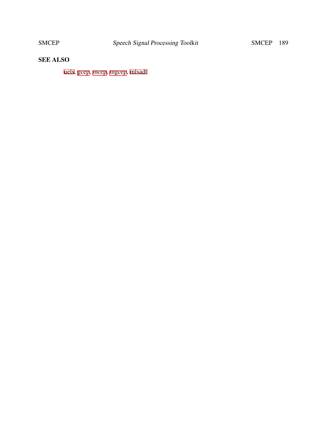# SEE ALSO

[uels](#page-208-0), [gcep,](#page-73-0) [mcep,](#page-134-0) [mgcep](#page-147-0), [mlsadf](#page-166-0)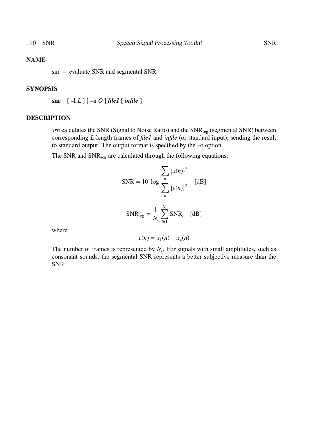snr – evaluate SNR and segmental SNR

### **SYNOPSIS**

snr [ –l *L* ] [ –o *O* ] *file1* [ *infile* ]

### DESCRIPTION

*srn* calculates the SNR (Signal to Noise Ratio) and the SNR<sub>seg</sub> (segmental SNR) between corresponding *L*-length frames of *file1* and *infile* (or standard input), sending the result to standard output. The output format is specified by the –o option.

The SNR and SNR<sub>seg</sub> are calculated through the following equations.

$$
SNR = 10 \log \frac{\sum_{n} {x(n)}^2}{\sum_{n} {e(n)}^2} \quad \text{[dB]}
$$

$$
SNR_{seg} = \frac{1}{N_i} \sum_{i=1}^{N_i} SNR_i \quad \text{[dB]}
$$

where

$$
e(n) = x_1(n) - x_2(n)
$$

The number of frames is represented by  $N_i$ . For signals with small amplitudes, such as consonant sounds, the segmental SNR represents a better subjective measure than the SNR.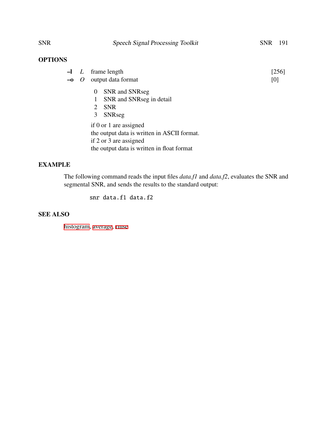| <b>SNR</b>     |                |                | <b>Speech Signal Processing Toolkit</b>                                                                                                       | <b>SNR</b><br>191 |
|----------------|----------------|----------------|-----------------------------------------------------------------------------------------------------------------------------------------------|-------------------|
| <b>OPTIONS</b> |                |                |                                                                                                                                               |                   |
|                | $-1$ L<br>$-0$ | $\overline{O}$ | frame length<br>output data format<br>SNR and SNRseg<br>$\theta$<br>SNR and SNRseg in detail<br><b>SNR</b><br>2<br><b>SNRseg</b><br>3         | [256]<br>[0]      |
|                |                |                | if 0 or 1 are assigned<br>the output data is written in ASCII format.<br>if 2 or 3 are assigned<br>the output data is written in float format |                   |

# EXAMPLE

The following command reads the input files *data.f1* and *data.f2*, evaluates the SNR and segmental SNR, and sends the results to the standard output:

snr data.f1 data.f2

# SEE ALSO

[histogram,](#page-96-0) [average](#page-13-0), [rmse](#page-187-0)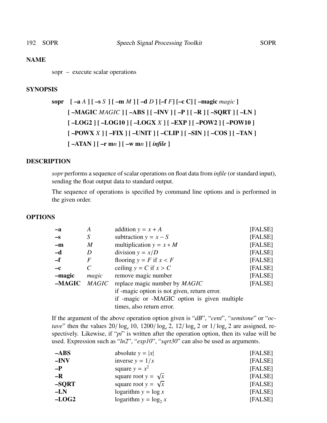sopr – execute scalar operations

# **SYNOPSIS**

sopr [ –a *A* ] [ –s *S* ] [ –m *M* ] [ –d *D* ] [–f *F*] [–c C] [ –magic *magic* ] [ –MAGIC *MAGIC* ] [ –ABS ] [ –INV ] [ –P ] [ –R ] [ –SQRT ] [ –LN ] [ –LOG2 ] [ –LOG10 ] [ –LOGX *X* ] [ –EXP ] [ –POW2 ] [ –POW10 ] [ –POWX *X* ] [ –FIX ] [ –UNIT ] [ –CLIP ] [ –SIN ] [ –COS ] [ –TAN ] [ –ATAN ] [ –r m*n* ] [ –w m*n* ] [ *infile* ]

### DESCRIPTION

*sopr* performs a sequence of scalar operations on float data from *infile* (or standard input), sending the float output data to standard output.

The sequence of operations is specified by command line options and is performed in the given order.

### **OPTIONS**

| $-a$     | A                | addition $y = x + A$                         | [FALSE] |
|----------|------------------|----------------------------------------------|---------|
| $-S$     | S                | subtraction $y = x - S$                      | [FALSE] |
| $-m$     | M                | multiplication $y = x * M$                   | [FALSE] |
| $-d$     | D                | division $y = x/D$                           | [FALSE] |
| $-f$     | $\boldsymbol{F}$ | flooring $y = F$ if $x < F$                  | [FALSE] |
| $-c$     |                  | ceiling $y = C$ if $x > C$                   | [FALSE] |
| -magic   | magic            | remove magic number                          | [FALSE] |
| $-MAGIC$ | <b>MAGIC</b>     | replace magic number by <i>MAGIC</i>         | [FALSE] |
|          |                  | if -magic option is not given, return error. |         |
|          |                  | if -magic or -MAGIC option is given multiple |         |
|          |                  | times, also return error.                    |         |

If the argument of the above operation option given is "*dB*", "*cent*", "*semitone*" or "*octave*" then the values  $20/\log_e 10$ ,  $1200/\log_e 2$ ,  $12/\log_e 2$  or  $1/\log_e 2$  are assigned, respectively. Likewise, if "*pi*" is written after the operation option, then its value will be used. Expression such as "*ln2*", "*exp10*", "*sqrt30*" can also be used as arguments.

| absolute $y =  x $         | [FALSE]        |
|----------------------------|----------------|
| inverse $y = 1/x$          | [FALSE]        |
| square $y = x^2$           | [FALSE]        |
| square root $y = \sqrt{x}$ | [FALSE]        |
| square root $y = \sqrt{x}$ | <b>[FALSE]</b> |
| logarithm $y = \log x$     | [FALSE]        |
| logarithm $y = \log_2 x$   | [FALSE]        |
|                            |                |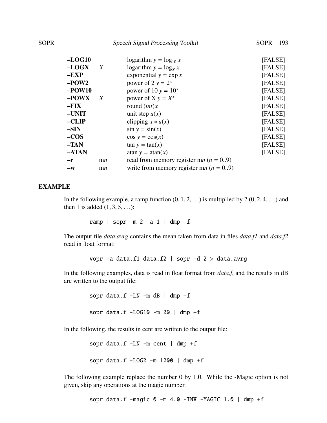|    | logarithm $y = log_{10} x$                  | [FALSE] |
|----|---------------------------------------------|---------|
| X  | logarithm $y = \log_{x} x$                  | [FALSE] |
|    | exponential $y = \exp x$                    | [FALSE] |
|    | power of 2 $y = 2^x$                        | [FALSE] |
|    | power of 10 $y = 10^x$                      | [FALSE] |
| X  | power of X $y = X^x$                        | [FALSE] |
|    | round $(int)x$                              | [FALSE] |
|    | unit step $u(x)$                            | [FALSE] |
|    | clipping $x * u(x)$                         | [FALSE] |
|    | $\sin y = \sin(x)$                          | [FALSE] |
|    | $cos y = cos(x)$                            | [FALSE] |
|    | $\tan y = \tan(x)$                          | [FALSE] |
|    | atan $y = \text{atan}(x)$                   | [FALSE] |
| mn | read from memory register mn ( $n = 0.9$ )  |         |
| mn | write from memory register mn ( $n = 0.9$ ) |         |
|    |                                             |         |

### **EXAMPLE**

In the following example, a ramp function  $(0, 1, 2, ...)$  is multiplied by  $2 (0, 2, 4, ...)$  and then 1 is added  $(1, 3, 5, \ldots)$ :

ramp  $|$  sopr  $-m$  2  $-a$  1  $|$  dmp  $+f$ 

The output file *data.avrg* contains the mean taken from data in files *data.f1* and *data.f2* read in float format:

vopr -a data.f1 data.f2 | sopr -d 2 > data.avrg

In the following examples, data is read in float format from *data.f*, and the results in dB are written to the output file:

> sopr data.f -LN -m dB | dmp +f sopr data.f -LOG10 -m 20 | dmp +f

In the following, the results in cent are written to the output file:

```
sopr data.f -LN -m cent | dmp +f
sopr data.f -LOG2 -m 1200 | dmp +f
```
The following example replace the number 0 by 1.0. While the -Magic option is not given, skip any operations at the magic number.

sopr data.f -magic  $0 - m$  4.0 -INV -MAGIC 1.0 | dmp +f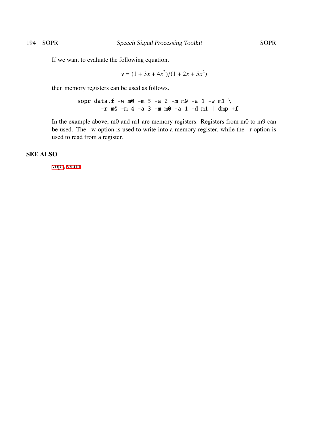If we want to evaluate the following equation,

$$
y = (1 + 3x + 4x^2)/(1 + 2x + 5x^2)
$$

then memory registers can be used as follows.

sopr data.f -w  $m0 - m 5 - a 2 - m m0 - a 1 - w m1 \setminus$  $-r$  m $0$  -m  $4$  -a  $3$  -m m $0$  -a  $1$  -d m $1$  | dmp +f

In the example above, m0 and m1 are memory registers. Registers from m0 to m9 can be used. The –w option is used to write into a memory register, while the –r option is used to read from a register.

### SEE ALSO

[vopr,](#page-221-0) [vsum](#page-228-0)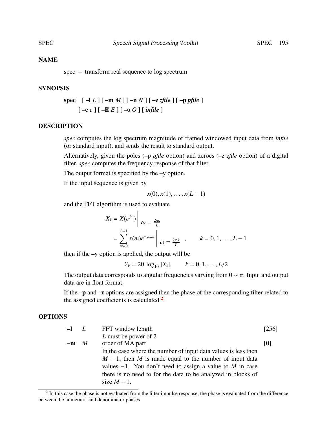spec – transform real sequence to log spectrum

# **SYNOPSIS**

spec [ –l *L* ] [ –m *M* ] [ –n *N* ] [ –z *zfile* ] [ –p *pfile* ] [ –e *e* ] [ –E *E* ] [ –o *O* ] [ *infile* ]

### DESCRIPTION

*spec* computes the log spectrum magnitude of framed windowed input data from *infile* (or standard input), and sends the result to standard output.

Alternatively, given the poles (–p *pfile* option) and zeroes (–z *zfile* option) of a digital filter, *spec* computes the frequency response of that filter.

The output format is specified by the –y option.

If the input sequence is given by

$$
x(0), x(1), \ldots, x(L-1)
$$

and the FFT algorithm is used to evaluate

$$
X_k = X(e^{j\omega})\Big|_{\omega} = \frac{2\pi k}{L}
$$
  
= 
$$
\sum_{m=0}^{L-1} x(m)e^{-j\omega m}\Big|_{\omega} = \frac{2\pi k}{L}, \qquad k = 0, 1, ..., L-1
$$

then if the –y option is applied, the output will be

 $Y_k = 20 \log_{10} |X_k|, \qquad k = 0, 1, \ldots, L/2$ 

The output data corresponds to angular frequencies varying from  $0 \sim \pi$ . Input and output data are in float format.

If the –p and –z options are assigned then the phase of the corresponding filter related to the assigned coefficients is calculated  $2$ .

### OPTIONS

|        | $-L$ FFT window length                                         | 256 |
|--------|----------------------------------------------------------------|-----|
|        | L must be power of 2                                           |     |
| $-m$ M | order of MA part                                               | 101 |
|        | In the case where the number of input data values is less then |     |
|        | $M + 1$ , then M is made equal to the number of input data     |     |
|        | values $-1$ . You don't need to assign a value to M in case    |     |
|        | there is no need to for the data to be analyzed in blocks of   |     |
|        | size $M + 1$ .                                                 |     |

<span id="page-200-0"></span> $2$  In this case the phase is not evaluated from the filter impulse response, the phase is evaluated from the difference between the numerator and denominator phases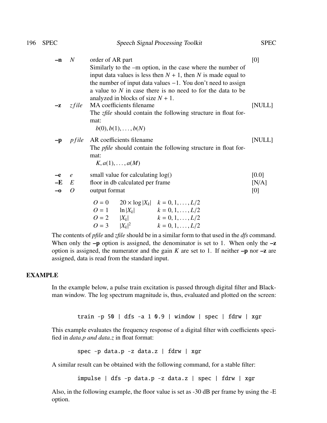| $-n$            | $\boldsymbol{N}$ | order of AR part                                 |                                                                       | [0]    |
|-----------------|------------------|--------------------------------------------------|-----------------------------------------------------------------------|--------|
|                 |                  |                                                  | Similarly to the $-m$ option, in the case where the number of         |        |
|                 |                  |                                                  | input data values is less then $N + 1$ , then N is made equal to      |        |
|                 |                  |                                                  | the number of input data values $-1$ . You don't need to assign       |        |
|                 |                  |                                                  | a value to $N$ in case there is no need to for the data to be         |        |
|                 |                  | analyzed in blocks of size $N + 1$ .             |                                                                       |        |
| $-\mathbf{z}$   | zfile            | MA coefficients filename                         |                                                                       | [NULL] |
|                 |                  |                                                  | The <i>zfile</i> should contain the following structure in float for- |        |
|                 |                  | mat:                                             |                                                                       |        |
|                 |                  | $b(0), b(1), \ldots, b(N)$                       |                                                                       |        |
| —p              | <i>pfile</i>     | AR coefficients filename                         |                                                                       | [NULL] |
|                 |                  |                                                  | The <i>pfile</i> should contain the following structure in float for- |        |
|                 |                  | mat:                                             |                                                                       |        |
|                 |                  | $K, a(1), \ldots, a(M)$                          |                                                                       |        |
| -е              | $\epsilon$       | small value for calculating log()                |                                                                       | [0.0]  |
| -E              | $E\,$            | floor in db calculated per frame                 |                                                                       | [N/A]  |
| $\overline{\ }$ | $\overline{O}$   | output format                                    |                                                                       | [0]    |
|                 |                  | $Q = 0$ $20 \times \log  X_k $ $k = 0, 1, , L/2$ |                                                                       |        |
|                 |                  | $Q = 1$ $\ln  X_k $ $k = 0, 1, , L/2$            |                                                                       |        |
|                 |                  | $0 = 2$ $ X_k $ $k = 0, 1, , L/2$                |                                                                       |        |
|                 |                  | $Q = 3$ $ X_k ^2$ $k = 0, 1, , L/2$              |                                                                       |        |
|                 |                  |                                                  |                                                                       |        |

The contents of *pfile* and *zfile* should be in a similar form to that used in the *dfs* command. When only the  $-p$  option is assigned, the denominator is set to 1. When only the  $-z$ option is assigned, the numerator and the gain  $K$  are set to 1. If neither  $-p$  nor  $-z$  are assigned, data is read from the standard input.

### EXAMPLE

In the example below, a pulse train excitation is passed through digital filter and Blackman window. The log spectrum magnitude is, thus, evaluated and plotted on the screen:

train -p 50 | dfs -a 1 0.9 | window | spec | fdrw | xgr

This example evaluates the frequency response of a digital filter with coefficients specified in *data.p and data.z* in float format:

spec -p data.p -z data.z | fdrw | xgr

A similar result can be obtained with the following command, for a stable filter:

impulse | dfs -p data.p -z data.z | spec | fdrw | xgr

Also, in the following example, the floor value is set as -30 dB per frame by using the -E option.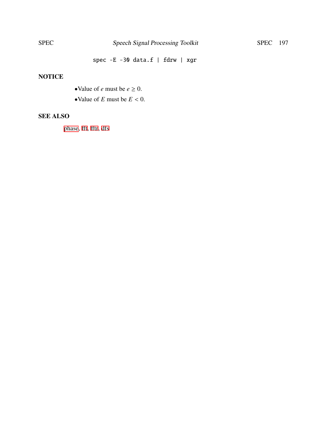spec -E -30 data.f | fdrw | xgr

# **NOTICE**

- •Value of *e* must be  $e \geq 0$ .
- •Value of *E* must be  $E < 0$ .

# SEE ALSO

[phase](#page-177-0), [ff](#page-54-0)t, ff[tr,](#page-59-0) [dfs](#page-39-0)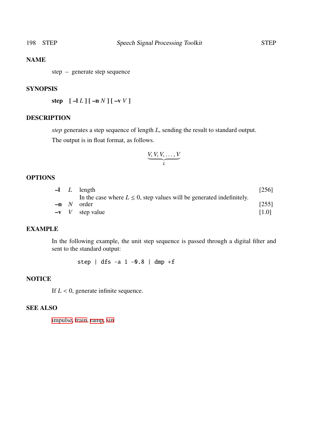<span id="page-203-0"></span>

step – generate step sequence

# **SYNOPSIS**

step [ –l *L* ] [ –n *N* ] [ –v *V* ]

### DESCRIPTION

*step* generates a step sequence of length *L*, sending the result to standard output.

The output is in float format, as follows.

$$
\underbrace{V, V, V, \ldots, V}_{L}
$$

# **OPTIONS**

|                                                                            | [256]                                                       |
|----------------------------------------------------------------------------|-------------------------------------------------------------|
| In the case where $L \leq 0$ , step values will be generated indefinitely. |                                                             |
|                                                                            | [255]                                                       |
|                                                                            | $\lceil 1.0 \rceil$                                         |
|                                                                            | $-1$ L length<br>$-n$ N order<br>$-\mathbf{v}$ V step value |

### EXAMPLE

In the following example, the unit step sequence is passed through a digital filter and sent to the standard output:

step | dfs -a  $1 - 0.8$  | dmp +f

# **NOTICE**

If  $L < 0$ , generate infinite sequence.

### SEE ALSO

[impulse](#page-104-0), [train,](#page-206-0) [ramp](#page-183-0), [sin](#page-191-0)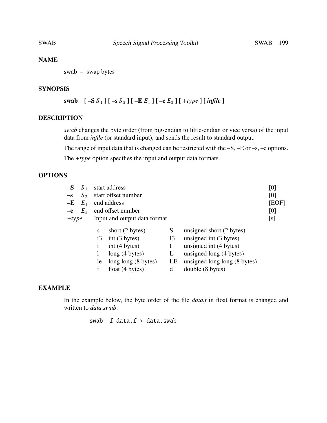<span id="page-204-0"></span>swab – swap bytes

### **SYNOPSIS**

swab  $[-S S_1] [-S S_2] [-E E_1] [-e E_2] [-t \gamma p e] [infile]$ 

# DESCRIPTION

*swab* changes the byte order (from big-endian to little-endian or vice versa) of the input data from *infile* (or standard input), and sends the result to standard output.

The range of input data that is changed can be restricted with the –S, –E or –s, –e options. The +*type* option specifies the input and output data formats.

#### OPTIONS

| -S       | $S_1$ |                              | [0]<br>start address  |    |                              |       |  |  |
|----------|-------|------------------------------|-----------------------|----|------------------------------|-------|--|--|
| $-S$     | $S_2$ |                              | start offset number   |    |                              | [0]   |  |  |
| –E       | $E_1$ |                              | end address           |    |                              | [EOF] |  |  |
| $-e$     | $E_2$ |                              | end offset number     |    |                              | [0]   |  |  |
| $+ type$ |       | Input and output data format |                       |    |                              |       |  |  |
|          |       | S                            | short (2 bytes)       | S  | unsigned short (2 bytes)     |       |  |  |
|          |       | i3                           | int (3 bytes)         | I3 | unsigned int (3 bytes)       |       |  |  |
|          |       | $\mathbf{1}$                 | int(4 bytes)          | I  | unsigned int (4 bytes)       |       |  |  |
|          |       |                              | long(4 bytes)         | L  | unsigned long (4 bytes)      |       |  |  |
|          |       | le                           | long $\log(8)$ bytes) | LE | unsigned long long (8 bytes) |       |  |  |
|          |       |                              | float (4 bytes)       | d  | double (8 bytes)             |       |  |  |

# EXAMPLE

In the example below, the byte order of the file *data.f* in float format is changed and written to *data.swab*:

swab +f data.f  $>$  data.swab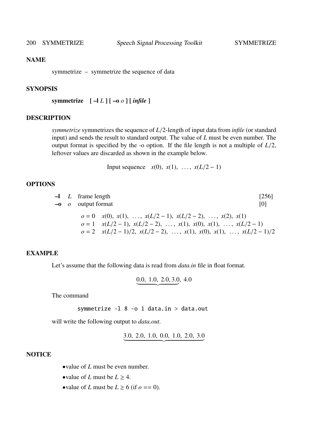symmetrize – symmetrize the sequence of data

### **SYNOPSIS**

symmetrize [ –l *L* ] [ –o *o* ] [ *infile* ]

### DESCRIPTION

*symmetrize* symmetrizes the sequence of *L*/2-length of input data from *infile* (or standard input) and sends the result to standard output. The value of *L* must be even number. The output format is specified by the -o option. If the file length is not a multiple of *L*/2, leftover values are discarded as shown in the example below.

Input sequence  $x(0), x(1), \ldots, x(L/2-1)$ 

### **OPTIONS**

 $-L$  frame length [256] –o *o* output format  $o = 0$  *x*(0), *x*(1), ..., *x*(*L*/2 − 1), *x*(*L*/2 − 2), ..., *x*(2), *x*(1) *o* = 1 *x*(*L*/2 − 1), *x*(*L*/2 − 2), ..., *x*(1), *x*(0), *x*(1), ..., *x*(*L*/2 − 1) *o* = 2 *x*(*L*/2 − 1)/2, *x*(*L*/2 − 2), . . . , *x*(1), *x*(0), *x*(1), . . . , *x*(*L*/2 − 1)/2 [0]

### EXAMPLE

Let's assume that the following data is read from *data.in* file in float format.

$$
0.0, 1.0, 2.0, 3.0, 4.0
$$

 $\sim$ 

The command

symmetrize -l 8 -o 1 data.in > data.out

will write the following output to *data.out*.

3.0, 2.0, 1.0, 0.0, 1.0, 2.0, 3.0 | {z }

### **NOTICE**

- •value of *L* must be even number.
- •value of *L* must be  $L > 4$ .
- •value of *L* must be  $L \ge 6$  (if  $o == 0$ ).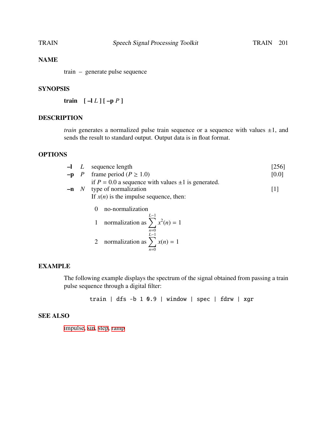<span id="page-206-0"></span>

train – generate pulse sequence

# **SYNOPSIS**

train  $[-L] [-p P]$ 

### DESCRIPTION

*train* generates a normalized pulse train sequence or a sequence with values  $\pm 1$ , and sends the result to standard output. Output data is in float format.

### **OPTIONS**

|  | $-L$ sequence length                                      | [256] |
|--|-----------------------------------------------------------|-------|
|  | $-p$ P frame period ( $P \ge 1.0$ )                       | [0.0] |
|  | if $P = 0.0$ a sequence with values $\pm 1$ is generated. |       |
|  | $-n$ N type of normalization                              |       |
|  | If $x(n)$ is the impulse sequence, then:                  |       |
|  | no-normalization<br>$\theta$                              |       |
|  | $L-1$<br>1 normalization as $\sum x^2(n) = 1$<br>$n=0$    |       |

2 normalization as 
$$
\sum_{n=0}^{n-1} x(n) = 1
$$

# EXAMPLE

The following example displays the spectrum of the signal obtained from passing a train pulse sequence through a digital filter:

train | dfs -b 1 0.9 | window | spec | fdrw | xgr

# SEE ALSO

[impulse,](#page-104-0) [sin,](#page-191-0) [step,](#page-203-0) [ramp](#page-183-0)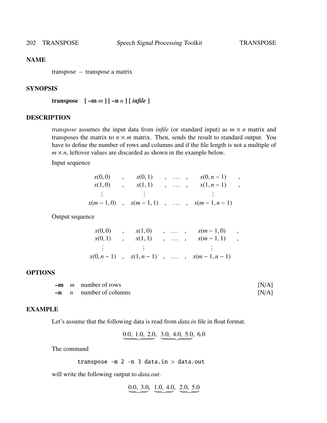transpose – transpose a matrix

# **SYNOPSIS**

transpose  $[-m m]$   $[-n n]$   $[infile]$ 

### DESCRIPTION

*transpose* assumes the input data from *infile* (or standard input) as  $m \times n$  matrix and transposes the matrix to  $n \times m$  matrix. Then, sends the result to standard output. You have to define the number of rows and columns and if the file length is not a multiple of  $m \times n$ , leftover values are discarded as shown in the example below.

Input sequence

| x(0,0) |                          | x(0,1) |               | $x(0, n-1)$                              |  |
|--------|--------------------------|--------|---------------|------------------------------------------|--|
| x(1,0) | $\overline{\phantom{a}}$ | x(1,1) | $\,$ , $\,$ , | $x(1, n-1)$                              |  |
|        |                          |        |               |                                          |  |
|        |                          |        |               | $x(m-1,0)$ , $x(m-1,1)$ , , $x(m-1,n-1)$ |  |

Output sequence

$$
x(0,0) , x(1,0) , ..., x(m-1,0) ,\n x(0,1) , x(1,1) , ..., x(m-1,1) ,\n \vdots ; \qquad \vdots\n x(0,n-1) , x(1,n-1) , ..., x(m-1,n-1)
$$

#### **OPTIONS**

|  | $-m$ <i>m</i> number of rows    | [N/A] |
|--|---------------------------------|-------|
|  | $-n$ <i>n</i> number of columns | [N/A] |

### EXAMPLE

Let's assume that the following data is read from *data.in* file in float format.

$$
0.0, 1.0, 2.0, 3.0, 4.0, 5.0, 6.0
$$

 $\overline{\phantom{a}}$ 

 $\overline{\phantom{a}}$ 

The command

```
transpose -m 2 -n 3 data.in > data.out
```
 $\overline{\phantom{a}}$ 

 $\overline{\phantom{a}}$ 

will write the following output to *data.out*.

0.0, 3.0 , 1.0, 4.0 , 2.0, 5.0  $\overline{\phantom{a}}$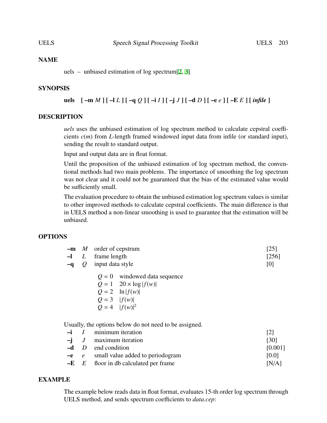<span id="page-208-0"></span>uels – unbiased estimation of log spectrum[\[2](#page-242-0), [3](#page-242-1)]

# **SYNOPSIS**

uels [ –m *M* ] [ –l *L* ] [ –q *Q* ] [ –i *I* ] [ –j *J* ] [ –d *D* ] [ –e *e* ] [ –E *E* ] [ *infile* ]

### DESCRIPTION

*uels* uses the unbiased estimation of log spectrum method to calculate cepstral coefficients *c*(*m*) from *L*-length framed windowed input data from infile (or standard input), sending the result to standard output.

Input and output data are in float format.

Until the proposition of the unbiased estimation of log spectrum method, the conventional methods had two main problems. The importance of smoothing the log spectrum was not clear and it could not be guaranteed that the bias of the estimated value would be sufficiently small.

The evaluation procedure to obtain the unbiased estimation log spectrum values is similar to other improved methods to calculate cepstral coefficients. The main difference is that in UELS method a non-linear smoothing is used to guarantee that the estimation will be unbiased.

### **OPTIONS**

| $-m$ | $M_{\odot}$      | order of cepstrum                                      | $[25]$             |  |  |  |  |
|------|------------------|--------------------------------------------------------|--------------------|--|--|--|--|
| $-1$ | L                | [256]<br>frame length                                  |                    |  |  |  |  |
| $-q$ | Q                | input data style                                       | [0]                |  |  |  |  |
|      |                  | $Q = 0$ windowed data sequence                         |                    |  |  |  |  |
|      |                  | $Q = 1$ $20 \times \log  f(w) $                        |                    |  |  |  |  |
|      |                  | $Q = 2 \quad \ln  f(w) $                               |                    |  |  |  |  |
|      |                  | $Q = 3$ $ f(w) $                                       |                    |  |  |  |  |
|      |                  | $Q = 4  f(w) ^2$                                       |                    |  |  |  |  |
|      |                  | Usually, the options below do not need to be assigned. |                    |  |  |  |  |
| —i   | $\boldsymbol{I}$ | minimum iteration                                      | $\lceil 2 \rceil$  |  |  |  |  |
| $-i$ | J                | maximum iteration                                      | $\lceil 30 \rceil$ |  |  |  |  |
| $-d$ |                  | D end condition                                        | [0.001]            |  |  |  |  |
| $-e$ | e                | small value added to periodogram                       | [0.0]              |  |  |  |  |
| $-E$ | E                | floor in db calculated per frame.                      | [N/A]              |  |  |  |  |

#### EXAMPLE

The example below reads data in float format, evaluates 15-th order log spectrum through UELS method, and sends spectrum coefficients to *data.cep*: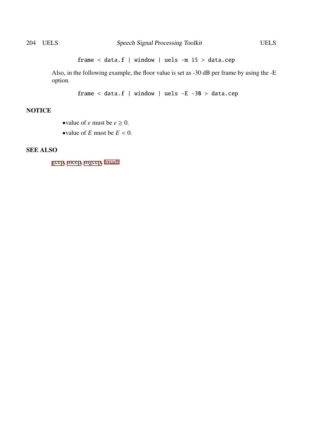frame  $\langle$  data.f | window | uels -m 15  $>$  data.cep

Also, in the following example, the floor value is set as -30 dB per frame by using the -E option.

frame < data.f | window | uels -E -30 > data.cep

# **NOTICE**

•value of *e* must be  $e \geq 0$ .

•value of *E* must be  $E < 0$ .

# SEE ALSO

[gcep,](#page-73-0) [mcep,](#page-134-0) [mgcep](#page-147-0), [lmadf](#page-116-0)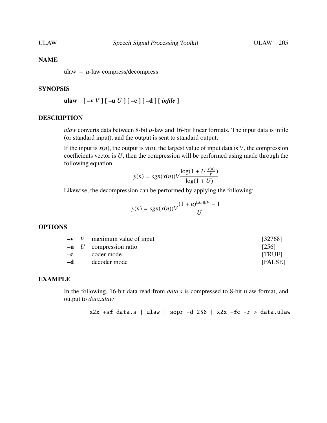ulaw –  $\mu$ -law compress/decompress

### **SYNOPSIS**

ulaw  $[-v \ V]$   $[-u \ U]$   $[-c]$   $[-d]$   $[$  *infile* ]

### DESCRIPTION

*ulaw* converts data between 8-bit  $\mu$ -law and 16-bit linear formats. The input data is infile (or standard input), and the output is sent to standard output.

If the input is  $x(n)$ , the output is  $y(n)$ , the largest value of input data is *V*, the compression coefficients vector is *U*, then the compression will be performed using made through the following equation.

$$
y(n) = sgn(x(n))V \frac{\log(1 + U^{\frac{|x(n)|}{V}})}{\log(1 + U)}
$$

Likewise, the decompression can be performed by applying the following:

$$
y(n) = sgn(x(n))V \frac{(1+u)^{|x(n)|/V} - 1}{U}
$$

### **OPTIONS**

|    | $-\mathbf{v}$ V maximum value of input | [32768] |
|----|----------------------------------------|---------|
|    | $-\mathbf{u}$ U compression ratio      | [256]   |
|    | $-c$ coder mode                        | [TRUE]  |
| —d | decoder mode                           | [FALSE] |

### EXAMPLE

In the following, 16-bit data read from *data.s* is compressed to 8-bit ulaw format, and output to *data.ulaw*

```
x2x +sf data.s | ulaw | sopr -d 256 | x2x +fc -r > data.ulaw
```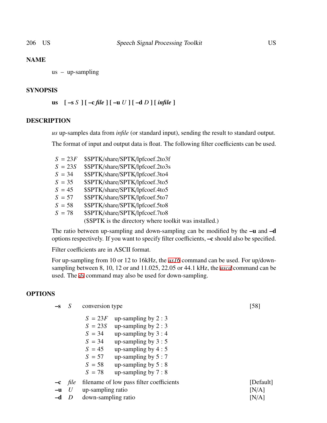<span id="page-211-0"></span> $us - up-sampling$ 

# **SYNOPSIS**

us [ –s *S* ] [ –c *file* ] [ –u *U* ] [ –d *D* ] [ *infile* ]

### DESCRIPTION

*us* up-samples data from *infile* (or standard input), sending the result to standard output.

The format of input and output data is float. The following filter coefficients can be used.

| $S = 23F$ | \$SPTK/share/SPTK/lpfcoef.2to3f                        |
|-----------|--------------------------------------------------------|
| $S = 23S$ | \$SPTK/share/SPTK/lpfcoef.2to3s                        |
| $S = 34$  | \$SPTK/share/SPTK/lpfcoef.3to4                         |
| $S = 35$  | \$SPTK/share/SPTK/lpfcoef.3to5                         |
| $S = 45$  | \$SPTK/share/SPTK/lpfcoef.4to5                         |
| $S = 57$  | \$SPTK/share/SPTK/lpfcoef.5to7                         |
| $S = 58$  | \$SPTK/share/SPTK/lpfcoef.5to8                         |
| $S = 78$  | \$SPTK/share/SPTK/lpfcoef.7to8                         |
|           | (\$SPTK is the directory where toolkit was installed.) |

The ratio between up-sampling and down-sampling can be modified by the  $-u$  and  $-d$ options respectively. If you want to specify filter coefficients, –c should also be specified.

Filter coefficients are in ASCII format.

For up-sampling from 10 or 12 to 16kHz, the *[us16](#page-213-0)* command can be used. For up/downsampling between 8, 10, 12 or and 11.025, 22.05 or 44.1 kHz, the *[uscd](#page-214-0)* command can be used. The *[ds](#page-46-0)* command may also be used for down-sampling.

### **OPTIONS**

|            |                       |                                                                                                | conversion type                                                                                                                                                                              |                    |
|------------|-----------------------|------------------------------------------------------------------------------------------------|----------------------------------------------------------------------------------------------------------------------------------------------------------------------------------------------|--------------------|
|            |                       | $S = 23F$<br>$S = 23S$<br>$S = 34$<br>$S = 34$<br>$S = 45$<br>$S = 57$<br>$S = 58$<br>$S = 78$ | up-sampling by $2:3$<br>up-sampling by $2:3$<br>up-sampling by $3:4$<br>up-sampling by $3:5$<br>up-sampling by $4:5$<br>up-sampling by $5:7$<br>up-sampling by $5:8$<br>up-sampling by $7:8$ |                    |
| $-c$<br>—u | file<br>$\mathcal{U}$ | filename of low pass filter coefficients<br>up-sampling ratio                                  |                                                                                                                                                                                              | [Default]<br>[N/A] |

- 
- –d *D* down-sampling ratio [N/A]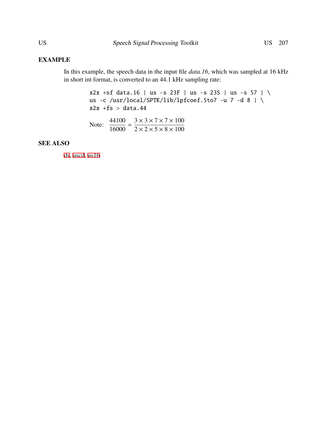# EXAMPLE

In this example, the speech data in the input file *data.16*, which was sampled at 16 kHz in short int format, is converted to an 44.1 kHz sampling rate:

> $x2x$  +sf data.16 | us -s 23F | us -s 23S | us -s 57 | \ us -c /usr/local/SPTK/lib/lpfcoef.5to7 -u 7 -d 8  $\vert \setminus$  $x2x$  +fs > data.44 44100  $3 \times 3 \times 7 \times 7 \times 100$

Note: 16000 =  $2 \times 2 \times 5 \times 8 \times 100$ 

### SEE ALSO

[ds](#page-46-0), [uscd](#page-214-0), [us16](#page-213-0)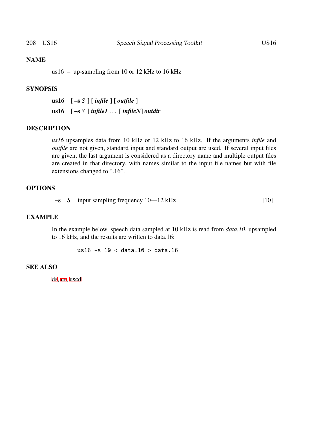<span id="page-213-0"></span>us16 – up-sampling from 10 or 12 kHz to 16 kHz

### **SYNOPSIS**

us16 [ –s *S* ] [ *infile* ] [ *outfile* ] us16  $[-s S]$  *infile1* ... [*infileN*] *outdir* 

### DESCRIPTION

*us16* upsamples data from 10 kHz or 12 kHz to 16 kHz. If the arguments *infile* and *outfile* are not given, standard input and standard output are used. If several input files are given, the last argument is considered as a directory name and multiple output files are created in that directory, with names similar to the input file names but with file extensions changed to ".16".

### **OPTIONS**

$$
-s \quad S \quad input sampling frequency 10-12 kHz \tag{10}
$$

### EXAMPLE

In the example below, speech data sampled at 10 kHz is read from *data.10*, upsampled to 16 kHz, and the results are written to data.16:

us16 -s 10 < data.10 > data.16

### SEE ALSO

[ds,](#page-46-0) [us](#page-211-0), [uscd](#page-214-0)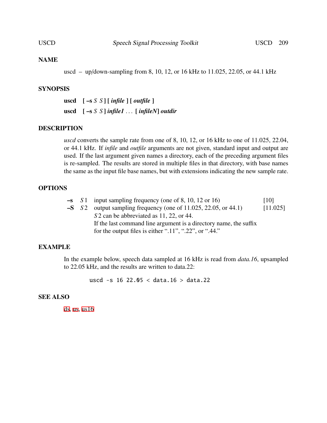<span id="page-214-0"></span>

uscd – up/down-sampling from 8, 10, 12, or 16 kHz to 11.025, 22.05, or 44.1 kHz

### **SYNOPSIS**

uscd [ –s *S S* ] [ *infile* ] [ *outfile* ] uscd [ –s *S S* ] *infile1* . . . [ *infileN*] *outdir*

### **DESCRIPTION**

*uscd* converts the sample rate from one of 8, 10, 12, or 16 kHz to one of 11.025, 22.04, or 44.1 kHz. If *infile* and *outfile* arguments are not given, standard input and output are used. If the last argument given names a directory, each of the preceding argument files is re-sampled. The results are stored in multiple files in that directory, with base names the same as the input file base names, but with extensions indicating the new sample rate.

# **OPTIONS**

|           | $-S$ S 1 input sampling frequency (one of 8, 10, 12 or 16)        | [10]     |
|-----------|-------------------------------------------------------------------|----------|
| $-S$ $S2$ | output sampling frequency (one of 11.025, 22.05, or 44.1)         | [11.025] |
|           | $S2$ can be abbreviated as 11, 22, or 44.                         |          |
|           | If the last command line argument is a directory name, the suffix |          |
|           | for the output files is either ".11", ".22", or ".44."            |          |

### EXAMPLE

In the example below, speech data sampled at 16 kHz is read from *data.16*, upsampled to 22.05 kHz, and the results are written to data.22:

uscd -s 16 22.05 < data.16 > data.22

### SEE ALSO

[ds](#page-46-0), [us](#page-211-0), us $16$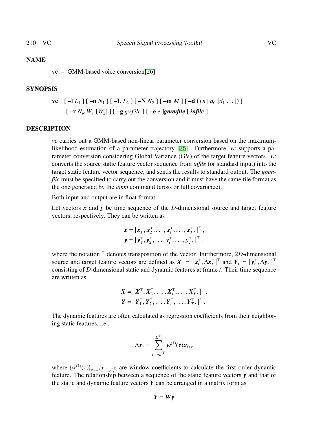vc – GMM-based voice conversion[[26\]](#page-243-2)

### **SYNOPSIS**

vc  $\left[ -L \right] L_1 \left[ -n N_1 \right] \left[ -L L_2 \right] \left[ -N N_2 \right] \left[ -m M \right] \left[ -d \left( f n \right] d_0 \left[ d_1 ... \right] \right]$  $[-r \, N_R \, W_1 \, W_2] ] [-g \, g \, v \, file ] [-e \, e \, g \, mm \, file [in \, the \, line]$ 

### DESCRIPTION

*vc* carries out a GMM-based non-linear parameter conversion based on the maximumlikelihood estimation of a parameter trajectory [\[26](#page-243-2)]. Furthermore, *vc* supports a parameter conversion considering Global Variance (GV) of the target feature vectors. *vc* converts the source static feature vector sequence from *infile* (or standard input) into the target static feature vector sequence, and sends the results to standard output. The *gmmfile* must be specified to carry out the conversion and it must have the same file format as the one generated by the *gmm* command (cross or full covariance).

Both input and output are in float format.

Let vectors x and y be time sequence of the *D*-dimensional source and target feature vectors, respectively. They can be written as

$$
\mathbf{x} = [\mathbf{x}_1^\top, \mathbf{x}_2^\top, \dots, \mathbf{x}_t^\top, \dots, \mathbf{x}_T^\top, ]^\top, \n\mathbf{y} = [\mathbf{y}_1^\top, \mathbf{y}_2^\top, \dots, \mathbf{y}_t^\top, \dots, \mathbf{y}_T^\top, ]^\top.
$$

where the notation <sup>⊤</sup> denotes transposition of the vector. Furthermore, 2*D*-dimensional source and target feature vectors are defined as  $X_t = [x_t^\top, \Delta x_t^\top]^\top$  and  $Y_t = [y_t^\top, \Delta y_t^\top]^\top$ consisting of *D*-dimensional static and dynamic features at frame *t*. Their time sequence are written as

$$
X = \begin{bmatrix} X_1^\top, X_2^\top, \dots, X_t^\top, \dots, X_T^\top, \end{bmatrix}^\top,
$$
  
\n
$$
Y = \begin{bmatrix} Y_1^\top, Y_2^\top, \dots, Y_t^\top, \dots, Y_T^\top, \end{bmatrix}^\top.
$$

The dynamic features are often calculated as regression coefficients from their neighboring static features, i.e.,

$$
\Delta x_t = \sum_{\tau=-L_{-}^{(1)}}^{L_{+}^{(1)}} w^{(1)}(\tau) x_{t+\tau}
$$

where  $\{w^{(1)}(\tau)\}_{\tau=-L^{(1)}_-,...,L^{(1)}_+}$  are window coefficients to calculate the first order dynamic feature. The relationship between a sequence of the static feature vectors *y* and that of the static and dynamic feature vectors *Y* can be arranged in a matrix form as

$$
Y = W y
$$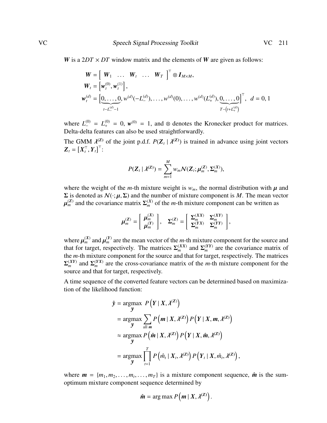*W* is a  $2DT \times DT$  window matrix and the elements of *W* are given as follows:

$$
W = \begin{bmatrix} W_1 & \dots & W_t & \dots & W_T \end{bmatrix}^\top \otimes I_{M \times M},
$$
  
\n
$$
W_t = \begin{bmatrix} w_t^{(0)}, w_t^{(1)} \end{bmatrix},
$$
  
\n
$$
w_t^{(d)} = \begin{bmatrix} 0, \dots, 0, w^{(d)}(-L_-^{(d)}), \dots, w^{(d)}(0), \dots, w^{(d)}(L_+^{(d)}), \underbrace{0, \dots, 0}_{T-(t+L_+^{(d)})} \end{bmatrix}^\top, d = 0, 1
$$

where  $L_{-}^{(0)} = L_{+}^{(0)} = 0$ ,  $w_{-}^{(0)} = 1$ , and ⊗ denotes the Kronecker product for matrices. Delta-delta features can also be used straightforwardly.

The GMM  $\lambda^{(Z)}$  of the joint p.d.f.  $P(Z_t | \lambda^{(Z)})$  is trained in advance using joint vectors  $\mathbf{Z}_t = \begin{bmatrix} X_t^\top \end{bmatrix}$  $_t^{\top}, Y_t]^{\top}$ :

$$
P(\mathbf{Z}_{t} | \lambda^{(Z)}) = \sum_{m=1}^{M} w_m \mathcal{N}(\mathbf{Z}_{t}; \boldsymbol{\mu}_{m}^{(Z)}, \boldsymbol{\Sigma}_{m}^{(X)}),
$$

where the weight of the *m*-th mixture weight is  $w_m$ , the normal distribution with  $\mu$  and  $Σ$  is denoted as  $N(·; μ, Σ)$  and the number of mixture component is *M*. The mean vector  $\mu_m^{(Z)}$  and the covariance matrix  $\Sigma_m^{(X)}$  of the *m*-th mixture component can be written as

$$
\mu_m^{(Z)} = \begin{bmatrix} \mu_m^{(X)} \\ \mu_m^{(Y)} \end{bmatrix}, \quad \Sigma_m^{(Z)} = \begin{bmatrix} \Sigma_m^{(XX)} & \Sigma_m^{(XY)} \\ \Sigma_m^{(YX)} & \Sigma_m^{(YY)} \end{bmatrix},
$$

where  $\mu_m^{(X)}$  and  $\mu_m^{(Y)}$  are the mean vector of the *m*-th mixture component for the source and that for target, respectively. The matrices  $\Sigma_m^{(XX)}$  and  $\Sigma_m^{(YY)}$  are the covariance matrix of the *m*-th mixture component for the source and that for target, respectively. The matrices  $\Sigma_m^{(XY)}$  and  $\Sigma_m^{(YX)}$  are the cross-covariance matrix of the *m*-th mixture component for the source and that for target, respectively.

A time sequence of the converted feature vectors can be determined based on maximization of the likelihood function:

$$
\hat{y} = \underset{y}{\operatorname{argmax}} P(Y | X, \lambda^{(Z)})
$$
\n
$$
= \underset{y}{\operatorname{argmax}} \sum_{\text{all } m} P(m | X, \lambda^{(Z)}) P(Y | X, m, \lambda^{(Z)})
$$
\n
$$
\approx \underset{y}{\operatorname{argmax}} P(\hat{m} | X, \lambda^{(Z)}) P(Y | X, \hat{m}, \lambda^{(Z)})
$$
\n
$$
= \underset{y}{\operatorname{argmax}} \prod_{t=1}^{T} P(\hat{m}_t | X_t, \lambda^{(Z)}) P(Y_t | X, \hat{m}_t, \lambda^{(Z)}),
$$

where  $m = \{m_1, m_2, \ldots, m_t, \ldots, m_T\}$  is a mixture component sequence,  $\hat{m}$  is the sumoptimum mixture component sequence determined by

$$
\hat{\boldsymbol{m}} = \arg \max P\left(\boldsymbol{m} \mid X, \lambda^{(Z)}\right).
$$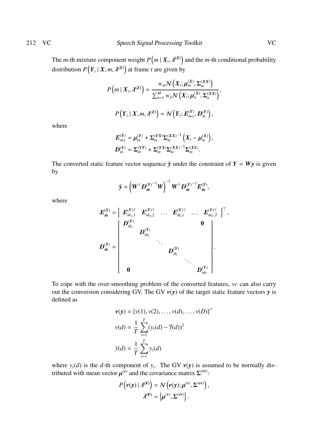The *m*-th mixture component weight  $P(m | X_t, \lambda^{(Z)})$  and the *m*-th conditional probability distribution  $P(Y_t | X, m, \lambda^{(Z)})$  at frame *t* are given by

$$
P\left(m \mid X_{t}, \lambda^{(Z)}\right) = \frac{w_{m} \mathcal{N}\left(X_{t}; \mu_{m}^{(X)}, \Sigma_{m}^{(XX)}\right)}{\sum_{n=1}^{M} w_{n} \mathcal{N}\left(X_{t}; \mu_{n}^{(X)}, \Sigma_{n}^{(XX)}\right)},
$$

$$
P\left(Y_{t} \mid X, m, \lambda^{(Z)}\right) = \mathcal{N}\left(Y_{t}; \mathbf{E}_{m,t}^{(Y)}, \mathbf{D}_{m}^{(Y)}\right),
$$

where

$$
E_{m,t}^{(Y)} = \mu_m^{(Y)} + \Sigma_m^{(YX)} \Sigma_m^{(XX)}^{-1} (X_t - \mu_m^{(X)}),
$$
  

$$
D_m^{(Y)} = \Sigma_m^{(YY)} + \Sigma_m^{(YX)} \Sigma_m^{(XX)}^{-1} \Sigma_m^{(XY)}.
$$

The converted static feature vector sequence  $\hat{y}$  under the constraint of  $Y = Wy$  is given by

$$
\hat{\mathbf{y}} = \left(\boldsymbol{W}^\top \boldsymbol{D}_{\hat{m}}^{(Y)^{-1}} \boldsymbol{W}\right)^{-1} \boldsymbol{W}^\top \boldsymbol{D}_{\hat{m}}^{(Y)^{-1}} \boldsymbol{E}_{\hat{m}}^{(Y)},
$$

where

$$
E_{\hat{m}}^{(Y)} = \begin{bmatrix} E_{\hat{m}_1,1}^{(Y)\top} & E_{\hat{m}_2,2}^{(Y)\top} & \dots & E_{\hat{m}_t,t}^{(Y)\top} & \dots & E_{\hat{m}_T,T}^{(Y)\top} \end{bmatrix}^{\top},
$$
\n
$$
D_{\hat{m}}^{(Y)} = \begin{bmatrix} D_{\hat{m}_1}^{(Y)} & & & & \\ & D_{\hat{m}_2}^{(Y)} & & & \\ & & \ddots & & \\ & & & D_{\hat{m}_t}^{(Y)} \end{bmatrix}.
$$
\n
$$
D_{\hat{m}_T}^{(Y)} = \begin{bmatrix} D_{\hat{m}_1}^{(Y)} & & & \\ & & \ddots & \\ & & & \ddots & \\ & & & & D_{\hat{m}_T}^{(Y)} \end{bmatrix}.
$$

To cope with the over-smoothing problem of the converted features, *vc* can also carry out the conversion considering GV. The GV  $v(y)$  of the target static feature vectors  $y$  is defined as

$$
\mathbf{v}(\mathbf{y}) = [v(1), v(2), \dots, v(d), \dots, v(D)]^{\top}
$$

$$
v(d) = \frac{1}{T} \sum_{t=1}^{T} (y_t(d) - \overline{y}(d))^2
$$

$$
\overline{y}(d) = \frac{1}{T} \sum_{t=1}^{T} y_t(d)
$$

where  $y_t(d)$  is the *d*-th component of  $y_t$ . The GV  $v(y)$  is assumed to be normally distributed with mean vector  $\mu^{(v)}$  and the covariance matrix  $\Sigma^{(vv)}$ :

$$
P(\mathbf{v}(\mathbf{y}) | \lambda^{(\mathbf{V})}) = \mathcal{N}(\mathbf{v}(\mathbf{y}); \mu^{(\mathbf{v})}, \Sigma^{(\mathbf{v}\mathbf{v})}),
$$

$$
\lambda^{(\mathbf{V})} = {\mu^{(\mathbf{v})}, \Sigma^{(\mathbf{v}\mathbf{v})}}.
$$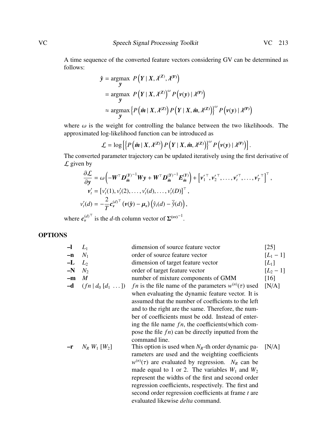A time sequence of the converted feature vectors considering GV can be determined as follows:

$$
\hat{y} = \underset{y}{\operatorname{argmax}} P(Y | X, \lambda^{(Z)}, \lambda^{(V)})
$$
\n
$$
= \underset{y}{\operatorname{argmax}} P(Y | X, \lambda^{(Z)})^{\omega} P(\nu(y) | \lambda^{(V)})
$$
\n
$$
\approx \underset{y}{\operatorname{argmax}} \left\{ P(\hat{\boldsymbol{m}} | X, \lambda^{(Z)}) P(Y | X, \hat{\boldsymbol{m}}, \lambda^{(Z)}) \right\}^{\omega} P(\nu(y) | \lambda^{(V)})
$$

where  $\omega$  is the weight for controlling the balance between the two likelihoods. The approximated log-likelihood function can be introduced as

$$
\mathcal{L} = \log \left[ \left\{ P\left(\hat{\boldsymbol{m}} \mid X, \lambda^{(Z)}\right) P\left(Y \mid X, \hat{\boldsymbol{m}}, \lambda^{(Z)}\right) \right\}^{\omega} P\left(\boldsymbol{\nu}(\mathbf{y}) \mid \lambda^{(\mathbf{V})}\right) \right].
$$

The converted parameter trajectory can be updated iteratively using the first derivative of  $\mathcal L$  given by

$$
\frac{\partial \mathcal{L}}{\partial y} = \omega \left( -\boldsymbol{W}^{\top} \boldsymbol{D}_{\hat{\boldsymbol{m}}}^{(Y)}{}^{-1} \boldsymbol{W} \boldsymbol{y} + \boldsymbol{W}^{\top} \boldsymbol{D}_{\hat{\boldsymbol{m}}}^{(Y)}{}^{-1} \boldsymbol{E}_{\hat{\boldsymbol{m}}}^{(Y)} \right) + \left[ \boldsymbol{v}_{1}^{\prime \top}, \boldsymbol{v}_{2}^{\prime \top}, \dots, \boldsymbol{v}_{t}^{\prime \top}, \dots, \boldsymbol{v}_{T}^{\prime \top} \right]^{\top},
$$
\n
$$
\boldsymbol{v}_{t}^{\prime} = \left[ \boldsymbol{v}_{t}^{\prime}(1), \boldsymbol{v}_{t}^{\prime}(2), \dots, \boldsymbol{v}_{t}^{\prime}(d), \dots, \boldsymbol{v}_{t}^{\prime}(D) \right]^{\top},
$$
\n
$$
\boldsymbol{v}_{t}^{\prime}(d) = -\frac{2}{T} \boldsymbol{c}_{\boldsymbol{v}}^{(d)^{\top}} \left( \boldsymbol{v}(\hat{\boldsymbol{y}}) - \boldsymbol{\mu}_{\boldsymbol{v}} \right) \left( \hat{\boldsymbol{y}}_{t}(d) - \overline{\hat{\boldsymbol{y}}}(d) \right),
$$

where  $c_v^{(d)}$  $\bar{f}$  is the *d*-th column vector of  $\Sigma^{(\nu\nu)}$ <sup>-1</sup>.

#### **OPTIONS**

| $\mathbf{-}$  | $L_1$               | dimension of source feature vector                                                                                                                                                                                                                                                                                                                                                                                                                                                                                                                                                     | [25]        |
|---------------|---------------------|----------------------------------------------------------------------------------------------------------------------------------------------------------------------------------------------------------------------------------------------------------------------------------------------------------------------------------------------------------------------------------------------------------------------------------------------------------------------------------------------------------------------------------------------------------------------------------------|-------------|
| $-\mathbf{n}$ | $N_1$               | order of source feature vector                                                                                                                                                                                                                                                                                                                                                                                                                                                                                                                                                         | $[L_1 - 1]$ |
| -L            | $L_2$               | dimension of target feature vector                                                                                                                                                                                                                                                                                                                                                                                                                                                                                                                                                     | $[L_1]$     |
| $-N$          | $N_2$               | order of target feature vector                                                                                                                                                                                                                                                                                                                                                                                                                                                                                                                                                         | $[L_2 - 1]$ |
| $-m$          | M                   | number of mixture components of GMM                                                                                                                                                                                                                                                                                                                                                                                                                                                                                                                                                    | [16]        |
| -d            | $(fn   d_0 [d_1 ])$ | <i>fn</i> is the file name of the parameters $w^{(n)}(\tau)$ used                                                                                                                                                                                                                                                                                                                                                                                                                                                                                                                      | [N/A]       |
| -r            | $N_R W_1 [W_2]$     | when evaluating the dynamic feature vector. It is<br>assumed that the number of coefficients to the left<br>and to the right are the same. Therefore, the num-<br>ber of coefficients must be odd. Instead of enter-<br>ing the file name $fn$ , the coefficients (which com-<br>pose the file $fn$ can be directly inputted from the<br>command line.<br>This option is used when $N_R$ -th order dynamic pa-<br>rameters are used and the weighting coefficients<br>$w^{(n)}(\tau)$ are evaluated by regression. $N_R$ can be<br>made equal to 1 or 2. The variables $W_1$ and $W_2$ | [N/A]       |
|               |                     | represent the widths of the first and second order<br>regression coefficients, respectively. The first and<br>second order regression coefficients at frame t are<br>evaluated likewise <i>delta</i> command.                                                                                                                                                                                                                                                                                                                                                                          |             |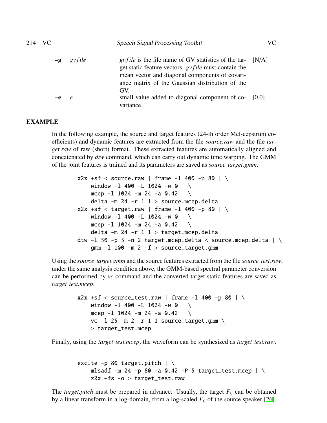| 214 VC |             | <b>Speech Signal Processing Toolkit</b>                                                                                                                                                                                                     | VС |
|--------|-------------|---------------------------------------------------------------------------------------------------------------------------------------------------------------------------------------------------------------------------------------------|----|
|        | $-g$ gyfile | <i>gvfile</i> is the file name of GV statistics of the tar- [N/A]<br>get static feature vectors. <i>gvfile</i> must contain the<br>mean vector and diagonal components of covari-<br>ance matrix of the Gaussian distribution of the<br>GV. |    |
|        |             | small value added to diagonal component of co- [0.0]<br>variance                                                                                                                                                                            |    |

#### EXAMPLE

In the following example, the source and target features (24-th order Mel-cepstrum coefficients) and dynamic features are extracted from the file *source.raw* and the file *target.raw* of raw (short) format. These extracted features are automatically aligned and concatenated by *dtw* command, which can carry out dynamic time warping. The GMM of the joint features is trained and its parameters are saved as *source target.gmm*.

```
x2x +sf < source.raw | frame -1 400 -p 80 | \
    window -1 400 -L 1024 -w 0 \wedgemcep -1 1024 -m 24 -a 0.42 | \
    delta -m 24 -r 1 1 > source.mcep.delta
x2x +sf < target.raw | frame -1 400 -p 80 | \
    window -1 400 -L 1024 -w 0 | \
    mcep -1 1024 -m 24 -a 0.42 | \
    delta -m 24 -r 1 1 > target.mcep.delta
dtw -1 50 -p 5 -n 2 target.mcep.delta < source.mcep.delta |\ \ranglegmm -1 100 -m 2 -f > source_target.gmm
```
Using the *source target.gmm* and the source features extracted from the file *source test.raw*, under the same analysis condition above, the GMM-based spectral parameter conversion can be performed by *vc* command and the converted target static features are saved as *target test.mcep*.

```
x2x +sf < source_test.raw | frame -1 400 -p 80 | \
    window -1 400 -L 1024 -w 0 \rightarrowmcep -1 1024 -m 24 -a 0.42 | \
    vc -1 25 -m 2 -r 1 1 source_target.gmm \
    > target_test.mcep
```
Finally, using the *target test.mcep*, the waveform can be synthesized as *target test.raw*.

```
excite -p 80 target.pitch |\ \ranglemlsadf -m 24 -p 80 -a 0.42 -P 5 target_test.mcep |\ \ \ranglex2x +fs -o > target_test.raw
```
The *target.pitch* must be prepared in advance. Usually, the target  $F_0$  can be obtained by a linear transform in a log-domain, from a log-scaled  $F_0$  of the source speaker [\[26](#page-243-0)].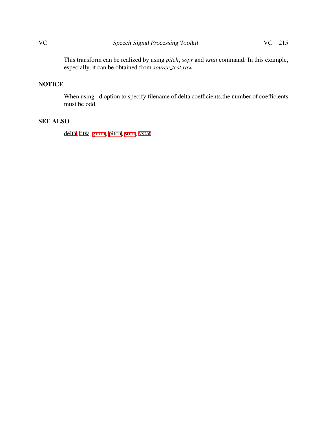This transform can be realized by using *pitch*, *sopr* and *vstat* command. In this example, especially, it can be obtained from *source test.raw*.

## **NOTICE**

When using  $-d$  option to specify filename of delta coefficients, the number of coefficients must be odd.

## SEE ALSO

[delta](#page-34-0), [dtw,](#page-43-0) [gmm,](#page-79-0) [pitch](#page-179-0), [sopr,](#page-197-0) [vstat](#page-225-0)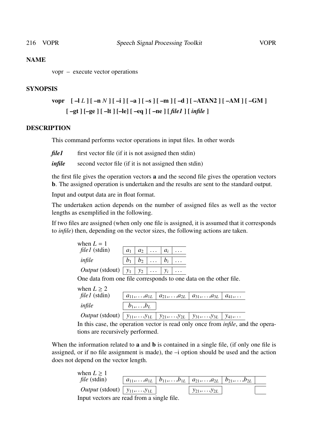<span id="page-221-0"></span>vopr – execute vector operations

#### **SYNOPSIS**

vopr [ –l *L* ] [ –n *N* ] [ –i ] [ –a ] [ –s ] [ –m ] [ –d ] [ –ATAN2 ] [ –AM ] [ –GM ] [ –gt ] [–ge ] [ –lt ] [–le] [ –eq ] [ –ne ] [ *file1* ] [ *infile* ]

### DESCRIPTION

This command performs vector operations in input files. In other words

*file1* first vector file (if it is not assigned then stdin)

*infile* second vector file (if it is not assigned then stdin)

the first file gives the operation vectors a and the second file gives the operation vectors b. The assigned operation is undertaken and the results are sent to the standard output.

Input and output data are in float format.

The undertaken action depends on the number of assigned files as well as the vector lengths as exemplified in the following.

If two files are assigned (when only one file is assigned, it is assumed that it corresponds to *infile*) then, depending on the vector sizes, the following actions are taken.

| when $L = 1$                                              |  |                                       |         |  |
|-----------------------------------------------------------|--|---------------------------------------|---------|--|
| <i>file1</i> (stdin)                                      |  | $a_2 \mid \ldots \mid a_i \mid$       |         |  |
| infile                                                    |  | $b_2$ $\ldots$ $\mid b_i \mid \ldots$ |         |  |
| <i>Output</i> (stdout) $\vert y_1 \vert y_2 \vert \ldots$ |  |                                       | $ y_i $ |  |

One data from one file corresponds to one data on the other file.

| when $L \geq 2$<br><i>file1</i> (stdin)                                                                              |                              | $a_{11}, \ldots, a_{1L} \mid a_{21}, \ldots, a_{2L} \mid a_{31}, \ldots, a_{3L} \mid a_{41}, \ldots$ |  |
|----------------------------------------------------------------------------------------------------------------------|------------------------------|------------------------------------------------------------------------------------------------------|--|
| infile                                                                                                               | $\vert b_1,\ldots,b_L \vert$ |                                                                                                      |  |
| <i>Output</i> (stdout) $  y_{11}, \ldots, y_{1L}   y_{21}, \ldots, y_{2L}   y_{31}, \ldots, y_{3L}   y_{41}, \ldots$ |                              |                                                                                                      |  |

In this case, the operation vector is read only once from *infile*, and the operations are recursively performed.

When the information related to **a** and **b** is contained in a single file, (if only one file is assigned, or if no file assignment is made), the –i option should be used and the action does not depend on the vector length.

| when $L \geq 1$                                             |  |  |                                                                                                              |  |  |  |  |
|-------------------------------------------------------------|--|--|--------------------------------------------------------------------------------------------------------------|--|--|--|--|
| <i>file</i> (stdin)                                         |  |  | $a_{11}, \ldots, a_{1L} \mid b_{11}, \ldots, b_{1L} \mid a_{21}, \ldots, a_{2L} \mid b_{21}, \ldots, b_{2L}$ |  |  |  |  |
| <i>Output</i> (stdout) $\vert y_{11}, \ldots, y_{1L} \vert$ |  |  |                                                                                                              |  |  |  |  |
|                                                             |  |  | $ y_{21}, \ldots, y_{2L}\rangle$                                                                             |  |  |  |  |
| Input vectors are read from a single file.                  |  |  |                                                                                                              |  |  |  |  |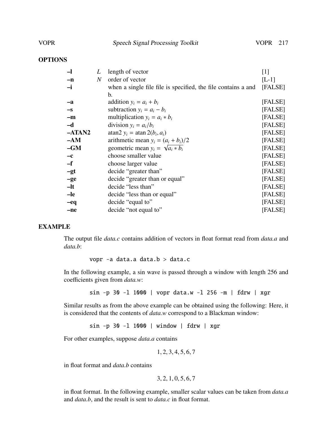#### **OPTIONS**

| $-\mathbf{l}$ | L | length of vector                                                      | [1]     |
|---------------|---|-----------------------------------------------------------------------|---------|
| $-\mathbf{n}$ | N | order of vector                                                       | $[L-1]$ |
| $-i$          |   | when a single file file is specified, the file contains a and [FALSE] |         |
|               |   | b.                                                                    |         |
| $-a$          |   | addition $y_i = a_i + b_i$                                            | [FALSE] |
| $-S$          |   | subtraction $y_i = a_i - b_i$                                         | [FALSE] |
| $-m$          |   | multiplication $y_i = a_i * b_i$                                      | [FALSE] |
| $-d$          |   | division $y_i = a_i/b_i$                                              | [FALSE] |
| $-ATAN2$      |   | atan2 $y_i = \text{atan } 2(b_i, a_i)$                                | [FALSE] |
| $-AM$         |   | arithmetic mean $y_i = (a_i + b_i)/2$                                 | [FALSE] |
| $-GM$         |   | geometric mean $y_i = \sqrt{a_i * b_i}$                               | [FALSE] |
| $-c$          |   | choose smaller value                                                  | [FALSE] |
| -f            |   | choose larger value                                                   | [FALSE] |
| -gt           |   | decide "greater than"                                                 | [FALSE] |
| -ge           |   | decide "greater than or equal"                                        | [FALSE] |
| $-$ lt        |   | decide "less than"                                                    | [FALSE] |
| $-le$         |   | decide "less than or equal"                                           | [FALSE] |
| $-eq$         |   | decide "equal to"                                                     | [FALSE] |
| -ne           |   | decide "not equal to"                                                 | [FALSE] |

#### EXAMPLE

The output file *data.c* contains addition of vectors in float format read from *data.a* and *data.b*:

vopr -a data.a data.b > data.c

In the following example, a sin wave is passed through a window with length 256 and coefficients given from *data.w*:

sin -p 30 -l 1000 | vopr data.w -l 256 -m | fdrw | xgr

Similar results as from the above example can be obtained using the following: Here, it is considered that the contents of *data.w* correspond to a Blackman window:

sin -p 30 -l 1000 | window | fdrw | xgr

For other examples, suppose *data.a* contains

1, 2, 3, 4, 5, 6, 7

in float format and *data.b* contains

3, 2, 1, 0, 5, 6, 7

in float format. In the following example, smaller scalar values can be taken from *data.a* and *data.b*, and the result is sent to *data.c* in float format.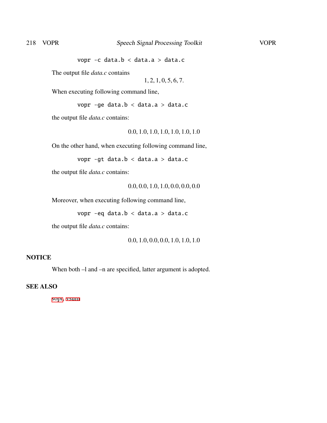vopr -c data.b < data.a > data.c

The output file *data.c* contains

1, 2, 1, 0, 5, 6, 7.

When executing following command line,

vopr -ge data.b < data.a > data.c

the output file *data.c* contains:

0.0, 1.0, 1.0, 1.0, 1.0, 1.0, 1.0

On the other hand, when executing following command line,

```
vopr -gt data.b < data.a > data.c
```
the output file *data.c* contains:

0.0, 0.0, 1.0, 1.0, 0.0, 0.0, 0.0

Moreover, when executing following command line,

vopr -eq data.b < data.a > data.c

the output file *data.c* contains:

0.0, 1.0, 0.0, 0.0, 1.0, 1.0, 1.0

#### **NOTICE**

When both  $-1$  and  $-n$  are specified, latter argument is adopted.

## SEE ALSO

[sopr,](#page-197-0) [vsum](#page-228-0)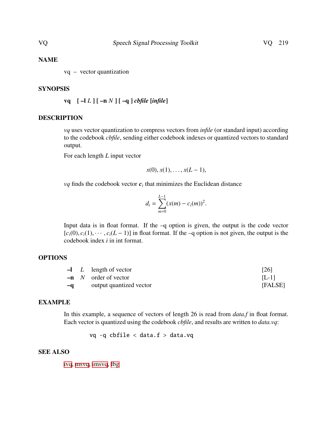<span id="page-224-0"></span>vq – vector quantization

#### **SYNOPSIS**

vq [ –l *L* ] [ –n *N* ] [ –q ] *cbfile* [*infile*]

#### DESCRIPTION

*vq* uses vector quantization to compress vectors from *infile* (or standard input) according to the codebook *cbfile*, sending either codebook indexes or quantized vectors to standard output.

For each length *L* input vector

$$
x(0), x(1), \ldots, x(L-1),
$$

 $vq$  finds the codebook vector  $c_i$  that minimizes the Euclidean distance

$$
d_i = \sum_{m=0}^{L-1} (x(m) - c_i(m))^2.
$$

Input data is in float format. If the –q option is given, the output is the code vector  $[c_i(0), c_i(1), \cdots, c_i(L-1)]$  in float format. If the –q option is not given, the output is the codebook index *i* in int format.

#### **OPTIONS**

|    | $-L$ length of vector   | [26]    |
|----|-------------------------|---------|
|    | $-n$ N order of vector  | $ L-1 $ |
| —a | output quantized vector | [FALSE] |

#### EXAMPLE

In this example, a sequence of vectors of length 26 is read from *data.f* in float format. Each vector is quantized using the codebook *cbfile*, and results are written to *data.vq*:

vq -q cbfile  $\langle$  data.f  $\rangle$  data.vq

#### SEE ALSO

[ivq,](#page-107-0) [msvq,](#page-169-0) [imsvq,](#page-105-0) [lbg](#page-108-0)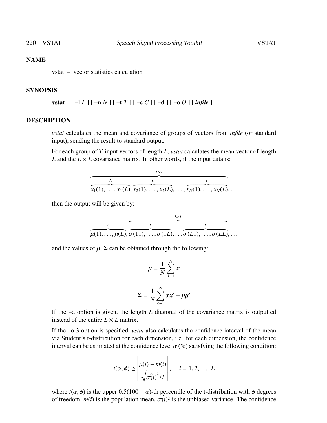<span id="page-225-1"></span><span id="page-225-0"></span>vstat – vector statistics calculation

#### **SYNOPSIS**

vstat [ –l *L* ] [ –n *N* ] [ –t *T* ] [ –c *C* ] [ –d ] [ –o *O* ] [ *infile* ]

#### DESCRIPTION

*vstat* calculates the mean and covariance of groups of vectors from *infile* (or standard input), sending the result to standard output.

For each group of *T* input vectors of length *L*, *vstat* calculates the mean vector of length *L* and the  $L \times L$  covariance matrix. In other words, if the input data is:

| $T\! \times\! I$ |                                                                                          |
|------------------|------------------------------------------------------------------------------------------|
|                  |                                                                                          |
|                  |                                                                                          |
|                  | $x_1(1), \ldots, x_1(L), x_2(1), \ldots, x_2(L), \ldots, x_N(1), \ldots, x_N(L), \ldots$ |

then the output will be given by:

$$
\overbrace{\mu(1), \ldots, \mu(L)}^{L}, \overbrace{\sigma(11), \ldots, \sigma(1L)}^{L \times L}, \ldots, \overbrace{\sigma(L1), \ldots, \sigma(LL)}^{L}, \ldots
$$

and the values of  $\mu$ ,  $\Sigma$  can be obtained through the following:

$$
\mu = \frac{1}{N} \sum_{k=1}^{N} x
$$

$$
\Sigma = \frac{1}{N} \sum_{k=1}^{N} x x^{2} - \mu \mu^{2}
$$

If the –d option is given, the length *L* diagonal of the covariance matrix is outputted instead of the entire  $L \times L$  matrix.

If the –o 3 option is specified, *vstat* also calculates the confidence interval of the mean via Student's t-distribution for each dimension, i.e. for each dimension, the confidence interval can be estimated at the confidence level  $\alpha$  (%) satisfying the following condition:

$$
t(\alpha,\phi) \ge \left| \frac{\mu(i) - m(i)}{\sqrt{\sigma(i)^2/L}} \right|, \quad i = 1, 2, \dots, L
$$

where  $t(\alpha, \phi)$  is the upper 0.5(100 –  $\alpha$ )-th percentile of the t-distribution with  $\phi$  degrees of freedom,  $m(i)$  is the population mean,  $\sigma(\hat{i})^2$  is the unbiased variance. The confidence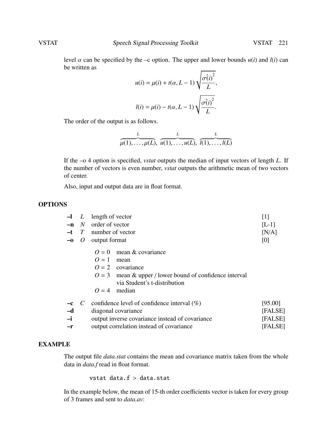level  $\alpha$  can be specified by the –c option. The upper and lower bounds  $u(i)$  and  $l(i)$  can be written as

$$
u(i) = \mu(i) + t(\alpha, L - 1) \sqrt{\frac{\sigma(i)^2}{L}},
$$
  

$$
l(i) = \mu(i) - t(\alpha, L - 1) \sqrt{\frac{\sigma(i)^2}{L}}.
$$

The order of the output is as follows.

$$
\overbrace{\mu(1),\ldots,\mu(L)}^{L},\overbrace{\mu(1),\ldots,\mu(L)}^{L},\overbrace{\mu(1),\ldots,\mu(L)}^{L}
$$

If the –o 4 option is specified, *vstat* outputs the median of input vectors of length *L*. If the number of vectors is even number, *vstat* outputs the arithmetic mean of two vectors of center.

Also, input and output data are in float format.

### **OPTIONS**

| $-1$ |          | L length of vector                                                                        | [1]     |
|------|----------|-------------------------------------------------------------------------------------------|---------|
| $-n$ | N        | order of vector                                                                           | $[L-1]$ |
| -t   |          | <i>T</i> number of vector                                                                 | [N/A]   |
| $-0$ | $\Omega$ | output format                                                                             | [0]     |
|      |          | $Q = 0$ mean & covariance                                                                 |         |
|      |          | $Q = 1$ mean                                                                              |         |
|      |          | $Q = 2$ covariance                                                                        |         |
|      |          | $Q = 3$ mean & upper / lower bound of confidence interval<br>via Student's t-distribution |         |
|      |          | $Q = 4$ median                                                                            |         |
| $-c$ |          | confidence level of confidence interval $(\%)$                                            | [95.00] |
| $-d$ |          | diagonal covariance                                                                       | [FALSE] |
| $-i$ |          | output inverse covariance instead of covariance                                           | [FALSE] |
| $-r$ |          | output correlation instead of covariance                                                  | [FALSE] |
|      |          |                                                                                           |         |

#### EXAMPLE

The output file *data.stat* contains the mean and covariance matrix taken from the whole data in *data.f* read in float format.

vstat data.f  $>$  data.stat

In the example below, the mean of 15-th order coefficients vector is taken for every group of 3 frames and sent to *data.av*: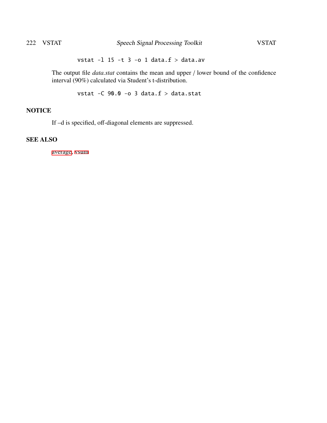vstat  $-1$  15  $-t$  3  $-0$  1 data.f > data.av

The output file *data.stat* contains the mean and upper / lower bound of the confidence interval (90%) calculated via Student's t-distribution.

vstat -C  $90.0$  -o 3 data.f > data.stat

## **NOTICE**

If –d is specified, off-diagonal elements are suppressed.

## SEE ALSO

[average,](#page-13-0) [vsum](#page-228-0)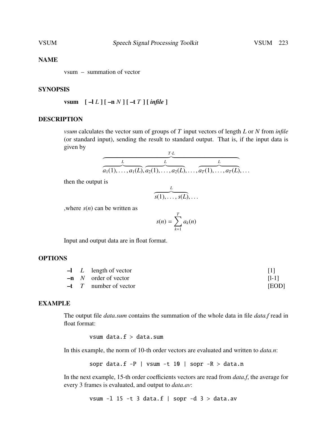<span id="page-228-1"></span><span id="page-228-0"></span>vsum – summation of vector

#### SYNOPSIS

vsum [ –l *L* ] [ –n *N* ] [ –t *T* ] [ *infile* ]

#### DESCRIPTION

*vsum* calculates the vector sum of groups of *T* input vectors of length *L* or *N* from *infile* (or standard input), sending the result to standard output. That is, if the input data is given by *T*·*L*

$$
\overbrace{a_1(1),\ldots,a_1(L),a_2(1),\ldots,a_2(L),\ldots,a_T(1),\ldots,a_T(L),\ldots,a_T(L),\ldots,a_T(L),\ldots,a_T(L),a_T(L),\ldots,a_T(L),a_T(L),\ldots,a_T(L),a_T(L),\ldots,a_T(L),a_T(L),\ldots,a_T(L),a_T(L),\ldots,a_T(L),a_T(L),\ldots,a_T(L),a_T(L),\ldots,a_T(L),\ldots,a_T(L),\ldots,a_T(L),\ldots,a_T(L),\ldots,a_T(L),\ldots,a_T(L),\ldots,a_T(L),\ldots,a_T(L),\ldots,a_T(L),\ldots,a_T(L),\ldots,a_T(L),\ldots,a_T(L),\ldots,a_T(L),\ldots,a_T(L),\ldots,a_T(L),\ldots,a_T(L),\ldots,a_T(L),\ldots,a_T(L),\ldots,a_T(L),\ldots,a_T(L),\ldots,a_T(L),\ldots,a_T(L),\ldots,a_T(L),\ldots,a_T(L),\ldots,a_T(L),\ldots,a_T(L),\ldots,a_T(L),\ldots,a_T(L),\ldots,a_T(L),\ldots,a_T(L),\ldots,a_T(L),\ldots,a_T(L),\ldots,a_T(L),\ldots,a_T(L),\ldots,a_T(L),\ldots,a_T(L),\ldots,a_T(L),\ldots,a_T(L),\ldots,a_T(L),\ldots,a_T(L),\ldots,a_T(L),\ldots,a_T(L),\ldots,a_T(L),\ldots,a_T(L),\ldots,a_T(L),\ldots,a_T(L),\ldots,a_T(L),\ldots,a_T(L),\ldots,a_T(L),\ldots,a_T(L),\ldots,a_T(L),\ldots,a_T(L),\ldots,a_T(L),\ldots,a_T(L),\ldots,a_T(L),\ldots,a_T(L),\ldots,a_T(L),\ldots,a_T(L),\ldots,a_T(L),\ldots,a_T(L),\ldots,a_T(L),\ldots,a_T(L),\ldots,a_T(L),\ldots,a_T(L),\ldots,a_T(L),\ldots,a_T(L),\ldots,a_T(L),\ldots,a_T(L),\ldots,a_T(L),\ldots,a_T(L),\ldots,a_T(L),\ldots,a_T(L),\ldots,a_T(L),\ldots,a_T(L),\ldots,a_T(L),\ldots,a_T(L),\ldots,a_T(L),\ldots,a_T(L),\ldots,a_T(L),\ldots,a_T(L),\ldots,a_T(L),\ldots,a_T(L),\ldots,a_T(L),\ldots,a_T(L),\ldots,a_T(L),\ldots,a_T(L),\ldots,a_T(L),\ldots,a_T(L),\ldots,a_T(L
$$

then the output is

$$
\overbrace{\scriptstyle s(1),\ldots,s(L)}^{\scriptscriptstyle L},\ldots
$$

,where  $s(n)$  can be written as

$$
s(n) = \sum_{k=1}^{T} a_k(n)
$$

Input and output data are in float format.

## OPTIONS

|  | $-L$ length of vector   |         |
|--|-------------------------|---------|
|  | $-n$ N order of vector  | $[1-1]$ |
|  | $-t$ T number of vector | [EOD]   |

### EXAMPLE

The output file *data.sum* contains the summation of the whole data in file *data.f* read in float format:

vsum data.f  $>$  data.sum

In this example, the norm of 10-th order vectors are evaluated and written to *data.n*:

sopr data.f -P | vsum -t 10 | sopr -R > data.n

In the next example, 15-th order coefficients vectors are read from *data.f*, the average for every 3 frames is evaluated, and output to *data.av*:

vsum -l 15 -t 3 data.f | sopr -d 3 > data.av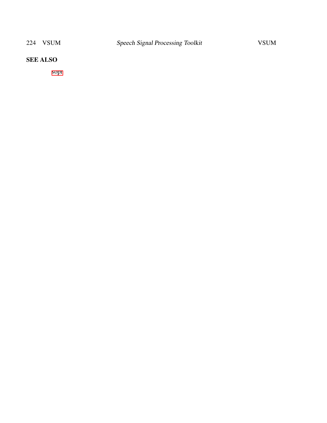# SEE ALSO

[sopr](#page-197-0)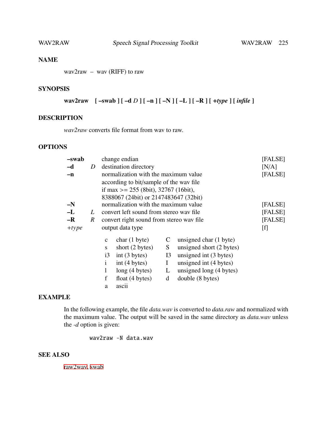<span id="page-230-0"></span>wav2raw – wav (RIFF) to raw

## **SYNOPSIS**

wav2raw [ –swab ] [ –d *D* ] [ –n ] [ –N ] [ –L ] [ –R ] [ +*type* ] [ *infile* ]

#### DESCRIPTION

*wav2raw* converts file format from wav to raw.

#### OPTIONS

| -swab    |                  | change endian                                                      | [FALSE] |
|----------|------------------|--------------------------------------------------------------------|---------|
| $-d$     | D                | destination directory                                              | [N/A]   |
| $-n$     |                  | normalization with the maximum value                               | [FALSE] |
|          |                  | according to bit/sample of the way file                            |         |
|          |                  | if max $\ge$ = 255 (8bit), 32767 (16bit),                          |         |
|          |                  | 8388067 (24bit) or 2147483647 (32bit)                              |         |
| $-N$     |                  | normalization with the maximum value                               | [FALSE] |
| $-L$     | L                | convert left sound from stereo way file                            | [FALSE] |
| $-R$     | $\boldsymbol{R}$ | convert right sound from stereo way file                           | [FALSE] |
| $+ type$ |                  | output data type                                                   | $[f]$   |
|          |                  | unsigned char (1 byte)<br>char(1 byte)<br>C<br>$\mathbf{C}$        |         |
|          |                  | S<br>short (2 bytes)<br>unsigned short (2 bytes)<br>S.             |         |
|          |                  | i3<br>13<br>int(3 bytes)<br>unsigned int (3 bytes)                 |         |
|          |                  | $\mathbf{i}$<br>$\bf{I}$<br>int(4 bytes)<br>unsigned int (4 bytes) |         |
|          |                  | L<br>unsigned long (4 bytes)<br>$\log(4 \text{ bytes})$            |         |
|          |                  | $\mathbf f$<br>float $(4 \text{ bytes})$<br>double (8 bytes)<br>d  |         |
|          |                  | ascii<br>a                                                         |         |
|          |                  |                                                                    |         |

## EXAMPLE

In the following example, the file *data.wav* is converted to *data.raw* and normalized with the maximum value. The output will be saved in the same directory as *data.wav* unless the *-d* option is given:

wav2raw -N data.wav

#### SEE ALSO

[raw2wav](#page-185-0), [swab](#page-204-0)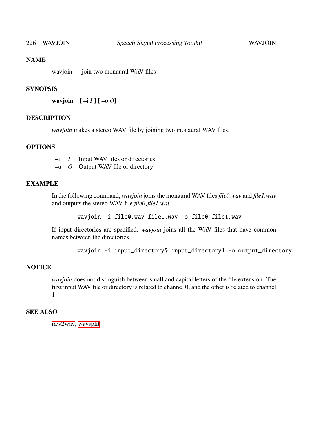<span id="page-231-1"></span><span id="page-231-0"></span>

wavioin – join two monaural WAV files

#### **SYNOPSIS**

wavjoin  $\left[ -i I \right] \left[ -0 O \right]$ 

#### DESCRIPTION

*wavjoin* makes a stereo WAV file by joining two monaural WAV files.

#### **OPTIONS**

–i *I* Input WAV files or directories

–o *O* Output WAV file or directory

#### EXAMPLE

In the following command, *wavjoin* joins the monaural WAV files *file0.wav* and *file1.wav* and outputs the stereo WAV file *file0 file1.wav*.

wavjoin -i file0.wav file1.wav -o file0\_file1.wav

If input directories are specified, *wavjoin* joins all the WAV files that have common names between the directories.

wavjoin -i input\_directory0 input\_directory1 -o output\_directory

#### **NOTICE**

*wavjoin* does not distinguish between small and capital letters of the file extension. The first input WAV file or directory is related to channel 0, and the other is related to channel 1.

#### SEE ALSO

[raw2wav](#page-185-0), [wavsplit](#page-232-0)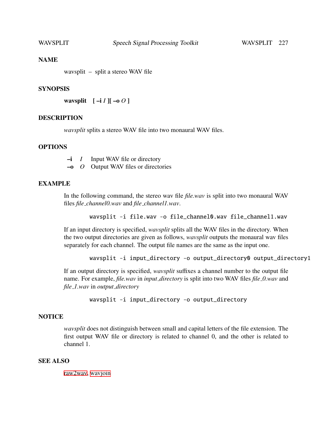<span id="page-232-1"></span><span id="page-232-0"></span>

wavsplit – split a stereo WAV file

### **SYNOPSIS**

wavsplit  $[-i]$   $\parallel$   $-0$   $\cup$   $\parallel$ 

#### DESCRIPTION

*wavsplit* splits a stereo WAV file into two monaural WAV files.

#### **OPTIONS**

–i *I* Input WAV file or directory

–o *O* Output WAV files or directories

#### EXAMPLE

In the following command, the stereo wav file *file.wav* is split into two monaural WAV files *file channel0.wav* and *file channel1.wav*.

wavsplit -i file.wav -o file\_channel0.wav file\_channel1.wav

If an input directory is specified, *wavsplit* splits all the WAV files in the directory. When the two output directories are given as follows, *wavsplit* outputs the monaural wav files separately for each channel. The output file names are the same as the input one.

wavsplit -i input\_directory -o output\_directory0 output\_directory1

If an output directory is specified, *wavsplit* suffixes a channel number to the output file name. For example, *file.wav* in *input directory* is split into two WAV files *file 0.wav* and *file 1.wav* in *output directory*

wavsplit -i input\_directory -o output\_directory

#### NOTICE

*wavsplit* does not distinguish between small and capital letters of the file extension. The first output WAV file or directory is related to channel 0, and the other is related to channel 1.

#### SEE ALSO

[raw2wav](#page-185-0), [wavjoin](#page-231-0)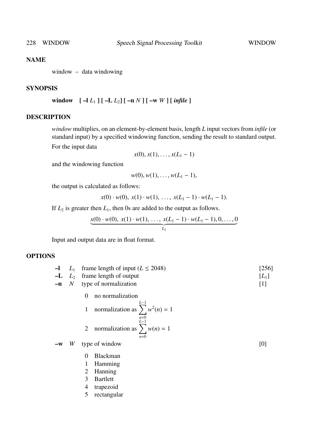<span id="page-233-0"></span>window – data windowing

## **SYNOPSIS**

window  $[-L_1] [-L_2] [-n] N] [-w] W] [infile]$ 

## DESCRIPTION

*window* multiplies, on an element-by-element basis, length *L* input vectors from *infile* (or standard input) by a specified windowing function, sending the result to standard output. For the input data

$$
x(0), x(1), \ldots, x(L_1-1)
$$

and the windowing function

$$
w(0), w(1), \ldots, w(L_1-1),
$$

the output is calculated as follows:

$$
x(0) \cdot w(0), x(1) \cdot w(1), \ldots, x(L_1 - 1) \cdot w(L_1 - 1).
$$

If  $L_2$  is greater then  $L_1$ , then 0s are added to the output as follows.

$$
\underbrace{x(0) \cdot w(0), x(1) \cdot w(1), \dots, x(L_1-1) \cdot w(L_1-1), 0, \dots, 0}_{L_2}
$$

Input and output data are in float format.

## **OPTIONS**

|  | $-L_1$ frame length of input ( $L \le 2048$ ) | [256]   |
|--|-----------------------------------------------|---------|
|  | $-L$ $L_2$ frame length of output             | $ L_1 $ |
|  | $-n$ N type of normalization                  | $\perp$ |
|  | 0 no normalization                            |         |

1 normalization as 
$$
\sum_{n=0}^{L-1} w^2(n) = 1
$$
  
2 normalization as 
$$
\sum_{n=0}^{L-1} w(n) = 1
$$

–w *W* type of window

0 Blackman

- 1 Hamming
- 2 Hanning
- 3 Bartlett
- 4 trapezoid
- 5 rectangular

[0]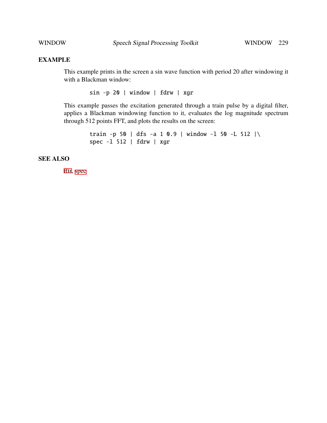#### **EXAMPLE**

This example prints in the screen a sin wave function with period 20 after windowing it with a Blackman window:

sin -p 20 | window | fdrw | xgr

This example passes the excitation generated through a train pulse by a digital filter, applies a Blackman windowing function to it, evaluates the log magnitude spectrum through 512 points FFT, and plots the results on the screen:

> train -p 50 | dfs -a 1 0.9 | window -l 50 -L 512 |\ spec -l 512 | fdrw | xgr

## SEE ALSO

ff[tr](#page-59-0), [spec](#page-200-0)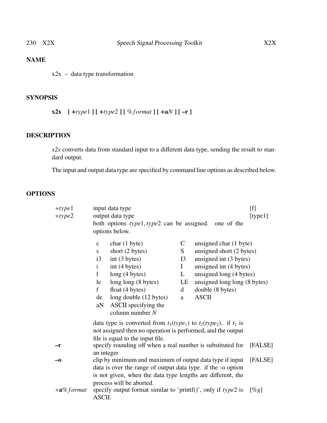<span id="page-235-0"></span>x2x – data type transformation

# **SYNOPSIS**

x2x [ +*type*1 ] [ +*type*2 ] [ % *f ormat* ] [ +a*N* ] [ –r ]

## DESCRIPTION

*x2x* converts data from standard input to a different data type, sending the result to standard output.

The input and output data type are specified by command line options as described below.

## **OPTIONS**

| $+ type1$     | input data type                                                          |              |                              | $[f]$   |
|---------------|--------------------------------------------------------------------------|--------------|------------------------------|---------|
| $+ type2$     | output data type                                                         |              |                              | [type1] |
|               | both options type1, type2 can be assigned. one of the                    |              |                              |         |
|               | options below.                                                           |              |                              |         |
|               | char $(1 \text{ byte})$<br>$\mathbf{C}$                                  | $\mathsf{C}$ | unsigned char (1 byte)       |         |
|               | short (2 bytes)<br>S                                                     | S            | unsigned short (2 bytes)     |         |
|               | i3<br>int(3 bytes)                                                       | I3           | unsigned int (3 bytes)       |         |
|               | $\mathbf{i}$<br>int(4 bytes)                                             | $\bf{I}$     | unsigned int (4 bytes)       |         |
|               | long(4 bytes)<br>$\mathbf{1}$                                            | $\mathbf{L}$ | unsigned long (4 bytes)      |         |
|               | long long (8 bytes)<br>le                                                | LE           | unsigned long long (8 bytes) |         |
|               | f<br>float (4 bytes)                                                     | $\mathbf d$  | double (8 bytes)             |         |
|               | long double (12 bytes)<br>de                                             | a            | <b>ASCII</b>                 |         |
|               | ASCII specifying the<br>aN                                               |              |                              |         |
|               | column number $N$                                                        |              |                              |         |
|               | data type is converted from $t_1(type_1)$ to $t_2(type_2)$ . if $t_2$ is |              |                              |         |
|               | not assigned then no operation is performed, and the output              |              |                              |         |
|               | file is equal to the input file.                                         |              |                              |         |
| -r            | specify rounding off when a real number is substituted for [FALSE]       |              |                              |         |
|               | an integer                                                               |              |                              |         |
| $-0$          | clip by minimum and maximum of output data type if input<br>[FALSE]      |              |                              |         |
|               | data is over the range of output data type. if the -o option             |              |                              |         |
|               | is not given, when the data type lengths are different, the              |              |                              |         |
|               | process will be aborted.                                                 |              |                              |         |
| $+a\%$ format | specify output format similar to 'printf()', only if type2 is            |              |                              | [%g]    |
|               | ASCII.                                                                   |              |                              |         |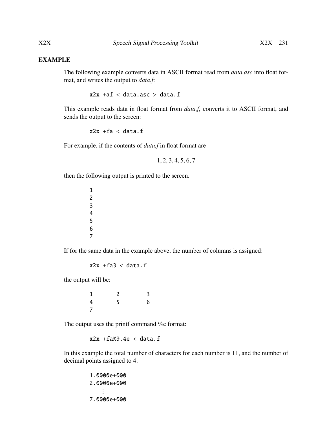#### EXAMPLE

The following example converts data in ASCII format read from *data.asc* into float format, and writes the output to *data.f*:

 $x2x + af < data.asc > data.f$ 

This example reads data in float format from *data.f*, converts it to ASCII format, and sends the output to the screen:

 $x2x + fa <$  data.f

For example, if the contents of *data.f* in float format are

```
1, 2, 3, 4, 5, 6, 7
```
then the following output is printed to the screen.

If for the same data in the example above, the number of columns is assigned:

 $x2x + fa3 < data.f$ 

the output will be:

| $1\,$          | 2 | 3 |
|----------------|---|---|
| 4              | 5 | 6 |
| $\overline{7}$ |   |   |

The output uses the printf command %e format:

 $x2x + fa%9.4e <$  data.f

In this example the total number of characters for each number is 11, and the number of decimal points assigned to 4.

> 1.0000e+000 2.0000e+000 . . . 7.0000e+000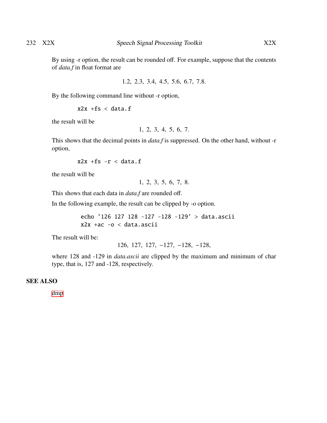By using -r option, the result can be rounded off. For example, suppose that the contents of *data.f* in float format are

1.2, 2.3, 3.4, 4.5, 5.6, 6.7, 7.8.

By the following command line without -r option,

$$
x2x + fs < data.f
$$

the result will be

1, 2, 3, 4, 5, 6, 7.

This shows that the decimal points in *data.f* is suppressed. On the other hand, without -r option,

 $x2x$  +fs  $-r <$  data.f

the result will be

1, 2, 3, 5, 6, 7, 8.

This shows that each data in *data.f* are rounded off.

In the following example, the result can be clipped by -o option.

echo '126 127 128 -127 -128 -129' > data.ascii x2x +ac -o < data.ascii

The result will be:

126, 127, 127, −127, −128, −128,

where 128 and -129 in *data.ascii* are clipped by the maximum and minimum of char type, that is, 127 and -128, respectively.

#### SEE ALSO

[dmp](#page-41-0)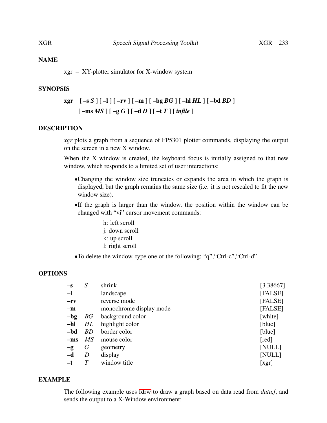<span id="page-238-0"></span>xgr – XY-plotter simulator for X-window system

### **SYNOPSIS**

xgr [ –s *S* ] [ –l ] [ –rv ] [ –m ] [ –bg *BG* ] [ –hl *HL* ] [ –bd *BD* ] [ –ms *MS* ] [ –g *G* ] [ –d *D* ] [ –t *T* ] [ *infile* ]

#### DESCRIPTION

*xgr* plots a graph from a sequence of FP5301 plotter commands, displaying the output on the screen in a new X window.

When the X window is created, the keyboard focus is initially assigned to that new window, which responds to a limited set of user interactions:

- •Changing the window size truncates or expands the area in which the graph is displayed, but the graph remains the same size (i.e. it is not rescaled to fit the new window size).
- •If the graph is larger than the window, the position within the window can be changed with "vi" cursor movement commands:
	- h: left scroll j: down scroll k: up scroll l: right scroll
- •To delete the window, type one of the following: "q","Ctrl-c","Ctrl-d"

## **OPTIONS**

| $-S$           | S  | shrink                  | [3.38667]                  |
|----------------|----|-------------------------|----------------------------|
| $-\mathbf{l}$  |    | landscape               | [FALSE]                    |
| $-rv$          |    | reverse mode            | [FALSE]                    |
| $-m$           |    | monochrome display mode | [FALSE]                    |
| $-\mathbf{bg}$ | ВG | background color        | [white]                    |
| $-hl$          | HL | highlight color         | [b]                        |
| $-bd$          | BD | border color            | [blue]                     |
| $-ms$          | МS | mouse color             | $\lceil \text{red} \rceil$ |
| $-g$           | G  | geometry                | [NULL]                     |
| $-d$           | D  | display                 | [NULL]                     |
| -t             |    | window title            | [xgr]                      |
|                |    |                         |                            |

#### EXAMPLE

The following example uses [fdrw](#page-52-0) to draw a graph based on data read from *data.f*, and sends the output to a X-Window environment: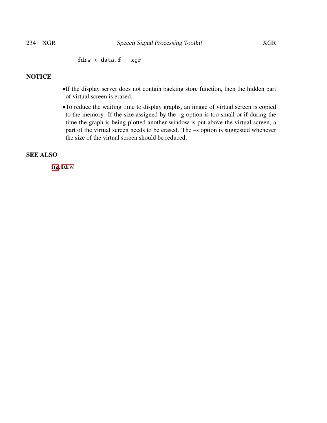fdrw < data.f |  $xgr$ 

## **NOTICE**

- •If the display server does not contain backing store function, then the hidden part of virtual screen is erased.
- •To reduce the waiting time to display graphs, an image of virtual screen is copied to the memory. If the size assigned by the –g option is too small or if during the time the graph is being plotted another window is put above the virtual screen, a part of the virtual screen needs to be erased. The –s option is suggested whenever the size of the virtual screen should be reduced.

#### SEE ALSO

[fig,](#page-62-0) [fdrw](#page-52-0)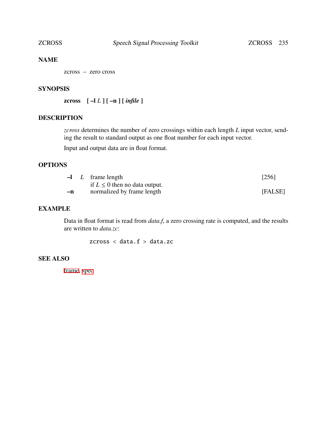<span id="page-240-0"></span>zcross – zero cross

## **SYNOPSIS**

zcross [ –l *L* ] [ –n ] [ *infile* ]

## DESCRIPTION

*zcross* determines the number of zero crossings within each length *L* input vector, sending the result to standard output as one float number for each input vector.

Input and output data are in float format.

## **OPTIONS**

|    | $-L$ frame length                  | [256]   |
|----|------------------------------------|---------|
|    | if $L \leq 0$ then no data output. |         |
| -n | normalized by frame length         | [FALSE] |

#### EXAMPLE

Data in float format is read from *data.f*, a zero crossing rate is computed, and the results are written to *data.zc*:

zcross  $\langle$  data.f  $\rangle$  data.zc

#### SEE ALSO

[frame,](#page-69-0) [spec](#page-200-0)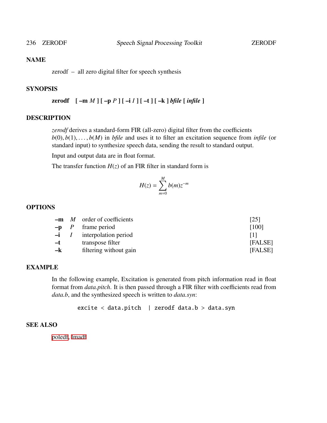<span id="page-241-0"></span>zerodf – all zero digital filter for speech synthesis

#### **SYNOPSIS**

zerodf [ –m *M* ] [ –p *P* ] [ –i *I* ] [ –t ] [ –k ] *bfile* [ *infile* ]

#### DESCRIPTION

*zerodf* derives a standard-form FIR (all-zero) digital filter from the coefficients  $b(0), b(1), \ldots, b(M)$  in *bfile* and uses it to filter an excitation sequence from *infile* (or standard input) to synthesize speech data, sending the result to standard output.

Input and output data are in float format.

The transfer function  $H(z)$  of an FIR filter in standard form is

$$
H(z) = \sum_{m=0}^{M} b(m)z^{-m}
$$

#### **OPTIONS**

| $-m$     | $M$ order of coefficients | [25]    |
|----------|---------------------------|---------|
|          | $-p$ $P$ frame period     | [100]   |
| $-i$ $l$ | interpolation period      |         |
| —t       | transpose filter          | [FALSE] |
| -k       | filtering without gain    | [FALSE] |

#### EXAMPLE

In the following example, Excitation is generated from pitch information read in float format from *data.pitch*. It is then passed through a FIR filter with coefficients read from *data.b*, and the synthesized speech is written to *data.syn*:

excite < data.pitch | zerodf data.b > data.syn

#### SEE ALSO

[poledf,](#page-180-0) [lmadf](#page-116-0)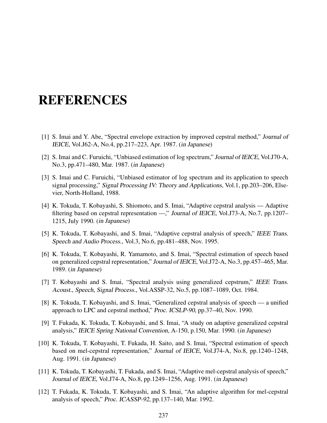# REFERENCES

- [1] S. Imai and Y. Abe, "Spectral envelope extraction by improved cepstral method," Journal of IEICE, Vol.J62-A, No.4, pp.217–223, Apr. 1987. (in Japanese)
- [2] S. Imai and C. Furuichi, "Unbiased estimation of log spectrum," Journal of IEICE, Vol.J70-A, No.3, pp.471–480, Mar. 1987. (in Japanese)
- [3] S. Imai and C. Furuichi, "Unbiased estimator of log spectrum and its application to speech signal processing," Signal Processing IV: Theory and Applications, Vol.1, pp.203–206, Elsevier, North-Holland, 1988.
- [4] K. Tokuda, T. Kobayashi, S. Shiomoto, and S. Imai, "Adaptive cepstral analysis Adaptive filtering based on cepstral representation —," Journal of IEICE, Vol.J73-A, No.7, pp.1207– 1215, July 1990. (in Japanese)
- [5] K. Tokuda, T. Kobayashi, and S. Imai, "Adaptive cepstral analysis of speech," IEEE Trans. Speech and Audio Process., Vol.3, No.6, pp.481–488, Nov. 1995.
- [6] K. Tokuda, T. Kobayashi, R. Yamamoto, and S. Imai, "Spectral estimation of speech based on generalized cepstral representation," Journal of IEICE, Vol.J72-A, No.3, pp.457–465, Mar. 1989. (in Japanese)
- [7] T. Kobayashi and S. Imai, "Spectral analysis using generalized cepstrum," IEEE Trans. Acoust., Speech, Signal Process., Vol.ASSP-32, No.5, pp.1087–1089, Oct. 1984.
- [8] K. Tokuda, T. Kobayashi, and S. Imai, "Generalized cepstral analysis of speech a unified approach to LPC and cepstral method," Proc. ICSLP-90, pp.37–40, Nov. 1990.
- [9] T. Fukada, K. Tokuda, T. Kobayashi, and S. Imai, "A study on adaptive generalized cepstral analysis," IEICE Spring National Convention, A-150, p.150, Mar. 1990. (in Japanese)
- [10] K. Tokuda, T. Kobayashi, T. Fukada, H. Saito, and S. Imai, "Spectral estimation of speech based on mel-cepstral representation," Journal of IEICE, Vol.J74-A, No.8, pp.1240–1248, Aug. 1991. (in Japanese)
- [11] K. Tokuda, T. Kobayashi, T. Fukada, and S. Imai, "Adaptive mel-cepstral analysis of speech," Journal of IEICE, Vol.J74-A, No.8, pp.1249–1256, Aug. 1991. (in Japanese)
- [12] T. Fukada, K. Tokuda, T. Kobayashi, and S. Imai, "An adaptive algorithm for mel-cepstral analysis of speech," Proc. ICASSP-92, pp.137–140, Mar. 1992.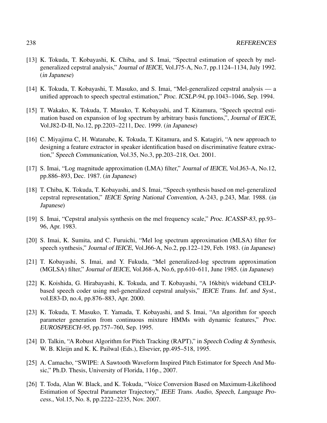- [13] K. Tokuda, T. Kobayashi, K. Chiba, and S. Imai, "Spectral estimation of speech by melgeneralized cepstral analysis," Journal of IEICE, Vol.J75-A, No.7, pp.1124–1134, July 1992. (in Japanese)
- [14] K. Tokuda, T. Kobayashi, T. Masuko, and S. Imai, "Mel-generalized cepstral analysis a unified approach to speech spectral estimation," Proc. ICSLP-94, pp.1043–1046, Sep. 1994.
- [15] T. Wakako, K. Tokuda, T. Masuko, T. Kobayashi, and T. Kitamura, "Speech spectral estimation based on expansion of log spectrum by arbitrary basis functions,", Journal of IEICE, Vol.J82-D-II, No.12, pp.2203–2211, Dec. 1999. (in Japanese)
- [16] C. Miyajima C, H. Watanabe, K. Tokuda, T. Kitamura, and S. Katagiri, "A new approach to designing a feature extractor in speaker identification based on discriminative feature extraction," Speech Communication, Vol.35, No.3, pp.203–218, Oct. 2001.
- [17] S. Imai, "Log magnitude approximation (LMA) filter," Journal of IEICE, Vol.J63-A, No.12, pp.886–893, Dec. 1987. (in Japanese)
- [18] T. Chiba, K. Tokuda, T. Kobayashi, and S. Imai, "Speech synthesis based on mel-generalized cepstral representation," IEICE Spring National Convention, A-243, p.243, Mar. 1988. (in Japanese)
- [19] S. Imai, "Cepstral analysis synthesis on the mel frequency scale," Proc. ICASSP-83, pp.93– 96, Apr. 1983.
- [20] S. Imai, K. Sumita, and C. Furuichi, "Mel log spectrum approximation (MLSA) filter for speech synthesis," Journal of IEICE, Vol.J66-A, No.2, pp.122–129, Feb. 1983. (in Japanese)
- [21] T. Kobayashi, S. Imai, and Y. Fukuda, "Mel generalized-log spectrum approximation (MGLSA) filter," Journal of IEICE, Vol.J68-A, No.6, pp.610–611, June 1985. (in Japanese)
- [22] K. Koishida, G. Hirabayashi, K. Tokuda, and T. Kobayashi, "A 16kbit/s wideband CELPbased speech coder using mel-generalized cepstral analysis," IEICE Trans. Inf. and Syst., vol.E83-D, no.4, pp.876–883, Apr. 2000.
- [23] K. Tokuda, T. Masuko, T. Yamada, T. Kobayashi, and S. Imai, "An algorithm for speech parameter generation from continuous mixture HMMs with dynamic features," Proc. EUROSPEECH-95, pp.757–760, Sep. 1995.
- [24] D. Talkin, "A Robust Algorithm for Pitch Tracking (RAPT)," in Speech Coding & Synthesis, W. B. Kleijn and K. K. Pailwal (Eds.), Elsevier, pp.495–518, 1995.
- [25] A. Camacho, "SWIPE: A Sawtooth Waveform Inspired Pitch Estimator for Speech And Music," Ph.D. Thesis, University of Florida, 116p., 2007.
- <span id="page-243-0"></span>[26] T. Toda, Alan W. Black, and K. Tokuda, "Voice Conversion Based on Maximum-Likelihood Estimation of Spectral Parameter Trajectory," IEEE Trans. Audio, Speech, Language Process., Vol.15, No. 8, pp.2222–2235, Nov. 2007.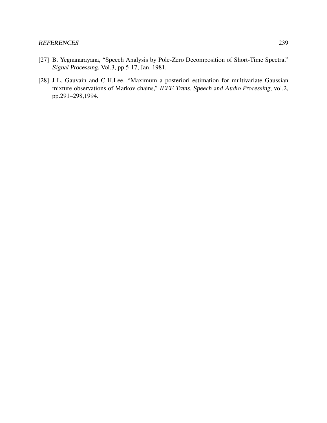- [27] B. Yegnanarayana, "Speech Analysis by Pole-Zero Decomposition of Short-Time Spectra," Signal Processing, Vol.3, pp.5-17, Jan. 1981.
- [28] J-L. Gauvain and C-H.Lee, "Maximum a posteriori estimation for multivariate Gaussian mixture observations of Markov chains," IEEE Trans. Speech and Audio Processing, vol.2, pp.291–298,1994.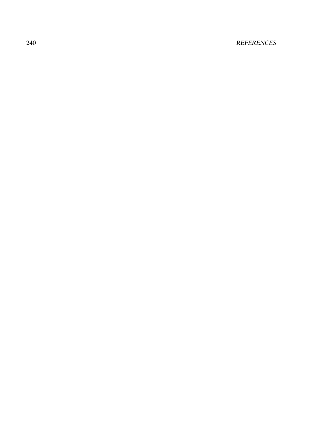# REFERENCES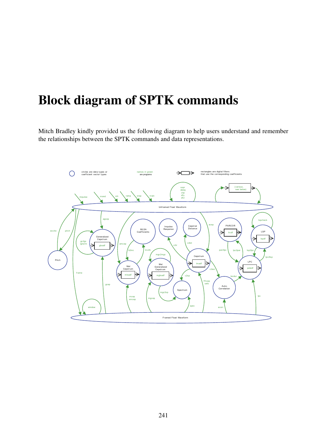# Block diagram of SPTK commands

Mitch Bradley kindly provided us the following diagram to help users understand and remember the relationships between the SPTK commands and data representations.

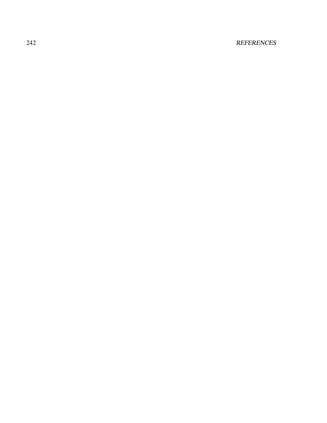# REFERENCES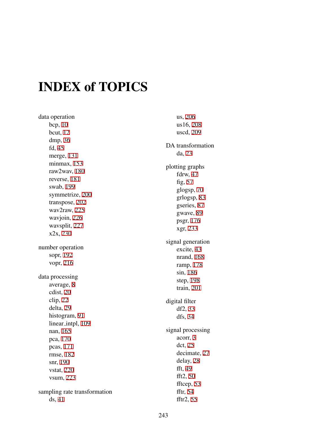# INDEX of TOPICS

data operation bcp, [10](#page-15-0) bcut, [12](#page-17-0) dmp, [36](#page-41-1) fd, [45](#page-50-0) merge, [131](#page-136-0) minmax, [153](#page-158-0) raw2wav, [180](#page-185-1) reverse, [181](#page-186-0) swab, [199](#page-204-1) symmetrize, [200](#page-205-0) transpose, [202](#page-207-0) wav2raw, [225](#page-230-0) wavjoin, [226](#page-231-1) wavsplit, [227](#page-232-1) x2x, [230](#page-235-0) number operation sopr, [192](#page-197-1) vopr, [216](#page-221-0) data processing average, [8](#page-13-1) cdist, [20](#page-25-0) clip, [22](#page-27-0) delta, [29](#page-34-1) histogram, [91](#page-96-0) linear\_intpl, [109](#page-114-0) nan, [165](#page-170-0) pca, [170](#page-175-0) pcas, [171](#page-176-0) rmse, [182](#page-187-0) snr, [190](#page-195-0) vstat, [220](#page-225-1) vsum, [223](#page-228-1) sampling rate transformation ds, [41](#page-46-0)

us, [206](#page-211-0) us16, [208](#page-213-0) uscd, [209](#page-214-0) DA transformation da, [23](#page-28-0) plotting graphs fdrw, [47](#page-52-1) fig, [57](#page-62-1) glogsp, [70](#page-75-0) grlogsp, [83](#page-88-0) gseries, [87](#page-92-0) gwave, [89](#page-94-0) psgr, [176](#page-181-0) xgr, [233](#page-238-0) signal generation excite, [43](#page-48-0) nrand, [168](#page-173-0) ramp, [178](#page-183-0) sin, [186](#page-191-0) step, [198](#page-203-0) train, [201](#page-206-0) digital filter df2, [33](#page-38-0) dfs, [34](#page-39-0) signal processing acorr, [3](#page-8-0) dct, [25](#page-30-0) decimate, [27](#page-32-0) delay, [28](#page-33-0) fft, [49](#page-54-0) fft2, [50](#page-55-0) fftcep, [53](#page-58-0) fftr, [54](#page-59-1)

fftr2, [55](#page-60-0)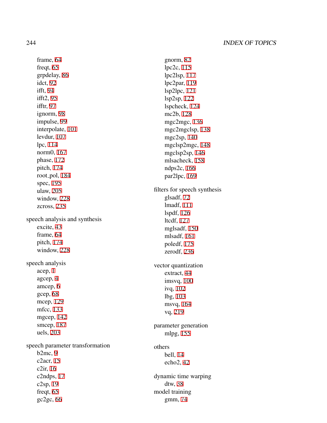frame, [64](#page-69-1) freqt, [65](#page-70-0) grpdelay, [86](#page-91-0) idct, [92](#page-97-0) ifft, [94](#page-99-0) ifft2, [95](#page-100-0) ifftr, [97](#page-102-0) ignorm, [98](#page-103-0) impulse, [99](#page-104-0) interpolate, [101](#page-106-0) levdur, [107](#page-112-0) lpc, [114](#page-119-0) norm0, [167](#page-172-0) phase, [172](#page-177-0) pitch, [174](#page-179-1) root\_pol, [184](#page-189-0) spec, [195](#page-200-1) ulaw, [205](#page-210-0) window, [228](#page-233-0) zcross, [235](#page-240-0) speech analysis and synthesis excite, [43](#page-48-0) frame, [64](#page-69-1) pitch, [174](#page-179-1) window, [228](#page-233-0) speech analysis acep, [1](#page-0-0) agcep, [4](#page-9-0) amcep, [6](#page-11-0) gcep, [68](#page-73-0) mcep, [129](#page-134-0) mfcc, [133](#page-138-0) mgcep, [142](#page-147-0) smcep, [187](#page-192-0) uels, [203](#page-208-0) speech parameter transformation b2mc, [9](#page-14-0) c2acr, [15](#page-20-0) c2ir, [16](#page-21-0) c2ndps, [17](#page-22-0) c2sp, [19](#page-24-0) freqt, [65](#page-70-0) gc2gc, [66](#page-71-0)

gnorm, [82](#page-87-0) lpc2c, [115](#page-120-0) lpc2lsp, [117](#page-122-0) lpc2par, [119](#page-124-0) lsp2lpc, [121](#page-126-0) lsp2sp, [122](#page-127-0) lspcheck, [124](#page-129-0) mc2b, [128](#page-133-0) mgc2mgc, [136](#page-141-0) mgc2mgclsp, [138](#page-143-0) mgc2sp, [140](#page-145-0) mgclsp2mgc, [148](#page-153-0) mgclsp2sp, [146](#page-151-0) mlsacheck, [158](#page-163-0) ndps2c, [166](#page-171-0) par2lpc, [169](#page-174-0) filters for speech synthesis glsadf, [72](#page-77-0) lmadf, [111](#page-116-1) lspdf, [126](#page-131-0) ltcdf, [127](#page-132-0) mglsadf, [150](#page-155-0) mlsadf, [161](#page-166-0) poledf, [175](#page-180-1) zerodf, [236](#page-241-0) vector quantization extract, [44](#page-49-0) imsvq, [100](#page-105-1) ivq, [102](#page-107-1) lbg, [103](#page-108-1) msvq, [164](#page-169-1) vq, [219](#page-224-0) parameter generation mlpg, [155](#page-160-0) others bell, [14](#page-19-0) echo2, [42](#page-47-0) dynamic time warping dtw, [38](#page-43-1) model training gmm, [74](#page-79-1)